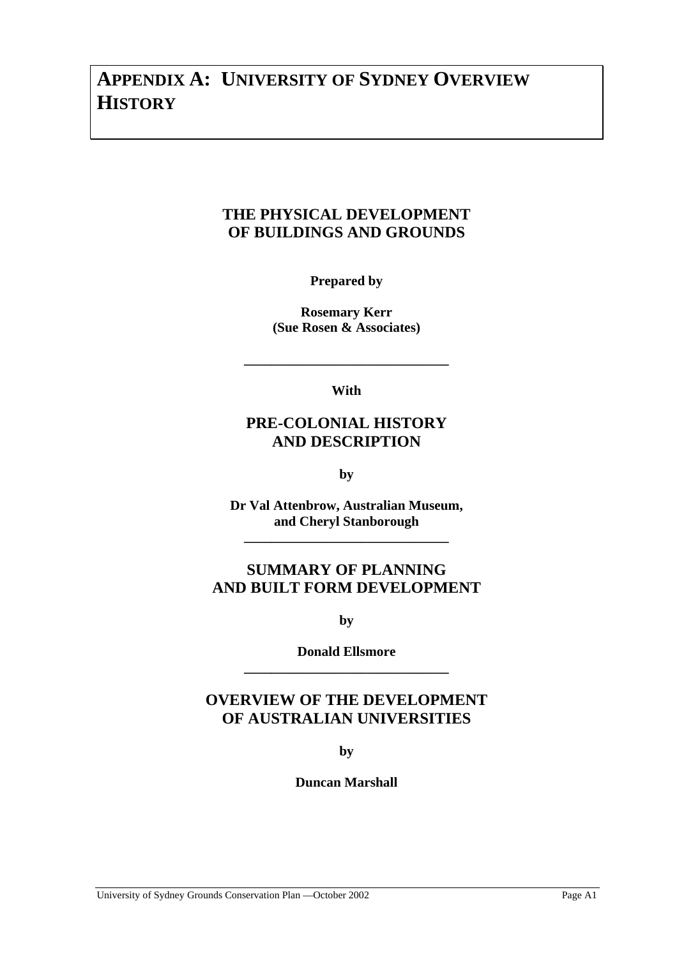# **APPENDIX A: UNIVERSITY OF SYDNEY OVERVIEW HISTORY**

## **THE PHYSICAL DEVELOPMENT OF BUILDINGS AND GROUNDS**

**Prepared by** 

**Rosemary Kerr (Sue Rosen & Associates)** 

**With** 

**\_\_\_\_\_\_\_\_\_\_\_\_\_\_\_\_\_\_\_\_\_\_\_\_\_\_\_\_\_\_** 

## **PRE-COLONIAL HISTORY AND DESCRIPTION**

**by** 

**Dr Val Attenbrow, Australian Museum, and Cheryl Stanborough** 

**\_\_\_\_\_\_\_\_\_\_\_\_\_\_\_\_\_\_\_\_\_\_\_\_\_\_\_\_\_\_** 

## **SUMMARY OF PLANNING AND BUILT FORM DEVELOPMENT**

**by** 

**Donald Ellsmore \_\_\_\_\_\_\_\_\_\_\_\_\_\_\_\_\_\_\_\_\_\_\_\_\_\_\_\_\_\_** 

## **OVERVIEW OF THE DEVELOPMENT OF AUSTRALIAN UNIVERSITIES**

**by** 

**Duncan Marshall**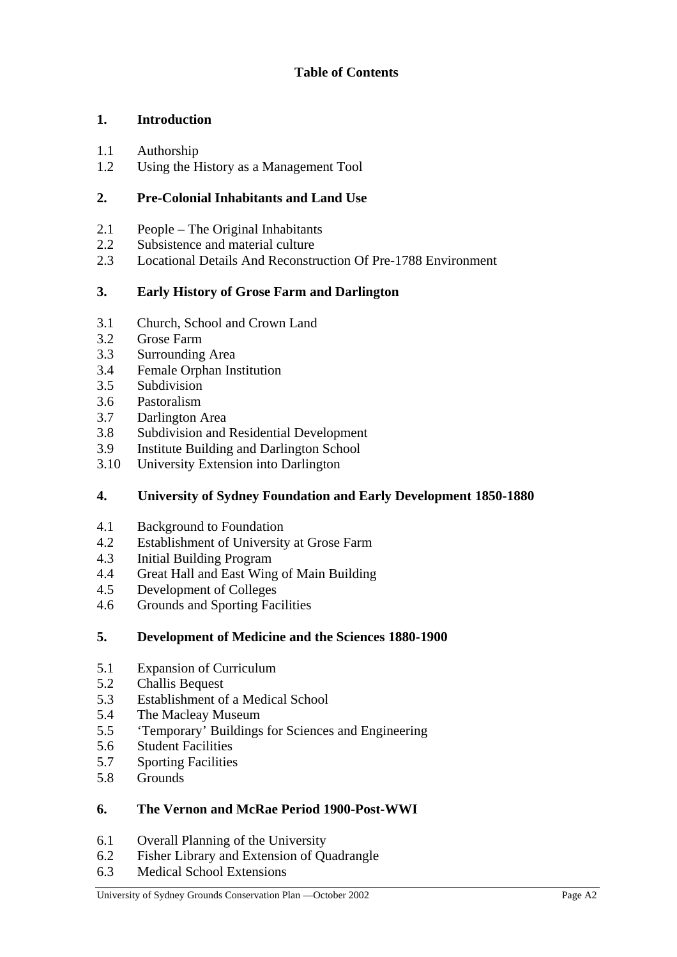## **1. Introduction**

- 1.1 Authorship
- 1.2 Using the History as a Management Tool

## **2. Pre-Colonial Inhabitants and Land Use**

- 2.1 People The Original Inhabitants
- 2.2 Subsistence and material culture
- 2.3 Locational Details And Reconstruction Of Pre-1788 Environment

#### **3. Early History of Grose Farm and Darlington**

- 3.1 Church, School and Crown Land
- 3.2 Grose Farm
- 3.3 Surrounding Area
- 3.4 Female Orphan Institution
- 3.5 Subdivision
- 3.6 Pastoralism
- 3.7 Darlington Area
- 3.8 Subdivision and Residential Development
- 3.9 Institute Building and Darlington School
- 3.10 University Extension into Darlington

#### **4. University of Sydney Foundation and Early Development 1850-1880**

- 4.1 Background to Foundation
- 4.2 Establishment of University at Grose Farm
- 4.3 Initial Building Program
- 4.4 Great Hall and East Wing of Main Building
- 4.5 Development of Colleges
- 4.6 Grounds and Sporting Facilities

#### **5. Development of Medicine and the Sciences 1880-1900**

- 5.1 Expansion of Curriculum
- 5.2 Challis Bequest
- 5.3 Establishment of a Medical School
- 5.4 The Macleay Museum
- 5.5 'Temporary' Buildings for Sciences and Engineering
- 5.6 Student Facilities
- 5.7 Sporting Facilities
- 5.8 Grounds

#### **6. The Vernon and McRae Period 1900-Post-WWI**

- 6.1 Overall Planning of the University
- 6.2 Fisher Library and Extension of Quadrangle
- 6.3 Medical School Extensions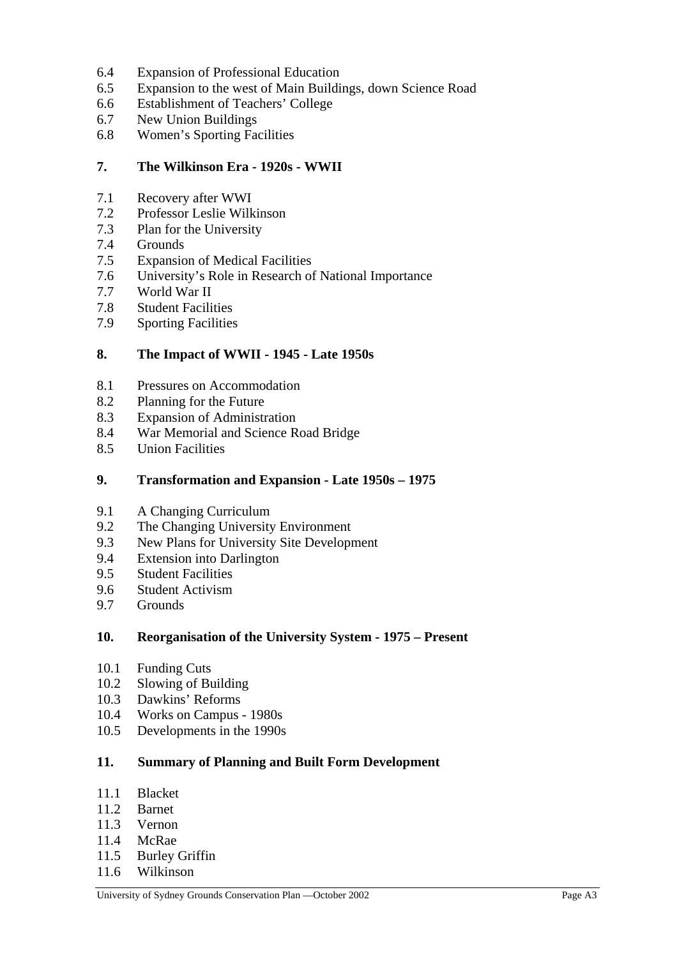- 6.4 Expansion of Professional Education
- 6.5 Expansion to the west of Main Buildings, down Science Road
- 6.6 Establishment of Teachers' College
- 6.7 New Union Buildings
- 6.8 Women's Sporting Facilities

#### **7. The Wilkinson Era - 1920s - WWII**

- 7.1 Recovery after WWI
- 7.2 Professor Leslie Wilkinson
- 7.3 Plan for the University
- 7.4 Grounds
- 7.5 Expansion of Medical Facilities
- 7.6 University's Role in Research of National Importance
- 7.7 World War II
- 7.8 Student Facilities
- 7.9 Sporting Facilities

#### **8. The Impact of WWII - 1945 - Late 1950s**

- 8.1 Pressures on Accommodation
- 8.2 Planning for the Future
- 8.3 Expansion of Administration
- 8.4 War Memorial and Science Road Bridge
- 8.5 Union Facilities

#### **9. Transformation and Expansion - Late 1950s – 1975**

- 9.1 A Changing Curriculum
- 9.2 The Changing University Environment
- 9.3 New Plans for University Site Development
- 9.4 Extension into Darlington
- 9.5 Student Facilities
- 9.6 Student Activism
- 9.7 Grounds

#### **10. Reorganisation of the University System - 1975 – Present**

- 10.1 Funding Cuts
- 10.2 Slowing of Building
- 10.3 Dawkins' Reforms
- 10.4 Works on Campus 1980s
- 10.5 Developments in the 1990s

#### **11. Summary of Planning and Built Form Development**

- 11.1 Blacket
- 11.2 Barnet
- 11.3 Vernon
- 11.4 McRae
- 11.5 Burley Griffin
- 11.6 Wilkinson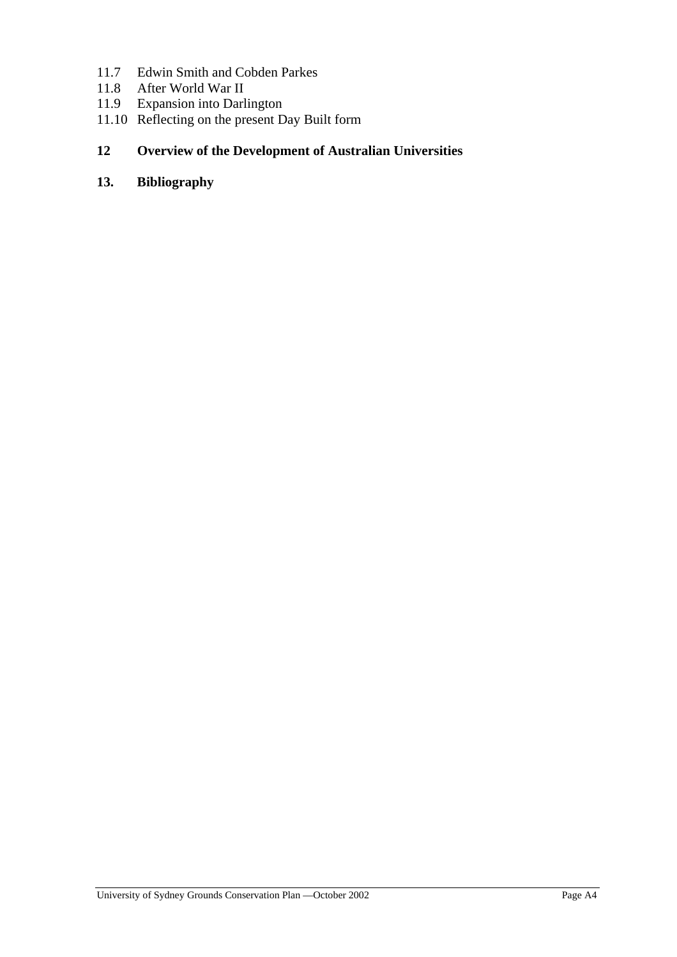- 11.7 Edwin Smith and Cobden Parkes
- 11.8 After World War II
- 11.9 Expansion into Darlington
- 11.10 Reflecting on the present Day Built form

## **12 Overview of the Development of Australian Universities**

## **13. Bibliography**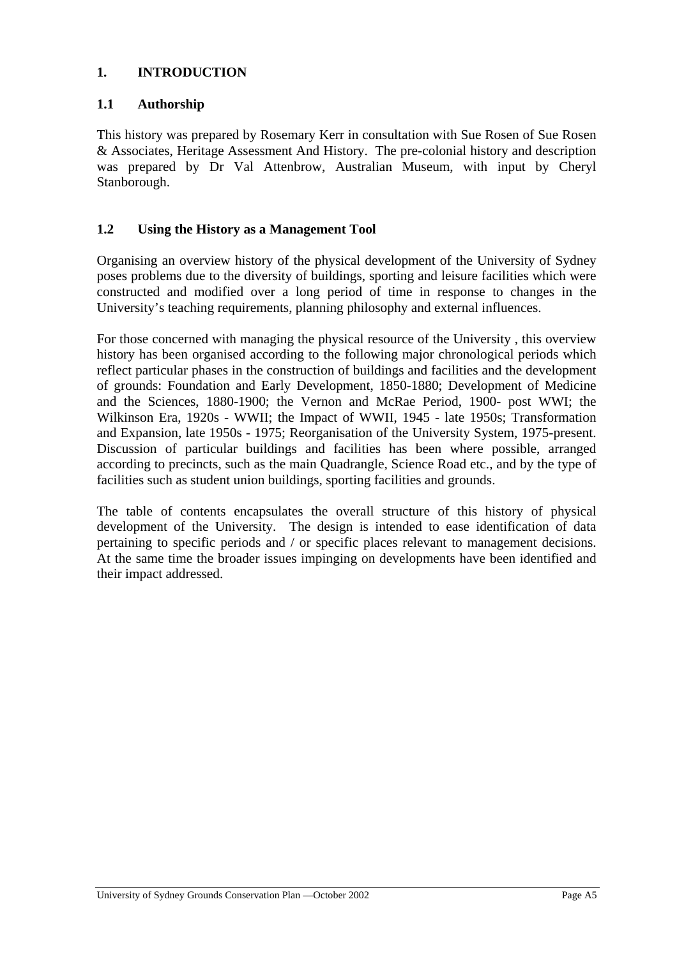#### **1. INTRODUCTION**

## **1.1 Authorship**

This history was prepared by Rosemary Kerr in consultation with Sue Rosen of Sue Rosen & Associates, Heritage Assessment And History. The pre-colonial history and description was prepared by Dr Val Attenbrow, Australian Museum, with input by Cheryl Stanborough.

#### **1.2 Using the History as a Management Tool**

Organising an overview history of the physical development of the University of Sydney poses problems due to the diversity of buildings, sporting and leisure facilities which were constructed and modified over a long period of time in response to changes in the University's teaching requirements, planning philosophy and external influences.

For those concerned with managing the physical resource of the University , this overview history has been organised according to the following major chronological periods which reflect particular phases in the construction of buildings and facilities and the development of grounds: Foundation and Early Development, 1850-1880; Development of Medicine and the Sciences, 1880-1900; the Vernon and McRae Period, 1900- post WWI; the Wilkinson Era, 1920s - WWII; the Impact of WWII, 1945 - late 1950s; Transformation and Expansion, late 1950s - 1975; Reorganisation of the University System, 1975-present. Discussion of particular buildings and facilities has been where possible, arranged according to precincts, such as the main Quadrangle, Science Road etc., and by the type of facilities such as student union buildings, sporting facilities and grounds.

The table of contents encapsulates the overall structure of this history of physical development of the University. The design is intended to ease identification of data pertaining to specific periods and / or specific places relevant to management decisions. At the same time the broader issues impinging on developments have been identified and their impact addressed.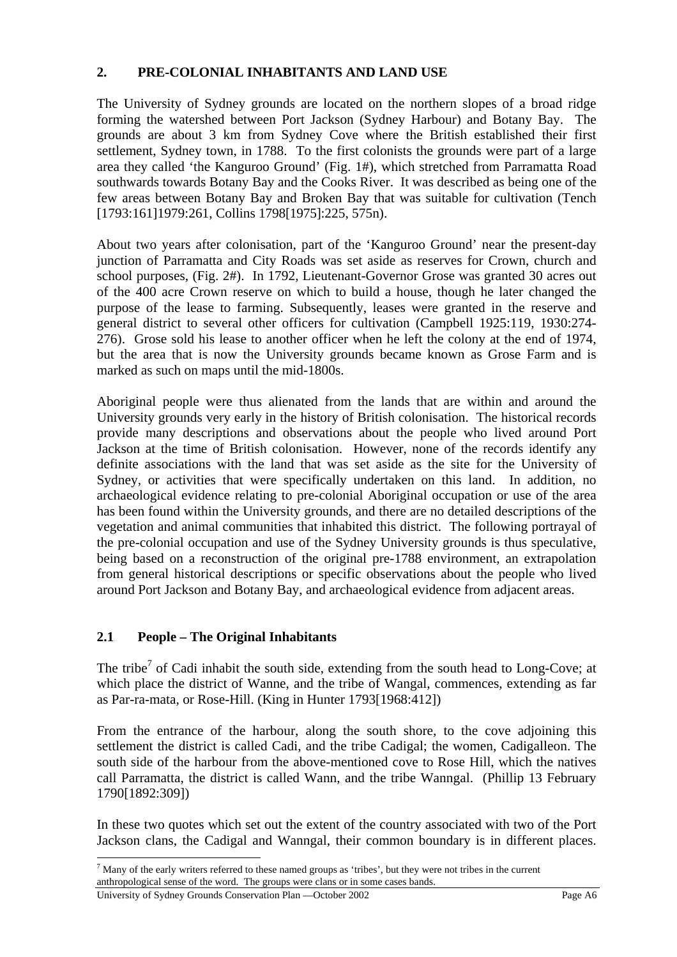#### **2. PRE-COLONIAL INHABITANTS AND LAND USE**

The University of Sydney grounds are located on the northern slopes of a broad ridge forming the watershed between Port Jackson (Sydney Harbour) and Botany Bay. The grounds are about 3 km from Sydney Cove where the British established their first settlement, Sydney town, in 1788. To the first colonists the grounds were part of a large area they called 'the Kanguroo Ground' (Fig. 1#), which stretched from Parramatta Road southwards towards Botany Bay and the Cooks River. It was described as being one of the few areas between Botany Bay and Broken Bay that was suitable for cultivation (Tench [1793:161]1979:261, Collins 1798[1975]:225, 575n).

About two years after colonisation, part of the 'Kanguroo Ground' near the present-day junction of Parramatta and City Roads was set aside as reserves for Crown, church and school purposes, (Fig. 2#). In 1792, Lieutenant-Governor Grose was granted 30 acres out of the 400 acre Crown reserve on which to build a house, though he later changed the purpose of the lease to farming. Subsequently, leases were granted in the reserve and general district to several other officers for cultivation (Campbell 1925:119, 1930:274- 276). Grose sold his lease to another officer when he left the colony at the end of 1974, but the area that is now the University grounds became known as Grose Farm and is marked as such on maps until the mid-1800s.

Aboriginal people were thus alienated from the lands that are within and around the University grounds very early in the history of British colonisation. The historical records provide many descriptions and observations about the people who lived around Port Jackson at the time of British colonisation. However, none of the records identify any definite associations with the land that was set aside as the site for the University of Sydney, or activities that were specifically undertaken on this land. In addition, no archaeological evidence relating to pre-colonial Aboriginal occupation or use of the area has been found within the University grounds, and there are no detailed descriptions of the vegetation and animal communities that inhabited this district. The following portrayal of the pre-colonial occupation and use of the Sydney University grounds is thus speculative, being based on a reconstruction of the original pre-1788 environment, an extrapolation from general historical descriptions or specific observations about the people who lived around Port Jackson and Botany Bay, and archaeological evidence from adjacent areas.

## **2.1 People – The Original Inhabitants**

The tribe<sup>7</sup> of Cadi inhabit the south side, extending from the south head to Long-Cove; at which place the district of Wanne, and the tribe of Wangal, commences, extending as far as Par-ra-mata, or Rose-Hill. (King in Hunter 1793[1968:412])

From the entrance of the harbour, along the south shore, to the cove adjoining this settlement the district is called Cadi, and the tribe Cadigal; the women, Cadigalleon. The south side of the harbour from the above-mentioned cove to Rose Hill, which the natives call Parramatta, the district is called Wann, and the tribe Wanngal. (Phillip 13 February 1790[1892:309])

In these two quotes which set out the extent of the country associated with two of the Port Jackson clans, the Cadigal and Wanngal, their common boundary is in different places.

 $<sup>7</sup>$  Many of the early writers referred to these named groups as 'tribes', but they were not tribes in the current</sup> anthropological sense of the word. The groups were clans or in some cases bands.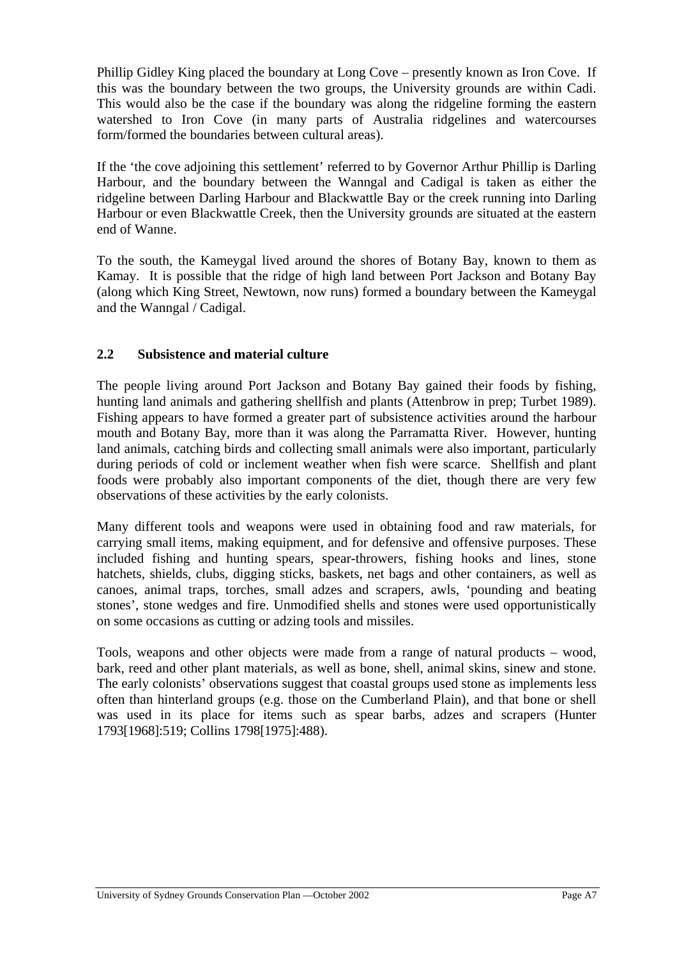Phillip Gidley King placed the boundary at Long Cove – presently known as Iron Cove. If this was the boundary between the two groups, the University grounds are within Cadi. This would also be the case if the boundary was along the ridgeline forming the eastern watershed to Iron Cove (in many parts of Australia ridgelines and watercourses form/formed the boundaries between cultural areas).

If the 'the cove adjoining this settlement' referred to by Governor Arthur Phillip is Darling Harbour, and the boundary between the Wanngal and Cadigal is taken as either the ridgeline between Darling Harbour and Blackwattle Bay or the creek running into Darling Harbour or even Blackwattle Creek, then the University grounds are situated at the eastern end of Wanne.

To the south, the Kameygal lived around the shores of Botany Bay, known to them as Kamay. It is possible that the ridge of high land between Port Jackson and Botany Bay (along which King Street, Newtown, now runs) formed a boundary between the Kameygal and the Wanngal / Cadigal.

## **2.2 Subsistence and material culture**

The people living around Port Jackson and Botany Bay gained their foods by fishing, hunting land animals and gathering shellfish and plants (Attenbrow in prep; Turbet 1989). Fishing appears to have formed a greater part of subsistence activities around the harbour mouth and Botany Bay, more than it was along the Parramatta River. However, hunting land animals, catching birds and collecting small animals were also important, particularly during periods of cold or inclement weather when fish were scarce. Shellfish and plant foods were probably also important components of the diet, though there are very few observations of these activities by the early colonists.

Many different tools and weapons were used in obtaining food and raw materials, for carrying small items, making equipment, and for defensive and offensive purposes. These included fishing and hunting spears, spear-throwers, fishing hooks and lines, stone hatchets, shields, clubs, digging sticks, baskets, net bags and other containers, as well as canoes, animal traps, torches, small adzes and scrapers, awls, 'pounding and beating stones', stone wedges and fire. Unmodified shells and stones were used opportunistically on some occasions as cutting or adzing tools and missiles.

Tools, weapons and other objects were made from a range of natural products – wood, bark, reed and other plant materials, as well as bone, shell, animal skins, sinew and stone. The early colonists' observations suggest that coastal groups used stone as implements less often than hinterland groups (e.g. those on the Cumberland Plain), and that bone or shell was used in its place for items such as spear barbs, adzes and scrapers (Hunter 1793[1968]:519; Collins 1798[1975]:488).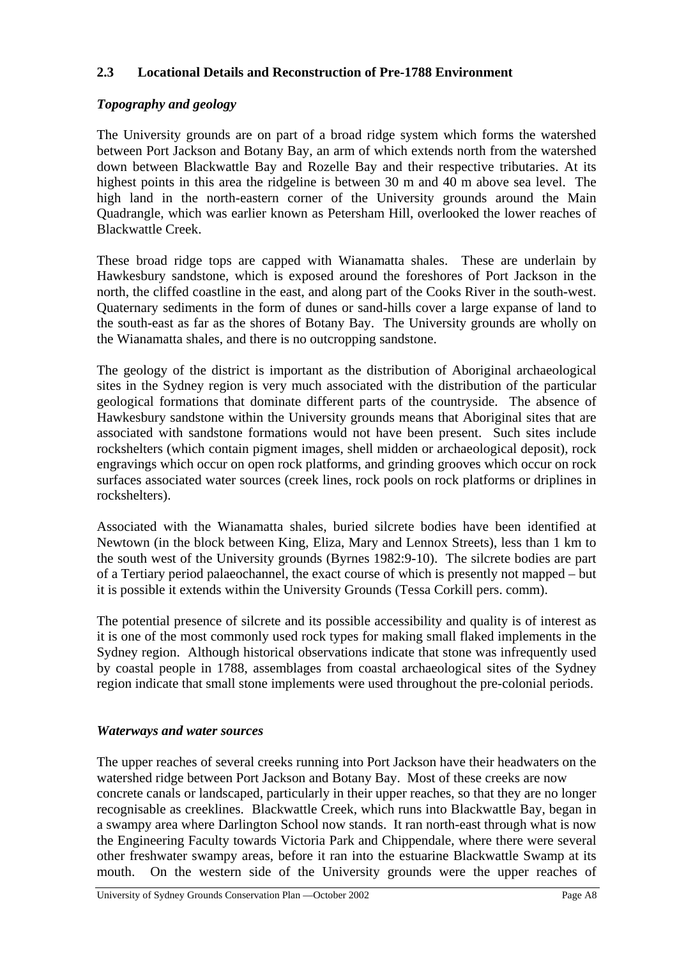#### **2.3 Locational Details and Reconstruction of Pre-1788 Environment**

#### *Topography and geology*

The University grounds are on part of a broad ridge system which forms the watershed between Port Jackson and Botany Bay, an arm of which extends north from the watershed down between Blackwattle Bay and Rozelle Bay and their respective tributaries. At its highest points in this area the ridgeline is between 30 m and 40 m above sea level. The high land in the north-eastern corner of the University grounds around the Main Quadrangle, which was earlier known as Petersham Hill, overlooked the lower reaches of Blackwattle Creek.

These broad ridge tops are capped with Wianamatta shales. These are underlain by Hawkesbury sandstone, which is exposed around the foreshores of Port Jackson in the north, the cliffed coastline in the east, and along part of the Cooks River in the south-west. Quaternary sediments in the form of dunes or sand-hills cover a large expanse of land to the south-east as far as the shores of Botany Bay. The University grounds are wholly on the Wianamatta shales, and there is no outcropping sandstone.

The geology of the district is important as the distribution of Aboriginal archaeological sites in the Sydney region is very much associated with the distribution of the particular geological formations that dominate different parts of the countryside. The absence of Hawkesbury sandstone within the University grounds means that Aboriginal sites that are associated with sandstone formations would not have been present. Such sites include rockshelters (which contain pigment images, shell midden or archaeological deposit), rock engravings which occur on open rock platforms, and grinding grooves which occur on rock surfaces associated water sources (creek lines, rock pools on rock platforms or driplines in rockshelters).

Associated with the Wianamatta shales, buried silcrete bodies have been identified at Newtown (in the block between King, Eliza, Mary and Lennox Streets), less than 1 km to the south west of the University grounds (Byrnes 1982:9-10). The silcrete bodies are part of a Tertiary period palaeochannel, the exact course of which is presently not mapped – but it is possible it extends within the University Grounds (Tessa Corkill pers. comm).

The potential presence of silcrete and its possible accessibility and quality is of interest as it is one of the most commonly used rock types for making small flaked implements in the Sydney region. Although historical observations indicate that stone was infrequently used by coastal people in 1788, assemblages from coastal archaeological sites of the Sydney region indicate that small stone implements were used throughout the pre-colonial periods.

#### *Waterways and water sources*

The upper reaches of several creeks running into Port Jackson have their headwaters on the watershed ridge between Port Jackson and Botany Bay. Most of these creeks are now concrete canals or landscaped, particularly in their upper reaches, so that they are no longer recognisable as creeklines. Blackwattle Creek, which runs into Blackwattle Bay, began in a swampy area where Darlington School now stands. It ran north-east through what is now the Engineering Faculty towards Victoria Park and Chippendale, where there were several other freshwater swampy areas, before it ran into the estuarine Blackwattle Swamp at its mouth. On the western side of the University grounds were the upper reaches of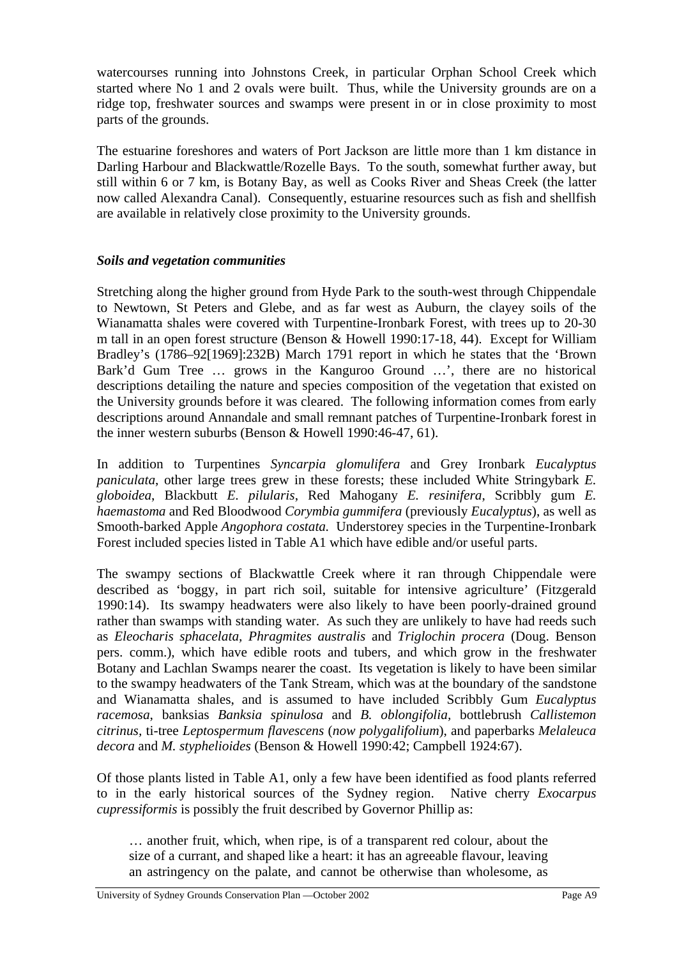watercourses running into Johnstons Creek, in particular Orphan School Creek which started where No 1 and 2 ovals were built. Thus, while the University grounds are on a ridge top, freshwater sources and swamps were present in or in close proximity to most parts of the grounds.

The estuarine foreshores and waters of Port Jackson are little more than 1 km distance in Darling Harbour and Blackwattle/Rozelle Bays. To the south, somewhat further away, but still within 6 or 7 km, is Botany Bay, as well as Cooks River and Sheas Creek (the latter now called Alexandra Canal). Consequently, estuarine resources such as fish and shellfish are available in relatively close proximity to the University grounds.

## *Soils and vegetation communities*

Stretching along the higher ground from Hyde Park to the south-west through Chippendale to Newtown, St Peters and Glebe, and as far west as Auburn, the clayey soils of the Wianamatta shales were covered with Turpentine-Ironbark Forest, with trees up to 20-30 m tall in an open forest structure (Benson & Howell 1990:17-18, 44). Except for William Bradley's (1786–92[1969]:232B) March 1791 report in which he states that the 'Brown Bark'd Gum Tree … grows in the Kanguroo Ground …', there are no historical descriptions detailing the nature and species composition of the vegetation that existed on the University grounds before it was cleared. The following information comes from early descriptions around Annandale and small remnant patches of Turpentine-Ironbark forest in the inner western suburbs (Benson & Howell 1990:46-47, 61).

In addition to Turpentines *Syncarpia glomulifera* and Grey Ironbark *Eucalyptus paniculata*, other large trees grew in these forests; these included White Stringybark *E. globoidea*, Blackbutt *E. pilularis*, Red Mahogany *E. resinifera*, Scribbly gum *E. haemastoma* and Red Bloodwood *Corymbia gummifera* (previously *Eucalyptus*), as well as Smooth-barked Apple *Angophora costata.* Understorey species in the Turpentine-Ironbark Forest included species listed in Table A1 which have edible and/or useful parts.

The swampy sections of Blackwattle Creek where it ran through Chippendale were described as 'boggy, in part rich soil, suitable for intensive agriculture' (Fitzgerald 1990:14). Its swampy headwaters were also likely to have been poorly-drained ground rather than swamps with standing water. As such they are unlikely to have had reeds such as *Eleocharis sphacelata, Phragmites australis* and *Triglochin procera* (Doug. Benson pers. comm.), which have edible roots and tubers, and which grow in the freshwater Botany and Lachlan Swamps nearer the coast. Its vegetation is likely to have been similar to the swampy headwaters of the Tank Stream, which was at the boundary of the sandstone and Wianamatta shales, and is assumed to have included Scribbly Gum *Eucalyptus racemosa*, banksias *Banksia spinulosa* and *B. oblongifolia,* bottlebrush *Callistemon citrinus,* ti-tree *Leptospermum flavescens* (*now polygalifolium*), and paperbarks *Melaleuca decora* and *M. styphelioides* (Benson & Howell 1990:42; Campbell 1924:67).

Of those plants listed in Table A1, only a few have been identified as food plants referred to in the early historical sources of the Sydney region. Native cherry *Exocarpus cupressiformis* is possibly the fruit described by Governor Phillip as:

… another fruit, which, when ripe, is of a transparent red colour, about the size of a currant, and shaped like a heart: it has an agreeable flavour, leaving an astringency on the palate, and cannot be otherwise than wholesome, as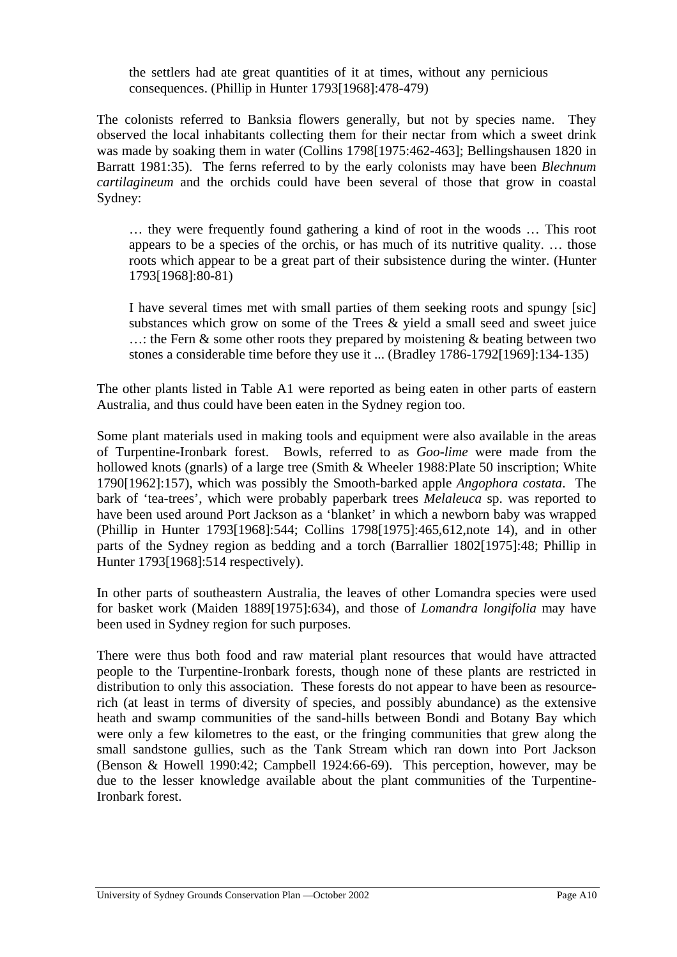the settlers had ate great quantities of it at times, without any pernicious consequences. (Phillip in Hunter 1793[1968]:478-479)

The colonists referred to Banksia flowers generally, but not by species name. They observed the local inhabitants collecting them for their nectar from which a sweet drink was made by soaking them in water (Collins 1798[1975:462-463]; Bellingshausen 1820 in Barratt 1981:35). The ferns referred to by the early colonists may have been *Blechnum cartilagineum* and the orchids could have been several of those that grow in coastal Sydney:

… they were frequently found gathering a kind of root in the woods … This root appears to be a species of the orchis, or has much of its nutritive quality. … those roots which appear to be a great part of their subsistence during the winter. (Hunter 1793[1968]:80-81)

I have several times met with small parties of them seeking roots and spungy [sic] substances which grow on some of the Trees & yield a small seed and sweet juice  $\ldots$ : the Fern & some other roots they prepared by moistening & beating between two stones a considerable time before they use it ... (Bradley 1786-1792[1969]:134-135)

The other plants listed in Table A1 were reported as being eaten in other parts of eastern Australia, and thus could have been eaten in the Sydney region too.

Some plant materials used in making tools and equipment were also available in the areas of Turpentine-Ironbark forest. Bowls, referred to as *Goo-lime* were made from the hollowed knots (gnarls) of a large tree (Smith & Wheeler 1988:Plate 50 inscription; White 1790[1962]:157), which was possibly the Smooth-barked apple *Angophora costata*. The bark of 'tea-trees', which were probably paperbark trees *Melaleuca* sp. was reported to have been used around Port Jackson as a 'blanket' in which a newborn baby was wrapped (Phillip in Hunter 1793[1968]:544; Collins 1798[1975]:465,612,note 14), and in other parts of the Sydney region as bedding and a torch (Barrallier 1802[1975]:48; Phillip in Hunter 1793[1968]:514 respectively).

In other parts of southeastern Australia, the leaves of other Lomandra species were used for basket work (Maiden 1889[1975]:634), and those of *Lomandra longifolia* may have been used in Sydney region for such purposes.

There were thus both food and raw material plant resources that would have attracted people to the Turpentine-Ironbark forests, though none of these plants are restricted in distribution to only this association. These forests do not appear to have been as resourcerich (at least in terms of diversity of species, and possibly abundance) as the extensive heath and swamp communities of the sand-hills between Bondi and Botany Bay which were only a few kilometres to the east, or the fringing communities that grew along the small sandstone gullies, such as the Tank Stream which ran down into Port Jackson (Benson & Howell 1990:42; Campbell 1924:66-69). This perception, however, may be due to the lesser knowledge available about the plant communities of the Turpentine-Ironbark forest.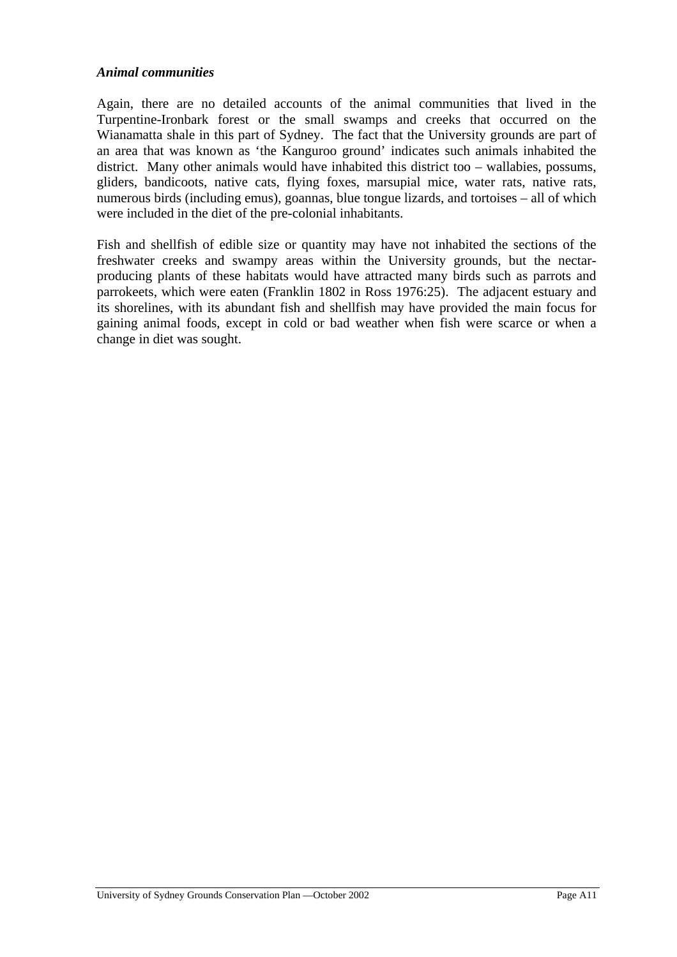#### *Animal communities*

Again, there are no detailed accounts of the animal communities that lived in the Turpentine-Ironbark forest or the small swamps and creeks that occurred on the Wianamatta shale in this part of Sydney. The fact that the University grounds are part of an area that was known as 'the Kanguroo ground' indicates such animals inhabited the district. Many other animals would have inhabited this district too – wallabies, possums, gliders, bandicoots, native cats, flying foxes, marsupial mice, water rats, native rats, numerous birds (including emus), goannas, blue tongue lizards, and tortoises – all of which were included in the diet of the pre-colonial inhabitants.

Fish and shellfish of edible size or quantity may have not inhabited the sections of the freshwater creeks and swampy areas within the University grounds, but the nectarproducing plants of these habitats would have attracted many birds such as parrots and parrokeets, which were eaten (Franklin 1802 in Ross 1976:25). The adjacent estuary and its shorelines, with its abundant fish and shellfish may have provided the main focus for gaining animal foods, except in cold or bad weather when fish were scarce or when a change in diet was sought.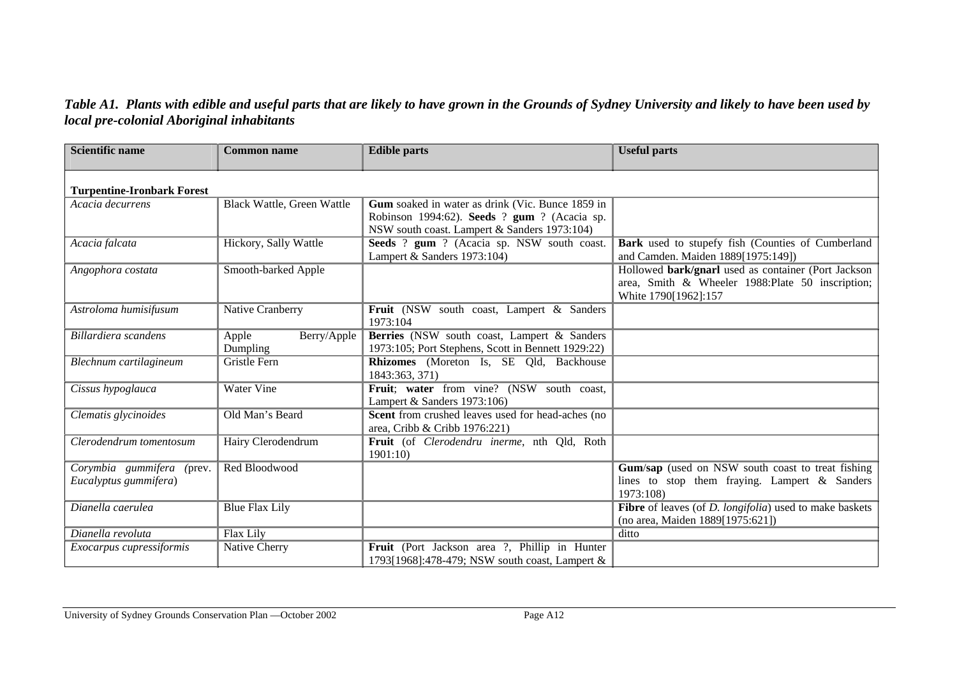#### *Table A1. Plants with edible and useful parts that are likely to have grown in the Grounds of Sydney University and likely to have been used by local pre-colonial Aboriginal inhabitants*

| <b>Scientific name</b>                             | <b>Common name</b>                | <b>Edible parts</b>                                                                                                                              | <b>Useful parts</b>                                                                                                              |
|----------------------------------------------------|-----------------------------------|--------------------------------------------------------------------------------------------------------------------------------------------------|----------------------------------------------------------------------------------------------------------------------------------|
| <b>Turpentine-Ironbark Forest</b>                  |                                   |                                                                                                                                                  |                                                                                                                                  |
| Acacia decurrens                                   | <b>Black Wattle, Green Wattle</b> | Gum soaked in water as drink (Vic. Bunce 1859 in<br>Robinson 1994:62). Seeds ? gum ? (Acacia sp.<br>NSW south coast. Lampert & Sanders 1973:104) |                                                                                                                                  |
| Acacia falcata                                     | Hickory, Sally Wattle             | Seeds ? gum ? (Acacia sp. NSW south coast.<br>Lampert & Sanders 1973:104)                                                                        | Bark used to stupefy fish (Counties of Cumberland<br>and Camden. Maiden 1889[1975:149])                                          |
| Angophora costata                                  | Smooth-barked Apple               |                                                                                                                                                  | Hollowed bark/gnarl used as container (Port Jackson<br>area, Smith & Wheeler 1988: Plate 50 inscription;<br>White 1790[1962]:157 |
| Astroloma humisifusum                              | Native Cranberry                  | Fruit (NSW south coast, Lampert & Sanders<br>1973:104                                                                                            |                                                                                                                                  |
| Billardiera scandens                               | Apple<br>Berry/Apple<br>Dumpling  | Berries (NSW south coast, Lampert & Sanders<br>1973:105; Port Stephens, Scott in Bennett 1929:22)                                                |                                                                                                                                  |
| Blechnum cartilagineum                             | <b>Gristle Fern</b>               | Rhizomes (Moreton Is, SE Qld, Backhouse<br>1843:363, 371)                                                                                        |                                                                                                                                  |
| Cissus hypoglauca                                  | <b>Water Vine</b>                 | Fruit; water from vine? (NSW south coast,<br>Lampert & Sanders 1973:106)                                                                         |                                                                                                                                  |
| Clematis glycinoides                               | Old Man's Beard                   | Scent from crushed leaves used for head-aches (no<br>area, Cribb & Cribb 1976:221)                                                               |                                                                                                                                  |
| Clerodendrum tomentosum                            | Hairy Clerodendrum                | Fruit (of Clerodendru inerme, nth Qld, Roth<br>1901:10                                                                                           |                                                                                                                                  |
| Corymbia gummifera (prev.<br>Eucalyptus gummifera) | Red Bloodwood                     |                                                                                                                                                  | Gum/sap (used on NSW south coast to treat fishing<br>lines to stop them fraying. Lampert $\&$ Sanders<br>1973:108)               |
| Dianella caerulea                                  | <b>Blue Flax Lily</b>             |                                                                                                                                                  | <b>Fibre</b> of leaves (of <i>D. longifolia</i> ) used to make baskets<br>(no area, Maiden 1889[1975:621])                       |
| Dianella revoluta                                  | Flax Lily                         |                                                                                                                                                  | ditto                                                                                                                            |
| Exocarpus cupressiformis                           | Native Cherry                     | Fruit (Port Jackson area ?, Phillip in Hunter<br>1793[1968]:478-479; NSW south coast, Lampert &                                                  |                                                                                                                                  |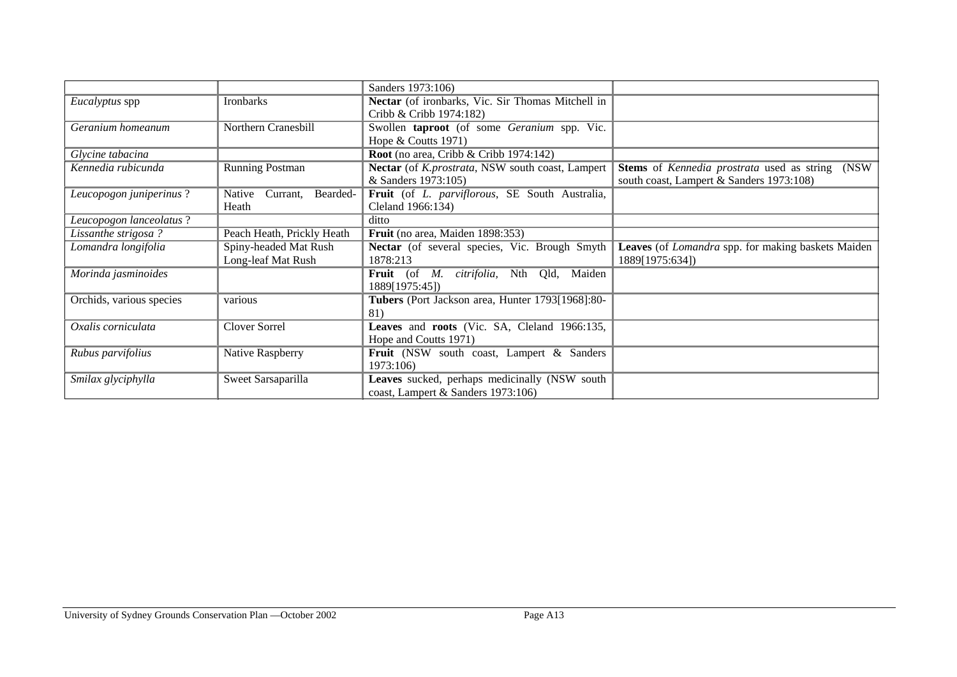|                          |                                | Sanders 1973:106)                                             |                                                           |
|--------------------------|--------------------------------|---------------------------------------------------------------|-----------------------------------------------------------|
| Eucalyptus spp           | Ironbarks                      | Nectar (of ironbarks, Vic. Sir Thomas Mitchell in             |                                                           |
|                          |                                | Cribb & Cribb 1974:182)                                       |                                                           |
| Geranium homeanum        | Northern Cranesbill            | Swollen taproot (of some Geranium spp. Vic.                   |                                                           |
|                          |                                | Hope $&$ Coutts 1971)                                         |                                                           |
| Glycine tabacina         |                                | Root (no area, Cribb & Cribb 1974:142)                        |                                                           |
| Kennedia rubicunda       | <b>Running Postman</b>         | Nectar (of K.prostrata, NSW south coast, Lampert              | Stems of Kennedia prostrata used as string (NSW           |
|                          |                                | & Sanders 1973:105)                                           | south coast, Lampert & Sanders 1973:108)                  |
| Leucopogon juniperinus?  | Native<br>Bearded-<br>Currant, | Fruit (of L. parviflorous, SE South Australia,                |                                                           |
|                          | Heath                          | Cleland 1966:134)                                             |                                                           |
| Leucopogon lanceolatus?  |                                | ditto                                                         |                                                           |
| Lissanthe strigosa?      | Peach Heath, Prickly Heath     | Fruit (no area, Maiden 1898:353)                              |                                                           |
| Lomandra longifolia      | Spiny-headed Mat Rush          | Nectar (of several species, Vic. Brough Smyth                 | Leaves (of <i>Lomandra</i> spp. for making baskets Maiden |
|                          | Long-leaf Mat Rush             | 1878:213                                                      | 1889[1975:634])                                           |
| Morinda jasminoides      |                                | <b>Fruit</b> (of <i>M. citrifolia</i> , Nth<br>Maiden<br>Qld, |                                                           |
|                          |                                | 1889[1975:45])                                                |                                                           |
| Orchids, various species | various                        | Tubers (Port Jackson area, Hunter 1793[1968]:80-              |                                                           |
|                          |                                | 81)                                                           |                                                           |
| Oxalis corniculata       | <b>Clover Sorrel</b>           | Leaves and roots (Vic. SA, Cleland 1966:135,                  |                                                           |
|                          |                                | Hope and Coutts 1971)                                         |                                                           |
| Rubus parvifolius        | Native Raspberry               | Fruit (NSW south coast, Lampert & Sanders                     |                                                           |
|                          |                                | 1973:106)                                                     |                                                           |
| Smilax glyciphylla       | Sweet Sarsaparilla             | Leaves sucked, perhaps medicinally (NSW south                 |                                                           |
|                          |                                | coast, Lampert & Sanders 1973:106)                            |                                                           |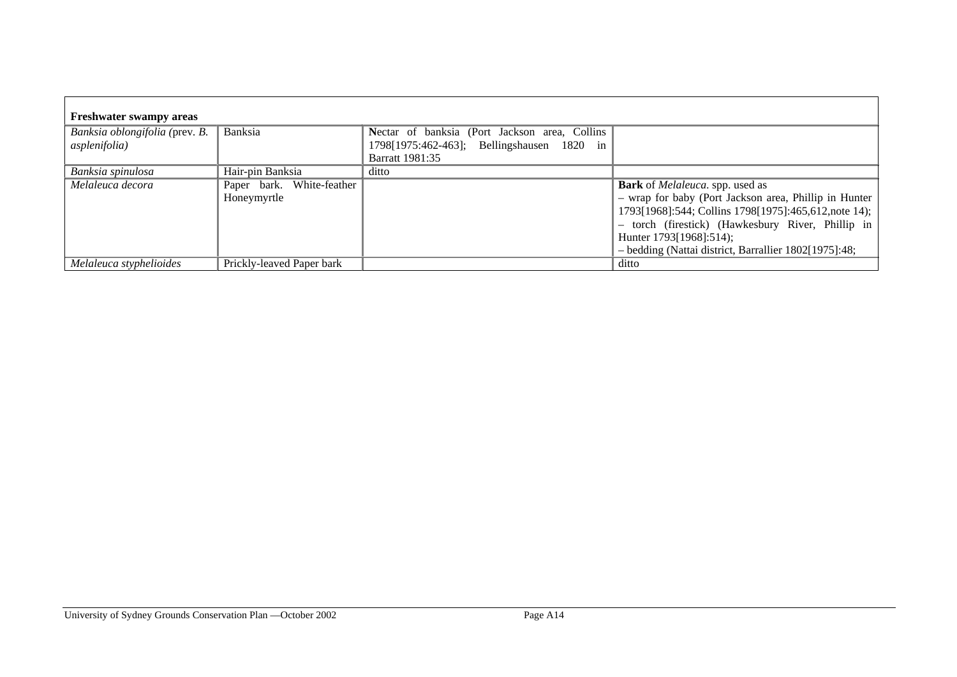| <b>Freshwater swampy areas</b>                  |                                          |                                                                                                                       |                                                                                                                                                                                                                                                                                                           |
|-------------------------------------------------|------------------------------------------|-----------------------------------------------------------------------------------------------------------------------|-----------------------------------------------------------------------------------------------------------------------------------------------------------------------------------------------------------------------------------------------------------------------------------------------------------|
| Banksia oblongifolia (prev. B.<br>asplenifolia) | Banksia                                  | Nectar of banksia (Port Jackson area, Collins<br>1798[1975:462-463]; Bellingshausen 1820 in<br><b>Barratt 1981:35</b> |                                                                                                                                                                                                                                                                                                           |
| Banksia spinulosa                               | Hair-pin Banksia                         | ditto                                                                                                                 |                                                                                                                                                                                                                                                                                                           |
| Melaleuca decora                                | Paper bark. White-feather<br>Honeymyrtle |                                                                                                                       | <b>Bark</b> of <i>Melaleuca</i> . spp. used as<br>- wrap for baby (Port Jackson area, Phillip in Hunter)<br>1793[1968]:544; Collins 1798[1975]:465,612,note 14);<br>- torch (firestick) (Hawkesbury River, Phillip in<br>Hunter 1793[1968]:514);<br>- bedding (Nattai district, Barrallier 1802[1975]:48; |
| Melaleuca styphelioides                         | Prickly-leaved Paper bark                |                                                                                                                       | ditto                                                                                                                                                                                                                                                                                                     |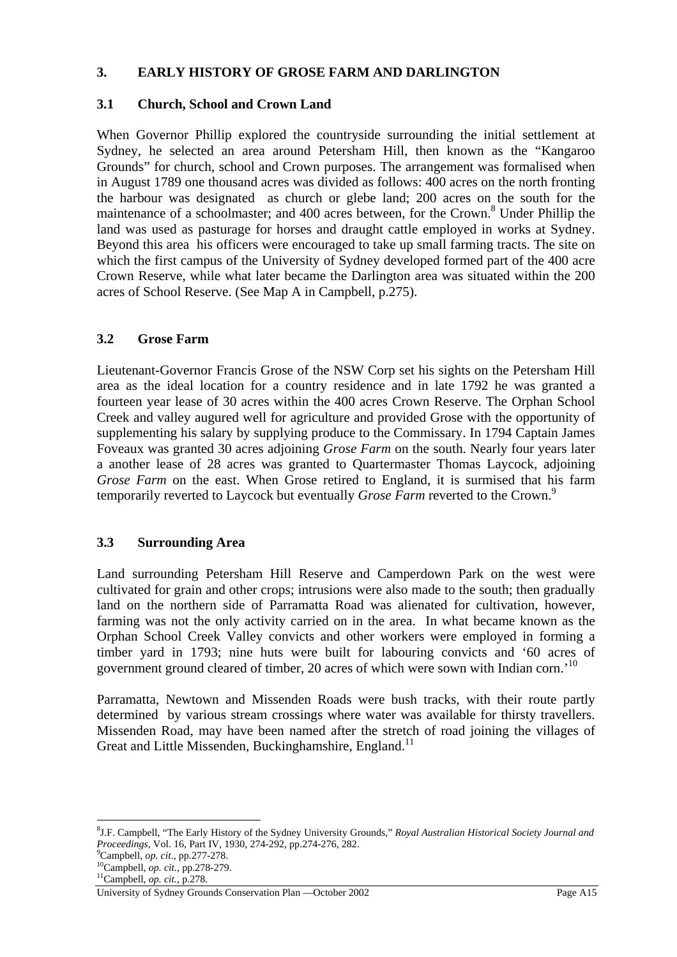#### **3. EARLY HISTORY OF GROSE FARM AND DARLINGTON**

#### **3.1 Church, School and Crown Land**

When Governor Phillip explored the countryside surrounding the initial settlement at Sydney, he selected an area around Petersham Hill, then known as the "Kangaroo Grounds" for church, school and Crown purposes. The arrangement was formalised when in August 1789 one thousand acres was divided as follows: 400 acres on the north fronting the harbour was designated as church or glebe land; 200 acres on the south for the maintenance of a schoolmaster; and 400 acres between, for the Crown.<sup>8</sup> Under Phillip the land was used as pasturage for horses and draught cattle employed in works at Sydney. Beyond this area his officers were encouraged to take up small farming tracts. The site on which the first campus of the University of Sydney developed formed part of the 400 acre Crown Reserve, while what later became the Darlington area was situated within the 200 acres of School Reserve. (See Map A in Campbell, p.275).

#### **3.2 Grose Farm**

Lieutenant-Governor Francis Grose of the NSW Corp set his sights on the Petersham Hill area as the ideal location for a country residence and in late 1792 he was granted a fourteen year lease of 30 acres within the 400 acres Crown Reserve. The Orphan School Creek and valley augured well for agriculture and provided Grose with the opportunity of supplementing his salary by supplying produce to the Commissary. In 1794 Captain James Foveaux was granted 30 acres adjoining *Grose Farm* on the south. Nearly four years later a another lease of 28 acres was granted to Quartermaster Thomas Laycock, adjoining *Grose Farm* on the east. When Grose retired to England, it is surmised that his farm temporarily reverted to Laycock but eventually *Grose Farm* reverted to the Crown.<sup>9</sup>

#### **3.3 Surrounding Area**

Land surrounding Petersham Hill Reserve and Camperdown Park on the west were cultivated for grain and other crops; intrusions were also made to the south; then gradually land on the northern side of Parramatta Road was alienated for cultivation, however, farming was not the only activity carried on in the area. In what became known as the Orphan School Creek Valley convicts and other workers were employed in forming a timber yard in 1793; nine huts were built for labouring convicts and '60 acres of government ground cleared of timber, 20 acres of which were sown with Indian corn.'<sup>10</sup>

Parramatta, Newtown and Missenden Roads were bush tracks, with their route partly determined by various stream crossings where water was available for thirsty travellers. Missenden Road, may have been named after the stretch of road joining the villages of Great and Little Missenden, Buckinghamshire, England.<sup>11</sup>

<sup>8</sup> J.F. Campbell, "The Early History of the Sydney University Grounds," *Royal Australian Historical Society Journal and Proceedings, Vol. 16, Part IV, 1930, 274-292, pp.274-276, 282.*  $^{9}$ Campbell. *op. cit.. pp.277-278.* 

<sup>&</sup>lt;sup>10</sup>Campbell, *op. cit.*, pp.278-279.<br><sup>11</sup>Campbell, *op. cit.*, p.2<u>78.</u>

University of Sydney Grounds Conservation Plan —October 2002 Page A15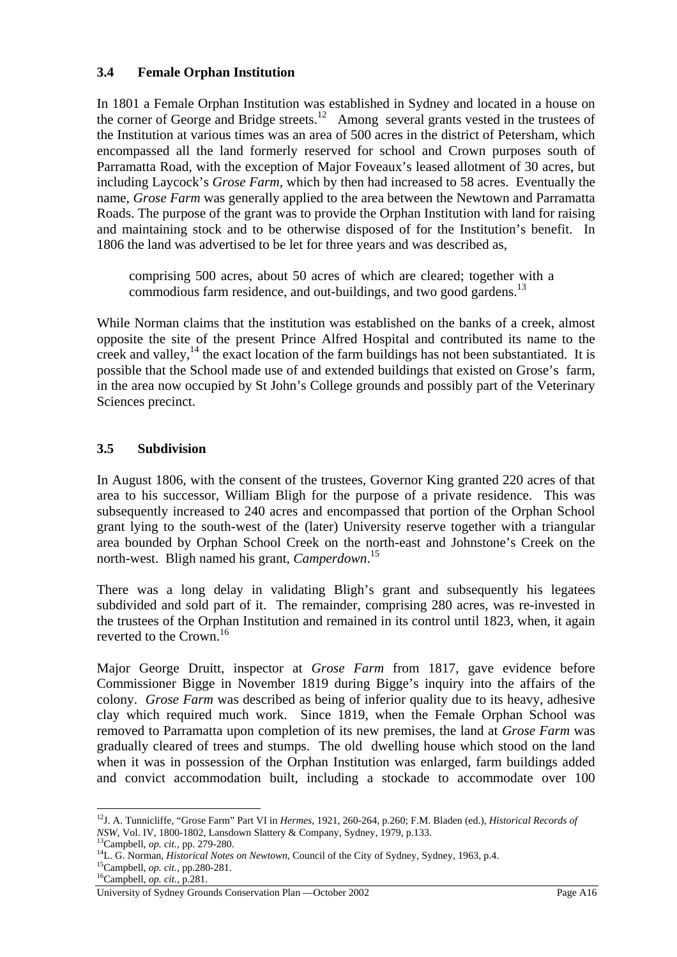#### **3.4 Female Orphan Institution**

In 1801 a Female Orphan Institution was established in Sydney and located in a house on the corner of George and Bridge streets.<sup>12</sup> Among several grants vested in the trustees of the Institution at various times was an area of 500 acres in the district of Petersham, which encompassed all the land formerly reserved for school and Crown purposes south of Parramatta Road, with the exception of Major Foveaux's leased allotment of 30 acres, but including Laycock's *Grose Farm,* which by then had increased to 58 acres. Eventually the name, *Grose Farm* was generally applied to the area between the Newtown and Parramatta Roads. The purpose of the grant was to provide the Orphan Institution with land for raising and maintaining stock and to be otherwise disposed of for the Institution's benefit. In 1806 the land was advertised to be let for three years and was described as,

comprising 500 acres, about 50 acres of which are cleared; together with a commodious farm residence, and out-buildings, and two good gardens.<sup>13</sup>

While Norman claims that the institution was established on the banks of a creek, almost opposite the site of the present Prince Alfred Hospital and contributed its name to the creek and valley, $^{14}$  the exact location of the farm buildings has not been substantiated. It is possible that the School made use of and extended buildings that existed on Grose's farm, in the area now occupied by St John's College grounds and possibly part of the Veterinary Sciences precinct.

## **3.5 Subdivision**

In August 1806, with the consent of the trustees, Governor King granted 220 acres of that area to his successor, William Bligh for the purpose of a private residence. This was subsequently increased to 240 acres and encompassed that portion of the Orphan School grant lying to the south-west of the (later) University reserve together with a triangular area bounded by Orphan School Creek on the north-east and Johnstone's Creek on the north-west. Bligh named his grant, *Camperdown*. 15

There was a long delay in validating Bligh's grant and subsequently his legatees subdivided and sold part of it. The remainder, comprising 280 acres, was re-invested in the trustees of the Orphan Institution and remained in its control until 1823, when, it again reverted to the Crown.<sup>16</sup>

Major George Druitt, inspector at *Grose Farm* from 1817, gave evidence before Commissioner Bigge in November 1819 during Bigge's inquiry into the affairs of the colony. *Grose Farm* was described as being of inferior quality due to its heavy, adhesive clay which required much work. Since 1819, when the Female Orphan School was removed to Parramatta upon completion of its new premises, the land at *Grose Farm* was gradually cleared of trees and stumps. The old dwelling house which stood on the land when it was in possession of the Orphan Institution was enlarged, farm buildings added and convict accommodation built, including a stockade to accommodate over 100

<sup>12</sup>J. A. Tunnicliffe, "Grose Farm" Part VI in *Hermes*, 1921, 260-264, p.260; F.M. Bladen (ed.), *Historical Records of* 

NSW, Vol. IV, 1800-1802, Lansdown Slattery & Company, Sydney, 1979, p.133.<br><sup>13</sup>Campbell, *op. cit.*, pp. 279-280.<br><sup>14</sup>L. G. Norman, *Historical Notes on Newtown*, Council of the City of Sydney, Sydney, 1963, p.4.<br><sup>15</sup>Camp

University of Sydney Grounds Conservation Plan —October 2002 Page A16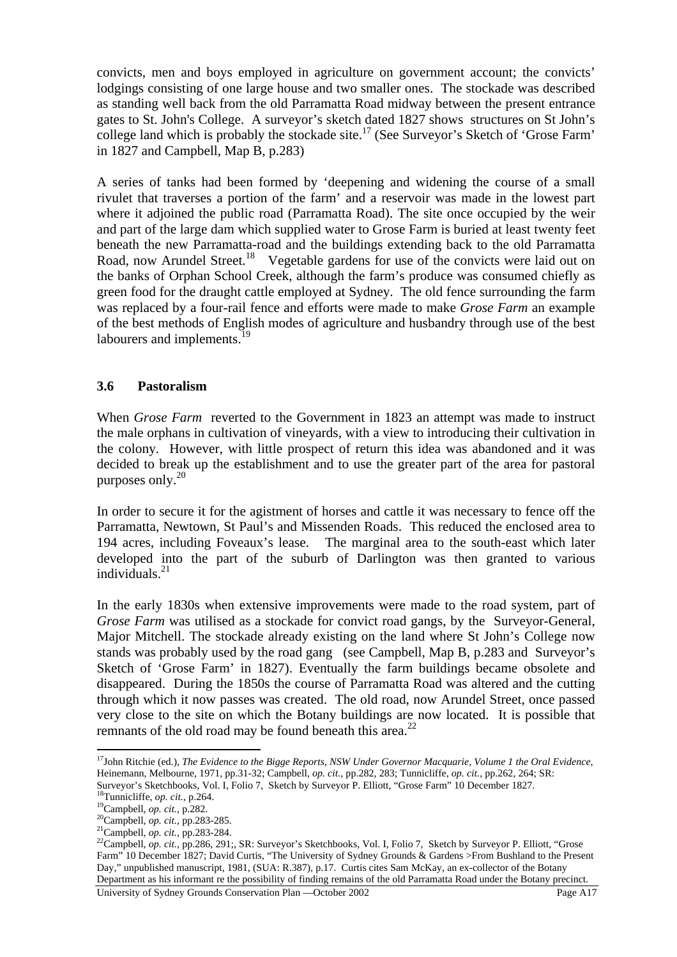convicts, men and boys employed in agriculture on government account; the convicts' lodgings consisting of one large house and two smaller ones. The stockade was described as standing well back from the old Parramatta Road midway between the present entrance gates to St. John's College. A surveyor's sketch dated 1827 shows structures on St John's college land which is probably the stockade site.<sup>17</sup> (See Surveyor's Sketch of 'Grose Farm' in 1827 and Campbell, Map B, p.283)

A series of tanks had been formed by 'deepening and widening the course of a small rivulet that traverses a portion of the farm' and a reservoir was made in the lowest part where it adjoined the public road (Parramatta Road). The site once occupied by the weir and part of the large dam which supplied water to Grose Farm is buried at least twenty feet beneath the new Parramatta-road and the buildings extending back to the old Parramatta Road, now Arundel Street.<sup>18</sup> Vegetable gardens for use of the convicts were laid out on the banks of Orphan School Creek, although the farm's produce was consumed chiefly as green food for the draught cattle employed at Sydney. The old fence surrounding the farm was replaced by a four-rail fence and efforts were made to make *Grose Farm* an example of the best methods of English modes of agriculture and husbandry through use of the best labourers and implements.<sup>19</sup>

#### **3.6 Pastoralism**

When *Grose Farm* reverted to the Government in 1823 an attempt was made to instruct the male orphans in cultivation of vineyards, with a view to introducing their cultivation in the colony. However, with little prospect of return this idea was abandoned and it was decided to break up the establishment and to use the greater part of the area for pastoral purposes only.<sup>20</sup>

In order to secure it for the agistment of horses and cattle it was necessary to fence off the Parramatta, Newtown, St Paul's and Missenden Roads. This reduced the enclosed area to 194 acres, including Foveaux's lease. The marginal area to the south-east which later developed into the part of the suburb of Darlington was then granted to various individuals.<sup>21</sup>

In the early 1830s when extensive improvements were made to the road system, part of *Grose Farm* was utilised as a stockade for convict road gangs, by the Surveyor-General, Major Mitchell. The stockade already existing on the land where St John's College now stands was probably used by the road gang (see Campbell, Map B, p.283 and Surveyor's Sketch of 'Grose Farm' in 1827). Eventually the farm buildings became obsolete and disappeared. During the 1850s the course of Parramatta Road was altered and the cutting through which it now passes was created. The old road, now Arundel Street, once passed very close to the site on which the Botany buildings are now located. It is possible that remnants of the old road may be found beneath this area.<sup>22</sup>

<sup>&</sup>lt;sup>17</sup>John Ritchie (ed.), *The Evidence to the Bigge Reports, NSW Under Governor Macquarie, Volume 1 the Oral Evidence,* Heinemann, Melbourne, 1971, pp.31-32; Campbell, *op. cit.,* pp.282, 283; Tunnicliffe, *op. cit.,* pp.262, 264; SR:

University of Sydney Grounds Conservation Plan —October 2002 Page A17 Surveyor's Sketchbooks, Vol. I, Folio 7, Sketch by Surveyor P. Elliott, "Grose Farm" 10 December 1827.<br><sup>18</sup>Tunnicliffe, *op. cit.*, p.264.<br><sup>19</sup>Campbell, *op. cit.*, p.282.<br><sup>20</sup>Campbell, *op. cit.*, pp.283-285.<br><sup>21</sup>Campbell Farm" 10 December 1827; David Curtis, "The University of Sydney Grounds & Gardens >From Bushland to the Present Day," unpublished manuscript, 1981, (SUA: R.387), p.17. Curtis cites Sam McKay, an ex-collector of the Botany Department as his informant re the possibility of finding remains of the old Parramatta Road under the Botany precinct.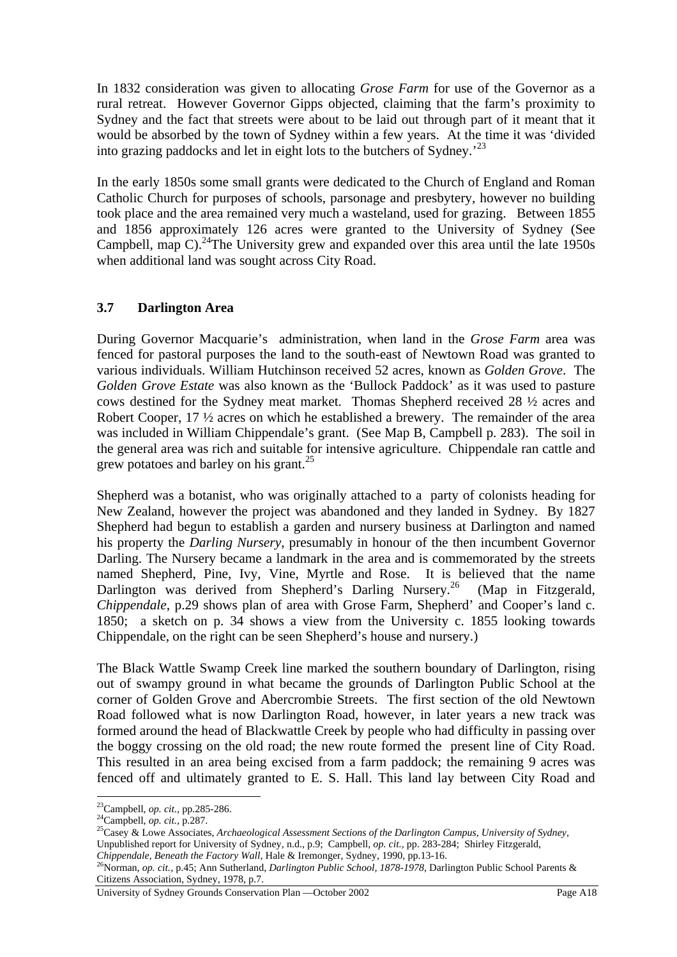In 1832 consideration was given to allocating *Grose Farm* for use of the Governor as a rural retreat. However Governor Gipps objected, claiming that the farm's proximity to Sydney and the fact that streets were about to be laid out through part of it meant that it would be absorbed by the town of Sydney within a few years. At the time it was 'divided into grazing paddocks and let in eight lots to the butchers of Sydney.'<sup>23</sup>

In the early 1850s some small grants were dedicated to the Church of England and Roman Catholic Church for purposes of schools, parsonage and presbytery, however no building took place and the area remained very much a wasteland, used for grazing. Between 1855 and 1856 approximately 126 acres were granted to the University of Sydney (See Campbell, map  $C$ ).<sup>24</sup>The University grew and expanded over this area until the late 1950s when additional land was sought across City Road.

#### **3.7 Darlington Area**

During Governor Macquarie's administration, when land in the *Grose Farm* area was fenced for pastoral purposes the land to the south-east of Newtown Road was granted to various individuals. William Hutchinson received 52 acres, known as *Golden Grove*. The *Golden Grove Estate* was also known as the 'Bullock Paddock' as it was used to pasture cows destined for the Sydney meat market. Thomas Shepherd received 28 ½ acres and Robert Cooper, 17  $\frac{1}{2}$  acres on which he established a brewery. The remainder of the area was included in William Chippendale's grant. (See Map B, Campbell p. 283). The soil in the general area was rich and suitable for intensive agriculture. Chippendale ran cattle and grew potatoes and barley on his grant. $^{25}$ 

Shepherd was a botanist, who was originally attached to a party of colonists heading for New Zealand, however the project was abandoned and they landed in Sydney. By 1827 Shepherd had begun to establish a garden and nursery business at Darlington and named his property the *Darling Nursery*, presumably in honour of the then incumbent Governor Darling. The Nursery became a landmark in the area and is commemorated by the streets named Shepherd, Pine, Ivy, Vine, Myrtle and Rose. It is believed that the name Darlington was derived from Shepherd's Darling Nursery.<sup>26</sup> (Map in Fitzgerald, *Chippendale*, p.29 shows plan of area with Grose Farm, Shepherd' and Cooper's land c. 1850; a sketch on p. 34 shows a view from the University c. 1855 looking towards Chippendale, on the right can be seen Shepherd's house and nursery.)

The Black Wattle Swamp Creek line marked the southern boundary of Darlington, rising out of swampy ground in what became the grounds of Darlington Public School at the corner of Golden Grove and Abercrombie Streets. The first section of the old Newtown Road followed what is now Darlington Road, however, in later years a new track was formed around the head of Blackwattle Creek by people who had difficulty in passing over the boggy crossing on the old road; the new route formed the present line of City Road. This resulted in an area being excised from a farm paddock; the remaining 9 acres was fenced off and ultimately granted to E. S. Hall. This land lay between City Road and

 $\overline{a}$ 

<sup>&</sup>lt;sup>23</sup>Campbell, *op. cit.*, pp.285-286.<br><sup>24</sup>Campbell, *op. cit.*, p.287.<br><sup>25</sup>Casey & Lowe Associates, *Archaeological Assessment Sections of the Darlington Campus, University of Sydney,* Unpublished report for University of Sydney, n.d., p.9; Campbell, *op. cit.*, pp. 283-284; Shirley Fitzgerald, Chippendale, Beneath the Factory Wall, Hale & Iremonger, Sydney, 1990, pp.13-16.

*Chippendale, Beneath the Factory Wall,* Hale & Iremonger, Sydney, 1990, pp.13-16. 26Norman, *op. cit.,* p.45; Ann Sutherland, *Darlington Public School, 1878-1978,* Darlington Public School Parents & Citizens Association, Sydney, 1978, p.7.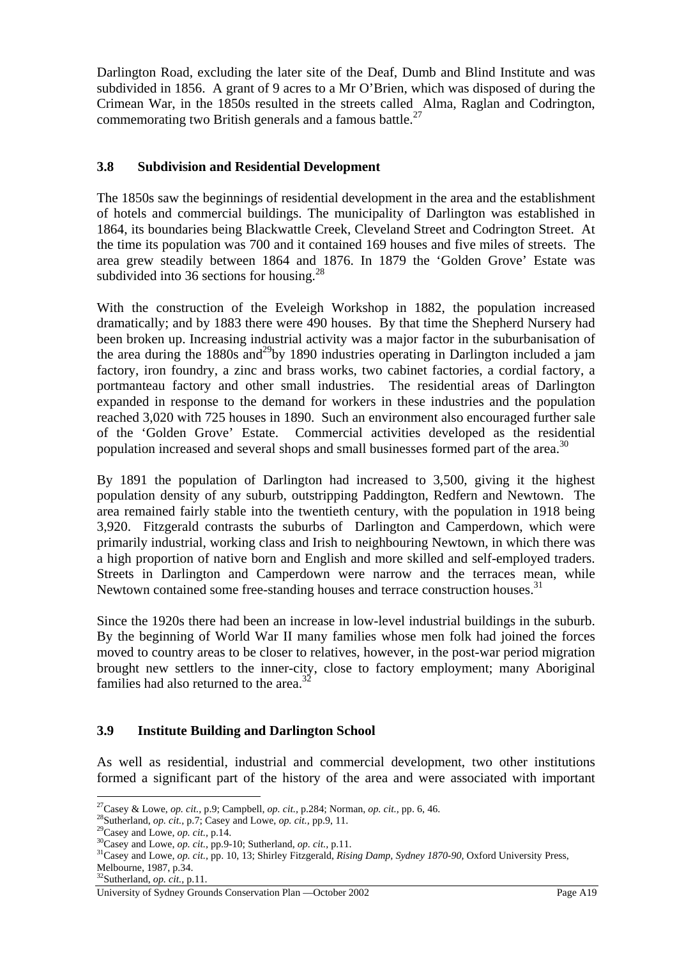Darlington Road, excluding the later site of the Deaf, Dumb and Blind Institute and was subdivided in 1856. A grant of 9 acres to a Mr O'Brien, which was disposed of during the Crimean War, in the 1850s resulted in the streets called Alma, Raglan and Codrington, commemorating two British generals and a famous battle.<sup>27</sup>

## **3.8 Subdivision and Residential Development**

The 1850s saw the beginnings of residential development in the area and the establishment of hotels and commercial buildings. The municipality of Darlington was established in 1864, its boundaries being Blackwattle Creek, Cleveland Street and Codrington Street. At the time its population was 700 and it contained 169 houses and five miles of streets. The area grew steadily between 1864 and 1876. In 1879 the 'Golden Grove' Estate was subdivided into 36 sections for housing. $^{28}$ 

With the construction of the Eveleigh Workshop in 1882, the population increased dramatically; and by 1883 there were 490 houses. By that time the Shepherd Nursery had been broken up. Increasing industrial activity was a major factor in the suburbanisation of the area during the 1880s and <sup>29</sup>by 1890 industries operating in Darlington included a jam factory, iron foundry, a zinc and brass works, two cabinet factories, a cordial factory, a portmanteau factory and other small industries. The residential areas of Darlington expanded in response to the demand for workers in these industries and the population reached 3,020 with 725 houses in 1890. Such an environment also encouraged further sale of the 'Golden Grove' Estate. Commercial activities developed as the residential population increased and several shops and small businesses formed part of the area.<sup>30</sup>

By 1891 the population of Darlington had increased to 3,500, giving it the highest population density of any suburb, outstripping Paddington, Redfern and Newtown. The area remained fairly stable into the twentieth century, with the population in 1918 being 3,920. Fitzgerald contrasts the suburbs of Darlington and Camperdown, which were primarily industrial, working class and Irish to neighbouring Newtown, in which there was a high proportion of native born and English and more skilled and self-employed traders. Streets in Darlington and Camperdown were narrow and the terraces mean, while Newtown contained some free-standing houses and terrace construction houses.<sup>31</sup>

Since the 1920s there had been an increase in low-level industrial buildings in the suburb. By the beginning of World War II many families whose men folk had joined the forces moved to country areas to be closer to relatives, however, in the post-war period migration brought new settlers to the inner-city, close to factory employment; many Aboriginal families had also returned to the area.<sup>32</sup>

#### **3.9 Institute Building and Darlington School**

As well as residential, industrial and commercial development, two other institutions formed a significant part of the history of the area and were associated with important

 $\overline{a}$ 

<sup>&</sup>lt;sup>27</sup>Casey & Lowe, *op. cit.*, p.9; Campbell, *op. cit.*, p.284; Norman, *op. cit.*, pp. 6, 46.<br><sup>28</sup>Sutherland, *op. cit.*, p.7; Casey and Lowe, *op. cit.*, pp.9, 11.<br><sup>29</sup>Casey and Lowe, *op. cit.*, p.14.<br><sup>30</sup>Casey and Low Melbourne, 1987, p.34.

<sup>32</sup>Sutherland, *op. cit.,* p.11.

University of Sydney Grounds Conservation Plan —October 2002 Page A19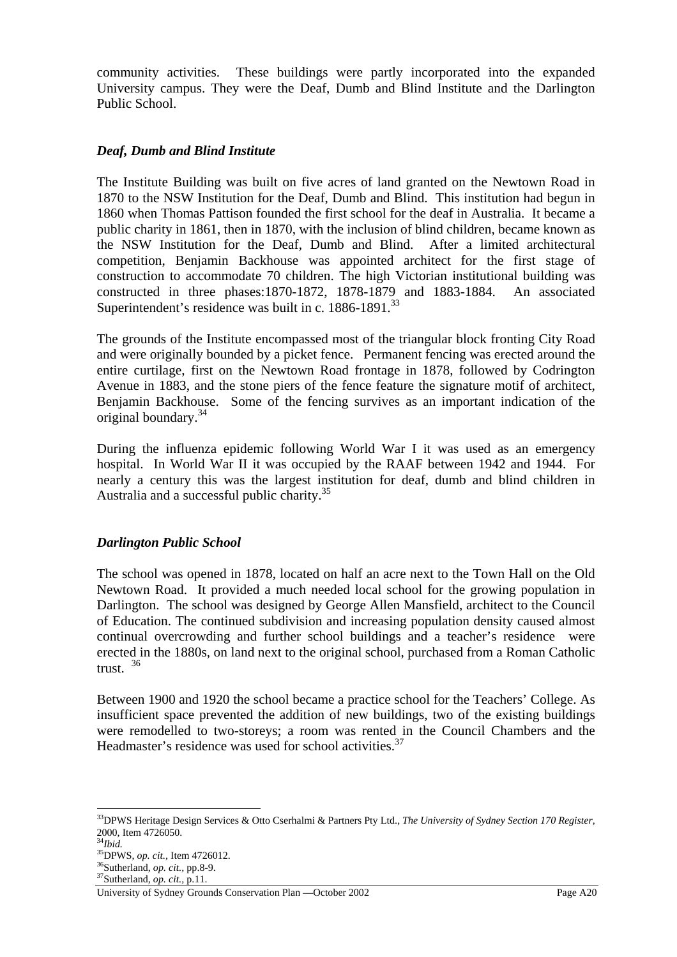community activities. These buildings were partly incorporated into the expanded University campus. They were the Deaf, Dumb and Blind Institute and the Darlington Public School.

#### *Deaf, Dumb and Blind Institute*

The Institute Building was built on five acres of land granted on the Newtown Road in 1870 to the NSW Institution for the Deaf, Dumb and Blind. This institution had begun in 1860 when Thomas Pattison founded the first school for the deaf in Australia. It became a public charity in 1861, then in 1870, with the inclusion of blind children, became known as the NSW Institution for the Deaf, Dumb and Blind. After a limited architectural competition, Benjamin Backhouse was appointed architect for the first stage of construction to accommodate 70 children. The high Victorian institutional building was constructed in three phases:1870-1872, 1878-1879 and 1883-1884. An associated Superintendent's residence was built in c. 1886-1891.<sup>33</sup>

The grounds of the Institute encompassed most of the triangular block fronting City Road and were originally bounded by a picket fence. Permanent fencing was erected around the entire curtilage, first on the Newtown Road frontage in 1878, followed by Codrington Avenue in 1883, and the stone piers of the fence feature the signature motif of architect, Benjamin Backhouse. Some of the fencing survives as an important indication of the original boundary.34

During the influenza epidemic following World War I it was used as an emergency hospital. In World War II it was occupied by the RAAF between 1942 and 1944. For nearly a century this was the largest institution for deaf, dumb and blind children in Australia and a successful public charity.<sup>35</sup>

#### *Darlington Public School*

The school was opened in 1878, located on half an acre next to the Town Hall on the Old Newtown Road. It provided a much needed local school for the growing population in Darlington. The school was designed by George Allen Mansfield, architect to the Council of Education. The continued subdivision and increasing population density caused almost continual overcrowding and further school buildings and a teacher's residence were erected in the 1880s, on land next to the original school, purchased from a Roman Catholic trust. <sup>36</sup>

Between 1900 and 1920 the school became a practice school for the Teachers' College. As insufficient space prevented the addition of new buildings, two of the existing buildings were remodelled to two-storeys; a room was rented in the Council Chambers and the Headmaster's residence was used for school activities.<sup>37</sup>

<sup>33</sup>DPWS Heritage Design Services & Otto Cserhalmi & Partners Pty Ltd., *The University of Sydney Section 170 Register,*  2000, Item 4726050.<br><sup>34</sup>*Ibid.*<br><sup>35</sup>DPWS, *op. cit.*, Item 4726012.

<sup>&</sup>lt;sup>36</sup>Sutherland, *op. cit.*, pp.8-9.<br><sup>37</sup>Sutherland, *op. cit.*, p.11.

University of Sydney Grounds Conservation Plan —October 2002 Page A20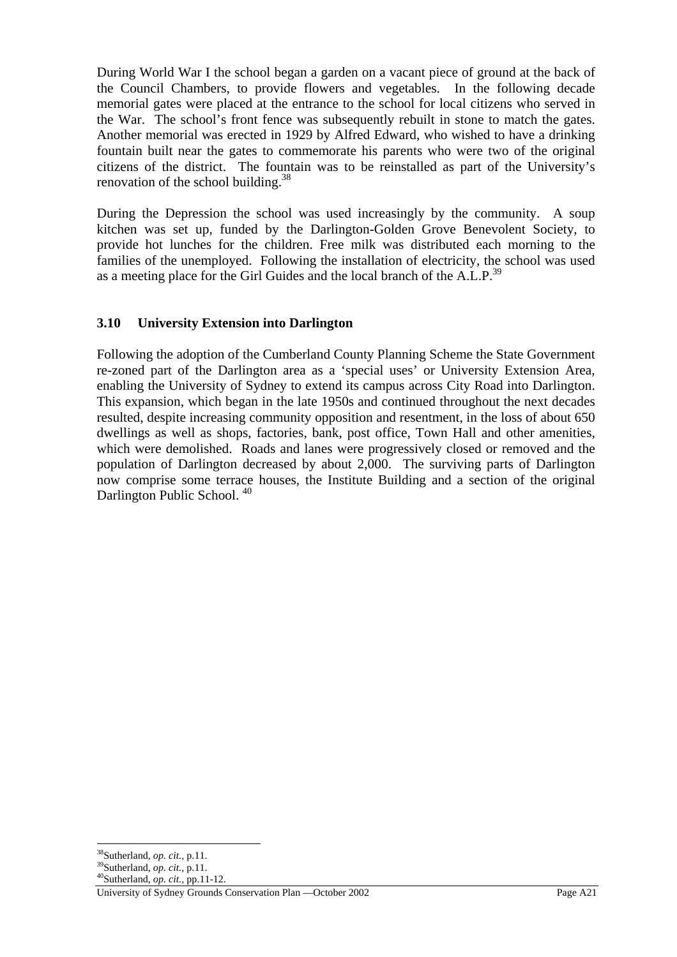During World War I the school began a garden on a vacant piece of ground at the back of the Council Chambers, to provide flowers and vegetables. In the following decade memorial gates were placed at the entrance to the school for local citizens who served in the War. The school's front fence was subsequently rebuilt in stone to match the gates. Another memorial was erected in 1929 by Alfred Edward, who wished to have a drinking fountain built near the gates to commemorate his parents who were two of the original citizens of the district. The fountain was to be reinstalled as part of the University's renovation of the school building.<sup>38</sup>

During the Depression the school was used increasingly by the community. A soup kitchen was set up, funded by the Darlington-Golden Grove Benevolent Society, to provide hot lunches for the children. Free milk was distributed each morning to the families of the unemployed. Following the installation of electricity, the school was used as a meeting place for the Girl Guides and the local branch of the  $A.L.P.<sup>39</sup>$ 

## **3.10 University Extension into Darlington**

Following the adoption of the Cumberland County Planning Scheme the State Government re-zoned part of the Darlington area as a 'special uses' or University Extension Area, enabling the University of Sydney to extend its campus across City Road into Darlington. This expansion, which began in the late 1950s and continued throughout the next decades resulted, despite increasing community opposition and resentment, in the loss of about 650 dwellings as well as shops, factories, bank, post office, Town Hall and other amenities, which were demolished. Roads and lanes were progressively closed or removed and the population of Darlington decreased by about 2,000. The surviving parts of Darlington now comprise some terrace houses, the Institute Building and a section of the original Darlington Public School.<sup>40</sup>

<sup>38</sup>Sutherland, *op. cit.,* p.11. 39Sutherland, *op. cit.,* p.11. 40Sutherland, *op. cit.,* pp.11-12.

University of Sydney Grounds Conservation Plan —October 2002 Page A21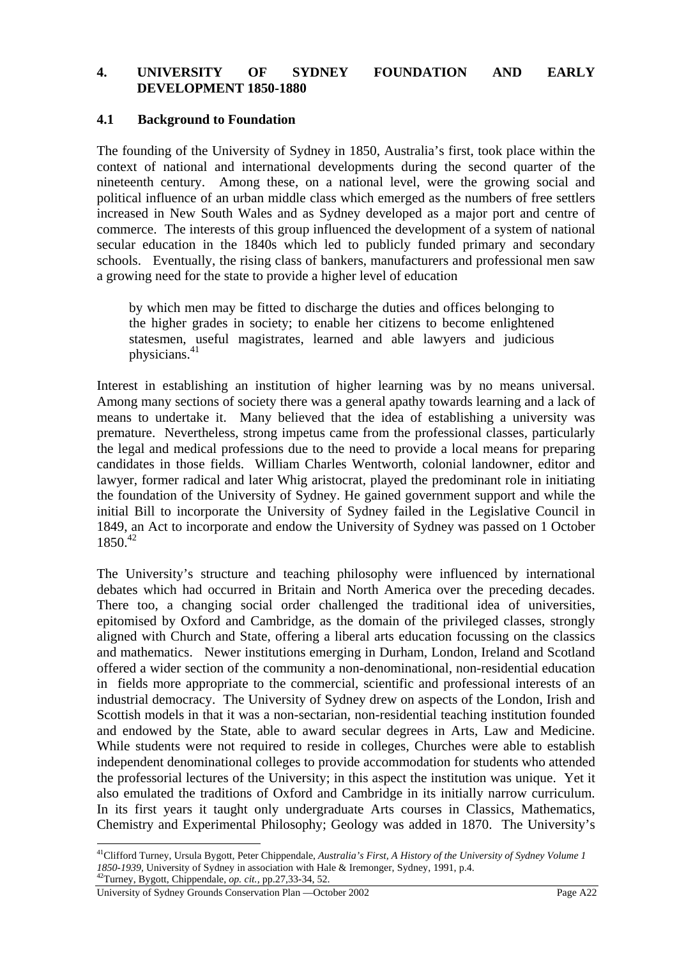#### **4. UNIVERSITY OF SYDNEY FOUNDATION AND EARLY DEVELOPMENT 1850-1880**

#### **4.1 Background to Foundation**

The founding of the University of Sydney in 1850, Australia's first, took place within the context of national and international developments during the second quarter of the nineteenth century. Among these, on a national level, were the growing social and political influence of an urban middle class which emerged as the numbers of free settlers increased in New South Wales and as Sydney developed as a major port and centre of commerce. The interests of this group influenced the development of a system of national secular education in the 1840s which led to publicly funded primary and secondary schools. Eventually, the rising class of bankers, manufacturers and professional men saw a growing need for the state to provide a higher level of education

by which men may be fitted to discharge the duties and offices belonging to the higher grades in society; to enable her citizens to become enlightened statesmen, useful magistrates, learned and able lawyers and judicious physicians.41

Interest in establishing an institution of higher learning was by no means universal. Among many sections of society there was a general apathy towards learning and a lack of means to undertake it. Many believed that the idea of establishing a university was premature. Nevertheless, strong impetus came from the professional classes, particularly the legal and medical professions due to the need to provide a local means for preparing candidates in those fields. William Charles Wentworth, colonial landowner, editor and lawyer, former radical and later Whig aristocrat, played the predominant role in initiating the foundation of the University of Sydney. He gained government support and while the initial Bill to incorporate the University of Sydney failed in the Legislative Council in 1849, an Act to incorporate and endow the University of Sydney was passed on 1 October  $1850^{42}$ 

The University's structure and teaching philosophy were influenced by international debates which had occurred in Britain and North America over the preceding decades. There too, a changing social order challenged the traditional idea of universities, epitomised by Oxford and Cambridge, as the domain of the privileged classes, strongly aligned with Church and State, offering a liberal arts education focussing on the classics and mathematics. Newer institutions emerging in Durham, London, Ireland and Scotland offered a wider section of the community a non-denominational, non-residential education in fields more appropriate to the commercial, scientific and professional interests of an industrial democracy. The University of Sydney drew on aspects of the London, Irish and Scottish models in that it was a non-sectarian, non-residential teaching institution founded and endowed by the State, able to award secular degrees in Arts, Law and Medicine. While students were not required to reside in colleges, Churches were able to establish independent denominational colleges to provide accommodation for students who attended the professorial lectures of the University; in this aspect the institution was unique. Yet it also emulated the traditions of Oxford and Cambridge in its initially narrow curriculum. In its first years it taught only undergraduate Arts courses in Classics, Mathematics, Chemistry and Experimental Philosophy; Geology was added in 1870. The University's

<sup>41</sup>Clifford Turney, Ursula Bygott, Peter Chippendale, *Australia's First, A History of the University of Sydney Volume 1 1850-1939,* University of Sydney in association with Hale & Iremonger, Sydney, 1991, p.4. 42Turney, Bygott, Chippendale, *op. cit.,* pp.27,33-34, 52.

University of Sydney Grounds Conservation Plan —October 2002 Page A22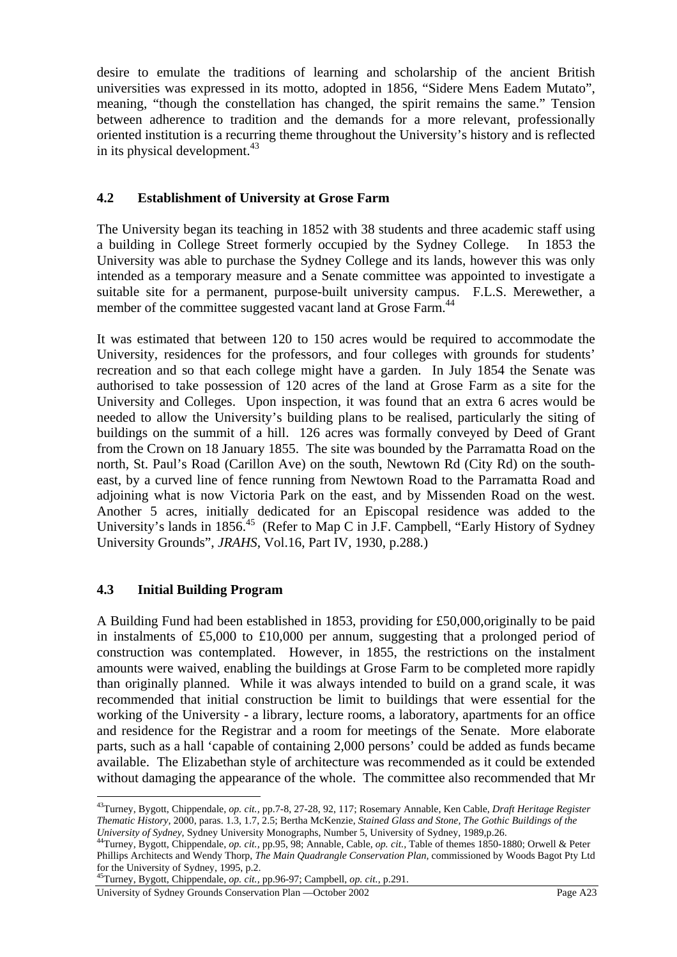desire to emulate the traditions of learning and scholarship of the ancient British universities was expressed in its motto, adopted in 1856, "Sidere Mens Eadem Mutato", meaning, "though the constellation has changed, the spirit remains the same." Tension between adherence to tradition and the demands for a more relevant, professionally oriented institution is a recurring theme throughout the University's history and is reflected in its physical development. $43$ 

## **4.2 Establishment of University at Grose Farm**

The University began its teaching in 1852 with 38 students and three academic staff using a building in College Street formerly occupied by the Sydney College. In 1853 the University was able to purchase the Sydney College and its lands, however this was only intended as a temporary measure and a Senate committee was appointed to investigate a suitable site for a permanent, purpose-built university campus. F.L.S. Merewether, a member of the committee suggested vacant land at Grose Farm.<sup>44</sup>

It was estimated that between 120 to 150 acres would be required to accommodate the University, residences for the professors, and four colleges with grounds for students' recreation and so that each college might have a garden. In July 1854 the Senate was authorised to take possession of 120 acres of the land at Grose Farm as a site for the University and Colleges. Upon inspection, it was found that an extra 6 acres would be needed to allow the University's building plans to be realised, particularly the siting of buildings on the summit of a hill. 126 acres was formally conveyed by Deed of Grant from the Crown on 18 January 1855. The site was bounded by the Parramatta Road on the north, St. Paul's Road (Carillon Ave) on the south, Newtown Rd (City Rd) on the southeast, by a curved line of fence running from Newtown Road to the Parramatta Road and adjoining what is now Victoria Park on the east, and by Missenden Road on the west. Another 5 acres, initially dedicated for an Episcopal residence was added to the University's lands in 1856.<sup>45</sup> (Refer to Map C in J.F. Campbell, "Early History of Sydney University Grounds", *JRAHS*, Vol.16, Part IV, 1930, p.288.)

## **4.3 Initial Building Program**

 $\overline{a}$ 

A Building Fund had been established in 1853, providing for £50,000,originally to be paid in instalments of £5,000 to £10,000 per annum, suggesting that a prolonged period of construction was contemplated. However, in 1855, the restrictions on the instalment amounts were waived, enabling the buildings at Grose Farm to be completed more rapidly than originally planned. While it was always intended to build on a grand scale, it was recommended that initial construction be limit to buildings that were essential for the working of the University - a library, lecture rooms, a laboratory, apartments for an office and residence for the Registrar and a room for meetings of the Senate. More elaborate parts, such as a hall 'capable of containing 2,000 persons' could be added as funds became available. The Elizabethan style of architecture was recommended as it could be extended without damaging the appearance of the whole. The committee also recommended that Mr

<sup>43</sup>Turney, Bygott, Chippendale, *op. cit.,* pp.7-8, 27-28, 92, 117; Rosemary Annable, Ken Cable, *Draft Heritage Register Thematic History,* 2000, paras. 1.3, 1.7, 2.5; Bertha McKenzie, *Stained Glass and Stone, The Gothic Buildings of the* 

<sup>&</sup>lt;sup>44</sup>Turney, Bygott, Chippendale, op. cit., pp.95, 98; Annable, Cable, op. cit., Table of themes 1850-1880; Orwell & Peter Phillips Architects and Wendy Thorp, *The Main Quadrangle Conservation Plan,* commissioned by Woods Bagot Pty Ltd for the University of Sydney, 1995, p.2.

<sup>45</sup>Turney, Bygott, Chippendale, *op. cit.,* pp.96-97; Campbell, *op. cit.,* p.291.

University of Sydney Grounds Conservation Plan —October 2002 Page A23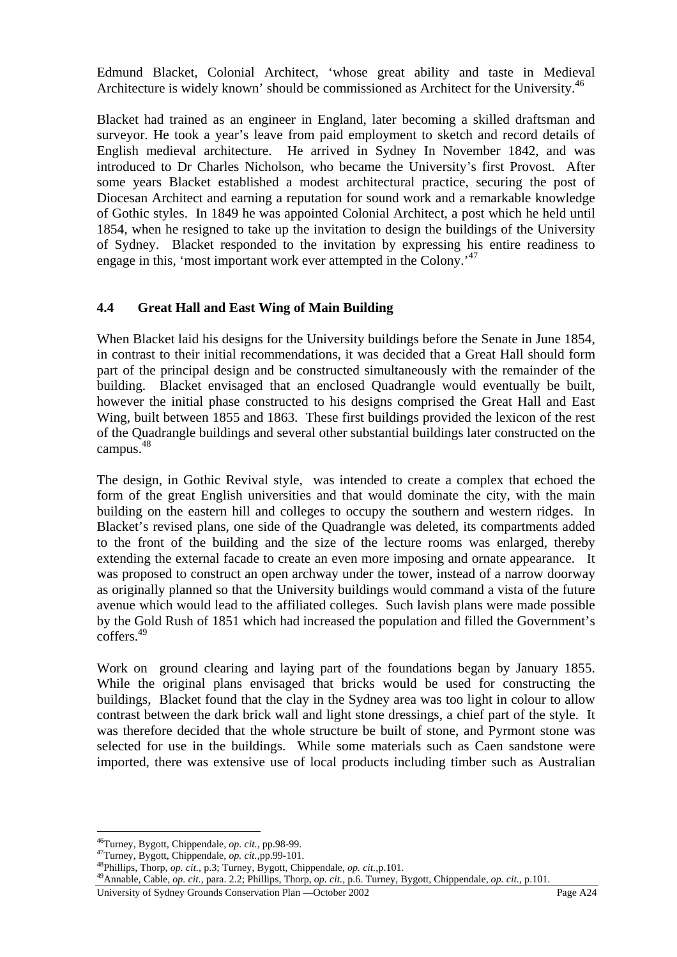Edmund Blacket, Colonial Architect, 'whose great ability and taste in Medieval Architecture is widely known' should be commissioned as Architect for the University.<sup>46</sup>

Blacket had trained as an engineer in England, later becoming a skilled draftsman and surveyor. He took a year's leave from paid employment to sketch and record details of English medieval architecture. He arrived in Sydney In November 1842, and was introduced to Dr Charles Nicholson, who became the University's first Provost. After some years Blacket established a modest architectural practice, securing the post of Diocesan Architect and earning a reputation for sound work and a remarkable knowledge of Gothic styles. In 1849 he was appointed Colonial Architect, a post which he held until 1854, when he resigned to take up the invitation to design the buildings of the University of Sydney. Blacket responded to the invitation by expressing his entire readiness to engage in this, 'most important work ever attempted in the Colony.<sup>47</sup>

## **4.4 Great Hall and East Wing of Main Building**

When Blacket laid his designs for the University buildings before the Senate in June 1854, in contrast to their initial recommendations, it was decided that a Great Hall should form part of the principal design and be constructed simultaneously with the remainder of the building. Blacket envisaged that an enclosed Quadrangle would eventually be built, however the initial phase constructed to his designs comprised the Great Hall and East Wing, built between 1855 and 1863.These first buildings provided the lexicon of the rest of the Quadrangle buildings and several other substantial buildings later constructed on the campus.<sup>48</sup>

The design, in Gothic Revival style, was intended to create a complex that echoed the form of the great English universities and that would dominate the city, with the main building on the eastern hill and colleges to occupy the southern and western ridges. In Blacket's revised plans, one side of the Quadrangle was deleted, its compartments added to the front of the building and the size of the lecture rooms was enlarged, thereby extending the external facade to create an even more imposing and ornate appearance. It was proposed to construct an open archway under the tower, instead of a narrow doorway as originally planned so that the University buildings would command a vista of the future avenue which would lead to the affiliated colleges. Such lavish plans were made possible by the Gold Rush of 1851 which had increased the population and filled the Government's coffers.49

Work on ground clearing and laying part of the foundations began by January 1855. While the original plans envisaged that bricks would be used for constructing the buildings, Blacket found that the clay in the Sydney area was too light in colour to allow contrast between the dark brick wall and light stone dressings, a chief part of the style. It was therefore decided that the whole structure be built of stone, and Pyrmont stone was selected for use in the buildings. While some materials such as Caen sandstone were imported, there was extensive use of local products including timber such as Australian

University of Sydney Grounds Conservation Plan —October 2002 Page A24

<sup>&</sup>lt;sup>46</sup>Turney, Bygott, Chippendale, *op. cit.*, pp.98-99.<br><sup>47</sup>Turney, Bygott, Chippendale, *op. cit.*, pp.99-101.

<sup>&</sup>lt;sup>48</sup>Phillips, Thorp, *op. cit.*, p.3; Turney, Bygott, Chippendale, *op. cit.*, p.101.<br><sup>49</sup>Annable, Cable, *op. cit.*, para. 2.2; Phillips, Thorp, *op. cit.*, p.6. Turney, Bygott, Chippendale, *op. cit.*, p.101.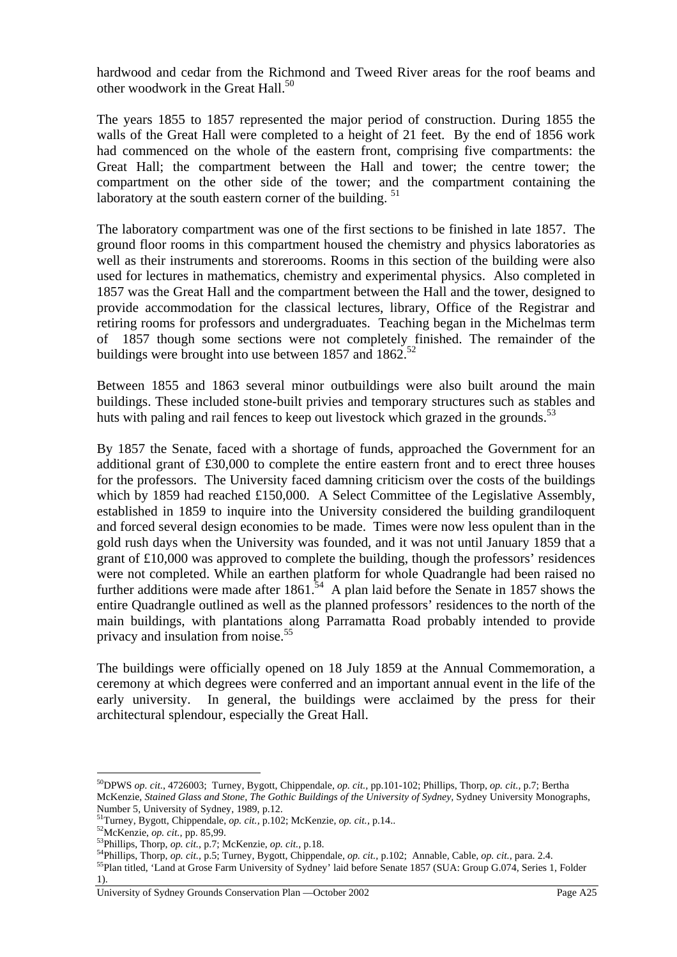hardwood and cedar from the Richmond and Tweed River areas for the roof beams and other woodwork in the Great Hall. $^{50}$ 

The years 1855 to 1857 represented the major period of construction. During 1855 the walls of the Great Hall were completed to a height of 21 feet. By the end of 1856 work had commenced on the whole of the eastern front, comprising five compartments: the Great Hall; the compartment between the Hall and tower; the centre tower; the compartment on the other side of the tower; and the compartment containing the laboratory at the south eastern corner of the building.  $51$ 

The laboratory compartment was one of the first sections to be finished in late 1857. The ground floor rooms in this compartment housed the chemistry and physics laboratories as well as their instruments and storerooms. Rooms in this section of the building were also used for lectures in mathematics, chemistry and experimental physics. Also completed in 1857 was the Great Hall and the compartment between the Hall and the tower, designed to provide accommodation for the classical lectures, library, Office of the Registrar and retiring rooms for professors and undergraduates. Teaching began in the Michelmas term of 1857 though some sections were not completely finished. The remainder of the buildings were brought into use between 1857 and  $1862$ <sup>52</sup>

Between 1855 and 1863 several minor outbuildings were also built around the main buildings. These included stone-built privies and temporary structures such as stables and huts with paling and rail fences to keep out livestock which grazed in the grounds.<sup>53</sup>

By 1857 the Senate, faced with a shortage of funds, approached the Government for an additional grant of £30,000 to complete the entire eastern front and to erect three houses for the professors. The University faced damning criticism over the costs of the buildings which by 1859 had reached £150,000. A Select Committee of the Legislative Assembly, established in 1859 to inquire into the University considered the building grandiloquent and forced several design economies to be made. Times were now less opulent than in the gold rush days when the University was founded, and it was not until January 1859 that a grant of £10,000 was approved to complete the building, though the professors' residences were not completed. While an earthen platform for whole Quadrangle had been raised no further additions were made after  $1861<sup>54</sup>$  A plan laid before the Senate in 1857 shows the entire Quadrangle outlined as well as the planned professors' residences to the north of the main buildings, with plantations along Parramatta Road probably intended to provide privacy and insulation from noise.<sup>55</sup>

The buildings were officially opened on 18 July 1859 at the Annual Commemoration, a ceremony at which degrees were conferred and an important annual event in the life of the early university. In general, the buildings were acclaimed by the press for their architectural splendour, especially the Great Hall.

<sup>50</sup>DPWS *op. cit*., 4726003; Turney, Bygott, Chippendale, *op. cit.,* pp.101-102; Phillips, Thorp, *op. cit.,* p.7; Bertha McKenzie, *Stained Glass and Stone, The Gothic Buildings of the University of Sydney,* Sydney University Monographs, Number 5, University of Sydney, 1989, p.12.<br><sup>51</sup>Turney, Bygott, Chippendale, *op. cit.*, p.102; McKenzie, *op. cit.*, p.14..

<sup>&</sup>lt;sup>52</sup>McKenzie, *op. cit.*, pp. 85,99.<br><sup>53</sup>Phillips, Thorp, *op. cit.*, p.7; McKenzie, *op. cit.*, p.18.<br><sup>54</sup>Phillips, Thorp, *op. cit.*, p.5; Turney, Bygott, Chippendale, *op. cit.*, p.102; Annable, Cable, *op. cit.*, para 1).

University of Sydney Grounds Conservation Plan —October 2002 Page A25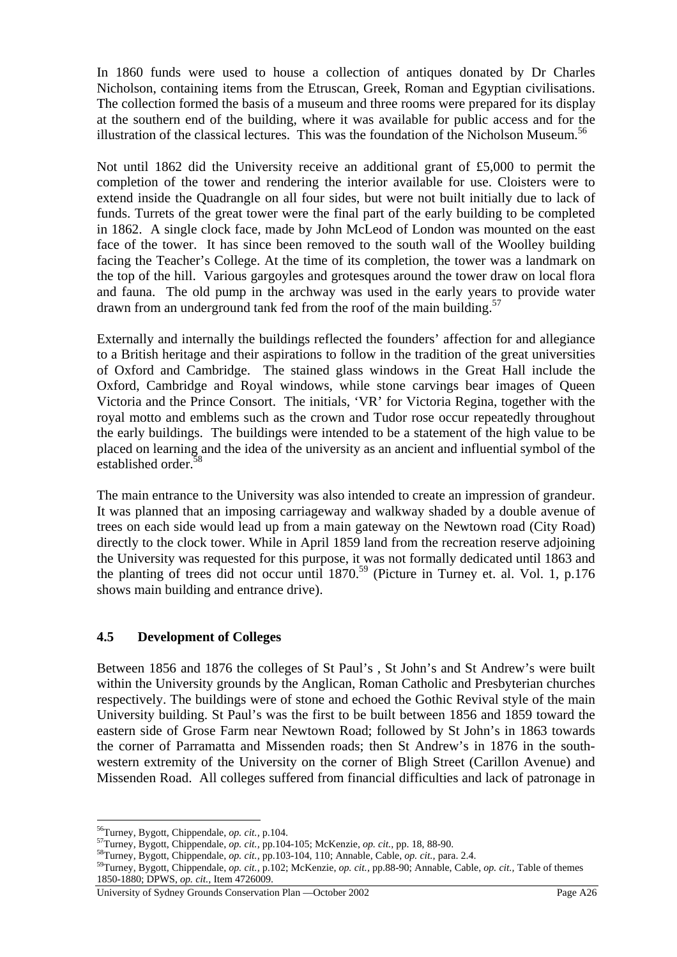In 1860 funds were used to house a collection of antiques donated by Dr Charles Nicholson, containing items from the Etruscan, Greek, Roman and Egyptian civilisations. The collection formed the basis of a museum and three rooms were prepared for its display at the southern end of the building, where it was available for public access and for the illustration of the classical lectures. This was the foundation of the Nicholson Museum.<sup>56</sup>

Not until 1862 did the University receive an additional grant of £5,000 to permit the completion of the tower and rendering the interior available for use. Cloisters were to extend inside the Quadrangle on all four sides, but were not built initially due to lack of funds. Turrets of the great tower were the final part of the early building to be completed in 1862. A single clock face, made by John McLeod of London was mounted on the east face of the tower. It has since been removed to the south wall of the Woolley building facing the Teacher's College. At the time of its completion, the tower was a landmark on the top of the hill. Various gargoyles and grotesques around the tower draw on local flora and fauna. The old pump in the archway was used in the early years to provide water drawn from an underground tank fed from the roof of the main building.<sup>57</sup>

Externally and internally the buildings reflected the founders' affection for and allegiance to a British heritage and their aspirations to follow in the tradition of the great universities of Oxford and Cambridge. The stained glass windows in the Great Hall include the Oxford, Cambridge and Royal windows, while stone carvings bear images of Queen Victoria and the Prince Consort. The initials, 'VR' for Victoria Regina, together with the royal motto and emblems such as the crown and Tudor rose occur repeatedly throughout the early buildings. The buildings were intended to be a statement of the high value to be placed on learning and the idea of the university as an ancient and influential symbol of the established order.<sup>58</sup>

The main entrance to the University was also intended to create an impression of grandeur. It was planned that an imposing carriageway and walkway shaded by a double avenue of trees on each side would lead up from a main gateway on the Newtown road (City Road) directly to the clock tower. While in April 1859 land from the recreation reserve adjoining the University was requested for this purpose, it was not formally dedicated until 1863 and the planting of trees did not occur until  $1870^{59}$  (Picture in Turney et. al. Vol. 1, p.176) shows main building and entrance drive).

#### **4.5 Development of Colleges**

Between 1856 and 1876 the colleges of St Paul's , St John's and St Andrew's were built within the University grounds by the Anglican, Roman Catholic and Presbyterian churches respectively. The buildings were of stone and echoed the Gothic Revival style of the main University building. St Paul's was the first to be built between 1856 and 1859 toward the eastern side of Grose Farm near Newtown Road; followed by St John's in 1863 towards the corner of Parramatta and Missenden roads; then St Andrew's in 1876 in the southwestern extremity of the University on the corner of Bligh Street (Carillon Avenue) and Missenden Road. All colleges suffered from financial difficulties and lack of patronage in

<sup>&</sup>lt;sup>56</sup>Turney, Bygott, Chippendale, *op. cit.*, p.104.<br><sup>57</sup>Turney, Bygott, Chippendale, *op. cit.*, pp.104-105; McKenzie, *op. cit.*, pp. 18, 88-90.<br><sup>58</sup>Turney, Bygott, Chippendale, *op. cit.*, pp.103-104, 110; Annable, Cabl 1850-1880; DPWS, *op. cit.,* Item 4726009.

University of Sydney Grounds Conservation Plan —October 2002 Page A26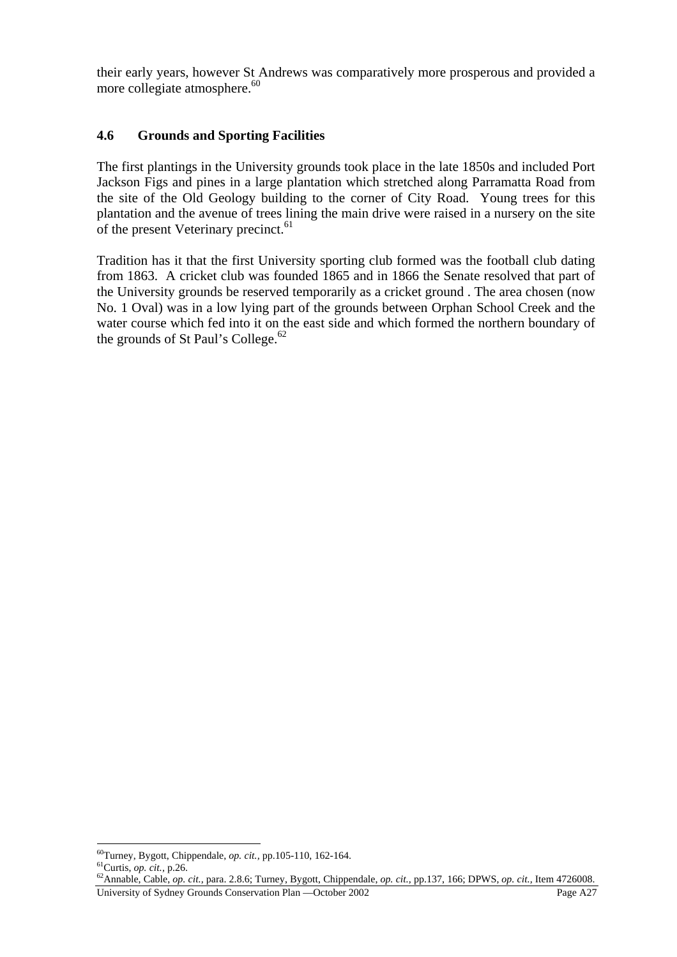their early years, however St Andrews was comparatively more prosperous and provided a more collegiate atmosphere.<sup>60</sup>

#### **4.6 Grounds and Sporting Facilities**

The first plantings in the University grounds took place in the late 1850s and included Port Jackson Figs and pines in a large plantation which stretched along Parramatta Road from the site of the Old Geology building to the corner of City Road. Young trees for this plantation and the avenue of trees lining the main drive were raised in a nursery on the site of the present Veterinary precinct.<sup>61</sup>

Tradition has it that the first University sporting club formed was the football club dating from 1863. A cricket club was founded 1865 and in 1866 the Senate resolved that part of the University grounds be reserved temporarily as a cricket ground . The area chosen (now No. 1 Oval) was in a low lying part of the grounds between Orphan School Creek and the water course which fed into it on the east side and which formed the northern boundary of the grounds of St Paul's College. $62$ 

 $^{60}$ Turney, Bygott, Chippendale, op. cit., pp.105-110, 162-164.

University of Sydney Grounds Conservation Plan —October 2002 Page A27 <sup>61</sup>Curtis, *op. cit.*, p.26.<br><sup>62</sup>Annable, Cable, *op. cit.*, para. 2.8.6; Turney, Bygott, Chippendale, *op. cit.*, pp.137, 166; DPWS, *op. cit.*, Item 4726008.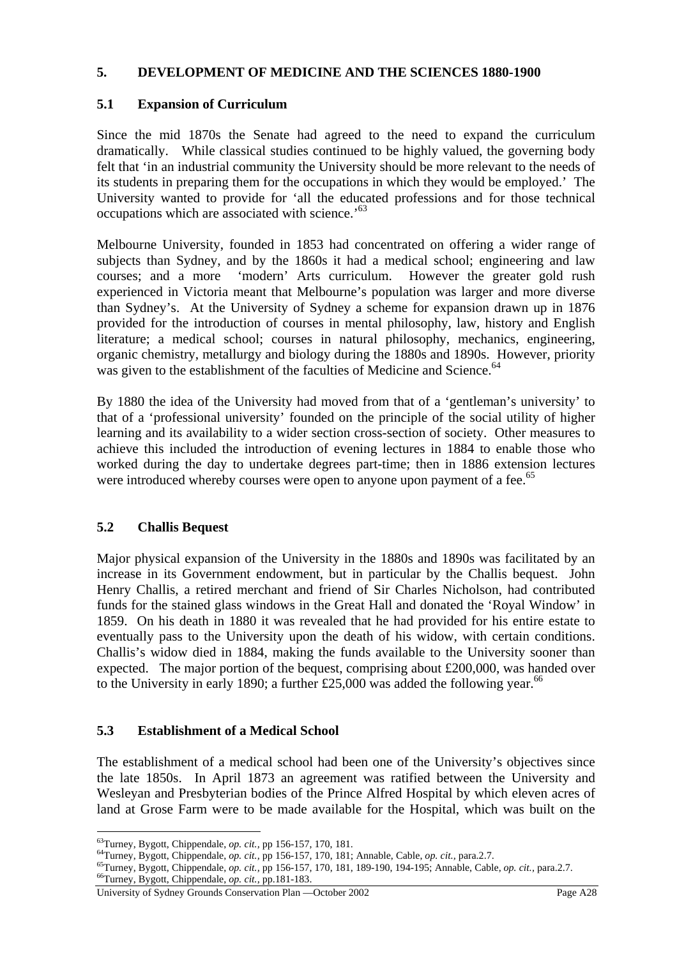#### **5. DEVELOPMENT OF MEDICINE AND THE SCIENCES 1880-1900**

#### **5.1 Expansion of Curriculum**

Since the mid 1870s the Senate had agreed to the need to expand the curriculum dramatically. While classical studies continued to be highly valued, the governing body felt that 'in an industrial community the University should be more relevant to the needs of its students in preparing them for the occupations in which they would be employed.' The University wanted to provide for 'all the educated professions and for those technical occupations which are associated with science.'<sup>63</sup>

Melbourne University, founded in 1853 had concentrated on offering a wider range of subjects than Sydney, and by the 1860s it had a medical school; engineering and law courses; and a more 'modern' Arts curriculum. However the greater gold rush experienced in Victoria meant that Melbourne's population was larger and more diverse than Sydney's. At the University of Sydney a scheme for expansion drawn up in 1876 provided for the introduction of courses in mental philosophy, law, history and English literature; a medical school; courses in natural philosophy, mechanics, engineering, organic chemistry, metallurgy and biology during the 1880s and 1890s. However, priority was given to the establishment of the faculties of Medicine and Science.<sup>64</sup>

By 1880 the idea of the University had moved from that of a 'gentleman's university' to that of a 'professional university' founded on the principle of the social utility of higher learning and its availability to a wider section cross-section of society. Other measures to achieve this included the introduction of evening lectures in 1884 to enable those who worked during the day to undertake degrees part-time; then in 1886 extension lectures were introduced whereby courses were open to anyone upon payment of a fee.<sup>65</sup>

#### **5.2 Challis Bequest**

Major physical expansion of the University in the 1880s and 1890s was facilitated by an increase in its Government endowment, but in particular by the Challis bequest. John Henry Challis, a retired merchant and friend of Sir Charles Nicholson, had contributed funds for the stained glass windows in the Great Hall and donated the 'Royal Window' in 1859. On his death in 1880 it was revealed that he had provided for his entire estate to eventually pass to the University upon the death of his widow, with certain conditions. Challis's widow died in 1884, making the funds available to the University sooner than expected. The major portion of the bequest, comprising about £200,000, was handed over to the University in early 1890; a further £25,000 was added the following year.<sup>66</sup>

#### **5.3 Establishment of a Medical School**

The establishment of a medical school had been one of the University's objectives since the late 1850s. In April 1873 an agreement was ratified between the University and Wesleyan and Presbyterian bodies of the Prince Alfred Hospital by which eleven acres of land at Grose Farm were to be made available for the Hospital, which was built on the

<sup>&</sup>lt;sup>63</sup>Turney, Bygott, Chippendale, *op. cit.*, pp 156-157, 170, 181.<br>
<sup>64</sup>Turney, Bygott, Chippendale, *op. cit.*, pp 156-157, 170, 181; Annable, Cable, *op. cit.*, para.2.7.<br>
<sup>65</sup>Turney, Bygott, Chippendale, *op. cit.*, pp

University of Sydney Grounds Conservation Plan —October 2002 Page A28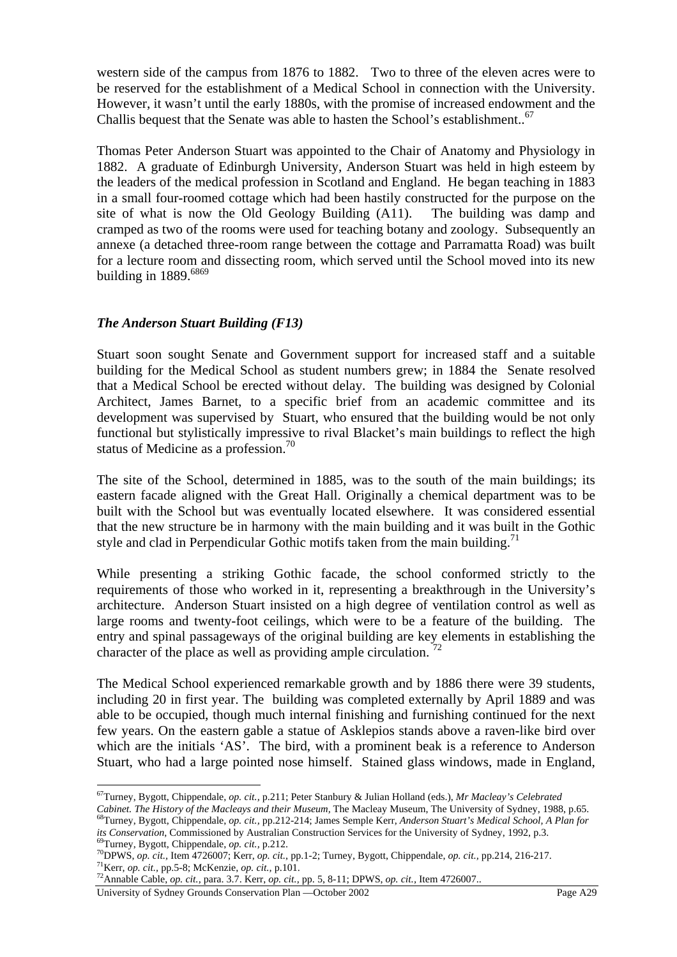western side of the campus from 1876 to 1882. Two to three of the eleven acres were to be reserved for the establishment of a Medical School in connection with the University. However, it wasn't until the early 1880s, with the promise of increased endowment and the Challis bequest that the Senate was able to hasten the School's establishment..<sup>67</sup>

Thomas Peter Anderson Stuart was appointed to the Chair of Anatomy and Physiology in 1882. A graduate of Edinburgh University, Anderson Stuart was held in high esteem by the leaders of the medical profession in Scotland and England. He began teaching in 1883 in a small four-roomed cottage which had been hastily constructed for the purpose on the site of what is now the Old Geology Building (A11). The building was damp and cramped as two of the rooms were used for teaching botany and zoology. Subsequently an annexe (a detached three-room range between the cottage and Parramatta Road) was built for a lecture room and dissecting room, which served until the School moved into its new building in  $1889.6869$ 

#### *The Anderson Stuart Building (F13)*

Stuart soon sought Senate and Government support for increased staff and a suitable building for the Medical School as student numbers grew; in 1884 the Senate resolved that a Medical School be erected without delay. The building was designed by Colonial Architect, James Barnet, to a specific brief from an academic committee and its development was supervised by Stuart, who ensured that the building would be not only functional but stylistically impressive to rival Blacket's main buildings to reflect the high status of Medicine as a profession.<sup>70</sup>

The site of the School, determined in 1885, was to the south of the main buildings; its eastern facade aligned with the Great Hall. Originally a chemical department was to be built with the School but was eventually located elsewhere. It was considered essential that the new structure be in harmony with the main building and it was built in the Gothic style and clad in Perpendicular Gothic motifs taken from the main building.<sup>71</sup>

While presenting a striking Gothic facade, the school conformed strictly to the requirements of those who worked in it, representing a breakthrough in the University's architecture. Anderson Stuart insisted on a high degree of ventilation control as well as large rooms and twenty-foot ceilings, which were to be a feature of the building. The entry and spinal passageways of the original building are key elements in establishing the character of the place as well as providing ample circulation.  $^{72}$ 

The Medical School experienced remarkable growth and by 1886 there were 39 students, including 20 in first year. The building was completed externally by April 1889 and was able to be occupied, though much internal finishing and furnishing continued for the next few years. On the eastern gable a statue of Asklepios stands above a raven-like bird over which are the initials 'AS'. The bird, with a prominent beak is a reference to Anderson Stuart, who had a large pointed nose himself. Stained glass windows, made in England,

 $\overline{a}$ 67Turney, Bygott, Chippendale, *op. cit.,* p.211; Peter Stanbury & Julian Holland (eds.), *Mr Macleay's Celebrated* 

Cabinet. The History of the Macleays and their Museum, The Macleay Museum, The University of Sydney, 1988, p.65.<br><sup>68</sup>Turney, Bygott, Chippendale, op. cit., pp.212-214; James Semple Kerr, Anderson Stuart's Medical School, A

*its Conservation*, Commissioned by Australian Construction Services for the University of Sydney, 1992, p.3.<br><sup>69</sup>Turney, Bygott, Chippendale, *op. cit.*, p.212.<br><sup>70</sup>DPWS, *op. cit.*, Item 4726007; Kerr, *op. cit.*, pp.1-

University of Sydney Grounds Conservation Plan —October 2002 Page A29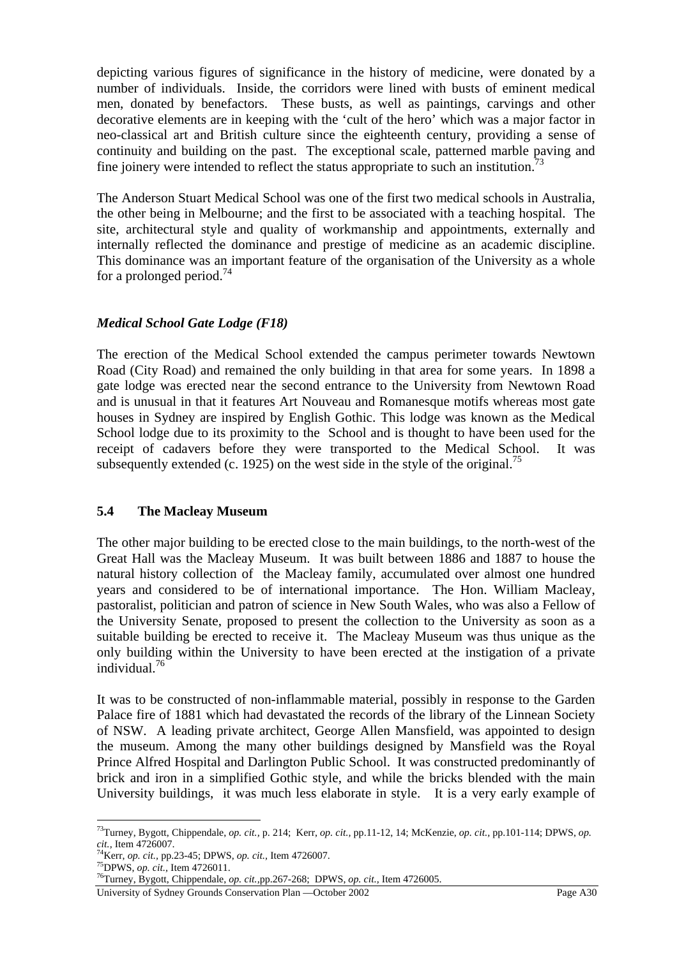depicting various figures of significance in the history of medicine, were donated by a number of individuals. Inside, the corridors were lined with busts of eminent medical men, donated by benefactors. These busts, as well as paintings, carvings and other decorative elements are in keeping with the 'cult of the hero' which was a major factor in neo-classical art and British culture since the eighteenth century, providing a sense of continuity and building on the past. The exceptional scale, patterned marble paving and fine joinery were intended to reflect the status appropriate to such an institution.<sup>7</sup>

The Anderson Stuart Medical School was one of the first two medical schools in Australia, the other being in Melbourne; and the first to be associated with a teaching hospital. The site, architectural style and quality of workmanship and appointments, externally and internally reflected the dominance and prestige of medicine as an academic discipline. This dominance was an important feature of the organisation of the University as a whole for a prolonged period.<sup>74</sup>

#### *Medical School Gate Lodge (F18)*

The erection of the Medical School extended the campus perimeter towards Newtown Road (City Road) and remained the only building in that area for some years. In 1898 a gate lodge was erected near the second entrance to the University from Newtown Road and is unusual in that it features Art Nouveau and Romanesque motifs whereas most gate houses in Sydney are inspired by English Gothic. This lodge was known as the Medical School lodge due to its proximity to the School and is thought to have been used for the receipt of cadavers before they were transported to the Medical School. It was subsequently extended (c. 1925) on the west side in the style of the original.<sup>75</sup>

#### **5.4 The Macleay Museum**

The other major building to be erected close to the main buildings, to the north-west of the Great Hall was the Macleay Museum. It was built between 1886 and 1887 to house the natural history collection of the Macleay family, accumulated over almost one hundred years and considered to be of international importance. The Hon. William Macleay, pastoralist, politician and patron of science in New South Wales, who was also a Fellow of the University Senate, proposed to present the collection to the University as soon as a suitable building be erected to receive it. The Macleay Museum was thus unique as the only building within the University to have been erected at the instigation of a private individual.76

It was to be constructed of non-inflammable material, possibly in response to the Garden Palace fire of 1881 which had devastated the records of the library of the Linnean Society of NSW. A leading private architect, George Allen Mansfield, was appointed to design the museum. Among the many other buildings designed by Mansfield was the Royal Prince Alfred Hospital and Darlington Public School. It was constructed predominantly of brick and iron in a simplified Gothic style, and while the bricks blended with the main University buildings, it was much less elaborate in style. It is a very early example of

<sup>73</sup>Turney, Bygott, Chippendale, *op. cit.,* p. 214; Kerr, *op. cit.,* pp.11-12, 14; McKenzie, *op. cit.,* pp.101-114; DPWS, *op.* 

<sup>&</sup>lt;sup>74</sup>Kerr, *op. cit.*, pp.23-45; DPWS, *op. cit.*, Item 4726007.<br><sup>75</sup>DPWS, *op. cit.*, Item 4726011.<br><sup>76</sup>Turney, Bygott, Ch<u>ippendale, *op. cit.*, pp.267-268; DPWS, *op. cit.*, Item 4726005.</u>

University of Sydney Grounds Conservation Plan —October 2002 Page A30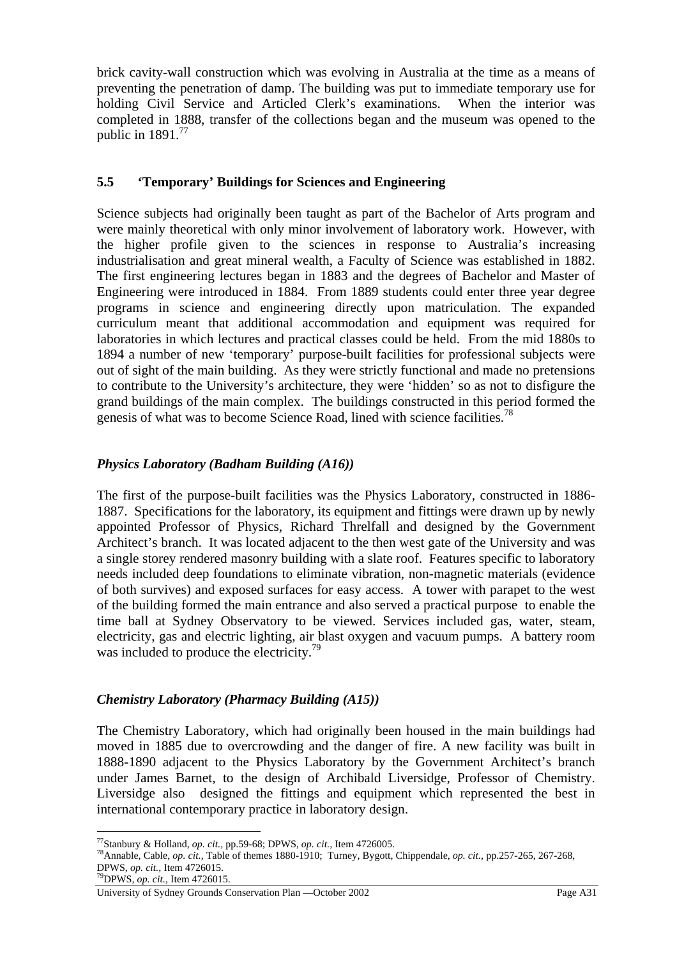brick cavity-wall construction which was evolving in Australia at the time as a means of preventing the penetration of damp. The building was put to immediate temporary use for holding Civil Service and Articled Clerk's examinations. When the interior was completed in 1888, transfer of the collections began and the museum was opened to the public in  $1891.<sup>77</sup>$ 

## **5.5 'Temporary' Buildings for Sciences and Engineering**

Science subjects had originally been taught as part of the Bachelor of Arts program and were mainly theoretical with only minor involvement of laboratory work. However, with the higher profile given to the sciences in response to Australia's increasing industrialisation and great mineral wealth, a Faculty of Science was established in 1882. The first engineering lectures began in 1883 and the degrees of Bachelor and Master of Engineering were introduced in 1884. From 1889 students could enter three year degree programs in science and engineering directly upon matriculation. The expanded curriculum meant that additional accommodation and equipment was required for laboratories in which lectures and practical classes could be held. From the mid 1880s to 1894 a number of new 'temporary' purpose-built facilities for professional subjects were out of sight of the main building. As they were strictly functional and made no pretensions to contribute to the University's architecture, they were 'hidden' so as not to disfigure the grand buildings of the main complex. The buildings constructed in this period formed the genesis of what was to become Science Road, lined with science facilities.<sup>78</sup>

## *Physics Laboratory (Badham Building (A16))*

The first of the purpose-built facilities was the Physics Laboratory, constructed in 1886- 1887. Specifications for the laboratory, its equipment and fittings were drawn up by newly appointed Professor of Physics, Richard Threlfall and designed by the Government Architect's branch. It was located adjacent to the then west gate of the University and was a single storey rendered masonry building with a slate roof. Features specific to laboratory needs included deep foundations to eliminate vibration, non-magnetic materials (evidence of both survives) and exposed surfaces for easy access. A tower with parapet to the west of the building formed the main entrance and also served a practical purpose to enable the time ball at Sydney Observatory to be viewed. Services included gas, water, steam, electricity, gas and electric lighting, air blast oxygen and vacuum pumps. A battery room was included to produce the electricity.<sup>79</sup>

#### *Chemistry Laboratory (Pharmacy Building (A15))*

The Chemistry Laboratory, which had originally been housed in the main buildings had moved in 1885 due to overcrowding and the danger of fire. A new facility was built in 1888-1890 adjacent to the Physics Laboratory by the Government Architect's branch under James Barnet, to the design of Archibald Liversidge, Professor of Chemistry. Liversidge also designed the fittings and equipment which represented the best in international contemporary practice in laboratory design.

<sup>&</sup>lt;sup>77</sup>Stanbury & Holland, *op. cit.*, pp.59-68; DPWS, *op. cit.*, Item 4726005.<br><sup>78</sup>Annable, Cable, *op. cit.*, Table of themes 1880-1910; Turney, Bygott, Chippendale, *op. cit.*, pp.257-265, 267-268, DPWS, *op. cit.,* Item 4726015. 79DPWS, *op. cit.,* Item 4726015.

University of Sydney Grounds Conservation Plan —October 2002 Page A31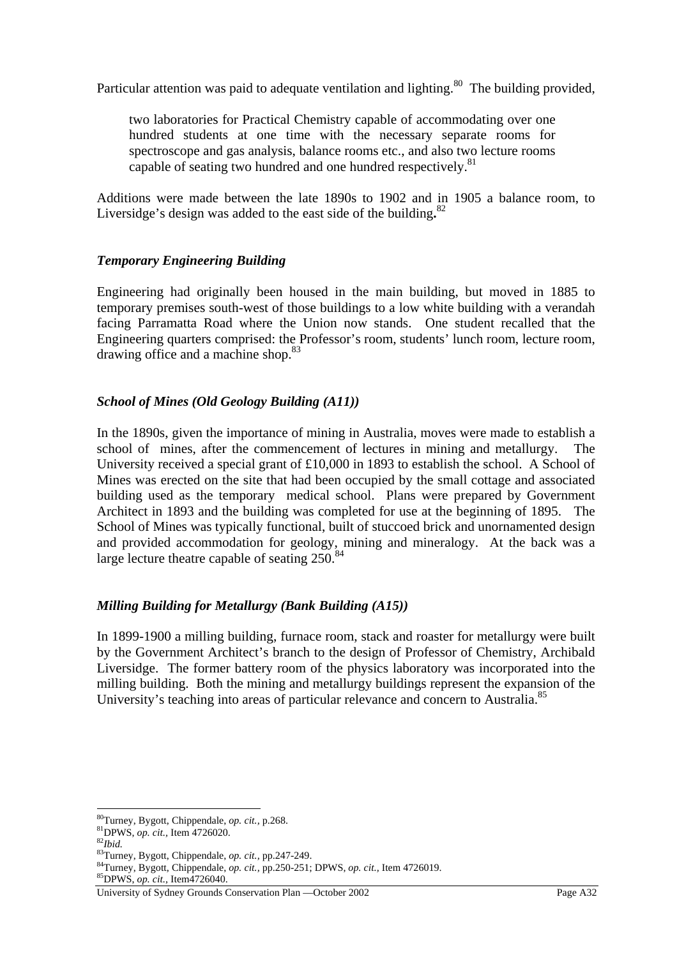Particular attention was paid to adequate ventilation and lighting.<sup>80</sup> The building provided,

two laboratories for Practical Chemistry capable of accommodating over one hundred students at one time with the necessary separate rooms for spectroscope and gas analysis, balance rooms etc., and also two lecture rooms capable of seating two hundred and one hundred respectively.<sup>81</sup>

Additions were made between the late 1890s to 1902 and in 1905 a balance room, to Liversidge's design was added to the east side of the building**.** 82

#### *Temporary Engineering Building*

Engineering had originally been housed in the main building, but moved in 1885 to temporary premises south-west of those buildings to a low white building with a verandah facing Parramatta Road where the Union now stands. One student recalled that the Engineering quarters comprised: the Professor's room, students' lunch room, lecture room, drawing office and a machine shop.<sup>83</sup>

#### *School of Mines (Old Geology Building (A11))*

In the 1890s, given the importance of mining in Australia, moves were made to establish a school of mines, after the commencement of lectures in mining and metallurgy. The University received a special grant of £10,000 in 1893 to establish the school. A School of Mines was erected on the site that had been occupied by the small cottage and associated building used as the temporary medical school. Plans were prepared by Government Architect in 1893 and the building was completed for use at the beginning of 1895. The School of Mines was typically functional, built of stuccoed brick and unornamented design and provided accommodation for geology, mining and mineralogy. At the back was a large lecture theatre capable of seating  $250.^{84}$ 

#### *Milling Building for Metallurgy (Bank Building (A15))*

In 1899-1900 a milling building, furnace room, stack and roaster for metallurgy were built by the Government Architect's branch to the design of Professor of Chemistry, Archibald Liversidge. The former battery room of the physics laboratory was incorporated into the milling building. Both the mining and metallurgy buildings represent the expansion of the University's teaching into areas of particular relevance and concern to Australia.<sup>85</sup>

<sup>80</sup>Turney, Bygott, Chippendale, *op. cit.*, p.268.<br>
<sup>81</sup>DPWS, *op. cit.*, Item 4726020.<br>
<sup>82</sup>*Ibid.* 83Turney, Bygott, Chippendale, *op. cit.*, pp.247-249.

<sup>84</sup>Turney, Bygott, Chippendale, *op. cit.*, pp.250-251; DPWS, *op. cit.*, Item 4726019.<br><sup>85</sup>DPWS, *op. cit.*, Item4726040.

University of Sydney Grounds Conservation Plan —October 2002 Page A32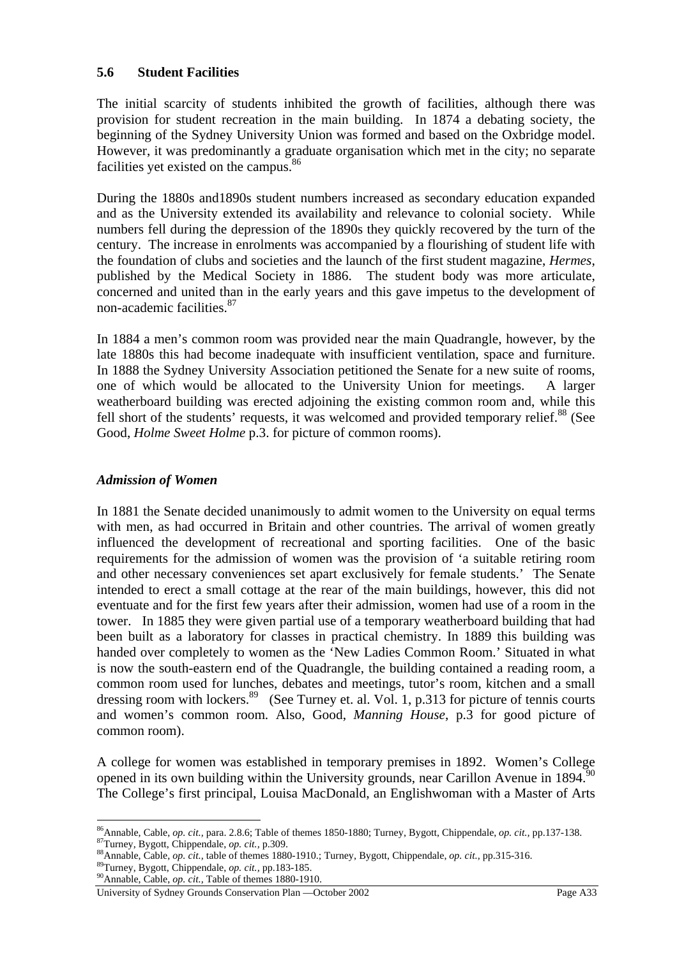#### **5.6 Student Facilities**

The initial scarcity of students inhibited the growth of facilities, although there was provision for student recreation in the main building. In 1874 a debating society, the beginning of the Sydney University Union was formed and based on the Oxbridge model. However, it was predominantly a graduate organisation which met in the city; no separate facilities yet existed on the campus.<sup>86</sup>

During the 1880s and1890s student numbers increased as secondary education expanded and as the University extended its availability and relevance to colonial society. While numbers fell during the depression of the 1890s they quickly recovered by the turn of the century. The increase in enrolments was accompanied by a flourishing of student life with the foundation of clubs and societies and the launch of the first student magazine, *Hermes*, published by the Medical Society in 1886. The student body was more articulate, concerned and united than in the early years and this gave impetus to the development of non-academic facilities.87

In 1884 a men's common room was provided near the main Quadrangle, however, by the late 1880s this had become inadequate with insufficient ventilation, space and furniture. In 1888 the Sydney University Association petitioned the Senate for a new suite of rooms, one of which would be allocated to the University Union for meetings. A larger weatherboard building was erected adjoining the existing common room and, while this fell short of the students' requests, it was welcomed and provided temporary relief.<sup>88</sup> (See Good, *Holme Sweet Holme* p.3. for picture of common rooms).

#### *Admission of Women*

In 1881 the Senate decided unanimously to admit women to the University on equal terms with men, as had occurred in Britain and other countries. The arrival of women greatly influenced the development of recreational and sporting facilities. One of the basic requirements for the admission of women was the provision of 'a suitable retiring room and other necessary conveniences set apart exclusively for female students.' The Senate intended to erect a small cottage at the rear of the main buildings, however, this did not eventuate and for the first few years after their admission, women had use of a room in the tower. In 1885 they were given partial use of a temporary weatherboard building that had been built as a laboratory for classes in practical chemistry. In 1889 this building was handed over completely to women as the 'New Ladies Common Room.' Situated in what is now the south-eastern end of the Quadrangle, the building contained a reading room, a common room used for lunches, debates and meetings, tutor's room, kitchen and a small dressing room with lockers.<sup>89</sup> (See Turney et. al. Vol. 1, p.313 for picture of tennis courts and women's common room. Also, Good, *Manning House*, p.3 for good picture of common room).

A college for women was established in temporary premises in 1892. Women's College opened in its own building within the University grounds, near Carillon Avenue in  $1894$ <sup>[90</sup>] The College's first principal, Louisa MacDonald, an Englishwoman with a Master of Arts

<sup>&</sup>lt;sup>86</sup>Annable, Cable, *op. cit.*, para. 2.8.6; Table of themes 1850-1880; Turney, Bygott, Chippendale, *op. cit.*, pp.137-138.<br><sup>87</sup>Turney, Bygott, Chippendale, *op. cit.*, p.309.<br><sup>88</sup>Annable, Cable, *op. cit.*, table of the

University of Sydney Grounds Conservation Plan —October 2002 Page A33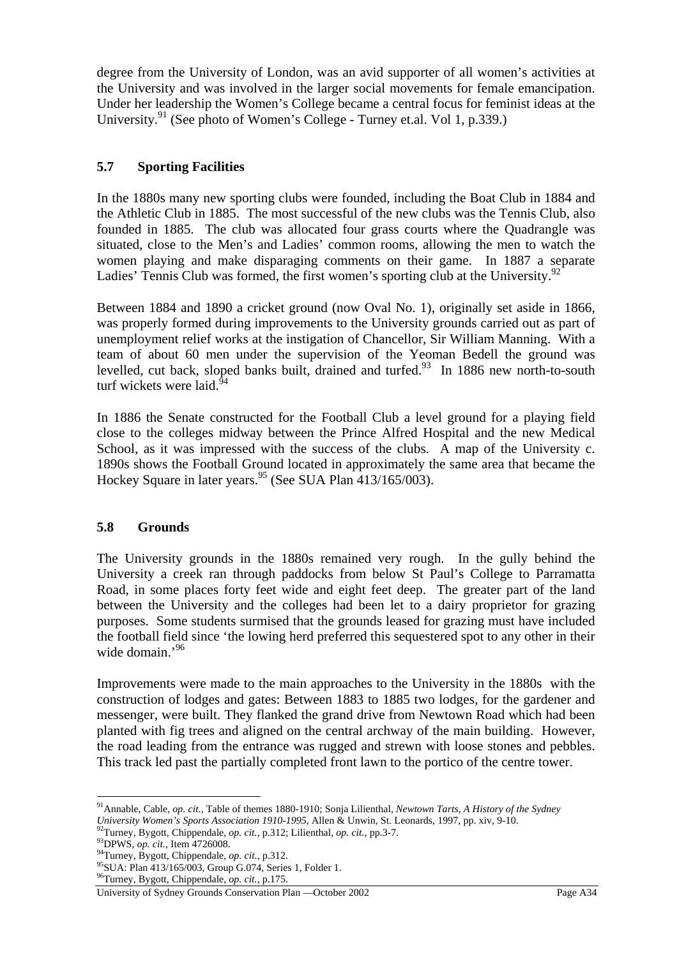degree from the University of London, was an avid supporter of all women's activities at the University and was involved in the larger social movements for female emancipation. Under her leadership the Women's College became a central focus for feminist ideas at the University.<sup>91</sup> (See photo of Women's College - Turney et.al. Vol 1, p.339.)

## **5.7 Sporting Facilities**

In the 1880s many new sporting clubs were founded, including the Boat Club in 1884 and the Athletic Club in 1885. The most successful of the new clubs was the Tennis Club, also founded in 1885. The club was allocated four grass courts where the Quadrangle was situated, close to the Men's and Ladies' common rooms, allowing the men to watch the women playing and make disparaging comments on their game. In 1887 a separate Ladies' Tennis Club was formed, the first women's sporting club at the University.<sup>92</sup>

Between 1884 and 1890 a cricket ground (now Oval No. 1), originally set aside in 1866, was properly formed during improvements to the University grounds carried out as part of unemployment relief works at the instigation of Chancellor, Sir William Manning. With a team of about 60 men under the supervision of the Yeoman Bedell the ground was levelled, cut back, sloped banks built, drained and turfed.<sup>93</sup> In 1886 new north-to-south turf wickets were laid.<sup>94</sup>

In 1886 the Senate constructed for the Football Club a level ground for a playing field close to the colleges midway between the Prince Alfred Hospital and the new Medical School, as it was impressed with the success of the clubs. A map of the University c. 1890s shows the Football Ground located in approximately the same area that became the Hockey Square in later years. <sup>95</sup> (See SUA Plan  $413/165/003$ ).

#### **5.8 Grounds**

The University grounds in the 1880s remained very rough. In the gully behind the University a creek ran through paddocks from below St Paul's College to Parramatta Road, in some places forty feet wide and eight feet deep. The greater part of the land between the University and the colleges had been let to a dairy proprietor for grazing purposes. Some students surmised that the grounds leased for grazing must have included the football field since 'the lowing herd preferred this sequestered spot to any other in their wide domain.<sup>'96</sup>

Improvements were made to the main approaches to the University in the 1880s with the construction of lodges and gates: Between 1883 to 1885 two lodges, for the gardener and messenger, were built. They flanked the grand drive from Newtown Road which had been planted with fig trees and aligned on the central archway of the main building. However, the road leading from the entrance was rugged and strewn with loose stones and pebbles. This track led past the partially completed front lawn to the portico of the centre tower.

<sup>91</sup>Annable, Cable, *op. cit.,* Table of themes 1880-1910; Sonja Lilienthal, *Newtown Tarts, A History of the Sydney* 

<sup>&</sup>lt;sup>92</sup>Turney, Bygott, Chippendale, *op. cit.*, p.312; Lilienthal, *op. cit.*, pp.3-7.<br><sup>93</sup>DPWS, *op. cit.*, Item 4726008.<br><sup>94</sup>Turney, Bygott, Chippendale, *op. cit.*, p.312.<br><sup>95</sup>SUA: Plan 413/165/003, Group G.074, Series 1,

University of Sydney Grounds Conservation Plan —October 2002 Page A34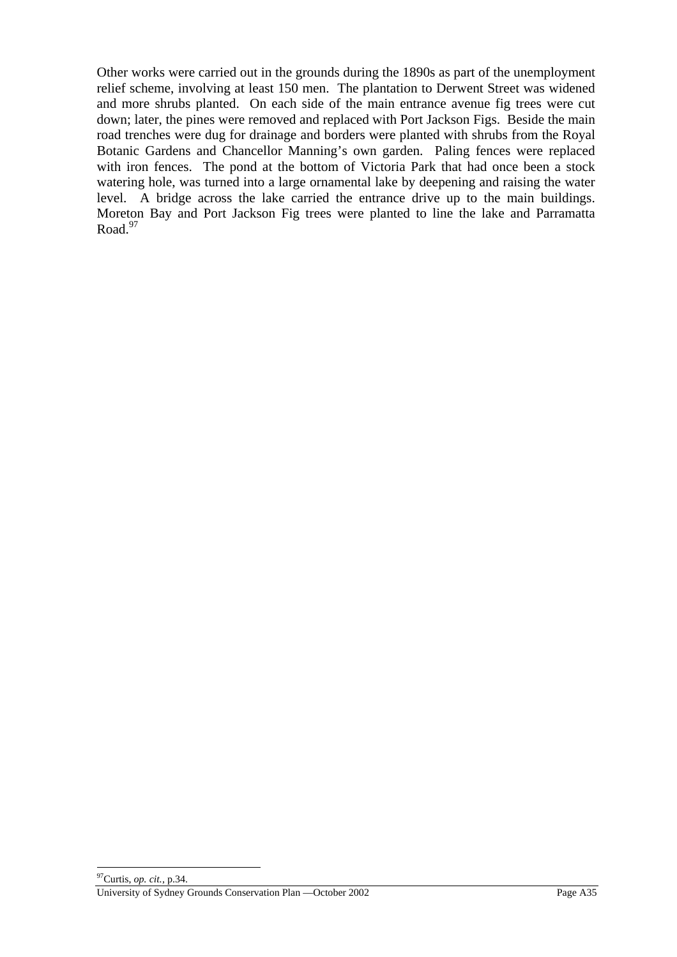Other works were carried out in the grounds during the 1890s as part of the unemployment relief scheme, involving at least 150 men. The plantation to Derwent Street was widened and more shrubs planted. On each side of the main entrance avenue fig trees were cut down; later, the pines were removed and replaced with Port Jackson Figs. Beside the main road trenches were dug for drainage and borders were planted with shrubs from the Royal Botanic Gardens and Chancellor Manning's own garden. Paling fences were replaced with iron fences. The pond at the bottom of Victoria Park that had once been a stock watering hole, was turned into a large ornamental lake by deepening and raising the water level. A bridge across the lake carried the entrance drive up to the main buildings. Moreton Bay and Port Jackson Fig trees were planted to line the lake and Parramatta Road. $97$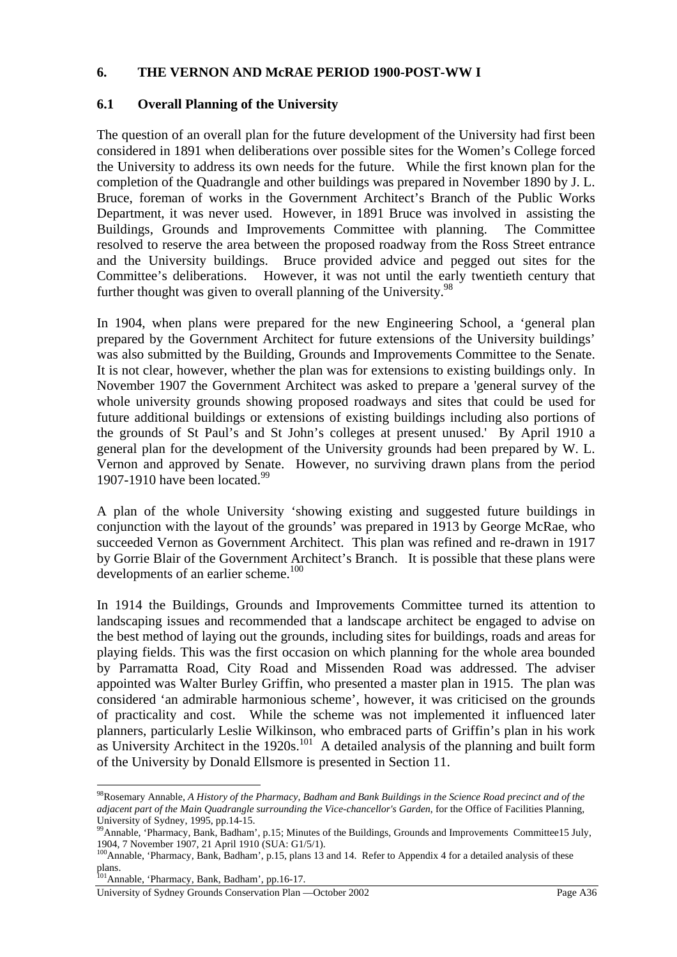#### **6. THE VERNON AND McRAE PERIOD 1900-POST-WW I**

#### **6.1 Overall Planning of the University**

The question of an overall plan for the future development of the University had first been considered in 1891 when deliberations over possible sites for the Women's College forced the University to address its own needs for the future. While the first known plan for the completion of the Quadrangle and other buildings was prepared in November 1890 by J. L. Bruce, foreman of works in the Government Architect's Branch of the Public Works Department, it was never used. However, in 1891 Bruce was involved in assisting the Buildings, Grounds and Improvements Committee with planning. The Committee resolved to reserve the area between the proposed roadway from the Ross Street entrance and the University buildings. Bruce provided advice and pegged out sites for the Committee's deliberations. However, it was not until the early twentieth century that further thought was given to overall planning of the University.  $98$ 

In 1904, when plans were prepared for the new Engineering School, a 'general plan prepared by the Government Architect for future extensions of the University buildings' was also submitted by the Building, Grounds and Improvements Committee to the Senate. It is not clear, however, whether the plan was for extensions to existing buildings only. In November 1907 the Government Architect was asked to prepare a 'general survey of the whole university grounds showing proposed roadways and sites that could be used for future additional buildings or extensions of existing buildings including also portions of the grounds of St Paul's and St John's colleges at present unused.' By April 1910 a general plan for the development of the University grounds had been prepared by W. L. Vernon and approved by Senate. However, no surviving drawn plans from the period 1907-1910 have been located.<sup>99</sup>

A plan of the whole University 'showing existing and suggested future buildings in conjunction with the layout of the grounds' was prepared in 1913 by George McRae, who succeeded Vernon as Government Architect. This plan was refined and re-drawn in 1917 by Gorrie Blair of the Government Architect's Branch. It is possible that these plans were developments of an earlier scheme. $100$ 

In 1914 the Buildings, Grounds and Improvements Committee turned its attention to landscaping issues and recommended that a landscape architect be engaged to advise on the best method of laying out the grounds, including sites for buildings, roads and areas for playing fields. This was the first occasion on which planning for the whole area bounded by Parramatta Road, City Road and Missenden Road was addressed. The adviser appointed was Walter Burley Griffin, who presented a master plan in 1915. The plan was considered 'an admirable harmonious scheme', however, it was criticised on the grounds of practicality and cost. While the scheme was not implemented it influenced later planners, particularly Leslie Wilkinson, who embraced parts of Griffin's plan in his work as University Architect in the  $1920s$ .<sup>101</sup> A detailed analysis of the planning and built form of the University by Donald Ellsmore is presented in Section 11.

<sup>98</sup>Rosemary Annable, *A History of the Pharmacy, Badham and Bank Buildings in the Science Road precinct and of the adjacent part of the Main Quadrangle surrounding the Vice-chancellor's Garden*, for the Office of Facilities Planning, University of Sydney, 1995, pp.14-15.

<sup>&</sup>lt;sup>99</sup>Annable, 'Pharmacy, Bank, Badham', p.15; Minutes of the Buildings, Grounds and Improvements Committee15 July, 1904, 7 November 1907, 21 April 1910 (SUA: G1/5/1).

<sup>&</sup>lt;sup>100</sup>Annable, 'Pharmacy, Bank, Badham', p.15, plans 13 and 14. Refer to Appendix 4 for a detailed analysis of these plans.

<sup>&</sup>lt;sup>101</sup>Annable, 'Pharmacy, Bank, Badham', pp.16-17.

University of Sydney Grounds Conservation Plan —October 2002 Page A36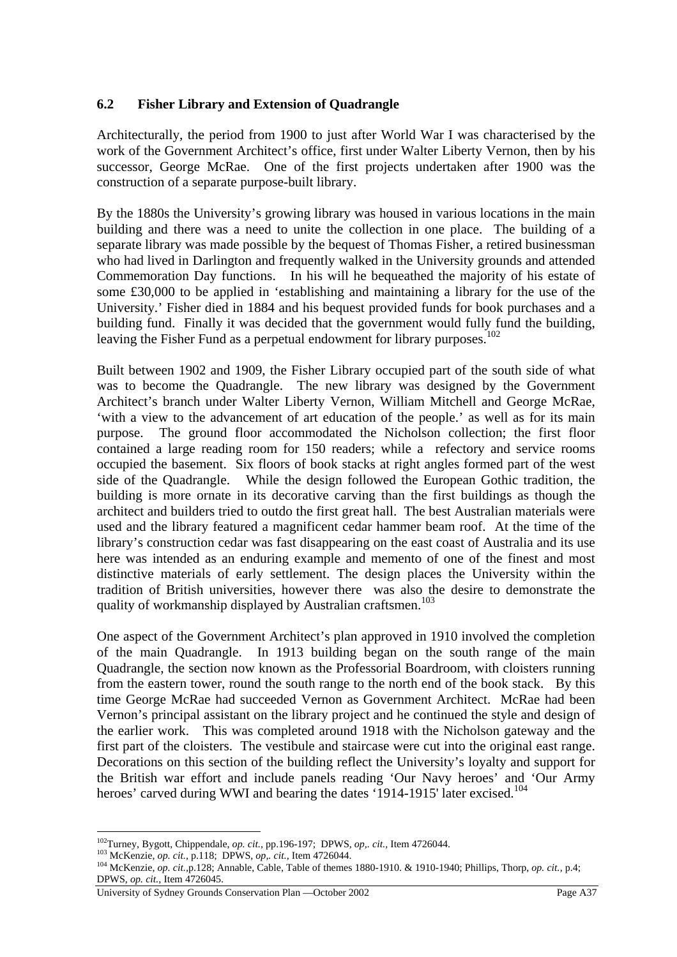# **6.2 Fisher Library and Extension of Quadrangle**

Architecturally, the period from 1900 to just after World War I was characterised by the work of the Government Architect's office, first under Walter Liberty Vernon, then by his successor, George McRae. One of the first projects undertaken after 1900 was the construction of a separate purpose-built library.

By the 1880s the University's growing library was housed in various locations in the main building and there was a need to unite the collection in one place. The building of a separate library was made possible by the bequest of Thomas Fisher, a retired businessman who had lived in Darlington and frequently walked in the University grounds and attended Commemoration Day functions. In his will he bequeathed the majority of his estate of some £30,000 to be applied in 'establishing and maintaining a library for the use of the University.' Fisher died in 1884 and his bequest provided funds for book purchases and a building fund. Finally it was decided that the government would fully fund the building, leaving the Fisher Fund as a perpetual endowment for library purposes.<sup>102</sup>

Built between 1902 and 1909, the Fisher Library occupied part of the south side of what was to become the Quadrangle. The new library was designed by the Government Architect's branch under Walter Liberty Vernon, William Mitchell and George McRae, 'with a view to the advancement of art education of the people.' as well as for its main purpose. The ground floor accommodated the Nicholson collection; the first floor contained a large reading room for 150 readers; while a refectory and service rooms occupied the basement. Six floors of book stacks at right angles formed part of the west side of the Quadrangle. While the design followed the European Gothic tradition, the building is more ornate in its decorative carving than the first buildings as though the architect and builders tried to outdo the first great hall. The best Australian materials were used and the library featured a magnificent cedar hammer beam roof. At the time of the library's construction cedar was fast disappearing on the east coast of Australia and its use here was intended as an enduring example and memento of one of the finest and most distinctive materials of early settlement. The design places the University within the tradition of British universities, however there was also the desire to demonstrate the quality of workmanship displayed by Australian craftsmen.<sup>103</sup>

One aspect of the Government Architect's plan approved in 1910 involved the completion of the main Quadrangle. In 1913 building began on the south range of the main Quadrangle, the section now known as the Professorial Boardroom, with cloisters running from the eastern tower, round the south range to the north end of the book stack. By this time George McRae had succeeded Vernon as Government Architect. McRae had been Vernon's principal assistant on the library project and he continued the style and design of the earlier work. This was completed around 1918 with the Nicholson gateway and the first part of the cloisters. The vestibule and staircase were cut into the original east range. Decorations on this section of the building reflect the University's loyalty and support for the British war effort and include panels reading 'Our Navy heroes' and 'Our Army heroes' carved during WWI and bearing the dates '1914-1915' later excised.<sup>104</sup>

 $^{102}$ Turney, Bygott, Chippendale, op. cit., pp.196-197; DPWS, op., cit., Item 4726044.

Turney, Bygou, Cinppendate, *op.* cit., pp. 120-121, D. 110, op., ca., acan (1200) ...<br><sup>103</sup> McKenzie, *op. cit.*, p.118; DPWS, *op., cit.*, Item 4726044.<br><sup>104</sup> McKenzie, *op. cit.*, p.128; Annable, Cable, Table of themes DPWS, *op. cit.,* Item 4726045.

University of Sydney Grounds Conservation Plan —October 2002 Page A37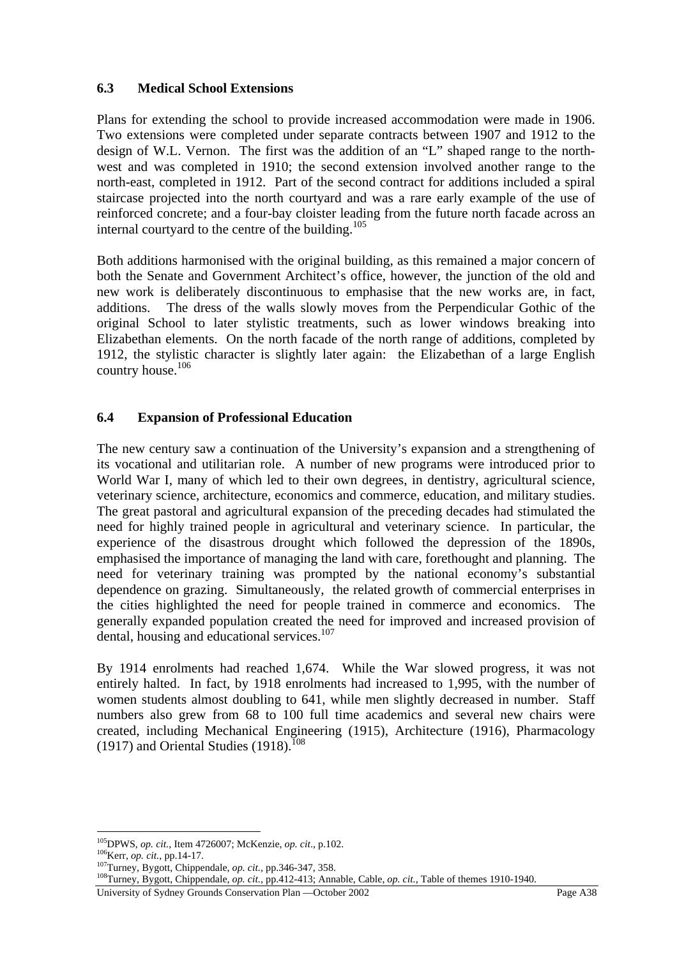# **6.3 Medical School Extensions**

Plans for extending the school to provide increased accommodation were made in 1906. Two extensions were completed under separate contracts between 1907 and 1912 to the design of W.L. Vernon. The first was the addition of an "L" shaped range to the northwest and was completed in 1910; the second extension involved another range to the north-east, completed in 1912. Part of the second contract for additions included a spiral staircase projected into the north courtyard and was a rare early example of the use of reinforced concrete; and a four-bay cloister leading from the future north facade across an internal courtyard to the centre of the building.<sup>105</sup>

Both additions harmonised with the original building, as this remained a major concern of both the Senate and Government Architect's office, however, the junction of the old and new work is deliberately discontinuous to emphasise that the new works are, in fact, additions. The dress of the walls slowly moves from the Perpendicular Gothic of the original School to later stylistic treatments, such as lower windows breaking into Elizabethan elements. On the north facade of the north range of additions, completed by 1912, the stylistic character is slightly later again: the Elizabethan of a large English country house.106

# **6.4 Expansion of Professional Education**

The new century saw a continuation of the University's expansion and a strengthening of its vocational and utilitarian role. A number of new programs were introduced prior to World War I, many of which led to their own degrees, in dentistry, agricultural science, veterinary science, architecture, economics and commerce, education, and military studies. The great pastoral and agricultural expansion of the preceding decades had stimulated the need for highly trained people in agricultural and veterinary science. In particular, the experience of the disastrous drought which followed the depression of the 1890s, emphasised the importance of managing the land with care, forethought and planning. The need for veterinary training was prompted by the national economy's substantial dependence on grazing. Simultaneously, the related growth of commercial enterprises in the cities highlighted the need for people trained in commerce and economics. The generally expanded population created the need for improved and increased provision of dental, housing and educational services.<sup>107</sup>

By 1914 enrolments had reached 1,674. While the War slowed progress, it was not entirely halted. In fact, by 1918 enrolments had increased to 1,995, with the number of women students almost doubling to 641, while men slightly decreased in number. Staff numbers also grew from 68 to 100 full time academics and several new chairs were created, including Mechanical Engineering (1915), Architecture (1916), Pharmacology (1917) and Oriental Studies (1918).<sup>108</sup>

<sup>&</sup>lt;sup>105</sup>DPWS, op. cit., Item 4726007; McKenzie, op. cit., p.102.

<sup>&</sup>lt;sup>106</sup>Kerr, *op. cit.*, pp.14-17.<br><sup>107</sup>Turney, Bygott, Chippendale, *op. cit.*, pp.346-347, 358.<br><sup>107</sup>Turney, Bygott, Chippendale, *op. cit.*, pp.346-347, 358.<br><sup>108</sup>Turney, Bygott, Chippendale, *op. cit.*, pp.412-413; Anna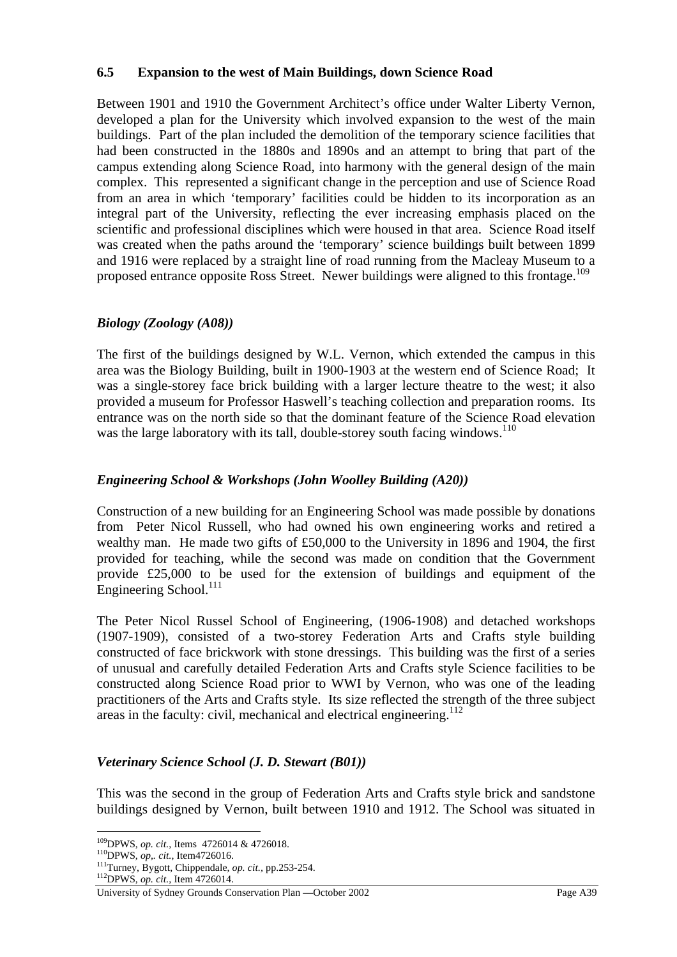### **6.5 Expansion to the west of Main Buildings, down Science Road**

Between 1901 and 1910 the Government Architect's office under Walter Liberty Vernon, developed a plan for the University which involved expansion to the west of the main buildings. Part of the plan included the demolition of the temporary science facilities that had been constructed in the 1880s and 1890s and an attempt to bring that part of the campus extending along Science Road, into harmony with the general design of the main complex. This represented a significant change in the perception and use of Science Road from an area in which 'temporary' facilities could be hidden to its incorporation as an integral part of the University, reflecting the ever increasing emphasis placed on the scientific and professional disciplines which were housed in that area.Science Road itself was created when the paths around the 'temporary' science buildings built between 1899 and 1916 were replaced by a straight line of road running from the Macleay Museum to a proposed entrance opposite Ross Street. Newer buildings were aligned to this frontage.<sup>109</sup>

## *Biology (Zoology (A08))*

The first of the buildings designed by W.L. Vernon, which extended the campus in this area was the Biology Building, built in 1900-1903 at the western end of Science Road; It was a single-storey face brick building with a larger lecture theatre to the west; it also provided a museum for Professor Haswell's teaching collection and preparation rooms. Its entrance was on the north side so that the dominant feature of the Science Road elevation was the large laboratory with its tall, double-storey south facing windows.<sup>110</sup>

# *Engineering School & Workshops (John Woolley Building (A20))*

Construction of a new building for an Engineering School was made possible by donations from Peter Nicol Russell, who had owned his own engineering works and retired a wealthy man. He made two gifts of £50,000 to the University in 1896 and 1904, the first provided for teaching, while the second was made on condition that the Government provide £25,000 to be used for the extension of buildings and equipment of the Engineering School. $^{111}$ 

The Peter Nicol Russel School of Engineering, (1906-1908) and detached workshops (1907-1909), consisted of a two-storey Federation Arts and Crafts style building constructed of face brickwork with stone dressings. This building was the first of a series of unusual and carefully detailed Federation Arts and Crafts style Science facilities to be constructed along Science Road prior to WWI by Vernon, who was one of the leading practitioners of the Arts and Crafts style. Its size reflected the strength of the three subject areas in the faculty: civil, mechanical and electrical engineering.<sup>112</sup>

## *Veterinary Science School (J. D. Stewart (B01))*

This was the second in the group of Federation Arts and Crafts style brick and sandstone buildings designed by Vernon, built between 1910 and 1912. The School was situated in

<sup>&</sup>lt;sup>109</sup>DPWS, op. cit., Items 4726014 & 4726018.

<sup>&</sup>lt;sup>110</sup>DPWS, *op.. cit.*, Item4726016.<br><sup>111</sup>Turney, Bygott, Chippendale, *op. cit.*, pp.253-254.<br><sup>112</sup>DPWS, *op. cit.*, Item 47<u>26014.</u>

University of Sydney Grounds Conservation Plan —October 2002 Page A39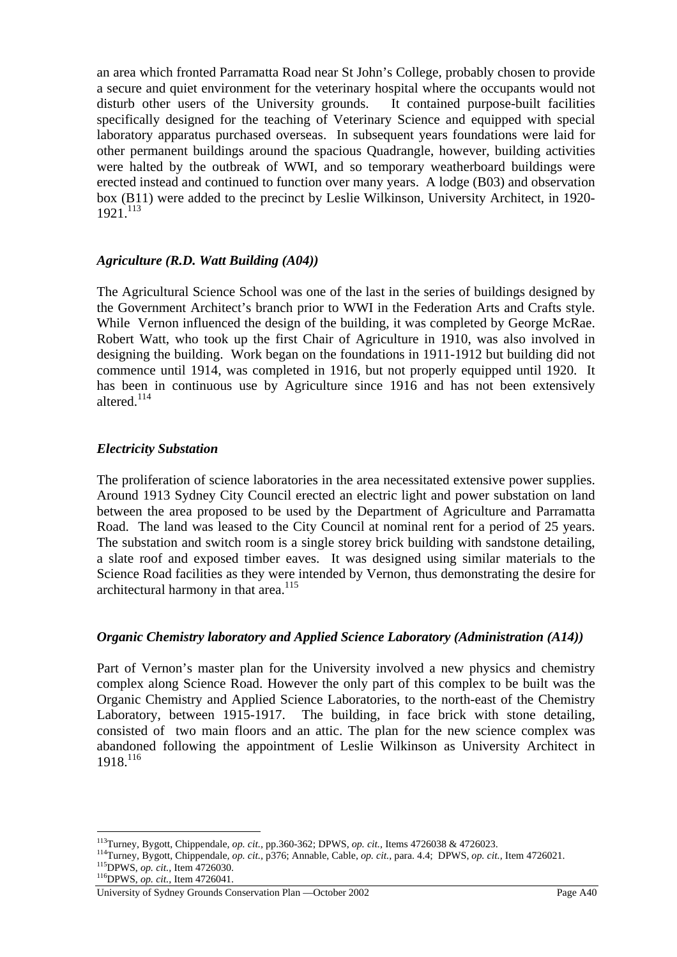an area which fronted Parramatta Road near St John's College, probably chosen to provide a secure and quiet environment for the veterinary hospital where the occupants would not disturb other users of the University grounds. It contained purpose-built facilities specifically designed for the teaching of Veterinary Science and equipped with special laboratory apparatus purchased overseas. In subsequent years foundations were laid for other permanent buildings around the spacious Quadrangle, however, building activities were halted by the outbreak of WWI, and so temporary weatherboard buildings were erected instead and continued to function over many years. A lodge (B03) and observation box (B11) were added to the precinct by Leslie Wilkinson, University Architect, in 1920-  $1921$ <sup>113</sup>

## *Agriculture (R.D. Watt Building (A04))*

The Agricultural Science School was one of the last in the series of buildings designed by the Government Architect's branch prior to WWI in the Federation Arts and Crafts style. While Vernon influenced the design of the building, it was completed by George McRae. Robert Watt, who took up the first Chair of Agriculture in 1910, was also involved in designing the building. Work began on the foundations in 1911-1912 but building did not commence until 1914, was completed in 1916, but not properly equipped until 1920. It has been in continuous use by Agriculture since 1916 and has not been extensively altered.<sup>114</sup>

## *Electricity Substation*

The proliferation of science laboratories in the area necessitated extensive power supplies. Around 1913 Sydney City Council erected an electric light and power substation on land between the area proposed to be used by the Department of Agriculture and Parramatta Road. The land was leased to the City Council at nominal rent for a period of 25 years. The substation and switch room is a single storey brick building with sandstone detailing, a slate roof and exposed timber eaves. It was designed using similar materials to the Science Road facilities as they were intended by Vernon, thus demonstrating the desire for architectural harmony in that area.<sup>115</sup>

## *Organic Chemistry laboratory and Applied Science Laboratory (Administration (A14))*

Part of Vernon's master plan for the University involved a new physics and chemistry complex along Science Road. However the only part of this complex to be built was the Organic Chemistry and Applied Science Laboratories, to the north-east of the Chemistry Laboratory, between 1915-1917. The building, in face brick with stone detailing, consisted of two main floors and an attic. The plan for the new science complex was abandoned following the appointment of Leslie Wilkinson as University Architect in 1918.<sup>116</sup>

 $^{113}$ Turney, Bygott, Chippendale, op. cit., pp.360-362; DPWS, op. cit., Items 4726038 & 4726023.

<sup>&</sup>lt;sup>114</sup>Turney, Bygott, Chippendale, *op. cit.*, p376; Annable, Cable, *op. cit.*, para. 4.4; DPWS, *op. cit.*, Item 4726021.<br><sup>115</sup>DPWS, *op. cit.*, Item 4726030.<br><sup>116</sup>DPWS, *op. cit.*, Item 4726041.

University of Sydney Grounds Conservation Plan —October 2002 Page A40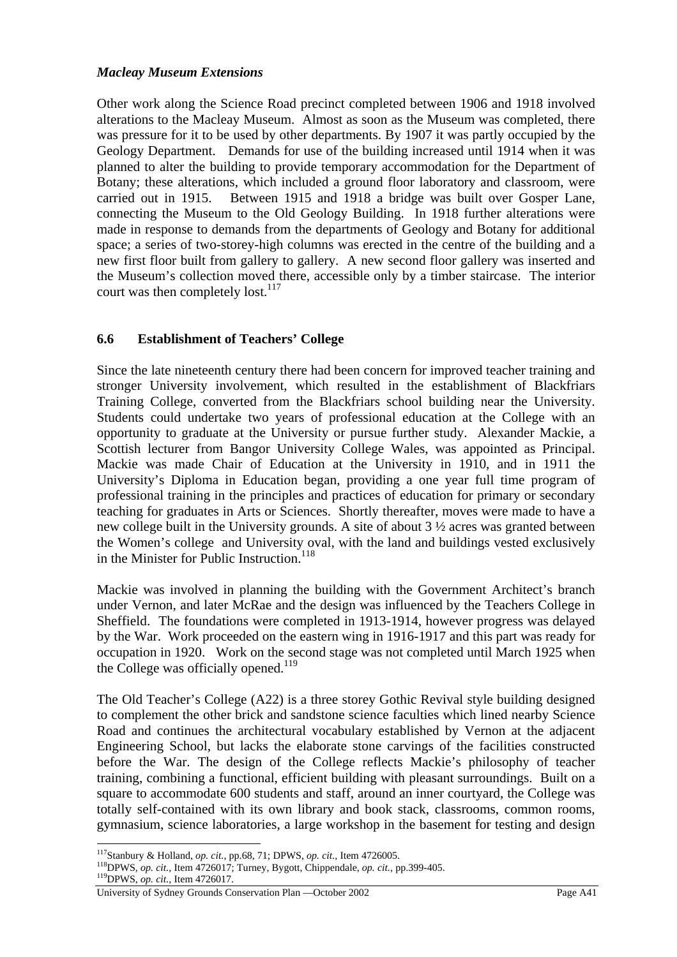## *Macleay Museum Extensions*

Other work along the Science Road precinct completed between 1906 and 1918 involved alterations to the Macleay Museum. Almost as soon as the Museum was completed, there was pressure for it to be used by other departments. By 1907 it was partly occupied by the Geology Department. Demands for use of the building increased until 1914 when it was planned to alter the building to provide temporary accommodation for the Department of Botany; these alterations, which included a ground floor laboratory and classroom, were carried out in 1915. Between 1915 and 1918 a bridge was built over Gosper Lane, connecting the Museum to the Old Geology Building. In 1918 further alterations were made in response to demands from the departments of Geology and Botany for additional space; a series of two-storey-high columns was erected in the centre of the building and a new first floor built from gallery to gallery. A new second floor gallery was inserted and the Museum's collection moved there, accessible only by a timber staircase. The interior court was then completely lost.<sup>117</sup>

## **6.6 Establishment of Teachers' College**

Since the late nineteenth century there had been concern for improved teacher training and stronger University involvement, which resulted in the establishment of Blackfriars Training College, converted from the Blackfriars school building near the University. Students could undertake two years of professional education at the College with an opportunity to graduate at the University or pursue further study. Alexander Mackie, a Scottish lecturer from Bangor University College Wales, was appointed as Principal. Mackie was made Chair of Education at the University in 1910, and in 1911 the University's Diploma in Education began, providing a one year full time program of professional training in the principles and practices of education for primary or secondary teaching for graduates in Arts or Sciences. Shortly thereafter, moves were made to have a new college built in the University grounds. A site of about 3 ½ acres was granted between the Women's college and University oval, with the land and buildings vested exclusively in the Minister for Public Instruction.<sup>118</sup>

Mackie was involved in planning the building with the Government Architect's branch under Vernon, and later McRae and the design was influenced by the Teachers College in Sheffield. The foundations were completed in 1913-1914, however progress was delayed by the War. Work proceeded on the eastern wing in 1916-1917 and this part was ready for occupation in 1920. Work on the second stage was not completed until March 1925 when the College was officially opened.<sup>119</sup>

The Old Teacher's College (A22) is a three storey Gothic Revival style building designed to complement the other brick and sandstone science faculties which lined nearby Science Road and continues the architectural vocabulary established by Vernon at the adjacent Engineering School, but lacks the elaborate stone carvings of the facilities constructed before the War. The design of the College reflects Mackie's philosophy of teacher training, combining a functional, efficient building with pleasant surroundings. Built on a square to accommodate 600 students and staff, around an inner courtyard, the College was totally self-contained with its own library and book stack, classrooms, common rooms, gymnasium, science laboratories, a large workshop in the basement for testing and design

<sup>&</sup>lt;sup>117</sup>Stanbury & Holland, op. cit., pp.68, 71; DPWS, op. cit., Item 4726005.

<sup>&</sup>lt;sup>118</sup>DPWS, *op. cit.*, Item 4726017; Turney, Bygott, Chippendale, *op. cit.*, pp.399-405.<br><sup>119</sup>DPWS, *op. cit.*, Item 4726017.

University of Sydney Grounds Conservation Plan —October 2002 Page A41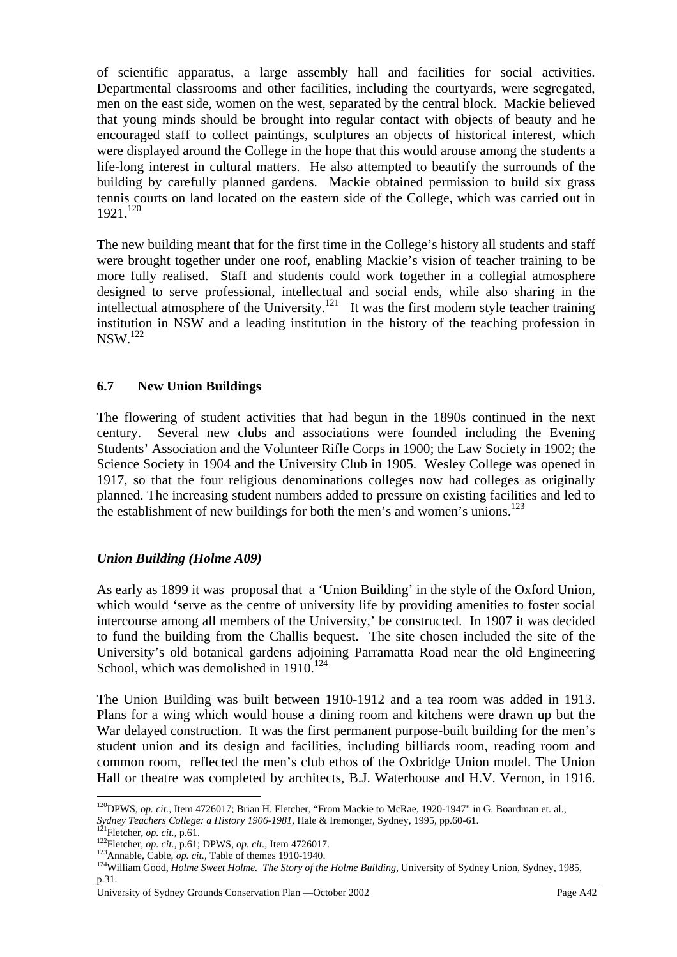of scientific apparatus, a large assembly hall and facilities for social activities. Departmental classrooms and other facilities, including the courtyards, were segregated, men on the east side, women on the west, separated by the central block. Mackie believed that young minds should be brought into regular contact with objects of beauty and he encouraged staff to collect paintings, sculptures an objects of historical interest, which were displayed around the College in the hope that this would arouse among the students a life-long interest in cultural matters. He also attempted to beautify the surrounds of the building by carefully planned gardens. Mackie obtained permission to build six grass tennis courts on land located on the eastern side of the College, which was carried out in  $1921.<sup>120</sup>$ 

The new building meant that for the first time in the College's history all students and staff were brought together under one roof, enabling Mackie's vision of teacher training to be more fully realised. Staff and students could work together in a collegial atmosphere designed to serve professional, intellectual and social ends, while also sharing in the intellectual atmosphere of the University.<sup>121</sup> It was the first modern style teacher training institution in NSW and a leading institution in the history of the teaching profession in  $NSW<sup>122</sup>$ 

## **6.7 New Union Buildings**

The flowering of student activities that had begun in the 1890s continued in the next century. Several new clubs and associations were founded including the Evening Students' Association and the Volunteer Rifle Corps in 1900; the Law Society in 1902; the Science Society in 1904 and the University Club in 1905. Wesley College was opened in 1917, so that the four religious denominations colleges now had colleges as originally planned. The increasing student numbers added to pressure on existing facilities and led to the establishment of new buildings for both the men's and women's unions.<sup>123</sup>

## *Union Building (Holme A09)*

As early as 1899 it was proposal that a 'Union Building' in the style of the Oxford Union, which would 'serve as the centre of university life by providing amenities to foster social intercourse among all members of the University,' be constructed. In 1907 it was decided to fund the building from the Challis bequest. The site chosen included the site of the University's old botanical gardens adjoining Parramatta Road near the old Engineering School, which was demolished in 1910.<sup>124</sup>

The Union Building was built between 1910-1912 and a tea room was added in 1913. Plans for a wing which would house a dining room and kitchens were drawn up but the War delayed construction. It was the first permanent purpose-built building for the men's student union and its design and facilities, including billiards room, reading room and common room, reflected the men's club ethos of the Oxbridge Union model. The Union Hall or theatre was completed by architects, B.J. Waterhouse and H.V. Vernon, in 1916.

 $\overline{a}$ <sup>120</sup>DPWS, *op. cit.*, Item 4726017; Brian H. Fletcher, "From Mackie to McRae, 1920-1947" in G. Boardman et. al.,

Sydney Teachers College: a History 1906-1981, Hale & Iremonger, Sydney, 1995, pp.60-61.<br><sup>121</sup>Fletcher, *op. cit.*, p.61.<br><sup>122</sup>Fletcher, *op. cit.*, p.61; DPWS, *op. cit.*, Item 4726017.<br><sup>123</sup>Annable, Cable, *op. cit.*, Tab p.31.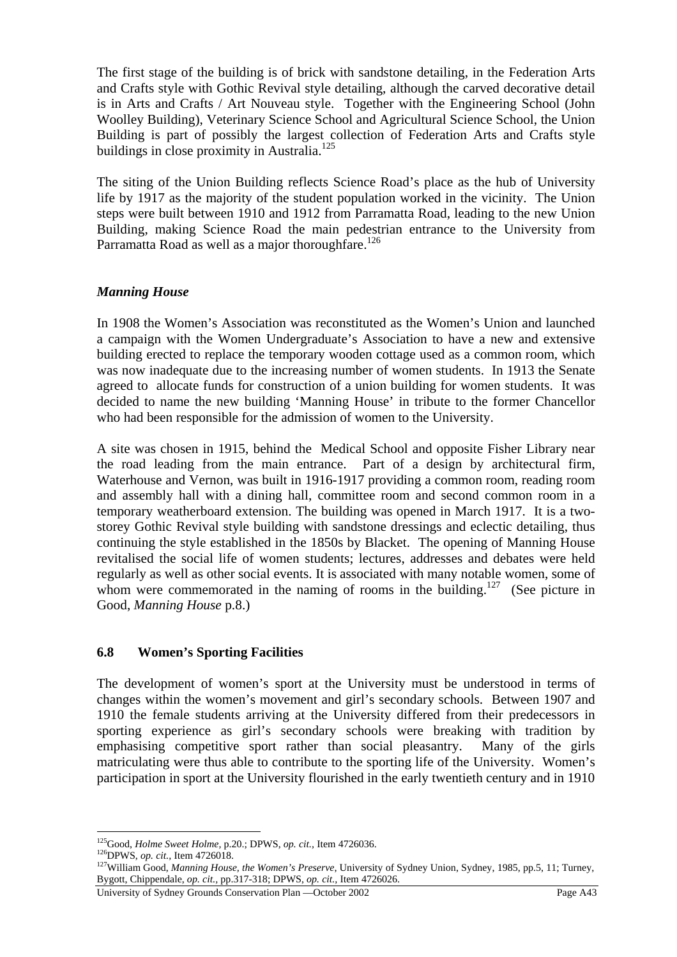The first stage of the building is of brick with sandstone detailing, in the Federation Arts and Crafts style with Gothic Revival style detailing, although the carved decorative detail is in Arts and Crafts / Art Nouveau style. Together with the Engineering School (John Woolley Building), Veterinary Science School and Agricultural Science School, the Union Building is part of possibly the largest collection of Federation Arts and Crafts style buildings in close proximity in Australia.<sup>125</sup>

The siting of the Union Building reflects Science Road's place as the hub of University life by 1917 as the majority of the student population worked in the vicinity. The Union steps were built between 1910 and 1912 from Parramatta Road, leading to the new Union Building, making Science Road the main pedestrian entrance to the University from Parramatta Road as well as a major thoroughfare.<sup>126</sup>

# *Manning House*

In 1908 the Women's Association was reconstituted as the Women's Union and launched a campaign with the Women Undergraduate's Association to have a new and extensive building erected to replace the temporary wooden cottage used as a common room, which was now inadequate due to the increasing number of women students. In 1913 the Senate agreed to allocate funds for construction of a union building for women students. It was decided to name the new building 'Manning House' in tribute to the former Chancellor who had been responsible for the admission of women to the University.

A site was chosen in 1915, behind the Medical School and opposite Fisher Library near the road leading from the main entrance. Part of a design by architectural firm, Waterhouse and Vernon, was built in 1916-1917 providing a common room, reading room and assembly hall with a dining hall, committee room and second common room in a temporary weatherboard extension. The building was opened in March 1917. It is a twostorey Gothic Revival style building with sandstone dressings and eclectic detailing, thus continuing the style established in the 1850s by Blacket. The opening of Manning House revitalised the social life of women students; lectures, addresses and debates were held regularly as well as other social events. It is associated with many notable women, some of whom were commemorated in the naming of rooms in the building.<sup>127</sup> (See picture in Good, *Manning House* p.8.)

# **6.8 Women's Sporting Facilities**

The development of women's sport at the University must be understood in terms of changes within the women's movement and girl's secondary schools. Between 1907 and 1910 the female students arriving at the University differed from their predecessors in sporting experience as girl's secondary schools were breaking with tradition by emphasising competitive sport rather than social pleasantry. Many of the girls matriculating were thus able to contribute to the sporting life of the University. Women's participation in sport at the University flourished in the early twentieth century and in 1910

University of Sydney Grounds Conservation Plan —October 2002 Page A43

<sup>&</sup>lt;sup>125</sup>Good, *Holme Sweet Holme*, p.20.; DPWS, op. cit., Item 4726036.

<sup>&</sup>lt;sup>126</sup>DPWS, *op. cit.*, Item 4726018.<br><sup>126</sup>DPWS, *op. cit.*, Item 4726018.<br><sup>127</sup>William Good, *Manning House, the Women's Preserve*, University of Sydney Union, Sydney, 1985, pp.5, 11; Turney, Bygott, Chippendale, *op. cit.,* pp.317-318; DPWS, *op. cit.,* Item 4726026.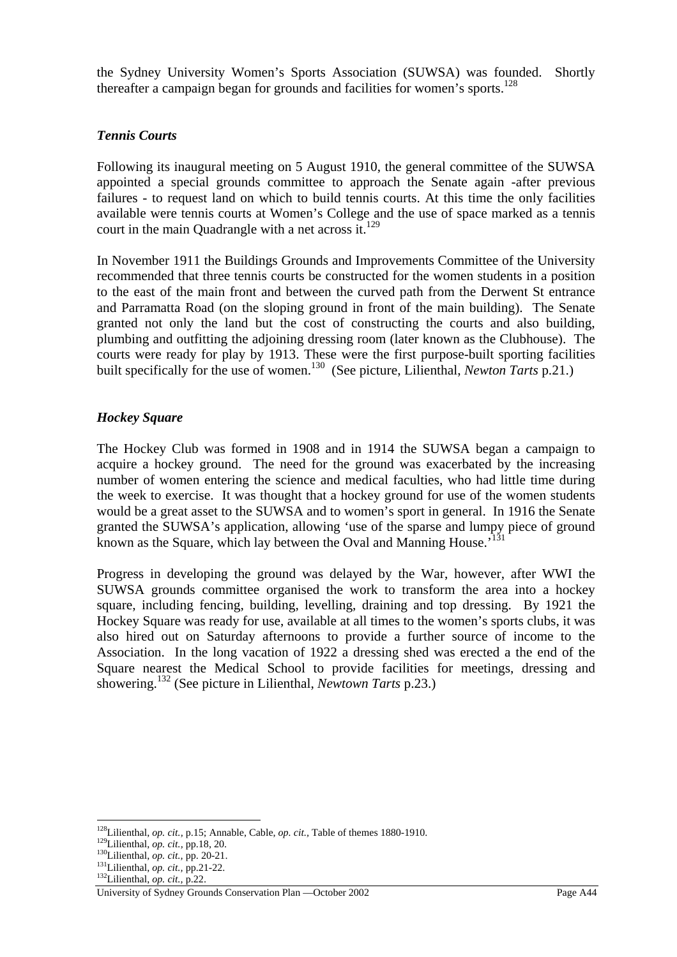the Sydney University Women's Sports Association (SUWSA) was founded. Shortly thereafter a campaign began for grounds and facilities for women's sports.<sup>128</sup>

### *Tennis Courts*

Following its inaugural meeting on 5 August 1910, the general committee of the SUWSA appointed a special grounds committee to approach the Senate again -after previous failures - to request land on which to build tennis courts. At this time the only facilities available were tennis courts at Women's College and the use of space marked as a tennis court in the main Quadrangle with a net across it.<sup>129</sup>

In November 1911 the Buildings Grounds and Improvements Committee of the University recommended that three tennis courts be constructed for the women students in a position to the east of the main front and between the curved path from the Derwent St entrance and Parramatta Road (on the sloping ground in front of the main building). The Senate granted not only the land but the cost of constructing the courts and also building, plumbing and outfitting the adjoining dressing room (later known as the Clubhouse). The courts were ready for play by 1913. These were the first purpose-built sporting facilities built specifically for the use of women.<sup>130</sup> (See picture, Lilienthal, *Newton Tarts* p.21.)

### *Hockey Square*

The Hockey Club was formed in 1908 and in 1914 the SUWSA began a campaign to acquire a hockey ground. The need for the ground was exacerbated by the increasing number of women entering the science and medical faculties, who had little time during the week to exercise. It was thought that a hockey ground for use of the women students would be a great asset to the SUWSA and to women's sport in general. In 1916 the Senate granted the SUWSA's application, allowing 'use of the sparse and lumpy piece of ground known as the Square, which lay between the Oval and Manning House.<sup>131</sup>

Progress in developing the ground was delayed by the War, however, after WWI the SUWSA grounds committee organised the work to transform the area into a hockey square, including fencing, building, levelling, draining and top dressing. By 1921 the Hockey Square was ready for use, available at all times to the women's sports clubs, it was also hired out on Saturday afternoons to provide a further source of income to the Association. In the long vacation of 1922 a dressing shed was erected a the end of the Square nearest the Medical School to provide facilities for meetings, dressing and showering.132 (See picture in Lilienthal, *Newtown Tarts* p.23.)

<sup>&</sup>lt;sup>128</sup>Lilienthal, *op. cit.*, p.15; Annable, Cable, *op. cit.*, Table of themes 1880-1910.<br><sup>129</sup>Lilienthal, *op. cit.*, pp.18, 20.<br><sup>130</sup>Lilienthal, *op. cit.*, pp. 20-21.<br><sup>131</sup>Lilienthal, *op. cit.*, pp.21-22.<br><sup>132</sup>Lilient

University of Sydney Grounds Conservation Plan —October 2002 Page A44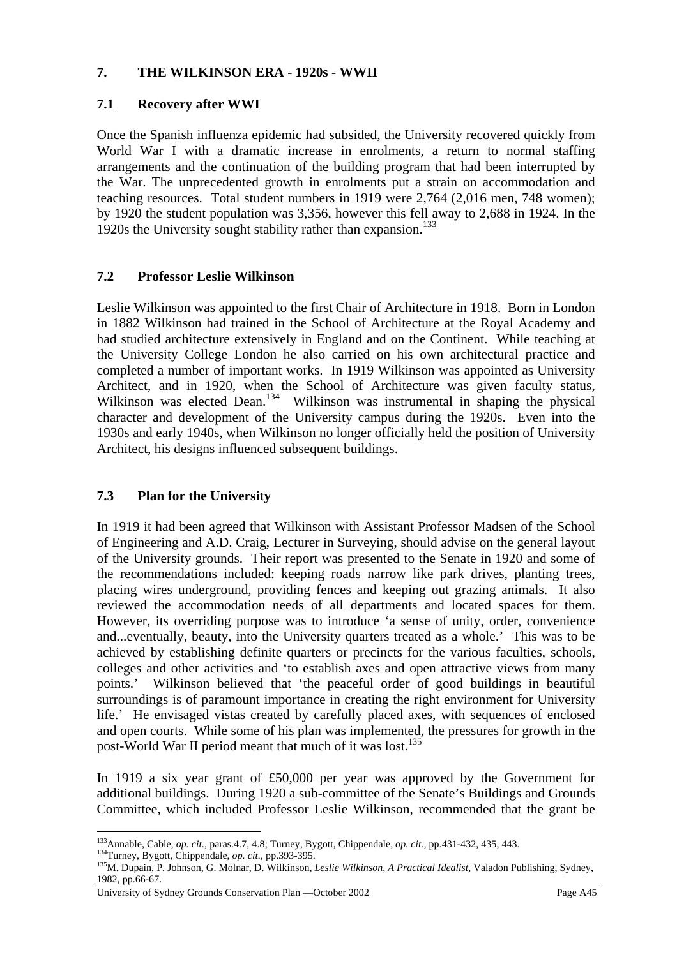### **7. THE WILKINSON ERA - 1920s - WWII**

## **7.1 Recovery after WWI**

Once the Spanish influenza epidemic had subsided, the University recovered quickly from World War I with a dramatic increase in enrolments, a return to normal staffing arrangements and the continuation of the building program that had been interrupted by the War. The unprecedented growth in enrolments put a strain on accommodation and teaching resources. Total student numbers in 1919 were 2,764 (2,016 men, 748 women); by 1920 the student population was 3,356, however this fell away to 2,688 in 1924. In the 1920s the University sought stability rather than expansion.<sup>133</sup>

# **7.2 Professor Leslie Wilkinson**

Leslie Wilkinson was appointed to the first Chair of Architecture in 1918. Born in London in 1882 Wilkinson had trained in the School of Architecture at the Royal Academy and had studied architecture extensively in England and on the Continent. While teaching at the University College London he also carried on his own architectural practice and completed a number of important works. In 1919 Wilkinson was appointed as University Architect, and in 1920, when the School of Architecture was given faculty status, Wilkinson was elected Dean.<sup>134</sup> Wilkinson was instrumental in shaping the physical character and development of the University campus during the 1920s. Even into the 1930s and early 1940s, when Wilkinson no longer officially held the position of University Architect, his designs influenced subsequent buildings.

## **7.3 Plan for the University**

In 1919 it had been agreed that Wilkinson with Assistant Professor Madsen of the School of Engineering and A.D. Craig, Lecturer in Surveying, should advise on the general layout of the University grounds. Their report was presented to the Senate in 1920 and some of the recommendations included: keeping roads narrow like park drives, planting trees, placing wires underground, providing fences and keeping out grazing animals. It also reviewed the accommodation needs of all departments and located spaces for them. However, its overriding purpose was to introduce 'a sense of unity, order, convenience and...eventually, beauty, into the University quarters treated as a whole.' This was to be achieved by establishing definite quarters or precincts for the various faculties, schools, colleges and other activities and 'to establish axes and open attractive views from many points.' Wilkinson believed that 'the peaceful order of good buildings in beautiful surroundings is of paramount importance in creating the right environment for University life.' He envisaged vistas created by carefully placed axes, with sequences of enclosed and open courts. While some of his plan was implemented, the pressures for growth in the post-World War II period meant that much of it was lost.135

In 1919 a six year grant of £50,000 per year was approved by the Government for additional buildings. During 1920 a sub-committee of the Senate's Buildings and Grounds Committee, which included Professor Leslie Wilkinson, recommended that the grant be

 $\overline{a}$ <sup>133</sup> Annable, Cable, *op. cit.*, paras.4.7, 4.8; Turney, Bygott, Chippendale, *op. cit.*, pp.431-432, 435, 443.<br><sup>134</sup> Turney, Bygott, Chippendale, *op. cit.*, pp.393-395.<br><sup>135</sup>M. Dupain, P. Johnson, G. Molnar, D. Wilkinso

<sup>1982,</sup> pp.66-67.

University of Sydney Grounds Conservation Plan —October 2002 Page A45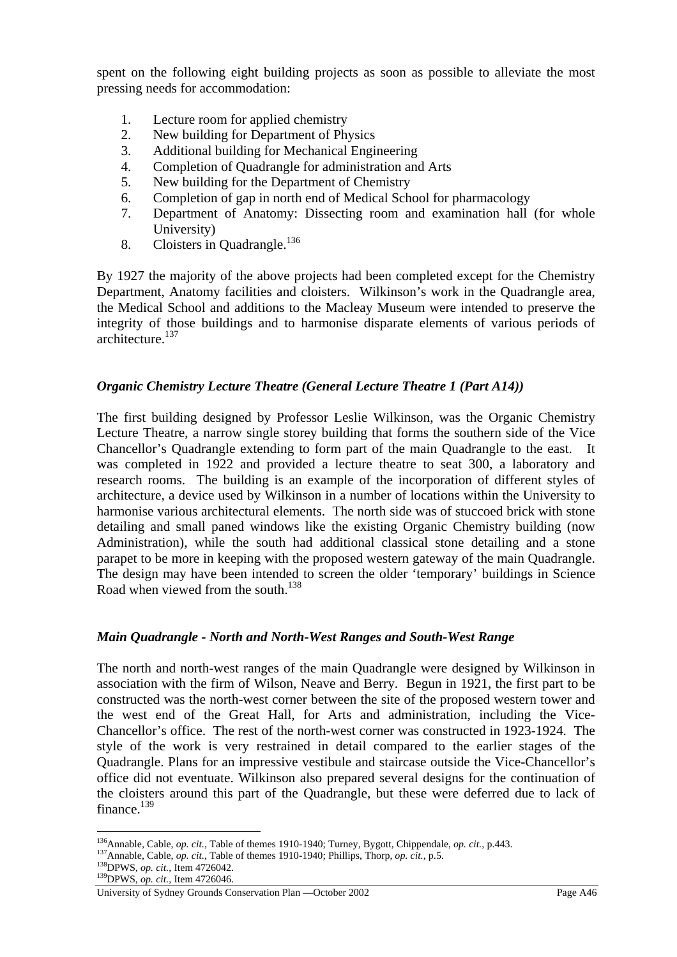spent on the following eight building projects as soon as possible to alleviate the most pressing needs for accommodation:

- 1. Lecture room for applied chemistry
- 2. New building for Department of Physics
- 3. Additional building for Mechanical Engineering
- 4. Completion of Quadrangle for administration and Arts
- 5. New building for the Department of Chemistry
- 6. Completion of gap in north end of Medical School for pharmacology
- 7. Department of Anatomy: Dissecting room and examination hall (for whole University)
- 8. Cloisters in Quadrangle.<sup>136</sup>

By 1927 the majority of the above projects had been completed except for the Chemistry Department, Anatomy facilities and cloisters. Wilkinson's work in the Quadrangle area, the Medical School and additions to the Macleay Museum were intended to preserve the integrity of those buildings and to harmonise disparate elements of various periods of architecture.<sup>137</sup>

## *Organic Chemistry Lecture Theatre (General Lecture Theatre 1 (Part A14))*

The first building designed by Professor Leslie Wilkinson, was the Organic Chemistry Lecture Theatre, a narrow single storey building that forms the southern side of the Vice Chancellor's Quadrangle extending to form part of the main Quadrangle to the east. It was completed in 1922 and provided a lecture theatre to seat 300, a laboratory and research rooms. The building is an example of the incorporation of different styles of architecture, a device used by Wilkinson in a number of locations within the University to harmonise various architectural elements. The north side was of stuccoed brick with stone detailing and small paned windows like the existing Organic Chemistry building (now Administration), while the south had additional classical stone detailing and a stone parapet to be more in keeping with the proposed western gateway of the main Quadrangle. The design may have been intended to screen the older 'temporary' buildings in Science Road when viewed from the south.<sup>138</sup>

## *Main Quadrangle - North and North-West Ranges and South-West Range*

The north and north-west ranges of the main Quadrangle were designed by Wilkinson in association with the firm of Wilson, Neave and Berry. Begun in 1921, the first part to be constructed was the north-west corner between the site of the proposed western tower and the west end of the Great Hall, for Arts and administration, including the Vice-Chancellor's office. The rest of the north-west corner was constructed in 1923-1924. The style of the work is very restrained in detail compared to the earlier stages of the Quadrangle. Plans for an impressive vestibule and staircase outside the Vice-Chancellor's office did not eventuate. Wilkinson also prepared several designs for the continuation of the cloisters around this part of the Quadrangle, but these were deferred due to lack of finance.<sup>139</sup>

<sup>&</sup>lt;sup>136</sup>Annable, Cable, *op. cit.*, Table of themes 1910-1940; Turney, Bygott, Chippendale, *op. cit.*, p.443.<br><sup>137</sup>Annable, Cable, *op. cit.*, Table of themes 1910-1940; Phillips, Thorp, *op. cit.*, p.5.<br><sup>138</sup>DPWS, *op. cit* 

University of Sydney Grounds Conservation Plan —October 2002 Page A46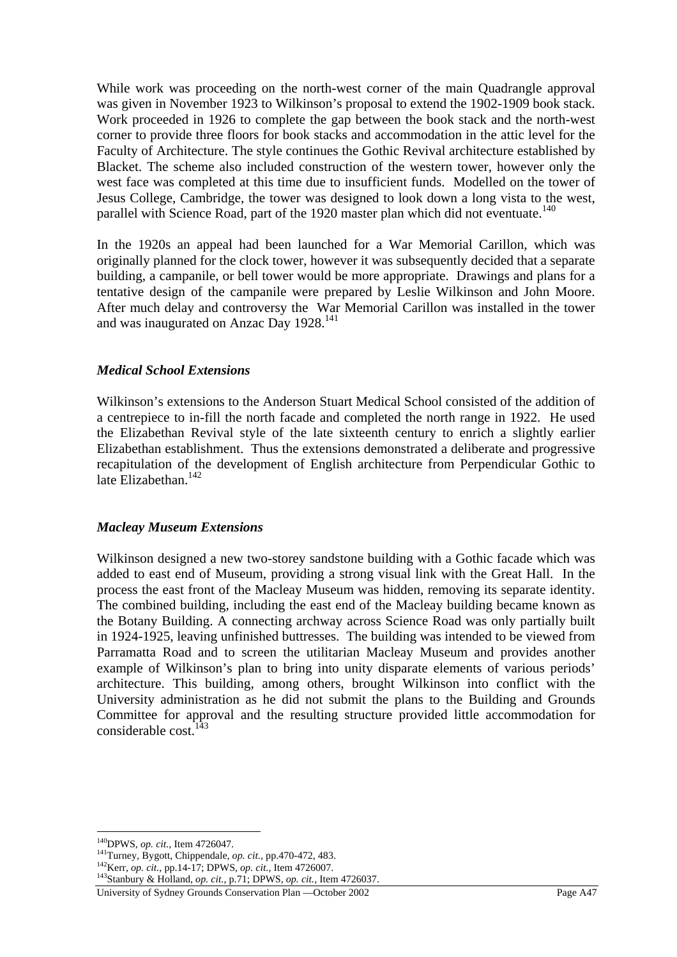While work was proceeding on the north-west corner of the main Quadrangle approval was given in November 1923 to Wilkinson's proposal to extend the 1902-1909 book stack. Work proceeded in 1926 to complete the gap between the book stack and the north-west corner to provide three floors for book stacks and accommodation in the attic level for the Faculty of Architecture. The style continues the Gothic Revival architecture established by Blacket. The scheme also included construction of the western tower, however only the west face was completed at this time due to insufficient funds. Modelled on the tower of Jesus College, Cambridge, the tower was designed to look down a long vista to the west, parallel with Science Road, part of the 1920 master plan which did not eventuate.<sup>140</sup>

In the 1920s an appeal had been launched for a War Memorial Carillon, which was originally planned for the clock tower, however it was subsequently decided that a separate building, a campanile, or bell tower would be more appropriate. Drawings and plans for a tentative design of the campanile were prepared by Leslie Wilkinson and John Moore. After much delay and controversy the War Memorial Carillon was installed in the tower and was inaugurated on Anzac Day 1928.141

### *Medical School Extensions*

Wilkinson's extensions to the Anderson Stuart Medical School consisted of the addition of a centrepiece to in-fill the north facade and completed the north range in 1922. He used the Elizabethan Revival style of the late sixteenth century to enrich a slightly earlier Elizabethan establishment. Thus the extensions demonstrated a deliberate and progressive recapitulation of the development of English architecture from Perpendicular Gothic to late Elizabethan<sup>142</sup>

#### *Macleay Museum Extensions*

Wilkinson designed a new two-storey sandstone building with a Gothic facade which was added to east end of Museum, providing a strong visual link with the Great Hall. In the process the east front of the Macleay Museum was hidden, removing its separate identity. The combined building, including the east end of the Macleay building became known as the Botany Building. A connecting archway across Science Road was only partially built in 1924-1925, leaving unfinished buttresses. The building was intended to be viewed from Parramatta Road and to screen the utilitarian Macleay Museum and provides another example of Wilkinson's plan to bring into unity disparate elements of various periods' architecture. This building, among others, brought Wilkinson into conflict with the University administration as he did not submit the plans to the Building and Grounds Committee for approval and the resulting structure provided little accommodation for considerable cost.  $143$ 

University of Sydney Grounds Conservation Plan —October 2002 Page A47

 $\overline{a}$ 

<sup>&</sup>lt;sup>140</sup>DPWS, *op. cit.*, Item 4726047.<br><sup>141</sup>Turney, Bygott, Chippendale, *op. cit.*, pp.470-472, 483.<br><sup>142</sup>Kerr, *op. cit.*, pp.14-17; DPWS, *op. cit.*, Item 4726007.<br><sup>143</sup>Stanbury & Holland, *op. cit.*, p.71; DPWS, *op. ci*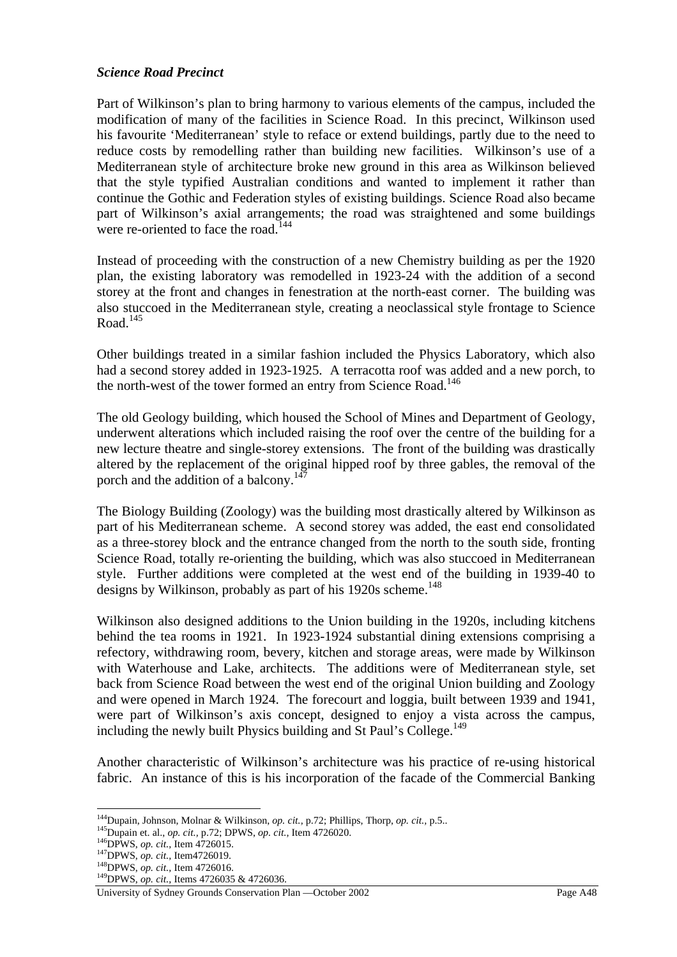### *Science Road Precinct*

Part of Wilkinson's plan to bring harmony to various elements of the campus, included the modification of many of the facilities in Science Road. In this precinct, Wilkinson used his favourite 'Mediterranean' style to reface or extend buildings, partly due to the need to reduce costs by remodelling rather than building new facilities. Wilkinson's use of a Mediterranean style of architecture broke new ground in this area as Wilkinson believed that the style typified Australian conditions and wanted to implement it rather than continue the Gothic and Federation styles of existing buildings. Science Road also became part of Wilkinson's axial arrangements; the road was straightened and some buildings were re-oriented to face the road.<sup>144</sup>

Instead of proceeding with the construction of a new Chemistry building as per the 1920 plan, the existing laboratory was remodelled in 1923-24 with the addition of a second storey at the front and changes in fenestration at the north-east corner. The building was also stuccoed in the Mediterranean style, creating a neoclassical style frontage to Science Road.145

Other buildings treated in a similar fashion included the Physics Laboratory, which also had a second storey added in 1923-1925. A terracotta roof was added and a new porch, to the north-west of the tower formed an entry from Science Road.<sup>146</sup>

The old Geology building, which housed the School of Mines and Department of Geology, underwent alterations which included raising the roof over the centre of the building for a new lecture theatre and single-storey extensions. The front of the building was drastically altered by the replacement of the original hipped roof by three gables, the removal of the porch and the addition of a balcony.<sup>147</sup>

The Biology Building (Zoology) was the building most drastically altered by Wilkinson as part of his Mediterranean scheme. A second storey was added, the east end consolidated as a three-storey block and the entrance changed from the north to the south side, fronting Science Road, totally re-orienting the building, which was also stuccoed in Mediterranean style. Further additions were completed at the west end of the building in 1939-40 to designs by Wilkinson, probably as part of his 1920s scheme.<sup>148</sup>

Wilkinson also designed additions to the Union building in the 1920s, including kitchens behind the tea rooms in 1921. In 1923-1924 substantial dining extensions comprising a refectory, withdrawing room, bevery, kitchen and storage areas, were made by Wilkinson with Waterhouse and Lake, architects. The additions were of Mediterranean style, set back from Science Road between the west end of the original Union building and Zoology and were opened in March 1924. The forecourt and loggia, built between 1939 and 1941, were part of Wilkinson's axis concept, designed to enjoy a vista across the campus, including the newly built Physics building and St Paul's College.<sup>149</sup>

Another characteristic of Wilkinson's architecture was his practice of re-using historical fabric. An instance of this is his incorporation of the facade of the Commercial Banking

<sup>&</sup>lt;sup>144</sup>Dupain, Johnson, Molnar & Wilkinson, *op. cit.*, p.72; Phillips, Thorp, *op. cit.*, p.5..<br><sup>145</sup>Dupain et. al., *op. cit.*, p.72; DPWS, *op. cit.*, Item 4726020.<br><sup>146</sup>DPWS, *op. cit.*, Item 4726015.<br><sup>147</sup>DPWS, *op. ci* 

University of Sydney Grounds Conservation Plan —October 2002 Page A48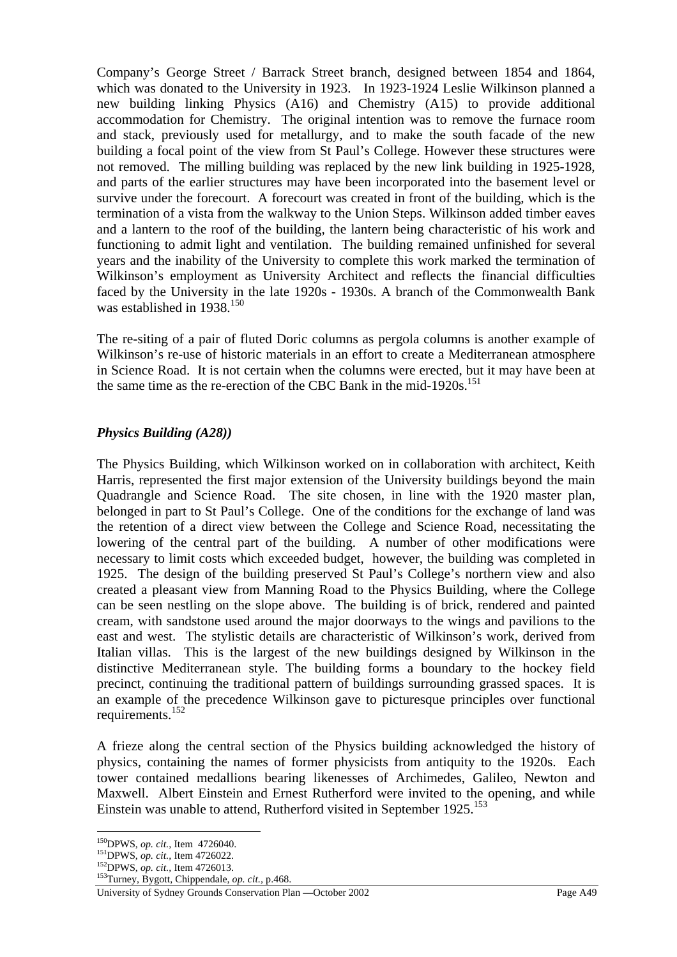Company's George Street / Barrack Street branch, designed between 1854 and 1864, which was donated to the University in 1923. In 1923-1924 Leslie Wilkinson planned a new building linking Physics (A16) and Chemistry (A15) to provide additional accommodation for Chemistry. The original intention was to remove the furnace room and stack, previously used for metallurgy, and to make the south facade of the new building a focal point of the view from St Paul's College. However these structures were not removed. The milling building was replaced by the new link building in 1925-1928, and parts of the earlier structures may have been incorporated into the basement level or survive under the forecourt. A forecourt was created in front of the building, which is the termination of a vista from the walkway to the Union Steps. Wilkinson added timber eaves and a lantern to the roof of the building, the lantern being characteristic of his work and functioning to admit light and ventilation. The building remained unfinished for several years and the inability of the University to complete this work marked the termination of Wilkinson's employment as University Architect and reflects the financial difficulties faced by the University in the late 1920s - 1930s. A branch of the Commonwealth Bank was established in 1938.<sup>150</sup>

The re-siting of a pair of fluted Doric columns as pergola columns is another example of Wilkinson's re-use of historic materials in an effort to create a Mediterranean atmosphere in Science Road. It is not certain when the columns were erected, but it may have been at the same time as the re-erection of the CBC Bank in the mid-1920s.<sup>151</sup>

## *Physics Building (A28))*

The Physics Building, which Wilkinson worked on in collaboration with architect, Keith Harris, represented the first major extension of the University buildings beyond the main Quadrangle and Science Road. The site chosen, in line with the 1920 master plan, belonged in part to St Paul's College. One of the conditions for the exchange of land was the retention of a direct view between the College and Science Road, necessitating the lowering of the central part of the building. A number of other modifications were necessary to limit costs which exceeded budget, however, the building was completed in 1925. The design of the building preserved St Paul's College's northern view and also created a pleasant view from Manning Road to the Physics Building, where the College can be seen nestling on the slope above. The building is of brick, rendered and painted cream, with sandstone used around the major doorways to the wings and pavilions to the east and west. The stylistic details are characteristic of Wilkinson's work, derived from Italian villas. This is the largest of the new buildings designed by Wilkinson in the distinctive Mediterranean style. The building forms a boundary to the hockey field precinct, continuing the traditional pattern of buildings surrounding grassed spaces. It is an example of the precedence Wilkinson gave to picturesque principles over functional requirements.<sup>152</sup>

A frieze along the central section of the Physics building acknowledged the history of physics, containing the names of former physicists from antiquity to the 1920s. Each tower contained medallions bearing likenesses of Archimedes, Galileo, Newton and Maxwell. Albert Einstein and Ernest Rutherford were invited to the opening, and while Einstein was unable to attend, Rutherford visited in September 1925.<sup>153</sup>

 $^{150}$ DPWS, op. cit., Item 4726040.

<sup>&</sup>lt;sup>151</sup>DPWS, *op. cit.*, Item 4726022.<br><sup>152</sup>DPWS, *op. cit.*, Item 4726013.<br><sup>153</sup>Turney, Bygott, Chippendale, *op. cit.*, p.468.

University of Sydney Grounds Conservation Plan —October 2002 Page A49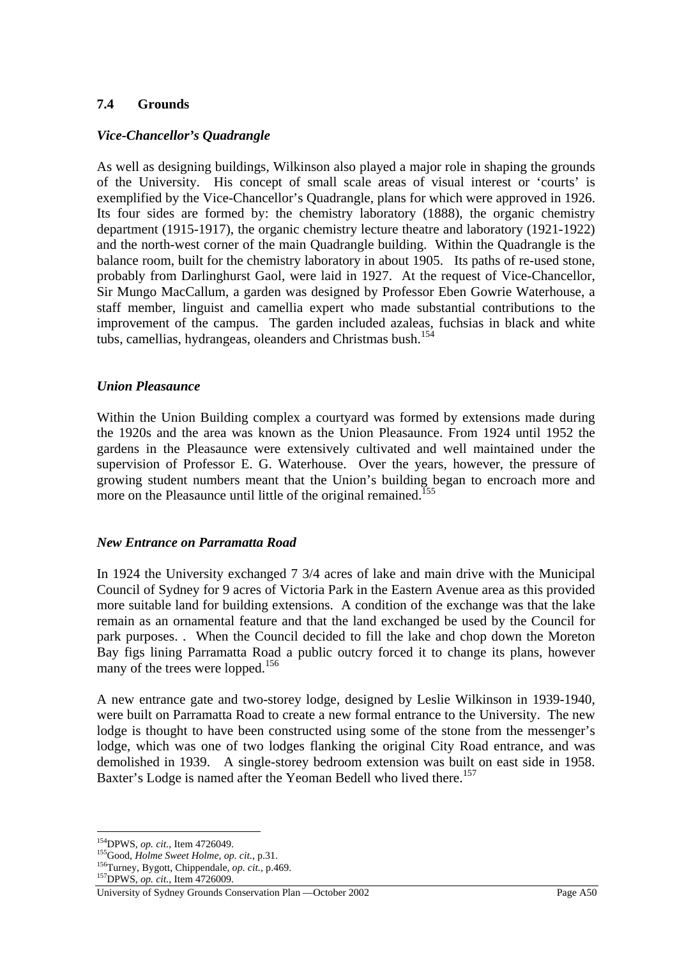# **7.4 Grounds**

### *Vice-Chancellor's Quadrangle*

As well as designing buildings, Wilkinson also played a major role in shaping the grounds of the University. His concept of small scale areas of visual interest or 'courts' is exemplified by the Vice-Chancellor's Quadrangle, plans for which were approved in 1926. Its four sides are formed by: the chemistry laboratory (1888), the organic chemistry department (1915-1917), the organic chemistry lecture theatre and laboratory (1921-1922) and the north-west corner of the main Quadrangle building. Within the Quadrangle is the balance room, built for the chemistry laboratory in about 1905. Its paths of re-used stone, probably from Darlinghurst Gaol, were laid in 1927. At the request of Vice-Chancellor, Sir Mungo MacCallum, a garden was designed by Professor Eben Gowrie Waterhouse, a staff member, linguist and camellia expert who made substantial contributions to the improvement of the campus. The garden included azaleas, fuchsias in black and white tubs, camellias, hydrangeas, oleanders and Christmas bush.<sup>154</sup>

#### *Union Pleasaunce*

Within the Union Building complex a courtyard was formed by extensions made during the 1920s and the area was known as the Union Pleasaunce. From 1924 until 1952 the gardens in the Pleasaunce were extensively cultivated and well maintained under the supervision of Professor E. G. Waterhouse. Over the years, however, the pressure of growing student numbers meant that the Union's building began to encroach more and more on the Pleasaunce until little of the original remained.<sup>155</sup>

#### *New Entrance on Parramatta Road*

In 1924 the University exchanged 7 3/4 acres of lake and main drive with the Municipal Council of Sydney for 9 acres of Victoria Park in the Eastern Avenue area as this provided more suitable land for building extensions. A condition of the exchange was that the lake remain as an ornamental feature and that the land exchanged be used by the Council for park purposes. . When the Council decided to fill the lake and chop down the Moreton Bay figs lining Parramatta Road a public outcry forced it to change its plans, however many of the trees were lopped.<sup>156</sup>

A new entrance gate and two-storey lodge, designed by Leslie Wilkinson in 1939-1940, were built on Parramatta Road to create a new formal entrance to the University. The new lodge is thought to have been constructed using some of the stone from the messenger's lodge, which was one of two lodges flanking the original City Road entrance, and was demolished in 1939. A single-storey bedroom extension was built on east side in 1958. Baxter's Lodge is named after the Yeoman Bedell who lived there.<sup>157</sup>

<sup>&</sup>lt;sup>154</sup>DPWS, op. cit., Item 4726049.

<sup>&</sup>lt;sup>155</sup>Good, *Holme Sweet Holme, op. cit.*, p.31.<br><sup>156</sup>Turney, Bygott, Chippendale, *op. cit.*, p.469.<br><sup>157</sup>DPWS, *op. cit.*, Item 4726009.

University of Sydney Grounds Conservation Plan —October 2002 Page A50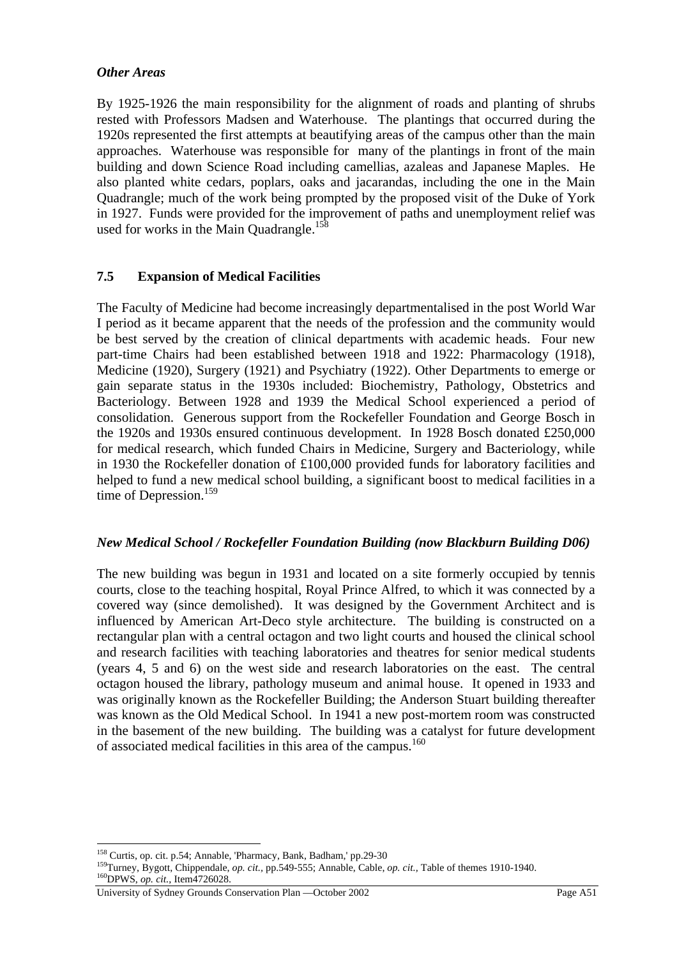### *Other Areas*

By 1925-1926 the main responsibility for the alignment of roads and planting of shrubs rested with Professors Madsen and Waterhouse. The plantings that occurred during the 1920s represented the first attempts at beautifying areas of the campus other than the main approaches. Waterhouse was responsible for many of the plantings in front of the main building and down Science Road including camellias, azaleas and Japanese Maples. He also planted white cedars, poplars, oaks and jacarandas, including the one in the Main Quadrangle; much of the work being prompted by the proposed visit of the Duke of York in 1927. Funds were provided for the improvement of paths and unemployment relief was used for works in the Main Quadrangle.<sup>158</sup>

# **7.5 Expansion of Medical Facilities**

The Faculty of Medicine had become increasingly departmentalised in the post World War I period as it became apparent that the needs of the profession and the community would be best served by the creation of clinical departments with academic heads. Four new part-time Chairs had been established between 1918 and 1922: Pharmacology (1918), Medicine (1920), Surgery (1921) and Psychiatry (1922). Other Departments to emerge or gain separate status in the 1930s included: Biochemistry, Pathology, Obstetrics and Bacteriology. Between 1928 and 1939 the Medical School experienced a period of consolidation. Generous support from the Rockefeller Foundation and George Bosch in the 1920s and 1930s ensured continuous development. In 1928 Bosch donated £250,000 for medical research, which funded Chairs in Medicine, Surgery and Bacteriology, while in 1930 the Rockefeller donation of £100,000 provided funds for laboratory facilities and helped to fund a new medical school building, a significant boost to medical facilities in a time of Depression.<sup>159</sup>

## *New Medical School / Rockefeller Foundation Building (now Blackburn Building D06)*

The new building was begun in 1931 and located on a site formerly occupied by tennis courts, close to the teaching hospital, Royal Prince Alfred, to which it was connected by a covered way (since demolished). It was designed by the Government Architect and is influenced by American Art-Deco style architecture. The building is constructed on a rectangular plan with a central octagon and two light courts and housed the clinical school and research facilities with teaching laboratories and theatres for senior medical students (years 4, 5 and 6) on the west side and research laboratories on the east. The central octagon housed the library, pathology museum and animal house. It opened in 1933 and was originally known as the Rockefeller Building; the Anderson Stuart building thereafter was known as the Old Medical School. In 1941 a new post-mortem room was constructed in the basement of the new building.The building was a catalyst for future development of associated medical facilities in this area of the campus.<sup>160</sup>

<sup>&</sup>lt;sup>158</sup> Curtis, op. cit. p.54; Annable, 'Pharmacy, Bank, Badham,' pp.29-30

<sup>&</sup>lt;sup>159</sup>Turney, Bygott, Chippendale, *op. cit.*, pp.549-555; Annable, Cable, *op. cit.*, Table of themes 1910-1940.<br><sup>160</sup>DPWS, *op. cit.*, Item4726028.

University of Sydney Grounds Conservation Plan —October 2002 Page A51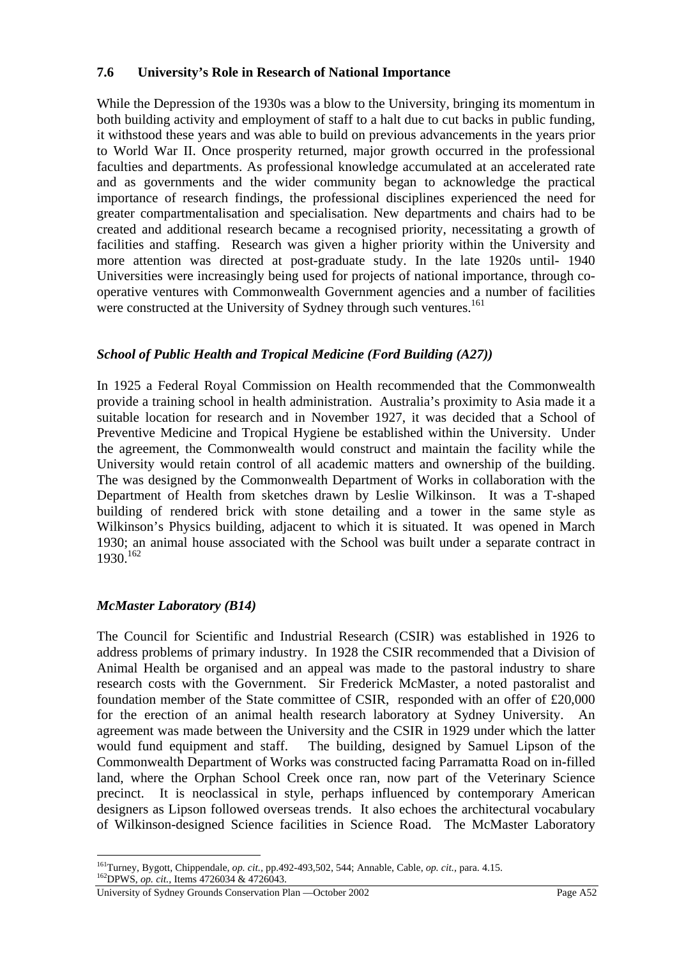## **7.6 University's Role in Research of National Importance**

While the Depression of the 1930s was a blow to the University, bringing its momentum in both building activity and employment of staff to a halt due to cut backs in public funding, it withstood these years and was able to build on previous advancements in the years prior to World War II. Once prosperity returned, major growth occurred in the professional faculties and departments. As professional knowledge accumulated at an accelerated rate and as governments and the wider community began to acknowledge the practical importance of research findings, the professional disciplines experienced the need for greater compartmentalisation and specialisation. New departments and chairs had to be created and additional research became a recognised priority, necessitating a growth of facilities and staffing. Research was given a higher priority within the University and more attention was directed at post-graduate study. In the late 1920s until- 1940 Universities were increasingly being used for projects of national importance, through cooperative ventures with Commonwealth Government agencies and a number of facilities were constructed at the University of Sydney through such ventures.<sup>161</sup>

# *School of Public Health and Tropical Medicine (Ford Building (A27))*

In 1925 a Federal Royal Commission on Health recommended that the Commonwealth provide a training school in health administration. Australia's proximity to Asia made it a suitable location for research and in November 1927, it was decided that a School of Preventive Medicine and Tropical Hygiene be established within the University. Under the agreement, the Commonwealth would construct and maintain the facility while the University would retain control of all academic matters and ownership of the building. The was designed by the Commonwealth Department of Works in collaboration with the Department of Health from sketches drawn by Leslie Wilkinson. It was a T-shaped building of rendered brick with stone detailing and a tower in the same style as Wilkinson's Physics building, adjacent to which it is situated. It was opened in March 1930; an animal house associated with the School was built under a separate contract in 1930.162

## *McMaster Laboratory (B14)*

 $\overline{a}$ 

The Council for Scientific and Industrial Research (CSIR) was established in 1926 to address problems of primary industry. In 1928 the CSIR recommended that a Division of Animal Health be organised and an appeal was made to the pastoral industry to share research costs with the Government. Sir Frederick McMaster, a noted pastoralist and foundation member of the State committee of CSIR, responded with an offer of £20,000 for the erection of an animal health research laboratory at Sydney University. An agreement was made between the University and the CSIR in 1929 under which the latter would fund equipment and staff. The building, designed by Samuel Lipson of the Commonwealth Department of Works was constructed facing Parramatta Road on in-filled land, where the Orphan School Creek once ran, now part of the Veterinary Science precinct. It is neoclassical in style, perhaps influenced by contemporary American designers as Lipson followed overseas trends. It also echoes the architectural vocabulary of Wilkinson-designed Science facilities in Science Road. The McMaster Laboratory

<sup>161</sup>Turney, Bygott, Chippendale, *op. cit.,* pp.492-493,502, 544; Annable, Cable, *op. cit.,* para. 4.15. 162DPWS, *op. cit.,* Items 4726034 & 4726043.

University of Sydney Grounds Conservation Plan —October 2002 Page A52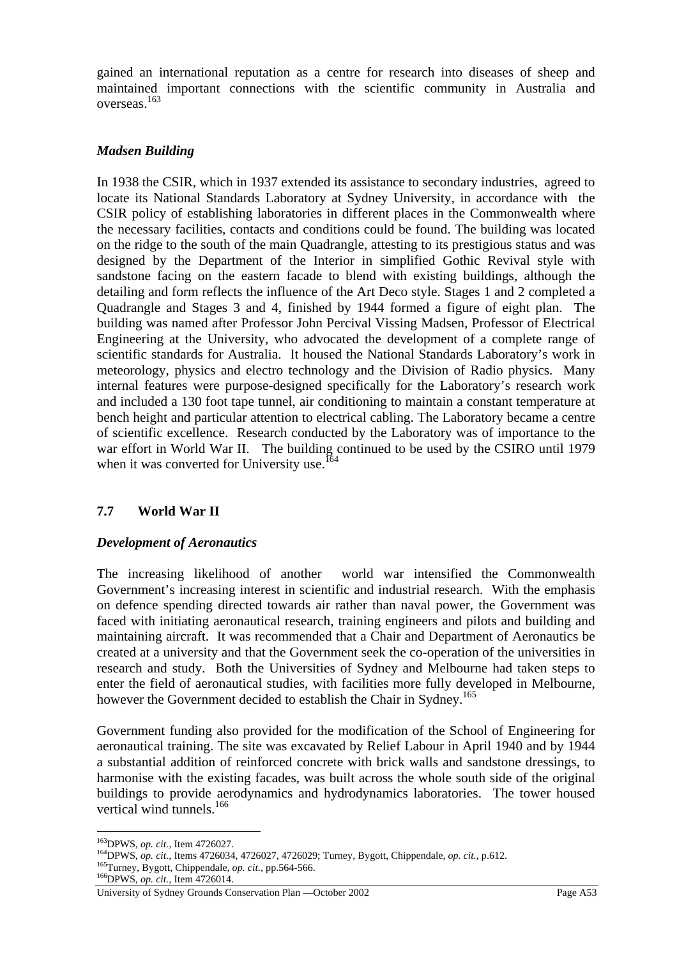gained an international reputation as a centre for research into diseases of sheep and maintained important connections with the scientific community in Australia and overseas.163

## *Madsen Building*

In 1938 the CSIR, which in 1937 extended its assistance to secondary industries, agreed to locate its National Standards Laboratory at Sydney University, in accordance with the CSIR policy of establishing laboratories in different places in the Commonwealth where the necessary facilities, contacts and conditions could be found. The building was located on the ridge to the south of the main Quadrangle, attesting to its prestigious status and was designed by the Department of the Interior in simplified Gothic Revival style with sandstone facing on the eastern facade to blend with existing buildings, although the detailing and form reflects the influence of the Art Deco style. Stages 1 and 2 completed a Quadrangle and Stages 3 and 4, finished by 1944 formed a figure of eight plan. The building was named after Professor John Percival Vissing Madsen, Professor of Electrical Engineering at the University, who advocated the development of a complete range of scientific standards for Australia. It housed the National Standards Laboratory's work in meteorology, physics and electro technology and the Division of Radio physics. Many internal features were purpose-designed specifically for the Laboratory's research work and included a 130 foot tape tunnel, air conditioning to maintain a constant temperature at bench height and particular attention to electrical cabling. The Laboratory became a centre of scientific excellence. Research conducted by the Laboratory was of importance to the war effort in World War II. The building continued to be used by the CSIRO until 1979 when it was converted for University use.<sup>164</sup>

# **7.7 World War II**

## *Development of Aeronautics*

The increasing likelihood of another world war intensified the Commonwealth Government's increasing interest in scientific and industrial research. With the emphasis on defence spending directed towards air rather than naval power, the Government was faced with initiating aeronautical research, training engineers and pilots and building and maintaining aircraft. It was recommended that a Chair and Department of Aeronautics be created at a university and that the Government seek the co-operation of the universities in research and study. Both the Universities of Sydney and Melbourne had taken steps to enter the field of aeronautical studies, with facilities more fully developed in Melbourne, however the Government decided to establish the Chair in Sydney.<sup>165</sup>

Government funding also provided for the modification of the School of Engineering for aeronautical training. The site was excavated by Relief Labour in April 1940 and by 1944 a substantial addition of reinforced concrete with brick walls and sandstone dressings, to harmonise with the existing facades, was built across the whole south side of the original buildings to provide aerodynamics and hydrodynamics laboratories. The tower housed vertical wind tunnels.166

<sup>&</sup>lt;sup>163</sup>DPWS, op. cit., Item 4726027.

<sup>&</sup>lt;sup>164</sup>DPWS, *op. cit.*, Items 4726034, 4726027, 4726029; Turney, Bygott, Chippendale, *op. cit.*, p.612.<br><sup>165</sup>Turney, Bygott, Chippendale, *op. cit.*, pp.564-566.<br><sup>166</sup>DPWS, *op. cit.*, Item 4726014.

University of Sydney Grounds Conservation Plan —October 2002 Page A53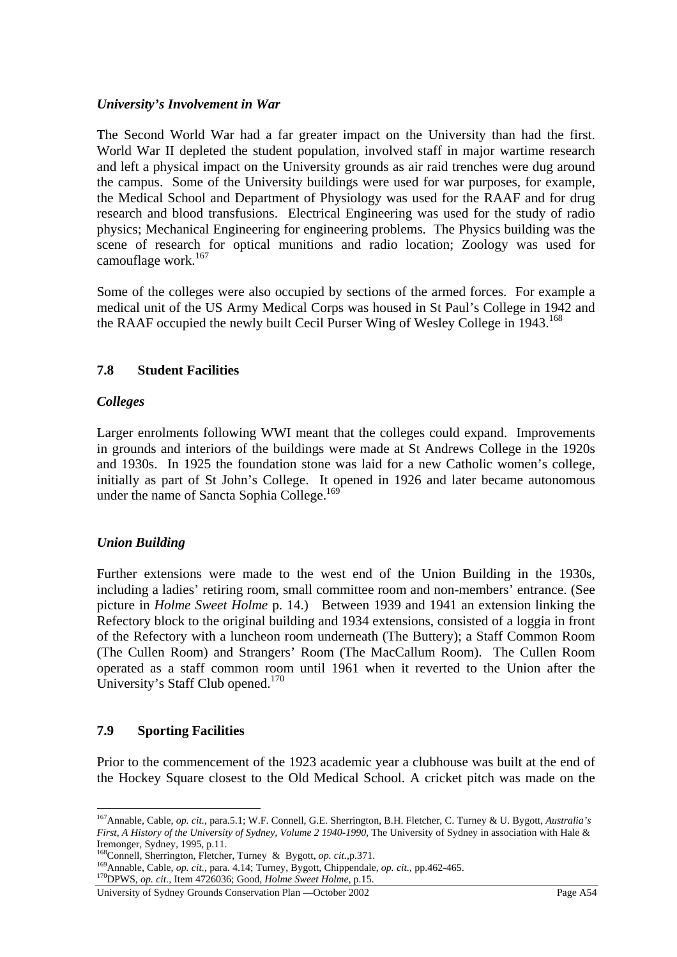### *University's Involvement in War*

The Second World War had a far greater impact on the University than had the first. World War II depleted the student population, involved staff in major wartime research and left a physical impact on the University grounds as air raid trenches were dug around the campus. Some of the University buildings were used for war purposes, for example, the Medical School and Department of Physiology was used for the RAAF and for drug research and blood transfusions. Electrical Engineering was used for the study of radio physics; Mechanical Engineering for engineering problems. The Physics building was the scene of research for optical munitions and radio location; Zoology was used for camouflage work.<sup>167</sup>

Some of the colleges were also occupied by sections of the armed forces. For example a medical unit of the US Army Medical Corps was housed in St Paul's College in 1942 and the RAAF occupied the newly built Cecil Purser Wing of Wesley College in 1943.<sup>168</sup>

## **7.8 Student Facilities**

### *Colleges*

Larger enrolments following WWI meant that the colleges could expand. Improvements in grounds and interiors of the buildings were made at St Andrews College in the 1920s and 1930s. In 1925 the foundation stone was laid for a new Catholic women's college, initially as part of St John's College. It opened in 1926 and later became autonomous under the name of Sancta Sophia College.<sup>169</sup>

## *Union Building*

Further extensions were made to the west end of the Union Building in the 1930s, including a ladies' retiring room, small committee room and non-members' entrance. (See picture in *Holme Sweet Holme* p. 14.)Between 1939 and 1941 an extension linking the Refectory block to the original building and 1934 extensions, consisted of a loggia in front of the Refectory with a luncheon room underneath (The Buttery); a Staff Common Room (The Cullen Room) and Strangers' Room (The MacCallum Room). The Cullen Room operated as a staff common room until 1961 when it reverted to the Union after the University's Staff Club opened.<sup>170</sup>

#### **7.9 Sporting Facilities**

 $\overline{a}$ 

Prior to the commencement of the 1923 academic year a clubhouse was built at the end of the Hockey Square closest to the Old Medical School. A cricket pitch was made on the

<sup>167</sup>Annable, Cable, *op. cit.,* para.5.1; W.F. Connell, G.E. Sherrington, B.H. Fletcher, C. Turney & U. Bygott, *Australia's First, A History of the University of Sydney, Volume 2 1940-1990*, The University of Sydney in association with Hale & Iremonger, Sydney, 1995, p.11.<br><sup>168</sup>Connell. Sherrington. Fletcher. Turney & Bygott. *op. cit.* p.371.

<sup>&</sup>lt;sup>169</sup> Annable, Cable, *op. cit.*, para. 4.14; Turney, Bygott, Chippendale, *op. cit.*, pp.462-465.<br><sup>170</sup>DPWS, *op. cit.*, Item 4726036; Good, *Holme Sweet Holme*, p.15.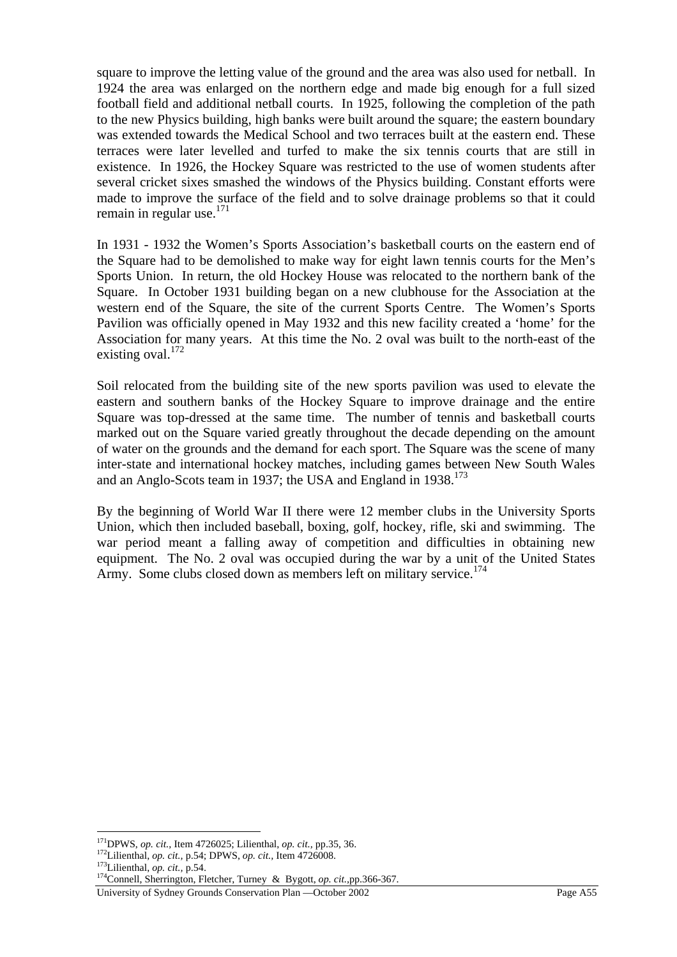square to improve the letting value of the ground and the area was also used for netball. In 1924 the area was enlarged on the northern edge and made big enough for a full sized football field and additional netball courts. In 1925, following the completion of the path to the new Physics building, high banks were built around the square; the eastern boundary was extended towards the Medical School and two terraces built at the eastern end. These terraces were later levelled and turfed to make the six tennis courts that are still in existence. In 1926, the Hockey Square was restricted to the use of women students after several cricket sixes smashed the windows of the Physics building. Constant efforts were made to improve the surface of the field and to solve drainage problems so that it could remain in regular use.<sup>171</sup>

In 1931 - 1932 the Women's Sports Association's basketball courts on the eastern end of the Square had to be demolished to make way for eight lawn tennis courts for the Men's Sports Union. In return, the old Hockey House was relocated to the northern bank of the Square. In October 1931 building began on a new clubhouse for the Association at the western end of the Square, the site of the current Sports Centre. The Women's Sports Pavilion was officially opened in May 1932 and this new facility created a 'home' for the Association for many years. At this time the No. 2 oval was built to the north-east of the existing oval. $172$ 

Soil relocated from the building site of the new sports pavilion was used to elevate the eastern and southern banks of the Hockey Square to improve drainage and the entire Square was top-dressed at the same time. The number of tennis and basketball courts marked out on the Square varied greatly throughout the decade depending on the amount of water on the grounds and the demand for each sport. The Square was the scene of many inter-state and international hockey matches, including games between New South Wales and an Anglo-Scots team in 1937; the USA and England in 1938.<sup>173</sup>

By the beginning of World War II there were 12 member clubs in the University Sports Union, which then included baseball, boxing, golf, hockey, rifle, ski and swimming. The war period meant a falling away of competition and difficulties in obtaining new equipment. The No. 2 oval was occupied during the war by a unit of the United States Army. Some clubs closed down as members left on military service.<sup>174</sup>

 $^{171}$ DPWS, op. cit., Item 4726025; Lilienthal, op. cit., pp.35, 36.

<sup>&</sup>lt;sup>172</sup>Lilienthal, *op. cit.*, p.54; DPWS, *op. cit.*, Item 4726008.<br><sup>173</sup>Lilienthal, *op. cit.*, p.54.<br><sup>174</sup>Connell, Sherrington, Fletcher, Tu<u>rney & Bygott, *op. cit.*, pp.366-367.</u>

University of Sydney Grounds Conservation Plan —October 2002 Page A55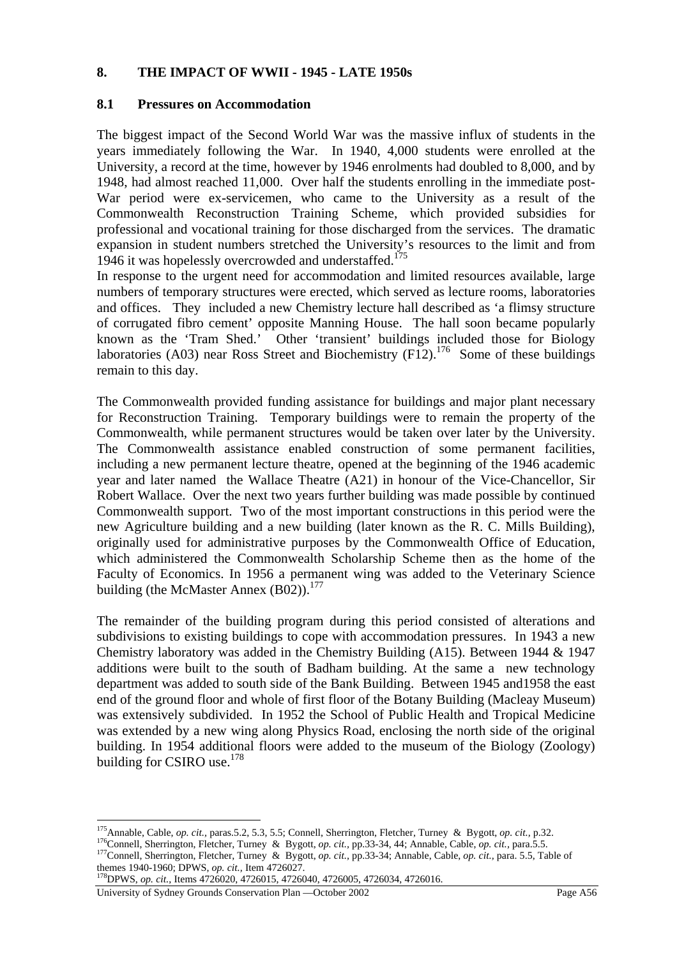### **8. THE IMPACT OF WWII - 1945 - LATE 1950s**

### **8.1 Pressures on Accommodation**

The biggest impact of the Second World War was the massive influx of students in the years immediately following the War. In 1940, 4,000 students were enrolled at the University, a record at the time, however by 1946 enrolments had doubled to 8,000, and by 1948, had almost reached 11,000. Over half the students enrolling in the immediate post-War period were ex-servicemen, who came to the University as a result of the Commonwealth Reconstruction Training Scheme, which provided subsidies for professional and vocational training for those discharged from the services. The dramatic expansion in student numbers stretched the University's resources to the limit and from 1946 it was hopelessly overcrowded and understaffed.<sup>175</sup>

In response to the urgent need for accommodation and limited resources available, large numbers of temporary structures were erected, which served as lecture rooms, laboratories and offices. They included a new Chemistry lecture hall described as 'a flimsy structure of corrugated fibro cement' opposite Manning House. The hall soon became popularly known as the 'Tram Shed.' Other 'transient' buildings included those for Biology laboratories (A03) near Ross Street and Biochemistry (F12).<sup>176</sup> Some of these buildings remain to this day.

The Commonwealth provided funding assistance for buildings and major plant necessary for Reconstruction Training. Temporary buildings were to remain the property of the Commonwealth, while permanent structures would be taken over later by the University. The Commonwealth assistance enabled construction of some permanent facilities, including a new permanent lecture theatre, opened at the beginning of the 1946 academic year and later named the Wallace Theatre (A21) in honour of the Vice-Chancellor, Sir Robert Wallace. Over the next two years further building was made possible by continued Commonwealth support. Two of the most important constructions in this period were the new Agriculture building and a new building (later known as the R. C. Mills Building), originally used for administrative purposes by the Commonwealth Office of Education, which administered the Commonwealth Scholarship Scheme then as the home of the Faculty of Economics. In 1956 a permanent wing was added to the Veterinary Science building (the McMaster Annex  $(B02)$ ).<sup>177</sup>

The remainder of the building program during this period consisted of alterations and subdivisions to existing buildings to cope with accommodation pressures. In 1943 a new Chemistry laboratory was added in the Chemistry Building (A15). Between 1944 & 1947 additions were built to the south of Badham building. At the same a new technology department was added to south side of the Bank Building. Between 1945 and1958 the east end of the ground floor and whole of first floor of the Botany Building (Macleay Museum) was extensively subdivided. In 1952 the School of Public Health and Tropical Medicine was extended by a new wing along Physics Road, enclosing the north side of the original building. In 1954 additional floors were added to the museum of the Biology (Zoology) building for CSIRO use. $178$ 

<sup>&</sup>lt;sup>175</sup> Annable, Cable, op. cit., paras.5.2, 5.3, 5.5; Connell, Sherrington, Fletcher, Turney & Bygott, op. cit., p.32.

<sup>176&</sup>lt;br>Connell, Sherrington, Fletcher, Turney & Bygott, op. cit., pp.33-34, 44; Annable, Cable, op. cit., para.5.5.<br><sup>177</sup>Connell, Sherrington, Fletcher, Turney & Bygott, op. cit., pp.33-34; Annable, Cable, op. cit., para. 5.5

themes 1940-1960; DPWS, *op. cit.*, Item 4726027.<br><sup>178</sup>DPWS, *op. cit.*, Items 4726020, 4726015, 4726040, 4726005, 4726034, 4726016.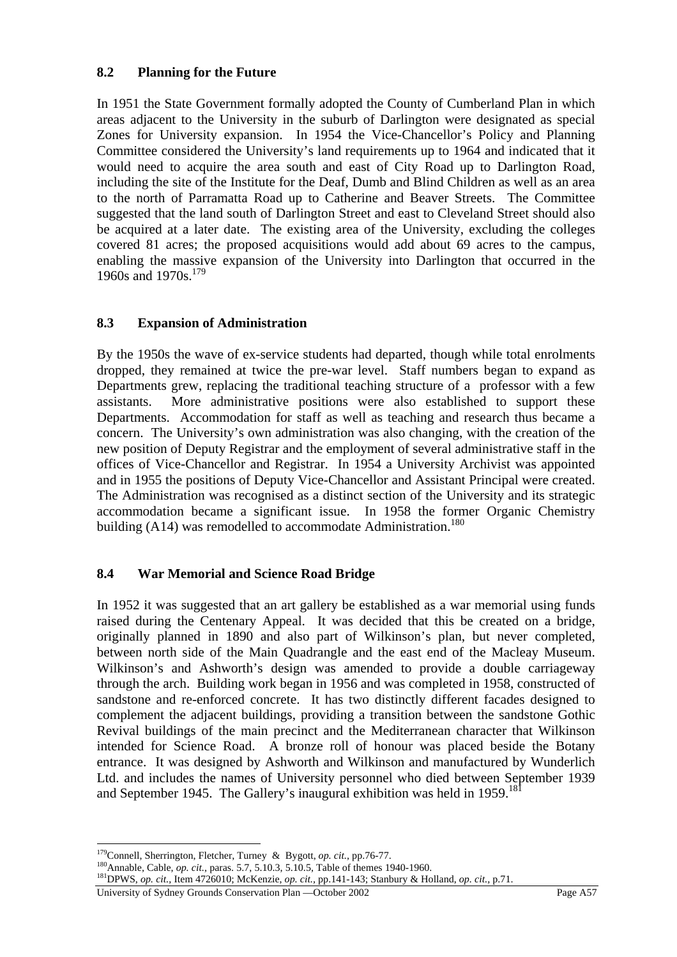## **8.2 Planning for the Future**

In 1951 the State Government formally adopted the County of Cumberland Plan in which areas adjacent to the University in the suburb of Darlington were designated as special Zones for University expansion. In 1954 the Vice-Chancellor's Policy and Planning Committee considered the University's land requirements up to 1964 and indicated that it would need to acquire the area south and east of City Road up to Darlington Road, including the site of the Institute for the Deaf, Dumb and Blind Children as well as an area to the north of Parramatta Road up to Catherine and Beaver Streets. The Committee suggested that the land south of Darlington Street and east to Cleveland Street should also be acquired at a later date. The existing area of the University, excluding the colleges covered 81 acres; the proposed acquisitions would add about 69 acres to the campus, enabling the massive expansion of the University into Darlington that occurred in the 1960s and 1970s.<sup>179</sup>

# **8.3 Expansion of Administration**

By the 1950s the wave of ex-service students had departed, though while total enrolments dropped, they remained at twice the pre-war level. Staff numbers began to expand as Departments grew, replacing the traditional teaching structure of a professor with a few assistants. More administrative positions were also established to support these Departments. Accommodation for staff as well as teaching and research thus became a concern. The University's own administration was also changing, with the creation of the new position of Deputy Registrar and the employment of several administrative staff in the offices of Vice-Chancellor and Registrar. In 1954 a University Archivist was appointed and in 1955 the positions of Deputy Vice-Chancellor and Assistant Principal were created. The Administration was recognised as a distinct section of the University and its strategic accommodation became a significant issue. In 1958 the former Organic Chemistry building (A14) was remodelled to accommodate Administration.<sup>180</sup>

## **8.4 War Memorial and Science Road Bridge**

In 1952 it was suggested that an art gallery be established as a war memorial using funds raised during the Centenary Appeal. It was decided that this be created on a bridge, originally planned in 1890 and also part of Wilkinson's plan, but never completed, between north side of the Main Quadrangle and the east end of the Macleay Museum. Wilkinson's and Ashworth's design was amended to provide a double carriageway through the arch. Building work began in 1956 and was completed in 1958, constructed of sandstone and re-enforced concrete. It has two distinctly different facades designed to complement the adjacent buildings, providing a transition between the sandstone Gothic Revival buildings of the main precinct and the Mediterranean character that Wilkinson intended for Science Road. A bronze roll of honour was placed beside the Botany entrance. It was designed by Ashworth and Wilkinson and manufactured by Wunderlich Ltd. and includes the names of University personnel who died between September 1939 and September 1945. The Gallery's inaugural exhibition was held in 1959.<sup>181</sup>

University of Sydney Grounds Conservation Plan —October 2002 Page A57

<sup>&</sup>lt;sup>179</sup>Connell, Sherrington, Fletcher, Turney & Bygott, *op. cit.*, pp.76-77.

<sup>180&</sup>lt;br>Annable, Cable, *op. cit.*, paras. 5.7, 5.10.3, 5.10.5, Table of themes 1940-1960.<br><sup>181</sup>DPWS, *op. cit.*, Item 47260<u>10; McKenzie, *op. cit.*, pp.141-143; Stanbury & Holland, *op. cit.*, p.71.</u>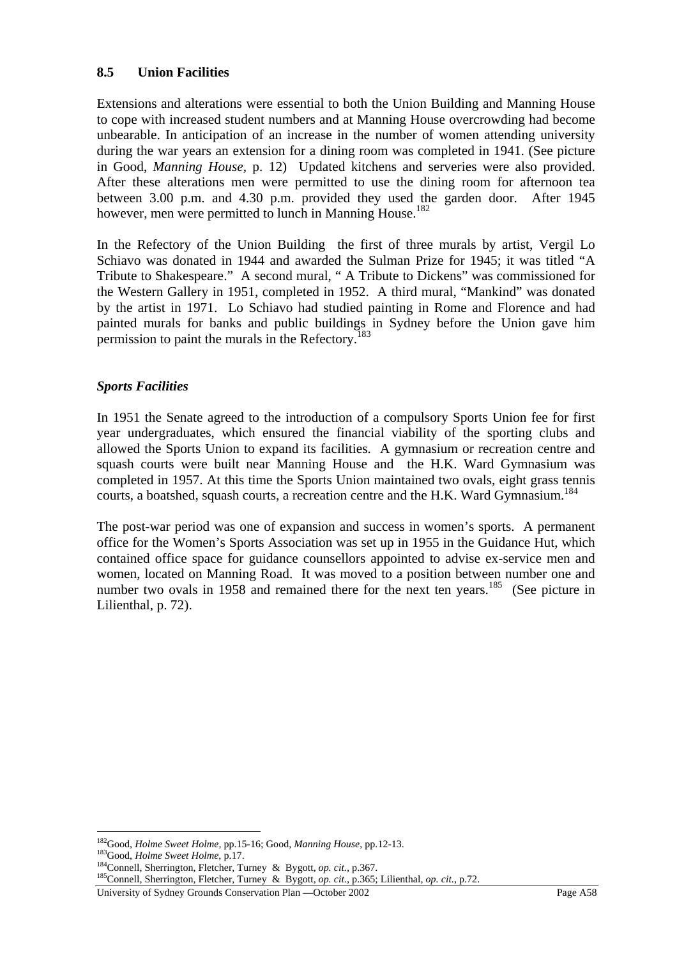### **8.5 Union Facilities**

Extensions and alterations were essential to both the Union Building and Manning House to cope with increased student numbers and at Manning House overcrowding had become unbearable. In anticipation of an increase in the number of women attending university during the war years an extension for a dining room was completed in 1941. (See picture in Good, *Manning House,* p. 12) Updated kitchens and serveries were also provided. After these alterations men were permitted to use the dining room for afternoon tea between 3.00 p.m. and 4.30 p.m. provided they used the garden door. After 1945 however, men were permitted to lunch in Manning House.<sup>182</sup>

In the Refectory of the Union Building the first of three murals by artist, Vergil Lo Schiavo was donated in 1944 and awarded the Sulman Prize for 1945; it was titled "A Tribute to Shakespeare." A second mural, " A Tribute to Dickens" was commissioned for the Western Gallery in 1951, completed in 1952. A third mural, "Mankind" was donated by the artist in 1971. Lo Schiavo had studied painting in Rome and Florence and had painted murals for banks and public buildings in Sydney before the Union gave him permission to paint the murals in the Refectory.<sup>183</sup>

### *Sports Facilities*

In 1951 the Senate agreed to the introduction of a compulsory Sports Union fee for first year undergraduates, which ensured the financial viability of the sporting clubs and allowed the Sports Union to expand its facilities. A gymnasium or recreation centre and squash courts were built near Manning House and the H.K. Ward Gymnasium was completed in 1957. At this time the Sports Union maintained two ovals, eight grass tennis courts, a boatshed, squash courts, a recreation centre and the H.K. Ward Gymnasium.<sup>184</sup>

The post-war period was one of expansion and success in women's sports. A permanent office for the Women's Sports Association was set up in 1955 in the Guidance Hut, which contained office space for guidance counsellors appointed to advise ex-service men and women, located on Manning Road. It was moved to a position between number one and number two ovals in 1958 and remained there for the next ten years.<sup>185</sup> (See picture in Lilienthal, p. 72).

<sup>&</sup>lt;sup>182</sup>Good, *Holme Sweet Holme*, pp.15-16; Good, *Manning House*, pp.12-13.

<sup>&</sup>lt;sup>183</sup>Good, *Holme Sweet Holme*, p.17.<br><sup>184</sup>Connell, Sherrington, Fletcher, Turney & Bygott, *op. cit.*, p.367.<br><sup>185</sup>Connell, Sherrington, Fletcher, Turney & Bygott, *op. cit.*, p.365; Lilienthal, *op. cit.*, p.72.

University of Sydney Grounds Conservation Plan —October 2002 Page A58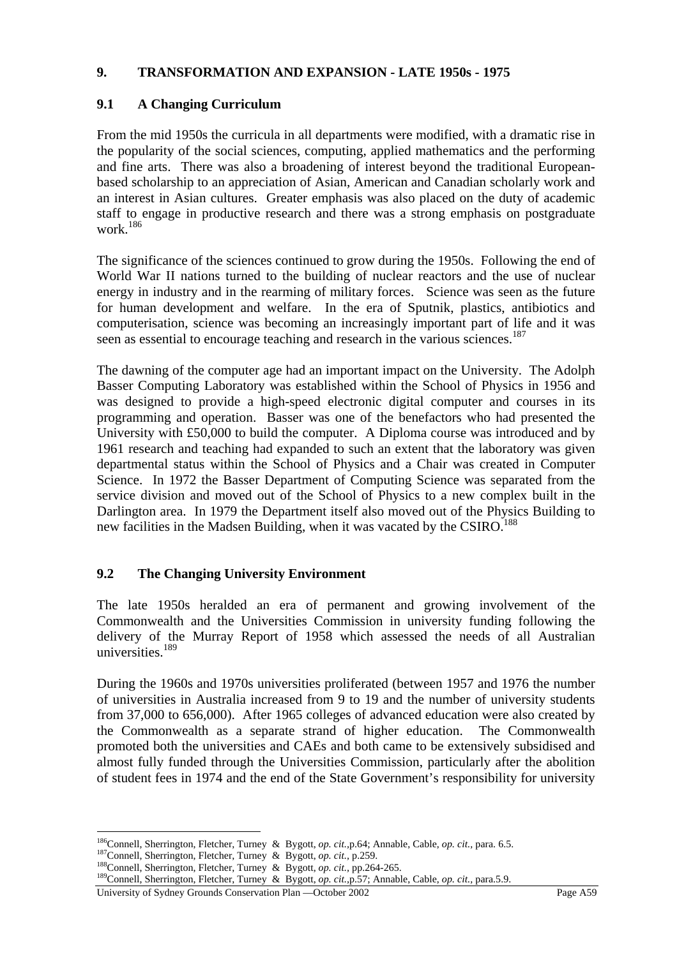### **9. TRANSFORMATION AND EXPANSION - LATE 1950s - 1975**

# **9.1 A Changing Curriculum**

From the mid 1950s the curricula in all departments were modified, with a dramatic rise in the popularity of the social sciences, computing, applied mathematics and the performing and fine arts. There was also a broadening of interest beyond the traditional Europeanbased scholarship to an appreciation of Asian, American and Canadian scholarly work and an interest in Asian cultures. Greater emphasis was also placed on the duty of academic staff to engage in productive research and there was a strong emphasis on postgraduate work.<sup>186</sup>

The significance of the sciences continued to grow during the 1950s. Following the end of World War II nations turned to the building of nuclear reactors and the use of nuclear energy in industry and in the rearming of military forces. Science was seen as the future for human development and welfare. In the era of Sputnik, plastics, antibiotics and computerisation, science was becoming an increasingly important part of life and it was seen as essential to encourage teaching and research in the various sciences.<sup>187</sup>

The dawning of the computer age had an important impact on the University. The Adolph Basser Computing Laboratory was established within the School of Physics in 1956 and was designed to provide a high-speed electronic digital computer and courses in its programming and operation. Basser was one of the benefactors who had presented the University with £50,000 to build the computer. A Diploma course was introduced and by 1961 research and teaching had expanded to such an extent that the laboratory was given departmental status within the School of Physics and a Chair was created in Computer Science. In 1972 the Basser Department of Computing Science was separated from the service division and moved out of the School of Physics to a new complex built in the Darlington area. In 1979 the Department itself also moved out of the Physics Building to new facilities in the Madsen Building, when it was vacated by the CSIRO.<sup>188</sup>

## **9.2 The Changing University Environment**

The late 1950s heralded an era of permanent and growing involvement of the Commonwealth and the Universities Commission in university funding following the delivery of the Murray Report of 1958 which assessed the needs of all Australian universities.<sup>189</sup>

During the 1960s and 1970s universities proliferated (between 1957 and 1976 the number of universities in Australia increased from 9 to 19 and the number of university students from 37,000 to 656,000). After 1965 colleges of advanced education were also created by the Commonwealth as a separate strand of higher education. The Commonwealth promoted both the universities and CAEs and both came to be extensively subsidised and almost fully funded through the Universities Commission, particularly after the abolition of student fees in 1974 and the end of the State Government's responsibility for university

 $\overline{a}$ <sup>186</sup>Connell, Sherrington, Fletcher, Turney & Bygott, *op. cit.*, p.64; Annable, Cable, *op. cit.*, para. 6.5.<br><sup>187</sup>Connell, Sherrington, Fletcher, Turney & Bygott, *op. cit.*, p.259.<br><sup>188</sup>Connell, Sherrington, Fletcher, T

University of Sydney Grounds Conservation Plan —October 2002 Page A59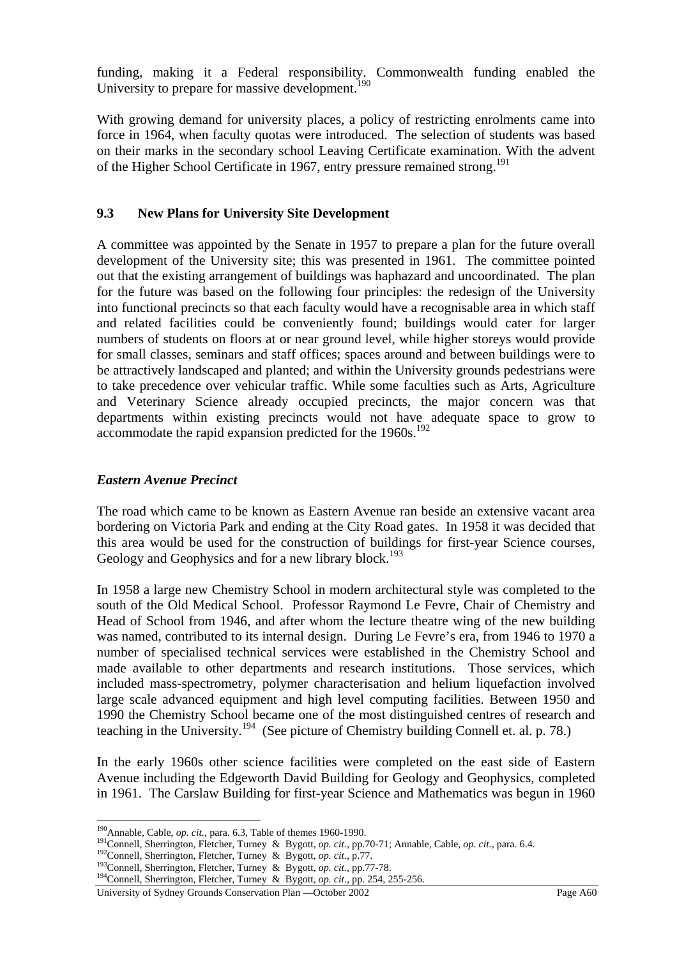funding, making it a Federal responsibility. Commonwealth funding enabled the University to prepare for massive development.<sup>190</sup>

With growing demand for university places, a policy of restricting enrolments came into force in 1964, when faculty quotas were introduced. The selection of students was based on their marks in the secondary school Leaving Certificate examination. With the advent of the Higher School Certificate in 1967, entry pressure remained strong.<sup>191</sup>

## **9.3 New Plans for University Site Development**

A committee was appointed by the Senate in 1957 to prepare a plan for the future overall development of the University site; this was presented in 1961. The committee pointed out that the existing arrangement of buildings was haphazard and uncoordinated. The plan for the future was based on the following four principles: the redesign of the University into functional precincts so that each faculty would have a recognisable area in which staff and related facilities could be conveniently found; buildings would cater for larger numbers of students on floors at or near ground level, while higher storeys would provide for small classes, seminars and staff offices; spaces around and between buildings were to be attractively landscaped and planted; and within the University grounds pedestrians were to take precedence over vehicular traffic. While some faculties such as Arts, Agriculture and Veterinary Science already occupied precincts, the major concern was that departments within existing precincts would not have adequate space to grow to accommodate the rapid expansion predicted for the 1960s.<sup>192</sup>

## *Eastern Avenue Precinct*

The road which came to be known as Eastern Avenue ran beside an extensive vacant area bordering on Victoria Park and ending at the City Road gates. In 1958 it was decided that this area would be used for the construction of buildings for first-year Science courses, Geology and Geophysics and for a new library block.<sup>193</sup>

In 1958 a large new Chemistry School in modern architectural style was completed to the south of the Old Medical School. Professor Raymond Le Fevre, Chair of Chemistry and Head of School from 1946, and after whom the lecture theatre wing of the new building was named, contributed to its internal design. During Le Fevre's era, from 1946 to 1970 a number of specialised technical services were established in the Chemistry School and made available to other departments and research institutions. Those services, which included mass-spectrometry, polymer characterisation and helium liquefaction involved large scale advanced equipment and high level computing facilities. Between 1950 and 1990 the Chemistry School became one of the most distinguished centres of research and teaching in the University.194 (See picture of Chemistry building Connell et. al. p. 78.)

In the early 1960s other science facilities were completed on the east side of Eastern Avenue including the Edgeworth David Building for Geology and Geophysics, completed in 1961. The Carslaw Building for first-year Science and Mathematics was begun in 1960

 $^{190}$ Annable, Cable, op. cit., para. 6.3, Table of themes 1960-1990.

<sup>&</sup>lt;sup>191</sup>Connell, Sherrington, Fletcher, Turney & Bygott, *op. cit.*, pp.70-71; Annable, Cable, *op. cit.*, para. 6.4.<br><sup>192</sup>Connell, Sherrington, Fletcher, Turney & Bygott, *op. cit.*, p.77.<br><sup>193</sup>Connell, Sherrington, Fletche

University of Sydney Grounds Conservation Plan —October 2002 Page A60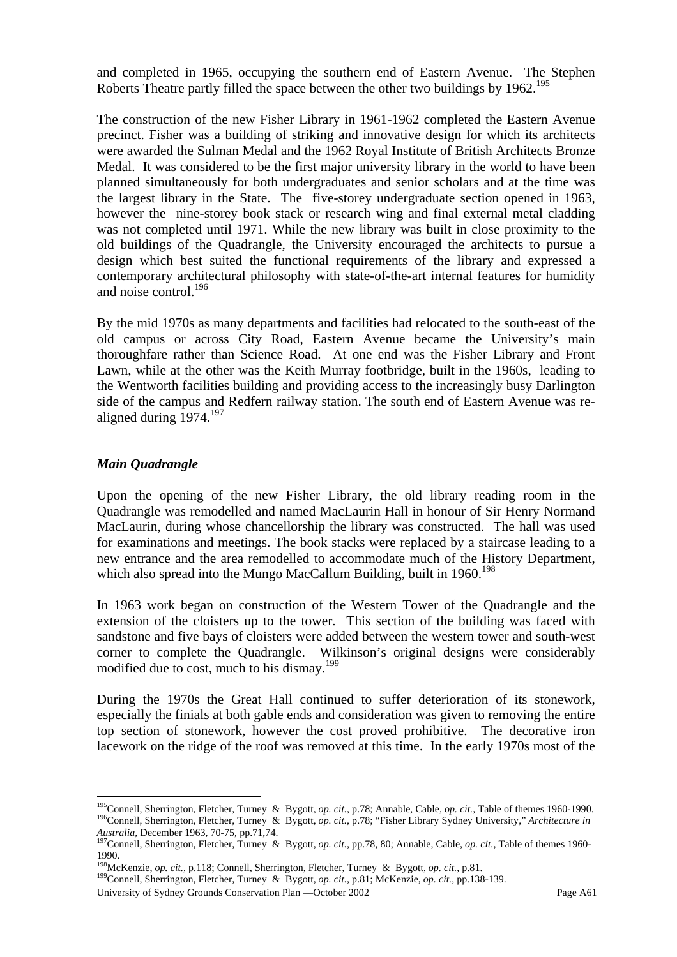and completed in 1965, occupying the southern end of Eastern Avenue. The Stephen Roberts Theatre partly filled the space between the other two buildings by 1962.<sup>195</sup>

The construction of the new Fisher Library in 1961-1962 completed the Eastern Avenue precinct. Fisher was a building of striking and innovative design for which its architects were awarded the Sulman Medal and the 1962 Royal Institute of British Architects Bronze Medal. It was considered to be the first major university library in the world to have been planned simultaneously for both undergraduates and senior scholars and at the time was the largest library in the State. The five-storey undergraduate section opened in 1963, however the nine-storey book stack or research wing and final external metal cladding was not completed until 1971. While the new library was built in close proximity to the old buildings of the Quadrangle, the University encouraged the architects to pursue a design which best suited the functional requirements of the library and expressed a contemporary architectural philosophy with state-of-the-art internal features for humidity and noise control.<sup>196</sup>

By the mid 1970s as many departments and facilities had relocated to the south-east of the old campus or across City Road, Eastern Avenue became the University's main thoroughfare rather than Science Road. At one end was the Fisher Library and Front Lawn, while at the other was the Keith Murray footbridge, built in the 1960s, leading to the Wentworth facilities building and providing access to the increasingly busy Darlington side of the campus and Redfern railway station. The south end of Eastern Avenue was realigned during  $1974.<sup>197</sup>$ 

## *Main Quadrangle*

 $\overline{a}$ 

Upon the opening of the new Fisher Library, the old library reading room in the Quadrangle was remodelled and named MacLaurin Hall in honour of Sir Henry Normand MacLaurin, during whose chancellorship the library was constructed. The hall was used for examinations and meetings. The book stacks were replaced by a staircase leading to a new entrance and the area remodelled to accommodate much of the History Department, which also spread into the Mungo MacCallum Building, built in  $1960$ <sup>198</sup>

In 1963 work began on construction of the Western Tower of the Quadrangle and the extension of the cloisters up to the tower. This section of the building was faced with sandstone and five bays of cloisters were added between the western tower and south-west corner to complete the Quadrangle. Wilkinson's original designs were considerably modified due to cost, much to his dismay.<sup>199</sup>

During the 1970s the Great Hall continued to suffer deterioration of its stonework, especially the finials at both gable ends and consideration was given to removing the entire top section of stonework, however the cost proved prohibitive. The decorative iron lacework on the ridge of the roof was removed at this time. In the early 1970s most of the

<sup>&</sup>lt;sup>195</sup>Connell, Sherrington, Fletcher, Turney & Bygott, op. cit., p.78; Annable, Cable, op. cit., Table of themes 1960-1990.<br><sup>196</sup>Connell, Sherrington, Fletcher, Turney & Bygott, op. cit., p.78; "Fisher Library Sydney Unive

*Australia, December 1963, 70-75, pp.71,74.* 197Connell, Sherrington, Fletcher, Turney & Bygott, *op. cit., pp.78, 80; Annable, Cable, <i>op. cit.*, Table of themes 1960-<br><sup>197</sup>Connell, Sherrington, Fletcher, Turney & Bygott, 1990.<br><sup>198</sup>McKenzie, *op. cit.*, p.118; Connell, Sherrington, Fletcher, Turney & Bygott, *op. cit.*, p.81.

<sup>&</sup>lt;sup>199</sup>Connell, Sherrington, Fletcher, Turney & Bygott, *op. cit.*, p.81; McKenzie, *op. cit.*, pp.138-139.

University of Sydney Grounds Conservation Plan —October 2002 Page A61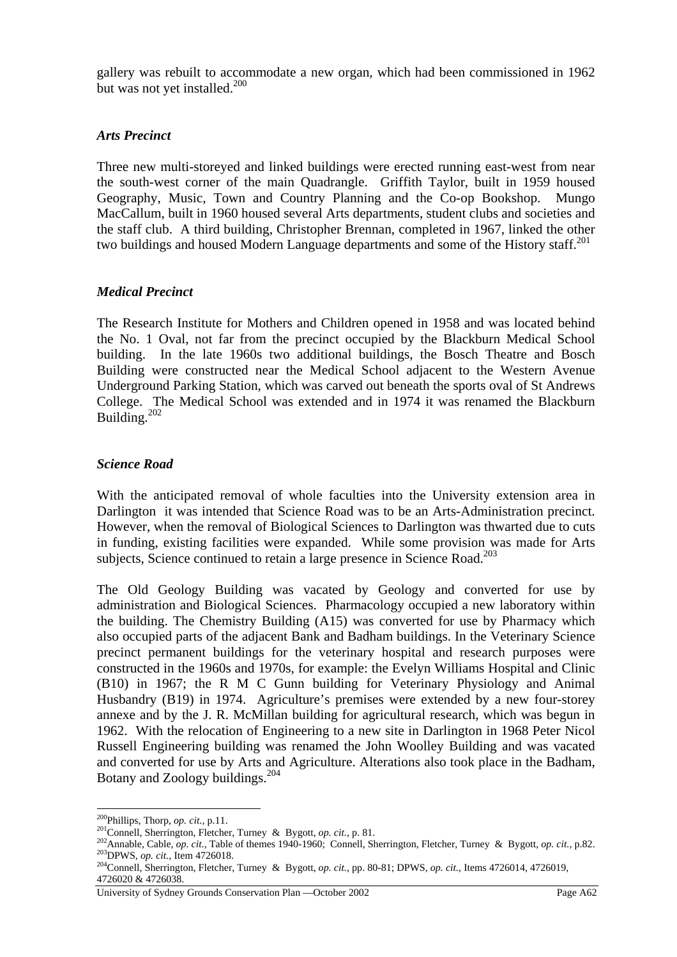gallery was rebuilt to accommodate a new organ, which had been commissioned in 1962 but was not yet installed.<sup>200</sup>

### *Arts Precinct*

Three new multi-storeyed and linked buildings were erected running east-west from near the south-west corner of the main Quadrangle. Griffith Taylor, built in 1959 housed Geography, Music, Town and Country Planning and the Co-op Bookshop. Mungo MacCallum, built in 1960 housed several Arts departments, student clubs and societies and the staff club. A third building, Christopher Brennan, completed in 1967, linked the other two buildings and housed Modern Language departments and some of the History staff.<sup>201</sup>

### *Medical Precinct*

The Research Institute for Mothers and Children opened in 1958 and was located behind the No. 1 Oval, not far from the precinct occupied by the Blackburn Medical School building. In the late 1960s two additional buildings, the Bosch Theatre and Bosch Building were constructed near the Medical School adjacent to the Western Avenue Underground Parking Station, which was carved out beneath the sports oval of St Andrews College. The Medical School was extended and in 1974 it was renamed the Blackburn Building.<sup>202</sup>

#### *Science Road*

With the anticipated removal of whole faculties into the University extension area in Darlington it was intended that Science Road was to be an Arts-Administration precinct. However, when the removal of Biological Sciences to Darlington was thwarted due to cuts in funding, existing facilities were expanded. While some provision was made for Arts subjects, Science continued to retain a large presence in Science Road.<sup>203</sup>

The Old Geology Building was vacated by Geology and converted for use by administration and Biological Sciences. Pharmacology occupied a new laboratory within the building. The Chemistry Building (A15) was converted for use by Pharmacy which also occupied parts of the adjacent Bank and Badham buildings. In the Veterinary Science precinct permanent buildings for the veterinary hospital and research purposes were constructed in the 1960s and 1970s, for example: the Evelyn Williams Hospital and Clinic (B10) in 1967; the R M C Gunn building for Veterinary Physiology and Animal Husbandry (B19) in 1974.Agriculture's premises were extended by a new four-storey annexe and by the J. R. McMillan building for agricultural research, which was begun in 1962. With the relocation of Engineering to a new site in Darlington in 1968 Peter Nicol Russell Engineering building was renamed the John Woolley Building and was vacated and converted for use by Arts and Agriculture. Alterations also took place in the Badham, Botany and Zoology buildings.<sup>204</sup>

<sup>&</sup>lt;sup>200</sup>Phillips, Thorp, *op. cit.*, p.11.<br><sup>201</sup>Connell, Sherrington, Fletcher, Turney & Bygott, *op. cit.*, p. 81.<br><sup>202</sup>Annable, Cable, *op. cit.*, Table of themes 1940-1960; Connell, Sherrington, Fletcher, Turney & Bygott,

<sup>4726020 &</sup>amp; 4726038.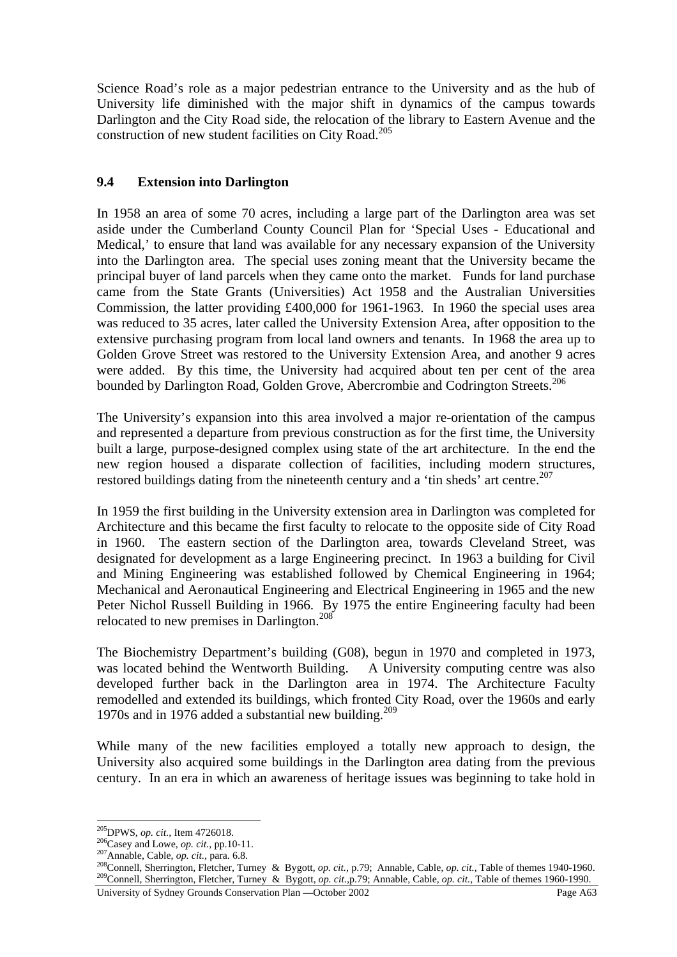Science Road's role as a major pedestrian entrance to the University and as the hub of University life diminished with the major shift in dynamics of the campus towards Darlington and the City Road side, the relocation of the library to Eastern Avenue and the construction of new student facilities on City Road.<sup>205</sup>

# **9.4 Extension into Darlington**

In 1958 an area of some 70 acres, including a large part of the Darlington area was set aside under the Cumberland County Council Plan for 'Special Uses - Educational and Medical,' to ensure that land was available for any necessary expansion of the University into the Darlington area. The special uses zoning meant that the University became the principal buyer of land parcels when they came onto the market. Funds for land purchase came from the State Grants (Universities) Act 1958 and the Australian Universities Commission, the latter providing £400,000 for 1961-1963. In 1960 the special uses area was reduced to 35 acres, later called the University Extension Area, after opposition to the extensive purchasing program from local land owners and tenants. In 1968 the area up to Golden Grove Street was restored to the University Extension Area, and another 9 acres were added. By this time, the University had acquired about ten per cent of the area bounded by Darlington Road, Golden Grove, Abercrombie and Codrington Streets.<sup>206</sup>

The University's expansion into this area involved a major re-orientation of the campus and represented a departure from previous construction as for the first time, the University built a large, purpose-designed complex using state of the art architecture. In the end the new region housed a disparate collection of facilities, including modern structures, restored buildings dating from the nineteenth century and a 'tin sheds' art centre.<sup>207</sup>

In 1959 the first building in the University extension area in Darlington was completed for Architecture and this became the first faculty to relocate to the opposite side of City Road in 1960. The eastern section of the Darlington area, towards Cleveland Street, was designated for development as a large Engineering precinct. In 1963 a building for Civil and Mining Engineering was established followed by Chemical Engineering in 1964; Mechanical and Aeronautical Engineering and Electrical Engineering in 1965 and the new Peter Nichol Russell Building in 1966. By 1975 the entire Engineering faculty had been relocated to new premises in Darlington.<sup>208</sup>

The Biochemistry Department's building (G08), begun in 1970 and completed in 1973, was located behind the Wentworth Building. A University computing centre was also developed further back in the Darlington area in 1974. The Architecture Faculty remodelled and extended its buildings, which fronted City Road, over the 1960s and early 1970s and in 1976 added a substantial new building.<sup>209</sup>

While many of the new facilities employed a totally new approach to design, the University also acquired some buildings in the Darlington area dating from the previous century. In an era in which an awareness of heritage issues was beginning to take hold in

<sup>&</sup>lt;sup>205</sup>DPWS, op. cit., Item 4726018.

<sup>206&</sup>lt;br>
206<br>
207 Annable, Cable, *op. cit.*, para. 6.8.<br>
<sup>207</sup> Annable, Cable, *op. cit.*, para. 6.8.<br>
<sup>207</sup> Connell, Sherrington, Fletcher, Turney & Bygott, *op. cit.*, p.79; Annable, Cable, *op. cit.*, Table of themes 1940-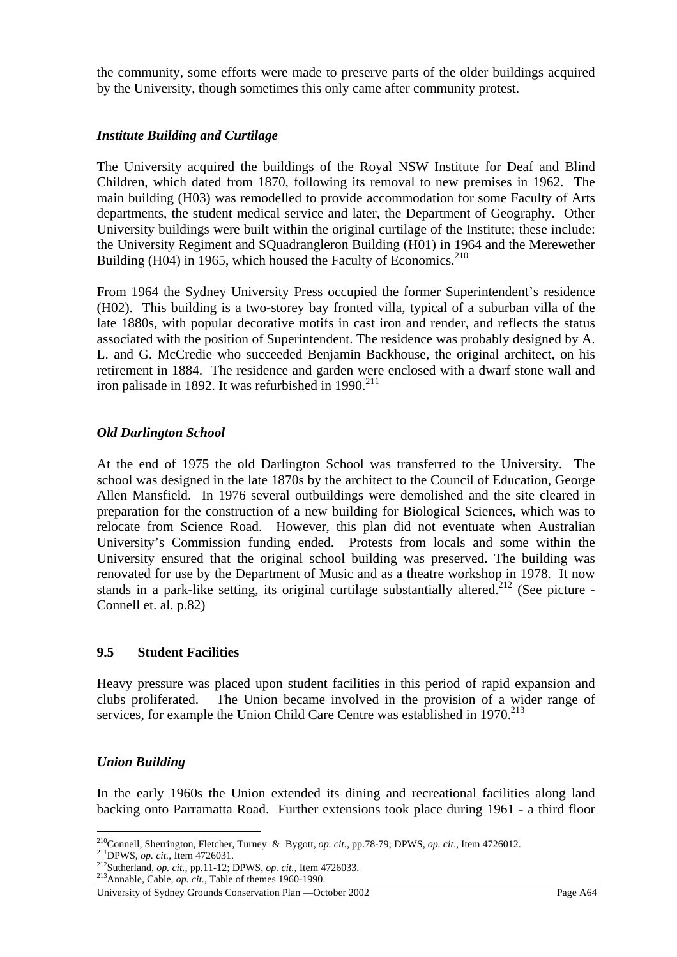the community, some efforts were made to preserve parts of the older buildings acquired by the University, though sometimes this only came after community protest.

### *Institute Building and Curtilage*

The University acquired the buildings of the Royal NSW Institute for Deaf and Blind Children, which dated from 1870, following its removal to new premises in 1962. The main building (H03) was remodelled to provide accommodation for some Faculty of Arts departments, the student medical service and later, the Department of Geography. Other University buildings were built within the original curtilage of the Institute; these include: the University Regiment and SQuadrangleron Building (H01) in 1964 and the Merewether Building (H04) in 1965, which housed the Faculty of Economics.<sup>210</sup>

From 1964 the Sydney University Press occupied the former Superintendent's residence (H02). This building is a two-storey bay fronted villa, typical of a suburban villa of the late 1880s, with popular decorative motifs in cast iron and render, and reflects the status associated with the position of Superintendent. The residence was probably designed by A. L. and G. McCredie who succeeded Benjamin Backhouse, the original architect, on his retirement in 1884. The residence and garden were enclosed with a dwarf stone wall and iron palisade in 1892. It was refurbished in  $1990.<sup>211</sup>$ 

## *Old Darlington School*

At the end of 1975 the old Darlington School was transferred to the University. The school was designed in the late 1870s by the architect to the Council of Education, George Allen Mansfield. In 1976 several outbuildings were demolished and the site cleared in preparation for the construction of a new building for Biological Sciences, which was to relocate from Science Road. However, this plan did not eventuate when Australian University's Commission funding ended. Protests from locals and some within the University ensured that the original school building was preserved. The building was renovated for use by the Department of Music and as a theatre workshop in 1978. It now stands in a park-like setting, its original curtilage substantially altered.<sup>212</sup> (See picture -Connell et. al. p.82)

#### **9.5 Student Facilities**

Heavy pressure was placed upon student facilities in this period of rapid expansion and clubs proliferated. The Union became involved in the provision of a wider range of services, for example the Union Child Care Centre was established in 1970.<sup>213</sup>

#### *Union Building*

In the early 1960s the Union extended its dining and recreational facilities along land backing onto Parramatta Road. Further extensions took place during 1961 - a third floor

 $\overline{a}$ <sup>210</sup>Connell, Sherrington, Fletcher, Turney & Bygott, *op. cit.*, pp.78-79; DPWS, *op. cit.*, Item 4726012.<br><sup>211</sup>DPWS, *op. cit.*, Item 4726031.<br><sup>212</sup>Sutherland, *op. cit.*, pp.11-12; DPWS, *op. cit.*, Item 4726033.<br><sup>213</sup>

University of Sydney Grounds Conservation Plan —October 2002 Page A64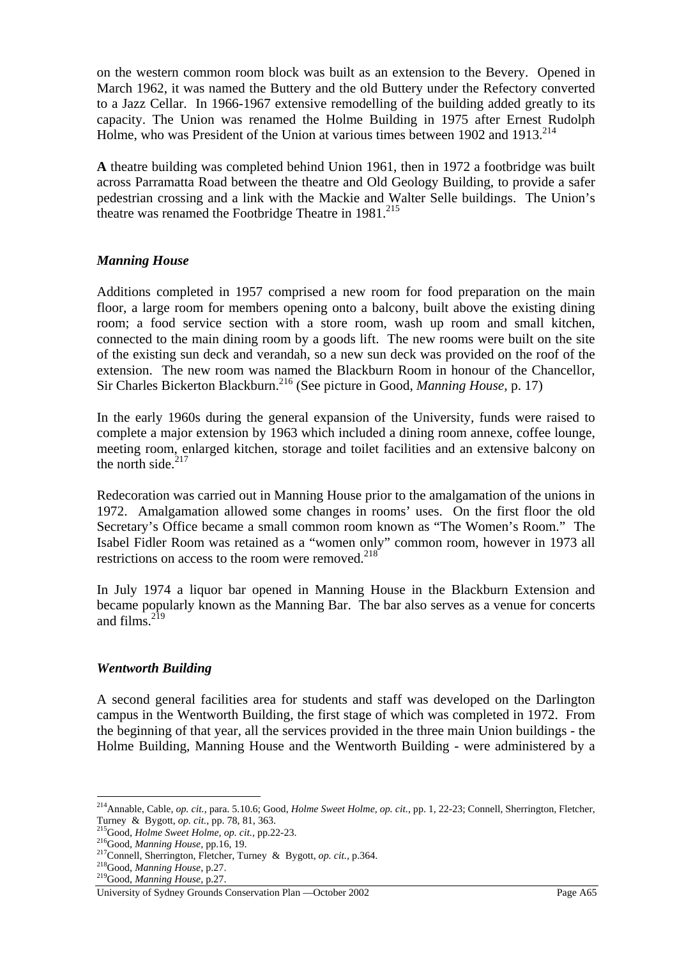on the western common room block was built as an extension to the Bevery. Opened in March 1962, it was named the Buttery and the old Buttery under the Refectory converted to a Jazz Cellar. In 1966-1967 extensive remodelling of the building added greatly to its capacity. The Union was renamed the Holme Building in 1975 after Ernest Rudolph Holme, who was President of the Union at various times between 1902 and  $1913$ <sup>214</sup>

**A** theatre building was completed behind Union 1961, then in 1972 a footbridge was built across Parramatta Road between the theatre and Old Geology Building, to provide a safer pedestrian crossing and a link with the Mackie and Walter Selle buildings. The Union's theatre was renamed the Footbridge Theatre in 1981.<sup>215</sup>

# *Manning House*

Additions completed in 1957 comprised a new room for food preparation on the main floor, a large room for members opening onto a balcony, built above the existing dining room; a food service section with a store room, wash up room and small kitchen, connected to the main dining room by a goods lift. The new rooms were built on the site of the existing sun deck and verandah, so a new sun deck was provided on the roof of the extension. The new room was named the Blackburn Room in honour of the Chancellor, Sir Charles Bickerton Blackburn.<sup>216</sup> (See picture in Good, *Manning House*, p. 17)

In the early 1960s during the general expansion of the University, funds were raised to complete a major extension by 1963 which included a dining room annexe, coffee lounge, meeting room, enlarged kitchen, storage and toilet facilities and an extensive balcony on the north side. $217$ 

Redecoration was carried out in Manning House prior to the amalgamation of the unions in 1972. Amalgamation allowed some changes in rooms' uses. On the first floor the old Secretary's Office became a small common room known as "The Women's Room." The Isabel Fidler Room was retained as a "women only" common room, however in 1973 all restrictions on access to the room were removed. $2^{18}$ 

In July 1974 a liquor bar opened in Manning House in the Blackburn Extension and became popularly known as the Manning Bar. The bar also serves as a venue for concerts and films. $^{219}$ 

## *Wentworth Building*

A second general facilities area for students and staff was developed on the Darlington campus in the Wentworth Building, the first stage of which was completed in 1972. From the beginning of that year, all the services provided in the three main Union buildings - the Holme Building, Manning House and the Wentworth Building - were administered by a

<sup>214</sup>Annable, Cable, *op. cit.,* para. 5.10.6; Good, *Holme Sweet Holme, op. cit.,* pp. 1, 22-23; Connell, Sherrington, Fletcher,

Turney & Bygott, op. cit., pp. 78, 81, 363.<br>
<sup>215</sup>Good, *Holme Sweet Holme, op. cit.*, pp. 22-23.<br>
<sup>216</sup>Good, *Manning House*, pp. 16, 19.<br>
<sup>217</sup>Connell, Sherrington, Fletcher, Turney & Bygott, op. cit., p. 364.<br>
<sup>218</sup>Good

University of Sydney Grounds Conservation Plan —October 2002 Page A65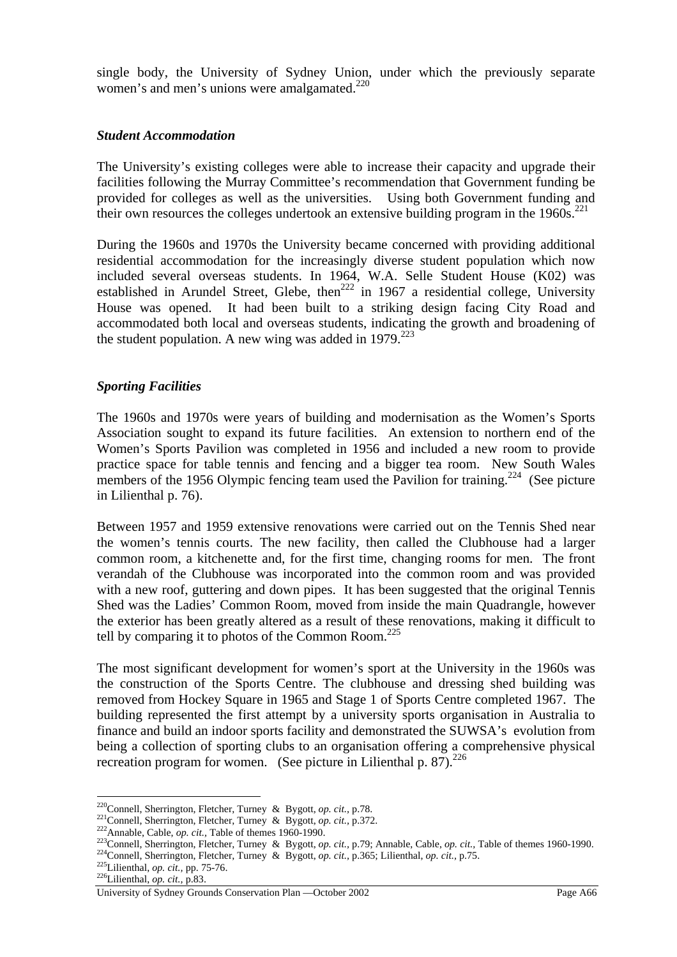single body, the University of Sydney Union, under which the previously separate women's and men's unions were amalgamated. $220$ 

#### *Student Accommodation*

The University's existing colleges were able to increase their capacity and upgrade their facilities following the Murray Committee's recommendation that Government funding be provided for colleges as well as the universities. Using both Government funding and their own resources the colleges undertook an extensive building program in the  $1960s$ <sup>221</sup>

During the 1960s and 1970s the University became concerned with providing additional residential accommodation for the increasingly diverse student population which now included several overseas students. In 1964, W.A. Selle Student House (K02) was established in Arundel Street, Glebe, then<sup>222</sup> in 1967 a residential college, University House was opened. It had been built to a striking design facing City Road and accommodated both local and overseas students, indicating the growth and broadening of the student population. A new wing was added in 1979.<sup>223</sup>

## *Sporting Facilities*

The 1960s and 1970s were years of building and modernisation as the Women's Sports Association sought to expand its future facilities. An extension to northern end of the Women's Sports Pavilion was completed in 1956 and included a new room to provide practice space for table tennis and fencing and a bigger tea room. New South Wales members of the 1956 Olympic fencing team used the Pavilion for training.<sup>224</sup> (See picture in Lilienthal p. 76).

Between 1957 and 1959 extensive renovations were carried out on the Tennis Shed near the women's tennis courts. The new facility, then called the Clubhouse had a larger common room, a kitchenette and, for the first time, changing rooms for men. The front verandah of the Clubhouse was incorporated into the common room and was provided with a new roof, guttering and down pipes. It has been suggested that the original Tennis Shed was the Ladies' Common Room, moved from inside the main Quadrangle, however the exterior has been greatly altered as a result of these renovations, making it difficult to tell by comparing it to photos of the Common Room. $^{225}$ 

The most significant development for women's sport at the University in the 1960s was the construction of the Sports Centre. The clubhouse and dressing shed building was removed from Hockey Square in 1965 and Stage 1 of Sports Centre completed 1967. The building represented the first attempt by a university sports organisation in Australia to finance and build an indoor sports facility and demonstrated the SUWSA's evolution from being a collection of sporting clubs to an organisation offering a comprehensive physical recreation program for women. (See picture in Lilienthal p.  $87$ ).<sup>226</sup>

<sup>&</sup>lt;sup>220</sup>Connell, Sherrington, Fletcher, Turney & Bygott, op. cit., p.78.

<sup>&</sup>lt;sup>221</sup>Connell, Sherrington, Fletcher, Turney & Bygott, op. cit., p.372.<br><sup>222</sup>Annable, Cable, op. cit., Table of themes 1960-1990.<br><sup>223</sup>Connell, Sherrington, Fletcher, Turney & Bygott, op. cit., p.79; Annable, Cable, op. ci

University of Sydney Grounds Conservation Plan —October 2002 Page A66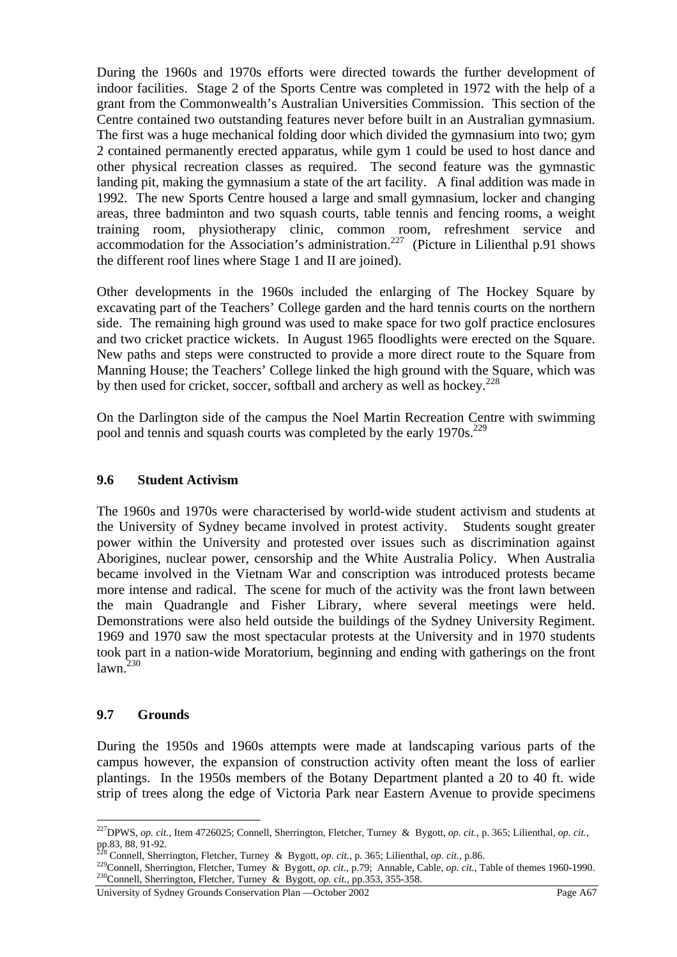During the 1960s and 1970s efforts were directed towards the further development of indoor facilities. Stage 2 of the Sports Centre was completed in 1972 with the help of a grant from the Commonwealth's Australian Universities Commission. This section of the Centre contained two outstanding features never before built in an Australian gymnasium. The first was a huge mechanical folding door which divided the gymnasium into two; gym 2 contained permanently erected apparatus, while gym 1 could be used to host dance and other physical recreation classes as required. The second feature was the gymnastic landing pit, making the gymnasium a state of the art facility. A final addition was made in 1992. The new Sports Centre housed a large and small gymnasium, locker and changing areas, three badminton and two squash courts, table tennis and fencing rooms, a weight training room, physiotherapy clinic, common room, refreshment service and accommodation for the Association's administration.<sup>227</sup> (Picture in Lilienthal p.91 shows the different roof lines where Stage 1 and II are joined).

Other developments in the 1960s included the enlarging of The Hockey Square by excavating part of the Teachers' College garden and the hard tennis courts on the northern side. The remaining high ground was used to make space for two golf practice enclosures and two cricket practice wickets. In August 1965 floodlights were erected on the Square. New paths and steps were constructed to provide a more direct route to the Square from Manning House; the Teachers' College linked the high ground with the Square, which was by then used for cricket, soccer, softball and archery as well as hockey.<sup>228</sup>

On the Darlington side of the campus the Noel Martin Recreation Centre with swimming pool and tennis and squash courts was completed by the early  $1970s$ .<sup>229</sup>

### **9.6 Student Activism**

The 1960s and 1970s were characterised by world-wide student activism and students at the University of Sydney became involved in protest activity. Students sought greater power within the University and protested over issues such as discrimination against Aborigines, nuclear power, censorship and the White Australia Policy. When Australia became involved in the Vietnam War and conscription was introduced protests became more intense and radical. The scene for much of the activity was the front lawn between the main Quadrangle and Fisher Library, where several meetings were held. Demonstrations were also held outside the buildings of the Sydney University Regiment. 1969 and 1970 saw the most spectacular protests at the University and in 1970 students took part in a nation-wide Moratorium, beginning and ending with gatherings on the front  $lawn.<sup>230</sup>$ 

## **9.7 Grounds**

 $\overline{a}$ 

During the 1950s and 1960s attempts were made at landscaping various parts of the campus however, the expansion of construction activity often meant the loss of earlier plantings. In the 1950s members of the Botany Department planted a 20 to 40 ft. wide strip of trees along the edge of Victoria Park near Eastern Avenue to provide specimens

<sup>227</sup>DPWS, *op. cit.,* Item 4726025; Connell, Sherrington, Fletcher, Turney & Bygott, *op. cit.,* p. 365; Lilienthal, *op. cit.,*  pp.83, 88, 91-92.<br> $228$  Connell. Sherrington. Fletcher. Turney & Bygott, *op. cit.*, p. 365; Lilienthal, *op. cit.*, p.86.

<sup>229</sup> Connell, Sherrington, Fletcher, Turney & Bygott, op. cit., p.79; Annable, Cable, op. cit., Table of themes 1960-1990.<br><sup>230</sup>Connell, Sherrington, Fletcher, Turney & Bygott, op. cit., pp.353, 355-358.

University of Sydney Grounds Conservation Plan —October 2002 Page A67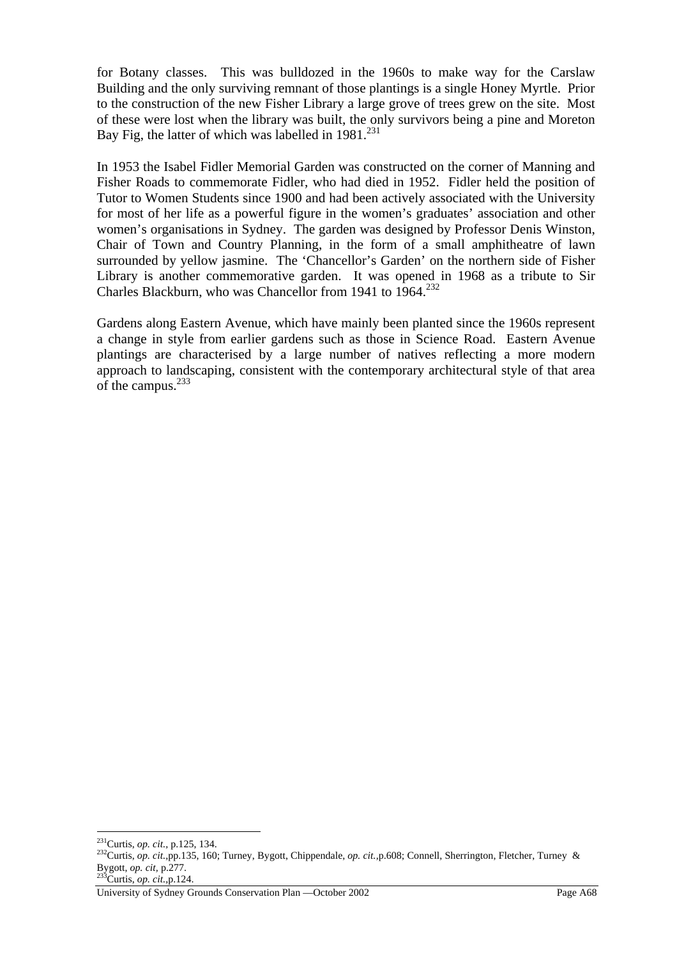for Botany classes. This was bulldozed in the 1960s to make way for the Carslaw Building and the only surviving remnant of those plantings is a single Honey Myrtle. Prior to the construction of the new Fisher Library a large grove of trees grew on the site. Most of these were lost when the library was built, the only survivors being a pine and Moreton Bay Fig. the latter of which was labelled in  $1981$ <sup>231</sup>

In 1953 the Isabel Fidler Memorial Garden was constructed on the corner of Manning and Fisher Roads to commemorate Fidler, who had died in 1952. Fidler held the position of Tutor to Women Students since 1900 and had been actively associated with the University for most of her life as a powerful figure in the women's graduates' association and other women's organisations in Sydney. The garden was designed by Professor Denis Winston, Chair of Town and Country Planning, in the form of a small amphitheatre of lawn surrounded by yellow jasmine. The 'Chancellor's Garden' on the northern side of Fisher Library is another commemorative garden. It was opened in 1968 as a tribute to Sir Charles Blackburn, who was Chancellor from 1941 to  $1964$ <sup>232</sup>

Gardens along Eastern Avenue, which have mainly been planted since the 1960s represent a change in style from earlier gardens such as those in Science Road. Eastern Avenue plantings are characterised by a large number of natives reflecting a more modern approach to landscaping, consistent with the contemporary architectural style of that area of the campus. $233$ 

<sup>&</sup>lt;sup>231</sup>Curtis, op. cit., p.125, 134.

<sup>231</sup>Curtis, *op. cit.,* p.125, 134. 232Curtis, *op. cit.,*pp.135, 160; Turney, Bygott, Chippendale, *op. cit.,*p.608; Connell, Sherrington, Fletcher, Turney & Bygott, *op. cit,* p.277. 233Curtis, *op. cit.,*p.124.

University of Sydney Grounds Conservation Plan —October 2002 Page A68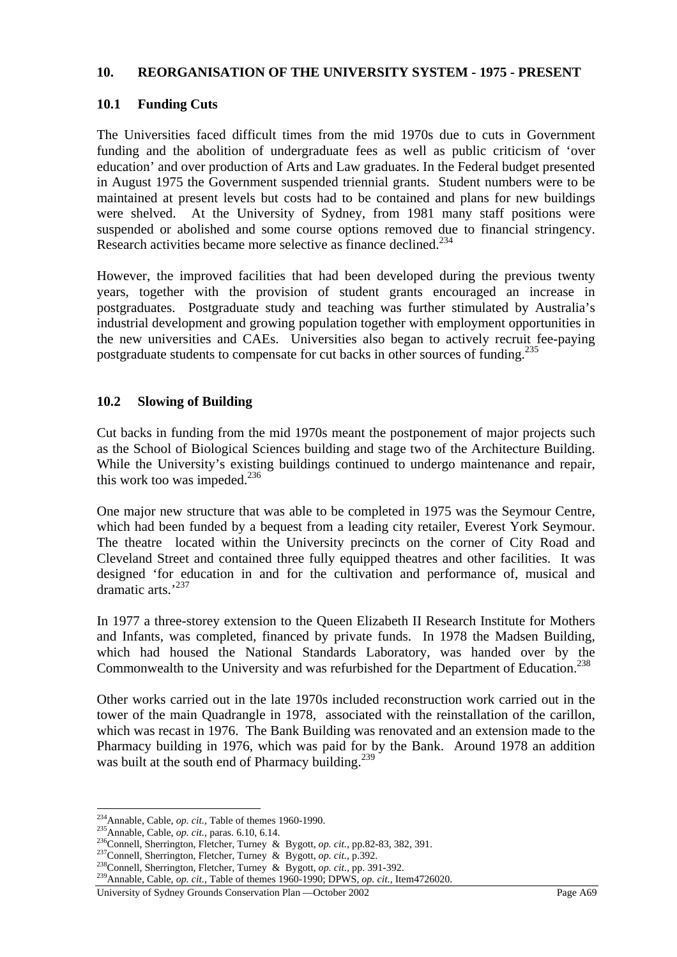#### **10. REORGANISATION OF THE UNIVERSITY SYSTEM - 1975 - PRESENT**

### **10.1 Funding Cuts**

The Universities faced difficult times from the mid 1970s due to cuts in Government funding and the abolition of undergraduate fees as well as public criticism of 'over education' and over production of Arts and Law graduates. In the Federal budget presented in August 1975 the Government suspended triennial grants. Student numbers were to be maintained at present levels but costs had to be contained and plans for new buildings were shelved. At the University of Sydney, from 1981 many staff positions were suspended or abolished and some course options removed due to financial stringency. Research activities became more selective as finance declined.<sup>234</sup>

However, the improved facilities that had been developed during the previous twenty years, together with the provision of student grants encouraged an increase in postgraduates. Postgraduate study and teaching was further stimulated by Australia's industrial development and growing population together with employment opportunities in the new universities and CAEs. Universities also began to actively recruit fee-paying postgraduate students to compensate for cut backs in other sources of funding.<sup>235</sup>

### **10.2 Slowing of Building**

Cut backs in funding from the mid 1970s meant the postponement of major projects such as the School of Biological Sciences building and stage two of the Architecture Building. While the University's existing buildings continued to undergo maintenance and repair, this work too was impeded. $236$ 

One major new structure that was able to be completed in 1975 was the Seymour Centre, which had been funded by a bequest from a leading city retailer, Everest York Seymour. The theatre located within the University precincts on the corner of City Road and Cleveland Street and contained three fully equipped theatres and other facilities. It was designed 'for education in and for the cultivation and performance of, musical and dramatic arts.'237

In 1977 a three-storey extension to the Queen Elizabeth II Research Institute for Mothers and Infants, was completed, financed by private funds. In 1978 the Madsen Building, which had housed the National Standards Laboratory, was handed over by the Commonwealth to the University and was refurbished for the Department of Education.<sup>238</sup>

Other works carried out in the late 1970s included reconstruction work carried out in the tower of the main Quadrangle in 1978, associated with the reinstallation of the carillon, which was recast in 1976. The Bank Building was renovated and an extension made to the Pharmacy building in 1976, which was paid for by the Bank. Around 1978 an addition was built at the south end of Pharmacy building. $^{239}$ 

<sup>&</sup>lt;sup>234</sup>Annable, Cable, *op. cit.*, Table of themes 1960-1990.<br><sup>235</sup>Annable, Cable, *op. cit.*, paras. 6.10, 6.14.<br><sup>236</sup>Connell, Sherrington, Fletcher, Turney & Bygott, *op. cit.*, pp.82-83, 382, 391.<br><sup>237</sup>Connell, Sherringt

University of Sydney Grounds Conservation Plan —October 2002 Page A69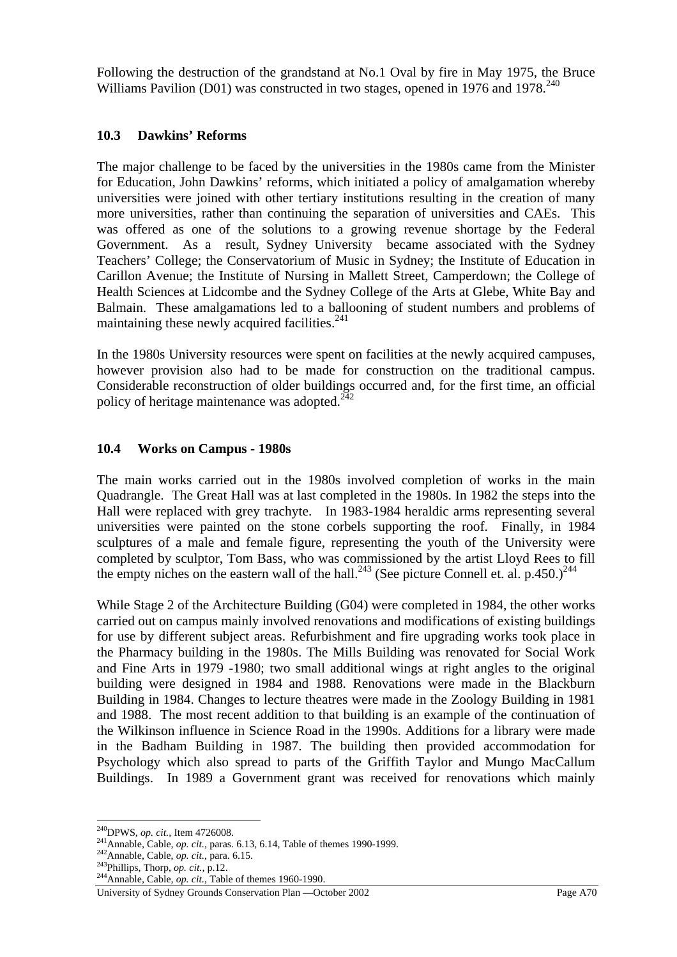Following the destruction of the grandstand at No.1 Oval by fire in May 1975, the Bruce Williams Pavilion (D01) was constructed in two stages, opened in 1976 and 1978.<sup>240</sup>

### **10.3 Dawkins' Reforms**

The major challenge to be faced by the universities in the 1980s came from the Minister for Education, John Dawkins' reforms, which initiated a policy of amalgamation whereby universities were joined with other tertiary institutions resulting in the creation of many more universities, rather than continuing the separation of universities and CAEs. This was offered as one of the solutions to a growing revenue shortage by the Federal Government. As a result, Sydney University became associated with the Sydney Teachers' College; the Conservatorium of Music in Sydney; the Institute of Education in Carillon Avenue; the Institute of Nursing in Mallett Street, Camperdown; the College of Health Sciences at Lidcombe and the Sydney College of the Arts at Glebe, White Bay and Balmain. These amalgamations led to a ballooning of student numbers and problems of maintaining these newly acquired facilities.241

In the 1980s University resources were spent on facilities at the newly acquired campuses, however provision also had to be made for construction on the traditional campus. Considerable reconstruction of older buildings occurred and, for the first time, an official policy of heritage maintenance was adopted. $242$ 

## **10.4 Works on Campus - 1980s**

The main works carried out in the 1980s involved completion of works in the main Quadrangle. The Great Hall was at last completed in the 1980s. In 1982 the steps into the Hall were replaced with grey trachyte. In 1983-1984 heraldic arms representing several universities were painted on the stone corbels supporting the roof. Finally, in 1984 sculptures of a male and female figure, representing the youth of the University were completed by sculptor, Tom Bass, who was commissioned by the artist Lloyd Rees to fill the empty niches on the eastern wall of the hall.<sup>243</sup> (See picture Connell et. al. p.450.)<sup>244</sup>

While Stage 2 of the Architecture Building (G04) were completed in 1984, the other works carried out on campus mainly involved renovations and modifications of existing buildings for use by different subject areas. Refurbishment and fire upgrading works took place in the Pharmacy building in the 1980s. The Mills Building was renovated for Social Work and Fine Arts in 1979 -1980; two small additional wings at right angles to the original building were designed in 1984 and 1988. Renovations were made in the Blackburn Building in 1984. Changes to lecture theatres were made in the Zoology Building in 1981 and 1988. The most recent addition to that building is an example of the continuation of the Wilkinson influence in Science Road in the 1990s. Additions for a library were made in the Badham Building in 1987. The building then provided accommodation for Psychology which also spread to parts of the Griffith Taylor and Mungo MacCallum Buildings. In 1989 a Government grant was received for renovations which mainly

<sup>&</sup>lt;sup>240</sup>DPWS, op. cit., Item 4726008.

<sup>&</sup>lt;sup>241</sup>Annable, Cable, *op. cit.*, paras. 6.13, 6.14, Table of themes 1990-1999.<br><sup>242</sup>Annable, Cable, *op. cit.*, para. 6.15.<br><sup>243</sup>Phillips, Thorp, *op. cit.*, p.12.<br><sup>244</sup>Annable, Cable, *op. cit.*, Table of themes 1960-199

University of Sydney Grounds Conservation Plan —October 2002 Page A70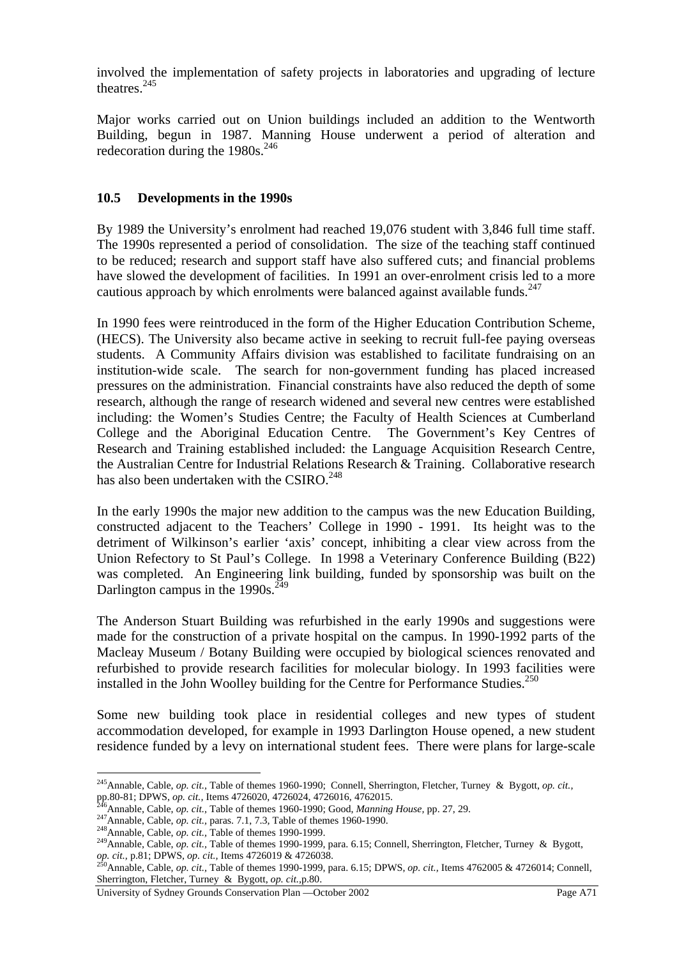involved the implementation of safety projects in laboratories and upgrading of lecture theatres.<sup>245</sup>

Major works carried out on Union buildings included an addition to the Wentworth Building, begun in 1987. Manning House underwent a period of alteration and redecoration during the  $1980s^{246}$ 

## **10.5 Developments in the 1990s**

By 1989 the University's enrolment had reached 19,076 student with 3,846 full time staff. The 1990s represented a period of consolidation. The size of the teaching staff continued to be reduced; research and support staff have also suffered cuts; and financial problems have slowed the development of facilities. In 1991 an over-enrolment crisis led to a more cautious approach by which enrolments were balanced against available funds. $247$ 

In 1990 fees were reintroduced in the form of the Higher Education Contribution Scheme, (HECS). The University also became active in seeking to recruit full-fee paying overseas students. A Community Affairs division was established to facilitate fundraising on an institution-wide scale. The search for non-government funding has placed increased pressures on the administration. Financial constraints have also reduced the depth of some research, although the range of research widened and several new centres were established including: the Women's Studies Centre; the Faculty of Health Sciences at Cumberland College and the Aboriginal Education Centre. Research and Training established included: the Language Acquisition Research Centre, the Australian Centre for Industrial Relations Research & Training. Collaborative research has also been undertaken with the CSIRO.<sup>248</sup>

In the early 1990s the major new addition to the campus was the new Education Building, constructed adjacent to the Teachers' College in 1990 - 1991. Its height was to the detriment of Wilkinson's earlier 'axis' concept, inhibiting a clear view across from the Union Refectory to St Paul's College. In 1998 a Veterinary Conference Building (B22) was completed. An Engineering link building, funded by sponsorship was built on the Darlington campus in the  $1990s.<sup>249</sup>$ 

The Anderson Stuart Building was refurbished in the early 1990s and suggestions were made for the construction of a private hospital on the campus. In 1990-1992 parts of the Macleay Museum / Botany Building were occupied by biological sciences renovated and refurbished to provide research facilities for molecular biology. In 1993 facilities were installed in the John Woolley building for the Centre for Performance Studies. $^{250}$ 

Some new building took place in residential colleges and new types of student accommodation developed, for example in 1993 Darlington House opened, a new student residence funded by a levy on international student fees. There were plans for large-scale

<sup>245</sup>Annable, Cable, *op. cit.,* Table of themes 1960-1990; Connell, Sherrington, Fletcher, Turney & Bygott, *op. cit.,*

pp.80-81; DPWS, op. cit., Items 4726020, 4726024, 4726016, 4762015.<br><sup>246</sup>Annable, Cable, op. cit., Table of themes 1960-1990; Good, *Manning House*, pp. 27, 29.<br><sup>247</sup>Annable, Cable, op. cit., paras. 7.1, 7.3, Table of the *op. cit.,* p.81; DPWS, *op. cit.*, Items 4726019 & 4726038.<br><sup>250</sup>Annable, Cable, *op. cit.*, Table of themes 1990-1999, para. 6.15; DPWS, *op. cit.*, Items 4762005 & 4726014; Connell,

Sherrington, Fletcher, Turney & Bygott, *op. cit.,*p.80.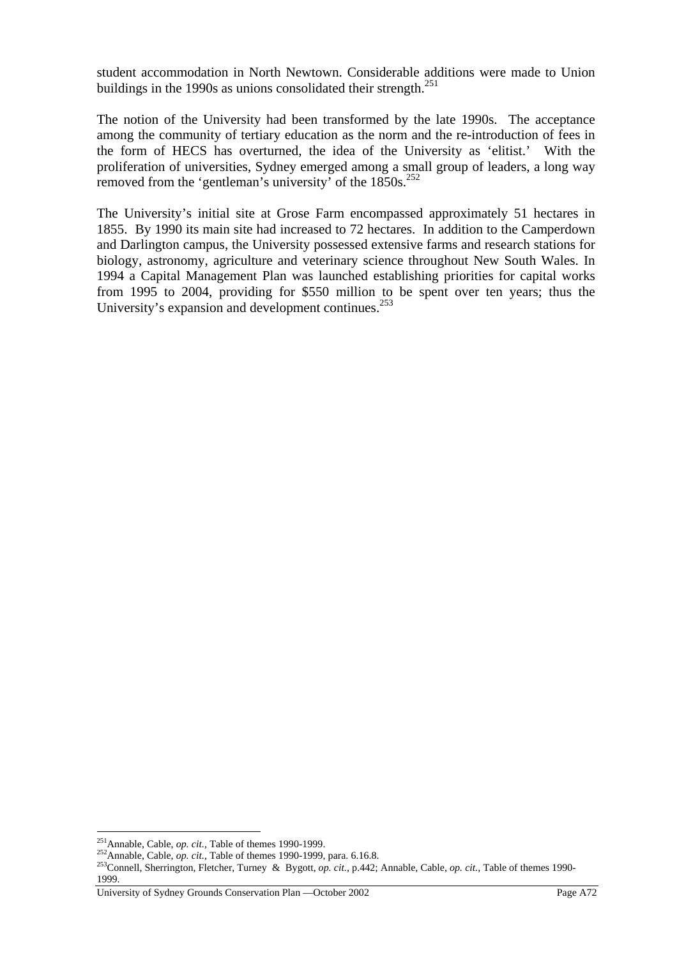student accommodation in North Newtown. Considerable additions were made to Union buildings in the 1990s as unions consolidated their strength. $^{251}$ 

The notion of the University had been transformed by the late 1990s. The acceptance among the community of tertiary education as the norm and the re-introduction of fees in the form of HECS has overturned, the idea of the University as 'elitist.' With the proliferation of universities, Sydney emerged among a small group of leaders, a long way removed from the 'gentleman's university' of the  $1850s$ .<sup>252</sup>

The University's initial site at Grose Farm encompassed approximately 51 hectares in 1855. By 1990 its main site had increased to 72 hectares. In addition to the Camperdown and Darlington campus, the University possessed extensive farms and research stations for biology, astronomy, agriculture and veterinary science throughout New South Wales. In 1994 a Capital Management Plan was launched establishing priorities for capital works from 1995 to 2004, providing for \$550 million to be spent over ten years; thus the University's expansion and development continues.<sup>253</sup>

<sup>&</sup>lt;sup>251</sup> Annable, Cable, *op. cit.*, Table of themes 1990-1999.<br><sup>252</sup> Annable, Cable, *op. cit.*, Table of themes 1990-1999, para. 6.16.8.<br><sup>253</sup> Connell, Sherrington, Fletcher, Turney & Bygott, *op. cit.*, p.442; Annable, Cab 1999.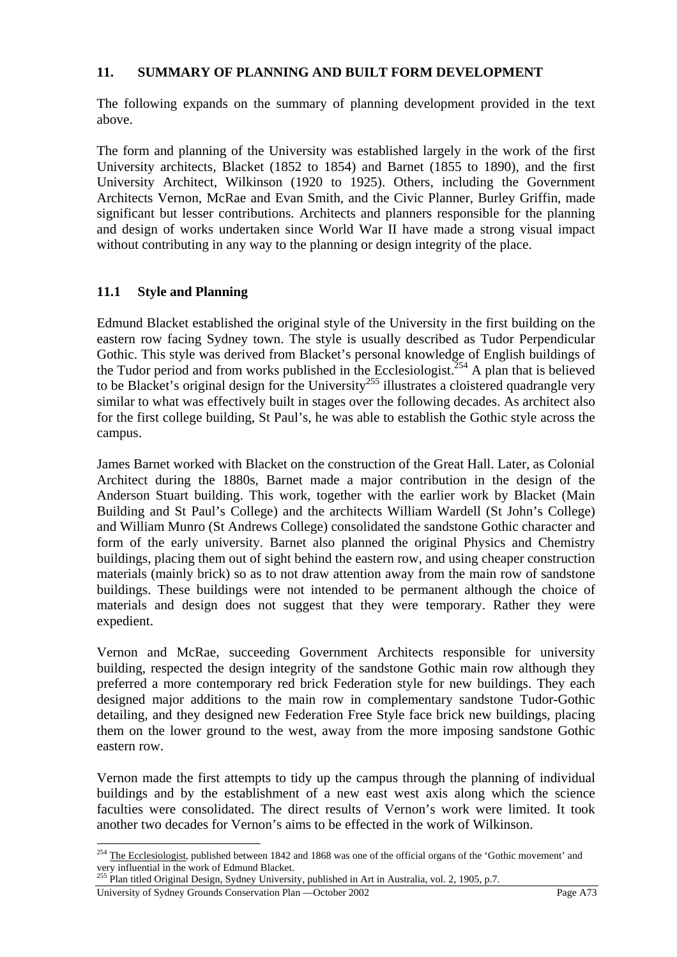#### **11. SUMMARY OF PLANNING AND BUILT FORM DEVELOPMENT**

The following expands on the summary of planning development provided in the text above.

The form and planning of the University was established largely in the work of the first University architects, Blacket (1852 to 1854) and Barnet (1855 to 1890), and the first University Architect, Wilkinson (1920 to 1925). Others, including the Government Architects Vernon, McRae and Evan Smith, and the Civic Planner, Burley Griffin, made significant but lesser contributions. Architects and planners responsible for the planning and design of works undertaken since World War II have made a strong visual impact without contributing in any way to the planning or design integrity of the place.

## **11.1 Style and Planning**

Edmund Blacket established the original style of the University in the first building on the eastern row facing Sydney town. The style is usually described as Tudor Perpendicular Gothic. This style was derived from Blacket's personal knowledge of English buildings of the Tudor period and from works published in the Ecclesiologist.<sup>254</sup> A plan that is believed to be Blacket's original design for the University<sup>255</sup> illustrates a cloistered quadrangle very similar to what was effectively built in stages over the following decades. As architect also for the first college building, St Paul's, he was able to establish the Gothic style across the campus.

James Barnet worked with Blacket on the construction of the Great Hall. Later, as Colonial Architect during the 1880s, Barnet made a major contribution in the design of the Anderson Stuart building. This work, together with the earlier work by Blacket (Main Building and St Paul's College) and the architects William Wardell (St John's College) and William Munro (St Andrews College) consolidated the sandstone Gothic character and form of the early university. Barnet also planned the original Physics and Chemistry buildings, placing them out of sight behind the eastern row, and using cheaper construction materials (mainly brick) so as to not draw attention away from the main row of sandstone buildings. These buildings were not intended to be permanent although the choice of materials and design does not suggest that they were temporary. Rather they were expedient.

Vernon and McRae, succeeding Government Architects responsible for university building, respected the design integrity of the sandstone Gothic main row although they preferred a more contemporary red brick Federation style for new buildings. They each designed major additions to the main row in complementary sandstone Tudor-Gothic detailing, and they designed new Federation Free Style face brick new buildings, placing them on the lower ground to the west, away from the more imposing sandstone Gothic eastern row.

Vernon made the first attempts to tidy up the campus through the planning of individual buildings and by the establishment of a new east west axis along which the science faculties were consolidated. The direct results of Vernon's work were limited. It took another two decades for Vernon's aims to be effected in the work of Wilkinson.

 $\overline{a}$  $^{254}$  The Ecclesiologist, published between 1842 and 1868 was one of the official organs of the 'Gothic movement' and very influential in the work of Edmund Blacket.

<sup>&</sup>lt;sup>255</sup> Plan titled Original Design, Sydney University, published in Art in Australia, vol. 2, 1905, p.7.

University of Sydney Grounds Conservation Plan —October 2002 Page A73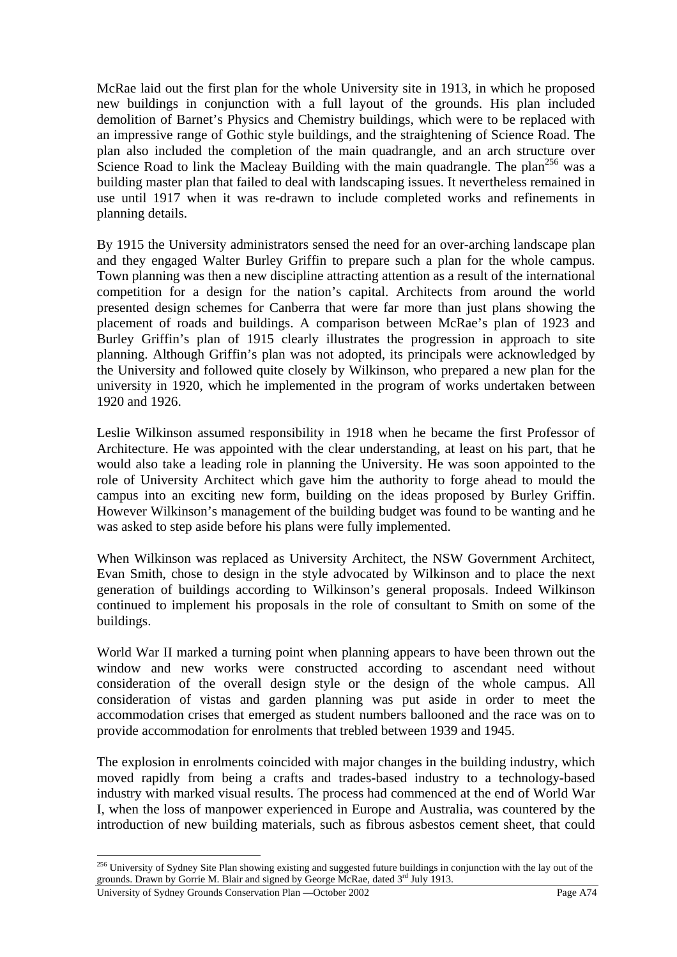McRae laid out the first plan for the whole University site in 1913, in which he proposed new buildings in conjunction with a full layout of the grounds. His plan included demolition of Barnet's Physics and Chemistry buildings, which were to be replaced with an impressive range of Gothic style buildings, and the straightening of Science Road. The plan also included the completion of the main quadrangle, and an arch structure over Science Road to link the Macleay Building with the main quadrangle. The plan<sup>256</sup> was a building master plan that failed to deal with landscaping issues. It nevertheless remained in use until 1917 when it was re-drawn to include completed works and refinements in planning details.

By 1915 the University administrators sensed the need for an over-arching landscape plan and they engaged Walter Burley Griffin to prepare such a plan for the whole campus. Town planning was then a new discipline attracting attention as a result of the international competition for a design for the nation's capital. Architects from around the world presented design schemes for Canberra that were far more than just plans showing the placement of roads and buildings. A comparison between McRae's plan of 1923 and Burley Griffin's plan of 1915 clearly illustrates the progression in approach to site planning. Although Griffin's plan was not adopted, its principals were acknowledged by the University and followed quite closely by Wilkinson, who prepared a new plan for the university in 1920, which he implemented in the program of works undertaken between 1920 and 1926.

Leslie Wilkinson assumed responsibility in 1918 when he became the first Professor of Architecture. He was appointed with the clear understanding, at least on his part, that he would also take a leading role in planning the University. He was soon appointed to the role of University Architect which gave him the authority to forge ahead to mould the campus into an exciting new form, building on the ideas proposed by Burley Griffin. However Wilkinson's management of the building budget was found to be wanting and he was asked to step aside before his plans were fully implemented.

When Wilkinson was replaced as University Architect, the NSW Government Architect, Evan Smith, chose to design in the style advocated by Wilkinson and to place the next generation of buildings according to Wilkinson's general proposals. Indeed Wilkinson continued to implement his proposals in the role of consultant to Smith on some of the buildings.

World War II marked a turning point when planning appears to have been thrown out the window and new works were constructed according to ascendant need without consideration of the overall design style or the design of the whole campus. All consideration of vistas and garden planning was put aside in order to meet the accommodation crises that emerged as student numbers ballooned and the race was on to provide accommodation for enrolments that trebled between 1939 and 1945.

The explosion in enrolments coincided with major changes in the building industry, which moved rapidly from being a crafts and trades-based industry to a technology-based industry with marked visual results. The process had commenced at the end of World War I, when the loss of manpower experienced in Europe and Australia, was countered by the introduction of new building materials, such as fibrous asbestos cement sheet, that could

<sup>&</sup>lt;sup>256</sup> University of Sydney Site Plan showing existing and suggested future buildings in conjunction with the lay out of the grounds. Drawn by Gorrie M. Blair and signed by George McRae, dated 3<sup>rd</sup> July 1913.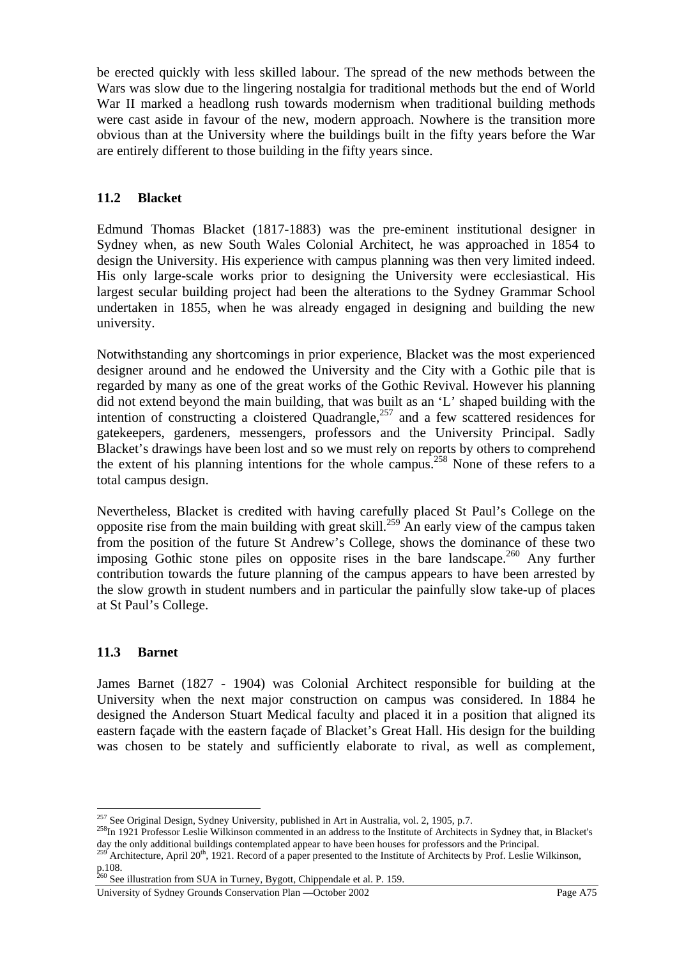be erected quickly with less skilled labour. The spread of the new methods between the Wars was slow due to the lingering nostalgia for traditional methods but the end of World War II marked a headlong rush towards modernism when traditional building methods were cast aside in favour of the new, modern approach. Nowhere is the transition more obvious than at the University where the buildings built in the fifty years before the War are entirely different to those building in the fifty years since.

## **11.2 Blacket**

Edmund Thomas Blacket (1817-1883) was the pre-eminent institutional designer in Sydney when, as new South Wales Colonial Architect, he was approached in 1854 to design the University. His experience with campus planning was then very limited indeed. His only large-scale works prior to designing the University were ecclesiastical. His largest secular building project had been the alterations to the Sydney Grammar School undertaken in 1855, when he was already engaged in designing and building the new university.

Notwithstanding any shortcomings in prior experience, Blacket was the most experienced designer around and he endowed the University and the City with a Gothic pile that is regarded by many as one of the great works of the Gothic Revival. However his planning did not extend beyond the main building, that was built as an 'L' shaped building with the intention of constructing a cloistered Quadrangle,<sup>257</sup> and a few scattered residences for gatekeepers, gardeners, messengers, professors and the University Principal. Sadly Blacket's drawings have been lost and so we must rely on reports by others to comprehend the extent of his planning intentions for the whole campus.<sup>258</sup> None of these refers to a total campus design.

Nevertheless, Blacket is credited with having carefully placed St Paul's College on the opposite rise from the main building with great skill.<sup>259</sup> An early view of the campus taken from the position of the future St Andrew's College, shows the dominance of these two imposing Gothic stone piles on opposite rises in the bare landscape.<sup>260</sup> Any further contribution towards the future planning of the campus appears to have been arrested by the slow growth in student numbers and in particular the painfully slow take-up of places at St Paul's College.

## **11.3 Barnet**

 $\overline{a}$ 

James Barnet (1827 - 1904) was Colonial Architect responsible for building at the University when the next major construction on campus was considered. In 1884 he designed the Anderson Stuart Medical faculty and placed it in a position that aligned its eastern façade with the eastern façade of Blacket's Great Hall. His design for the building was chosen to be stately and sufficiently elaborate to rival, as well as complement,

<sup>&</sup>lt;sup>257</sup> See Original Design, Sydney University, published in Art in Australia, vol. 2, 1905, p.7.<br><sup>258</sup>In 1921 Professor Leslie Wilkinson commented in an address to the Institute of Architects in Sydney that, in Blacket's day the only additional buildings contemplated appear to have been houses for professors and the Principal.<br><sup>259</sup> Architecture, April 20<sup>th</sup>, 1921. Record of a paper presented to the Institute of Architects by Prof. Leslie

p.108.

 $^{260}$  See illustration from SUA in Turney, Bygott, Chippendale et al. P. 159.

University of Sydney Grounds Conservation Plan —October 2002 Page A75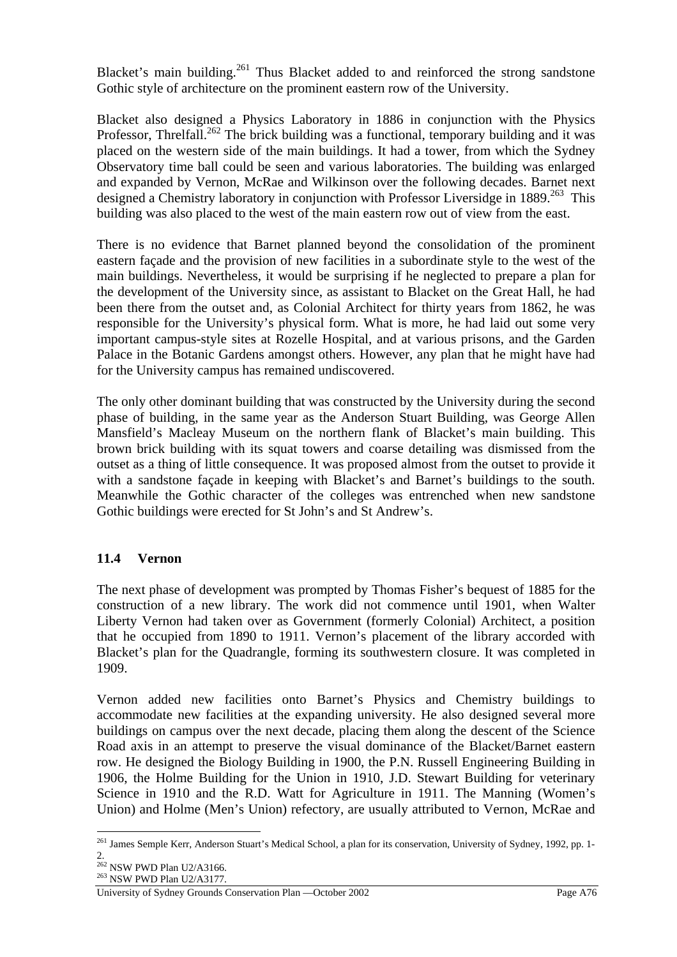Blacket's main building.<sup>261</sup> Thus Blacket added to and reinforced the strong sandstone Gothic style of architecture on the prominent eastern row of the University.

Blacket also designed a Physics Laboratory in 1886 in conjunction with the Physics Professor, Threlfall.<sup>262</sup> The brick building was a functional, temporary building and it was placed on the western side of the main buildings. It had a tower, from which the Sydney Observatory time ball could be seen and various laboratories. The building was enlarged and expanded by Vernon, McRae and Wilkinson over the following decades. Barnet next designed a Chemistry laboratory in conjunction with Professor Liversidge in 1889.<sup>263</sup> This building was also placed to the west of the main eastern row out of view from the east.

There is no evidence that Barnet planned beyond the consolidation of the prominent eastern façade and the provision of new facilities in a subordinate style to the west of the main buildings. Nevertheless, it would be surprising if he neglected to prepare a plan for the development of the University since, as assistant to Blacket on the Great Hall, he had been there from the outset and, as Colonial Architect for thirty years from 1862, he was responsible for the University's physical form. What is more, he had laid out some very important campus-style sites at Rozelle Hospital, and at various prisons, and the Garden Palace in the Botanic Gardens amongst others. However, any plan that he might have had for the University campus has remained undiscovered.

The only other dominant building that was constructed by the University during the second phase of building, in the same year as the Anderson Stuart Building, was George Allen Mansfield's Macleay Museum on the northern flank of Blacket's main building. This brown brick building with its squat towers and coarse detailing was dismissed from the outset as a thing of little consequence. It was proposed almost from the outset to provide it with a sandstone facade in keeping with Blacket's and Barnet's buildings to the south. Meanwhile the Gothic character of the colleges was entrenched when new sandstone Gothic buildings were erected for St John's and St Andrew's.

# **11.4 Vernon**

The next phase of development was prompted by Thomas Fisher's bequest of 1885 for the construction of a new library. The work did not commence until 1901, when Walter Liberty Vernon had taken over as Government (formerly Colonial) Architect, a position that he occupied from 1890 to 1911. Vernon's placement of the library accorded with Blacket's plan for the Quadrangle, forming its southwestern closure. It was completed in 1909.

Vernon added new facilities onto Barnet's Physics and Chemistry buildings to accommodate new facilities at the expanding university. He also designed several more buildings on campus over the next decade, placing them along the descent of the Science Road axis in an attempt to preserve the visual dominance of the Blacket/Barnet eastern row. He designed the Biology Building in 1900, the P.N. Russell Engineering Building in 1906, the Holme Building for the Union in 1910, J.D. Stewart Building for veterinary Science in 1910 and the R.D. Watt for Agriculture in 1911. The Manning (Women's Union) and Holme (Men's Union) refectory, are usually attributed to Vernon, McRae and

 $\overline{a}$ <sup>261</sup> James Semple Kerr, Anderson Stuart's Medical School, a plan for its conservation, University of Sydney, 1992, pp. 1-2.

<sup>&</sup>lt;sup>262</sup> NSW PWD Plan U2/A3166.<br><sup>263</sup> NSW PWD Plan U2/A3177.

University of Sydney Grounds Conservation Plan —October 2002 Page A76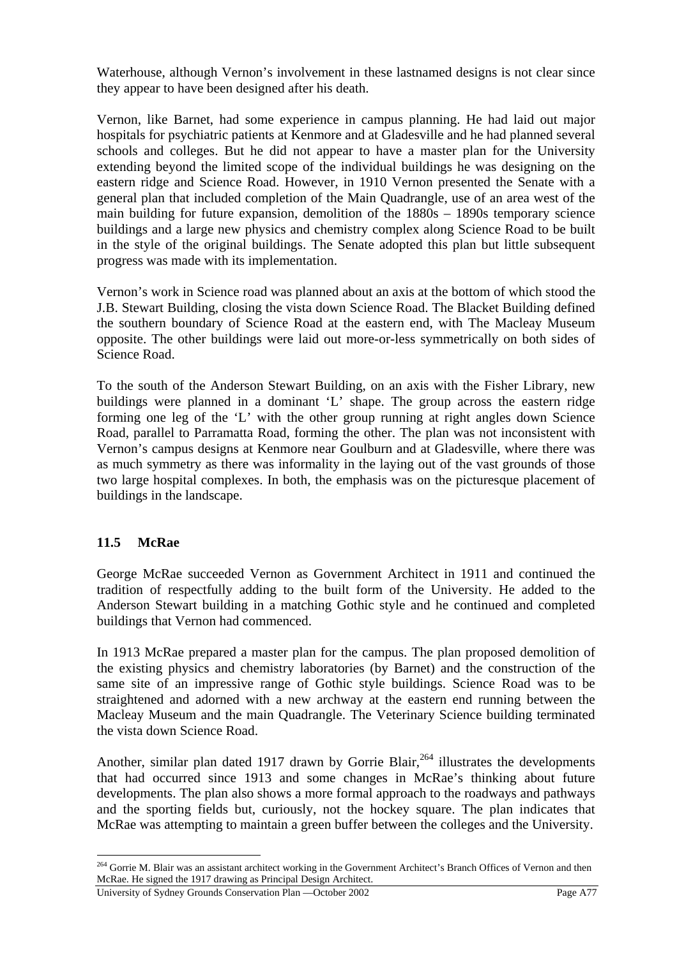Waterhouse, although Vernon's involvement in these lastnamed designs is not clear since they appear to have been designed after his death.

Vernon, like Barnet, had some experience in campus planning. He had laid out major hospitals for psychiatric patients at Kenmore and at Gladesville and he had planned several schools and colleges. But he did not appear to have a master plan for the University extending beyond the limited scope of the individual buildings he was designing on the eastern ridge and Science Road. However, in 1910 Vernon presented the Senate with a general plan that included completion of the Main Quadrangle, use of an area west of the main building for future expansion, demolition of the 1880s – 1890s temporary science buildings and a large new physics and chemistry complex along Science Road to be built in the style of the original buildings. The Senate adopted this plan but little subsequent progress was made with its implementation.

Vernon's work in Science road was planned about an axis at the bottom of which stood the J.B. Stewart Building, closing the vista down Science Road. The Blacket Building defined the southern boundary of Science Road at the eastern end, with The Macleay Museum opposite. The other buildings were laid out more-or-less symmetrically on both sides of Science Road.

To the south of the Anderson Stewart Building, on an axis with the Fisher Library, new buildings were planned in a dominant 'L' shape. The group across the eastern ridge forming one leg of the 'L' with the other group running at right angles down Science Road, parallel to Parramatta Road, forming the other. The plan was not inconsistent with Vernon's campus designs at Kenmore near Goulburn and at Gladesville, where there was as much symmetry as there was informality in the laying out of the vast grounds of those two large hospital complexes. In both, the emphasis was on the picturesque placement of buildings in the landscape.

# **11.5 McRae**

 $\overline{a}$ 

George McRae succeeded Vernon as Government Architect in 1911 and continued the tradition of respectfully adding to the built form of the University. He added to the Anderson Stewart building in a matching Gothic style and he continued and completed buildings that Vernon had commenced.

In 1913 McRae prepared a master plan for the campus. The plan proposed demolition of the existing physics and chemistry laboratories (by Barnet) and the construction of the same site of an impressive range of Gothic style buildings. Science Road was to be straightened and adorned with a new archway at the eastern end running between the Macleay Museum and the main Quadrangle. The Veterinary Science building terminated the vista down Science Road.

Another, similar plan dated 1917 drawn by Gorrie Blair,  $^{264}$  illustrates the developments that had occurred since 1913 and some changes in McRae's thinking about future developments. The plan also shows a more formal approach to the roadways and pathways and the sporting fields but, curiously, not the hockey square. The plan indicates that McRae was attempting to maintain a green buffer between the colleges and the University.

<sup>&</sup>lt;sup>264</sup> Gorrie M. Blair was an assistant architect working in the Government Architect's Branch Offices of Vernon and then McRae. He signed the 1917 drawing as Principal Design Architect.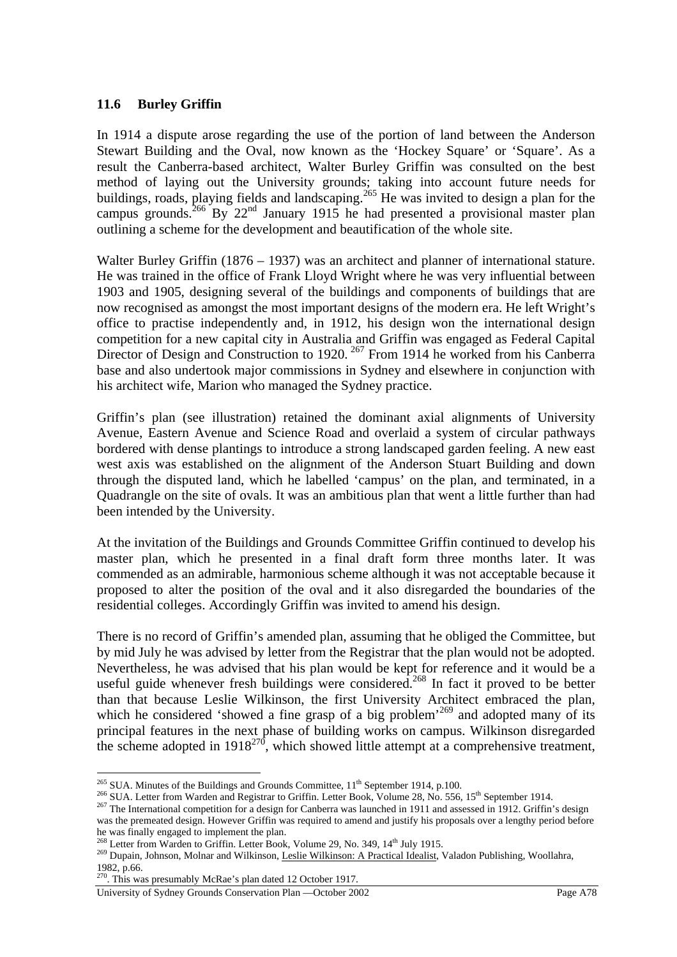## **11.6 Burley Griffin**

In 1914 a dispute arose regarding the use of the portion of land between the Anderson Stewart Building and the Oval, now known as the 'Hockey Square' or 'Square'. As a result the Canberra-based architect, Walter Burley Griffin was consulted on the best method of laying out the University grounds; taking into account future needs for buildings, roads, playing fields and landscaping.<sup>265</sup> He was invited to design a plan for the campus grounds.<sup>266</sup> By 22<sup>nd</sup> January 1915 he had presented a provisional master plan outlining a scheme for the development and beautification of the whole site.

Walter Burley Griffin (1876 – 1937) was an architect and planner of international stature. He was trained in the office of Frank Lloyd Wright where he was very influential between 1903 and 1905, designing several of the buildings and components of buildings that are now recognised as amongst the most important designs of the modern era. He left Wright's office to practise independently and, in 1912, his design won the international design competition for a new capital city in Australia and Griffin was engaged as Federal Capital Director of Design and Construction to 1920.<sup>267</sup> From 1914 he worked from his Canberra base and also undertook major commissions in Sydney and elsewhere in conjunction with his architect wife, Marion who managed the Sydney practice.

Griffin's plan (see illustration) retained the dominant axial alignments of University Avenue, Eastern Avenue and Science Road and overlaid a system of circular pathways bordered with dense plantings to introduce a strong landscaped garden feeling. A new east west axis was established on the alignment of the Anderson Stuart Building and down through the disputed land, which he labelled 'campus' on the plan, and terminated, in a Quadrangle on the site of ovals. It was an ambitious plan that went a little further than had been intended by the University.

At the invitation of the Buildings and Grounds Committee Griffin continued to develop his master plan, which he presented in a final draft form three months later. It was commended as an admirable, harmonious scheme although it was not acceptable because it proposed to alter the position of the oval and it also disregarded the boundaries of the residential colleges. Accordingly Griffin was invited to amend his design.

There is no record of Griffin's amended plan, assuming that he obliged the Committee, but by mid July he was advised by letter from the Registrar that the plan would not be adopted. Nevertheless, he was advised that his plan would be kept for reference and it would be a useful guide whenever fresh buildings were considered.<sup>268</sup> In fact it proved to be better than that because Leslie Wilkinson, the first University Architect embraced the plan, which he considered 'showed a fine grasp of a big problem<sup> $269$ </sup> and adopted many of its principal features in the next phase of building works on campus. Wilkinson disregarded the scheme adopted in  $1918^{270}$ , which showed little attempt at a comprehensive treatment,

<sup>&</sup>lt;sup>265</sup> SUA. Minutes of the Buildings and Grounds Committee, 11<sup>th</sup> September 1914, p.100.

<sup>&</sup>lt;sup>266</sup> SUA. Letter from Warden and Registrar to Griffin. Letter Book, Volume 28, No. 556, 15<sup>th</sup> September 1914.<br><sup>267</sup> The International competition for a design for Canberra was launched in 1911 and assessed in 1912. Griff

was the premeated design. However Griffin was required to amend and justify his proposals over a lengthy period before he was finally engaged to implement the plan.<br><sup>268</sup> Letter from Warden to Griffin. Letter Book, Volume 29, No. 349, 14<sup>th</sup> July 1915.

<sup>269</sup> Dupain, Johnson, Molnar and Wilkinson, Leslie Wilkinson: A Practical Idealist, Valadon Publishing, Woollahra, 1982, p.66.

<sup>&</sup>lt;sup>270</sup>. This was presumably McRae's plan dated 12 October 1917.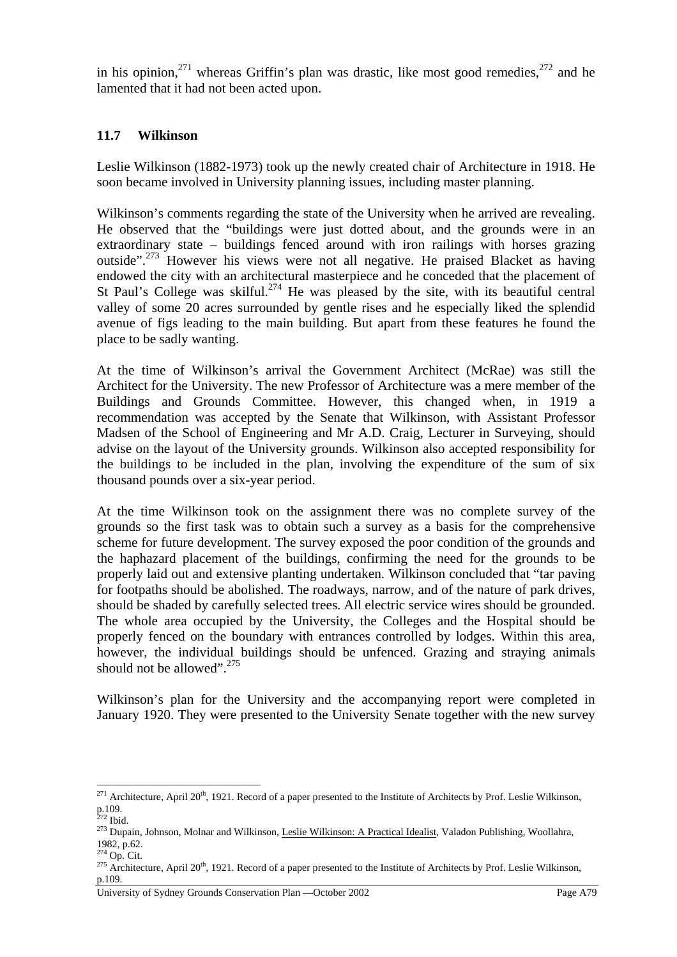in his opinion,  $271$  whereas Griffin's plan was drastic, like most good remedies,  $272$  and he lamented that it had not been acted upon.

## **11.7 Wilkinson**

Leslie Wilkinson (1882-1973) took up the newly created chair of Architecture in 1918. He soon became involved in University planning issues, including master planning.

Wilkinson's comments regarding the state of the University when he arrived are revealing. He observed that the "buildings were just dotted about, and the grounds were in an extraordinary state – buildings fenced around with iron railings with horses grazing outside".<sup>273</sup> However his views were not all negative. He praised Blacket as having endowed the city with an architectural masterpiece and he conceded that the placement of St Paul's College was skilful.<sup>274</sup> He was pleased by the site, with its beautiful central valley of some 20 acres surrounded by gentle rises and he especially liked the splendid avenue of figs leading to the main building. But apart from these features he found the place to be sadly wanting.

At the time of Wilkinson's arrival the Government Architect (McRae) was still the Architect for the University. The new Professor of Architecture was a mere member of the Buildings and Grounds Committee. However, this changed when, in 1919 a recommendation was accepted by the Senate that Wilkinson, with Assistant Professor Madsen of the School of Engineering and Mr A.D. Craig, Lecturer in Surveying, should advise on the layout of the University grounds. Wilkinson also accepted responsibility for the buildings to be included in the plan, involving the expenditure of the sum of six thousand pounds over a six-year period.

At the time Wilkinson took on the assignment there was no complete survey of the grounds so the first task was to obtain such a survey as a basis for the comprehensive scheme for future development. The survey exposed the poor condition of the grounds and the haphazard placement of the buildings, confirming the need for the grounds to be properly laid out and extensive planting undertaken. Wilkinson concluded that "tar paving for footpaths should be abolished. The roadways, narrow, and of the nature of park drives, should be shaded by carefully selected trees. All electric service wires should be grounded. The whole area occupied by the University, the Colleges and the Hospital should be properly fenced on the boundary with entrances controlled by lodges. Within this area, however, the individual buildings should be unfenced. Grazing and straying animals should not be allowed".<sup>275</sup>

Wilkinson's plan for the University and the accompanying report were completed in January 1920. They were presented to the University Senate together with the new survey

<sup>&</sup>lt;sup>271</sup> Architecture, April 20<sup>th</sup>, 1921. Record of a paper presented to the Institute of Architects by Prof. Leslie Wilkinson, p.109.<br><sup>272</sup> Ibid.

<sup>&</sup>lt;sup>273</sup> Dupain, Johnson, Molnar and Wilkinson, Leslie Wilkinson: A Practical Idealist, Valadon Publishing, Woollahra, 1982, p.62.<br><sup>274</sup> Op. Cit.

<sup>&</sup>lt;sup>275</sup> Architecture, April 20<sup>th</sup>, 1921. Record of a paper presented to the Institute of Architects by Prof. Leslie Wilkinson, p.109.

University of Sydney Grounds Conservation Plan —October 2002 Page A79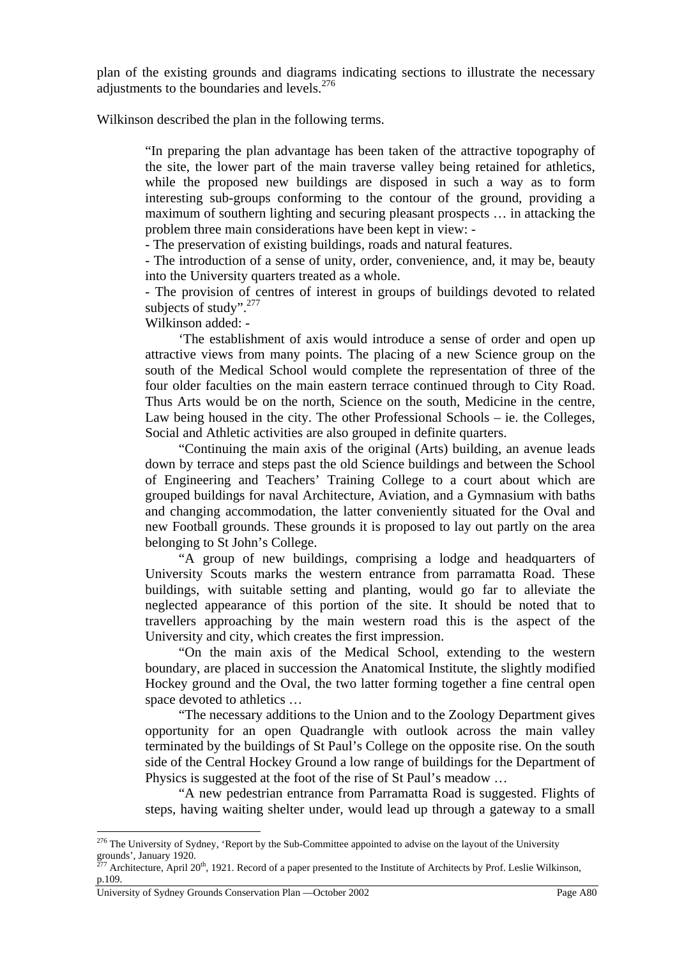plan of the existing grounds and diagrams indicating sections to illustrate the necessary adjustments to the boundaries and levels.<sup>276</sup>

Wilkinson described the plan in the following terms.

"In preparing the plan advantage has been taken of the attractive topography of the site, the lower part of the main traverse valley being retained for athletics, while the proposed new buildings are disposed in such a way as to form interesting sub-groups conforming to the contour of the ground, providing a maximum of southern lighting and securing pleasant prospects … in attacking the problem three main considerations have been kept in view: -

- The preservation of existing buildings, roads and natural features.

- The introduction of a sense of unity, order, convenience, and, it may be, beauty into the University quarters treated as a whole.

- The provision of centres of interest in groups of buildings devoted to related subjects of study". $277$ 

Wilkinson added: -

 'The establishment of axis would introduce a sense of order and open up attractive views from many points. The placing of a new Science group on the south of the Medical School would complete the representation of three of the four older faculties on the main eastern terrace continued through to City Road. Thus Arts would be on the north, Science on the south, Medicine in the centre, Law being housed in the city. The other Professional Schools – ie. the Colleges, Social and Athletic activities are also grouped in definite quarters.

 "Continuing the main axis of the original (Arts) building, an avenue leads down by terrace and steps past the old Science buildings and between the School of Engineering and Teachers' Training College to a court about which are grouped buildings for naval Architecture, Aviation, and a Gymnasium with baths and changing accommodation, the latter conveniently situated for the Oval and new Football grounds. These grounds it is proposed to lay out partly on the area belonging to St John's College.

 "A group of new buildings, comprising a lodge and headquarters of University Scouts marks the western entrance from parramatta Road. These buildings, with suitable setting and planting, would go far to alleviate the neglected appearance of this portion of the site. It should be noted that to travellers approaching by the main western road this is the aspect of the University and city, which creates the first impression.

 "On the main axis of the Medical School, extending to the western boundary, are placed in succession the Anatomical Institute, the slightly modified Hockey ground and the Oval, the two latter forming together a fine central open space devoted to athletics …

 "The necessary additions to the Union and to the Zoology Department gives opportunity for an open Quadrangle with outlook across the main valley terminated by the buildings of St Paul's College on the opposite rise. On the south side of the Central Hockey Ground a low range of buildings for the Department of Physics is suggested at the foot of the rise of St Paul's meadow …

 "A new pedestrian entrance from Parramatta Road is suggested. Flights of steps, having waiting shelter under, would lead up through a gateway to a small

<sup>&</sup>lt;sup>276</sup> The University of Sydney, 'Report by the Sub-Committee appointed to advise on the layout of the University  $\frac{1}{277}$  CH versity of Sydem strategy and the system.

<sup>&</sup>lt;sup>7</sup> Architecture, April 20<sup>th</sup>, 1921. Record of a paper presented to the Institute of Architects by Prof. Leslie Wilkinson, p.109.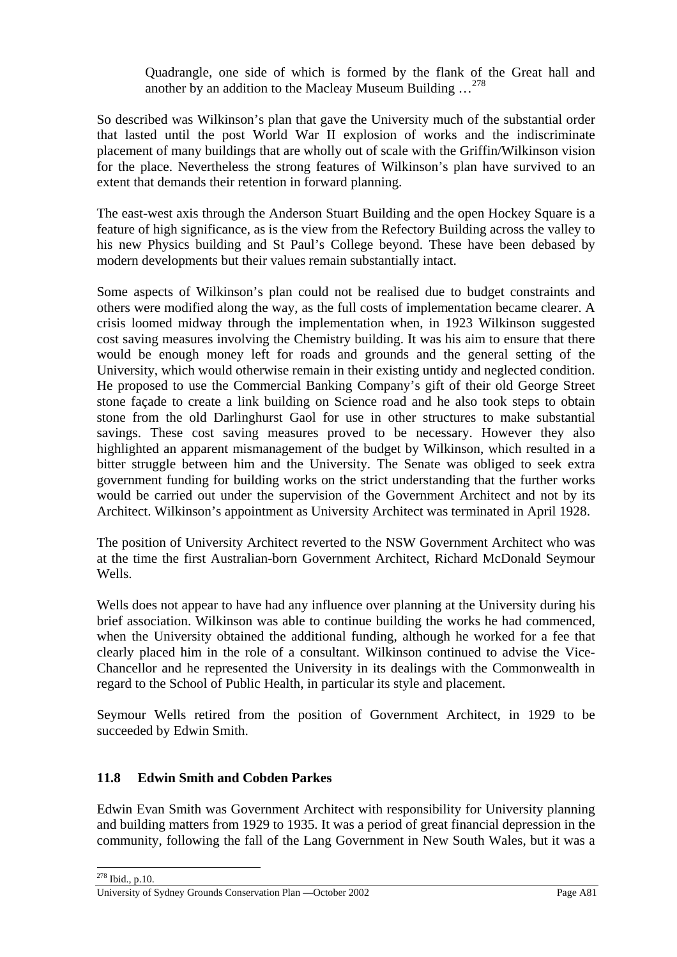Quadrangle, one side of which is formed by the flank of the Great hall and another by an addition to the Macleay Museum Building …<sup>278</sup>

So described was Wilkinson's plan that gave the University much of the substantial order that lasted until the post World War II explosion of works and the indiscriminate placement of many buildings that are wholly out of scale with the Griffin/Wilkinson vision for the place. Nevertheless the strong features of Wilkinson's plan have survived to an extent that demands their retention in forward planning.

The east-west axis through the Anderson Stuart Building and the open Hockey Square is a feature of high significance, as is the view from the Refectory Building across the valley to his new Physics building and St Paul's College beyond. These have been debased by modern developments but their values remain substantially intact.

Some aspects of Wilkinson's plan could not be realised due to budget constraints and others were modified along the way, as the full costs of implementation became clearer. A crisis loomed midway through the implementation when, in 1923 Wilkinson suggested cost saving measures involving the Chemistry building. It was his aim to ensure that there would be enough money left for roads and grounds and the general setting of the University, which would otherwise remain in their existing untidy and neglected condition. He proposed to use the Commercial Banking Company's gift of their old George Street stone façade to create a link building on Science road and he also took steps to obtain stone from the old Darlinghurst Gaol for use in other structures to make substantial savings. These cost saving measures proved to be necessary. However they also highlighted an apparent mismanagement of the budget by Wilkinson, which resulted in a bitter struggle between him and the University. The Senate was obliged to seek extra government funding for building works on the strict understanding that the further works would be carried out under the supervision of the Government Architect and not by its Architect. Wilkinson's appointment as University Architect was terminated in April 1928.

The position of University Architect reverted to the NSW Government Architect who was at the time the first Australian-born Government Architect, Richard McDonald Seymour Wells.

Wells does not appear to have had any influence over planning at the University during his brief association. Wilkinson was able to continue building the works he had commenced, when the University obtained the additional funding, although he worked for a fee that clearly placed him in the role of a consultant. Wilkinson continued to advise the Vice-Chancellor and he represented the University in its dealings with the Commonwealth in regard to the School of Public Health, in particular its style and placement.

Seymour Wells retired from the position of Government Architect, in 1929 to be succeeded by Edwin Smith.

# **11.8 Edwin Smith and Cobden Parkes**

 $\overline{a}$ 

Edwin Evan Smith was Government Architect with responsibility for University planning and building matters from 1929 to 1935. It was a period of great financial depression in the community, following the fall of the Lang Government in New South Wales, but it was a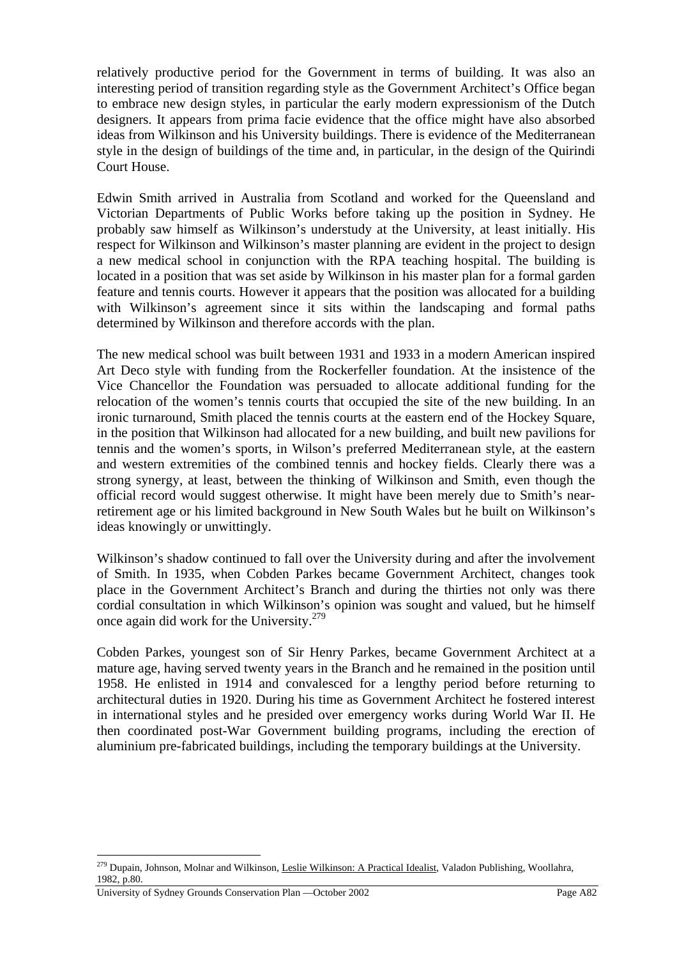relatively productive period for the Government in terms of building. It was also an interesting period of transition regarding style as the Government Architect's Office began to embrace new design styles, in particular the early modern expressionism of the Dutch designers. It appears from prima facie evidence that the office might have also absorbed ideas from Wilkinson and his University buildings. There is evidence of the Mediterranean style in the design of buildings of the time and, in particular, in the design of the Quirindi Court House.

Edwin Smith arrived in Australia from Scotland and worked for the Queensland and Victorian Departments of Public Works before taking up the position in Sydney. He probably saw himself as Wilkinson's understudy at the University, at least initially. His respect for Wilkinson and Wilkinson's master planning are evident in the project to design a new medical school in conjunction with the RPA teaching hospital. The building is located in a position that was set aside by Wilkinson in his master plan for a formal garden feature and tennis courts. However it appears that the position was allocated for a building with Wilkinson's agreement since it sits within the landscaping and formal paths determined by Wilkinson and therefore accords with the plan.

The new medical school was built between 1931 and 1933 in a modern American inspired Art Deco style with funding from the Rockerfeller foundation. At the insistence of the Vice Chancellor the Foundation was persuaded to allocate additional funding for the relocation of the women's tennis courts that occupied the site of the new building. In an ironic turnaround. Smith placed the tennis courts at the eastern end of the Hockey Square, in the position that Wilkinson had allocated for a new building, and built new pavilions for tennis and the women's sports, in Wilson's preferred Mediterranean style, at the eastern and western extremities of the combined tennis and hockey fields. Clearly there was a strong synergy, at least, between the thinking of Wilkinson and Smith, even though the official record would suggest otherwise. It might have been merely due to Smith's nearretirement age or his limited background in New South Wales but he built on Wilkinson's ideas knowingly or unwittingly.

Wilkinson's shadow continued to fall over the University during and after the involvement of Smith. In 1935, when Cobden Parkes became Government Architect, changes took place in the Government Architect's Branch and during the thirties not only was there cordial consultation in which Wilkinson's opinion was sought and valued, but he himself once again did work for the University.<sup>279</sup>

Cobden Parkes, youngest son of Sir Henry Parkes, became Government Architect at a mature age, having served twenty years in the Branch and he remained in the position until 1958. He enlisted in 1914 and convalesced for a lengthy period before returning to architectural duties in 1920. During his time as Government Architect he fostered interest in international styles and he presided over emergency works during World War II. He then coordinated post-War Government building programs, including the erection of aluminium pre-fabricated buildings, including the temporary buildings at the University.

<sup>&</sup>lt;sup>279</sup> Dupain, Johnson, Molnar and Wilkinson, Leslie Wilkinson: A Practical Idealist, Valadon Publishing, Woollahra, 1982, p.80.

University of Sydney Grounds Conservation Plan —October 2002 Page A82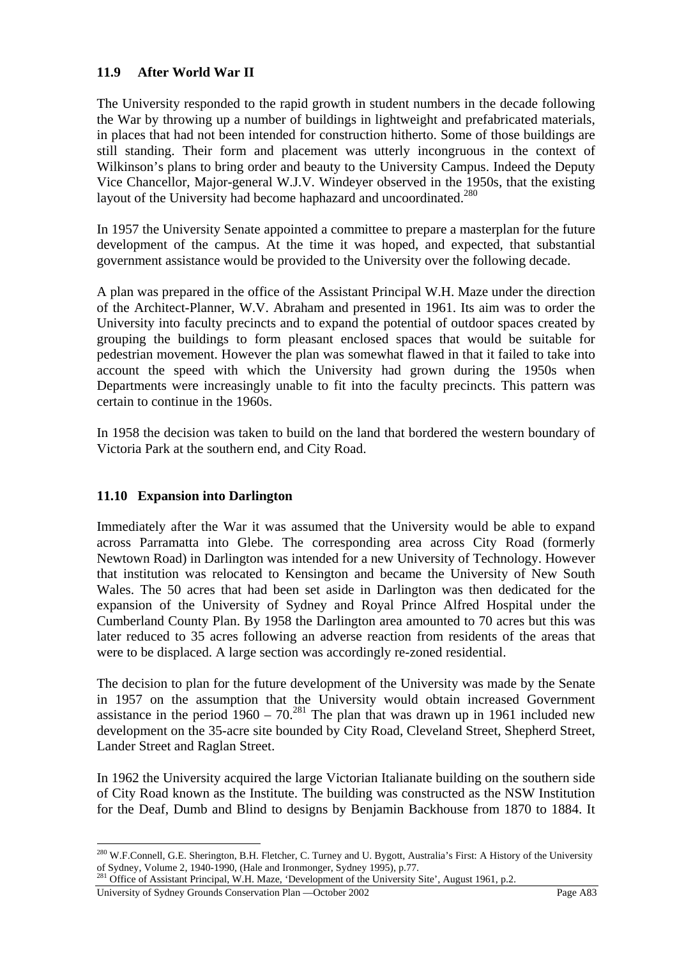## **11.9 After World War II**

The University responded to the rapid growth in student numbers in the decade following the War by throwing up a number of buildings in lightweight and prefabricated materials, in places that had not been intended for construction hitherto. Some of those buildings are still standing. Their form and placement was utterly incongruous in the context of Wilkinson's plans to bring order and beauty to the University Campus. Indeed the Deputy Vice Chancellor, Major-general W.J.V. Windeyer observed in the 1950s, that the existing layout of the University had become haphazard and uncoordinated.<sup>280</sup>

In 1957 the University Senate appointed a committee to prepare a masterplan for the future development of the campus. At the time it was hoped, and expected, that substantial government assistance would be provided to the University over the following decade.

A plan was prepared in the office of the Assistant Principal W.H. Maze under the direction of the Architect-Planner, W.V. Abraham and presented in 1961. Its aim was to order the University into faculty precincts and to expand the potential of outdoor spaces created by grouping the buildings to form pleasant enclosed spaces that would be suitable for pedestrian movement. However the plan was somewhat flawed in that it failed to take into account the speed with which the University had grown during the 1950s when Departments were increasingly unable to fit into the faculty precincts. This pattern was certain to continue in the 1960s.

In 1958 the decision was taken to build on the land that bordered the western boundary of Victoria Park at the southern end, and City Road.

## **11.10 Expansion into Darlington**

Immediately after the War it was assumed that the University would be able to expand across Parramatta into Glebe. The corresponding area across City Road (formerly Newtown Road) in Darlington was intended for a new University of Technology. However that institution was relocated to Kensington and became the University of New South Wales. The 50 acres that had been set aside in Darlington was then dedicated for the expansion of the University of Sydney and Royal Prince Alfred Hospital under the Cumberland County Plan. By 1958 the Darlington area amounted to 70 acres but this was later reduced to 35 acres following an adverse reaction from residents of the areas that were to be displaced. A large section was accordingly re-zoned residential.

The decision to plan for the future development of the University was made by the Senate in 1957 on the assumption that the University would obtain increased Government assistance in the period  $1960 - 70$ <sup>281</sup>. The plan that was drawn up in 1961 included new development on the 35-acre site bounded by City Road, Cleveland Street, Shepherd Street, Lander Street and Raglan Street.

In 1962 the University acquired the large Victorian Italianate building on the southern side of City Road known as the Institute. The building was constructed as the NSW Institution for the Deaf, Dumb and Blind to designs by Benjamin Backhouse from 1870 to 1884. It

<sup>&</sup>lt;sup>280</sup> W.F.Connell, G.E. Sherington, B.H. Fletcher, C. Turney and U. Bygott, Australia's First: A History of the University of Sydney, Volume 2, 1940-1990, (Hale and Ironmonger, Sydney 1995), p.77.<br><sup>281</sup> Office of Assistant Principal, W.H. Maze, 'Development of the University Site', August 1961, p.2.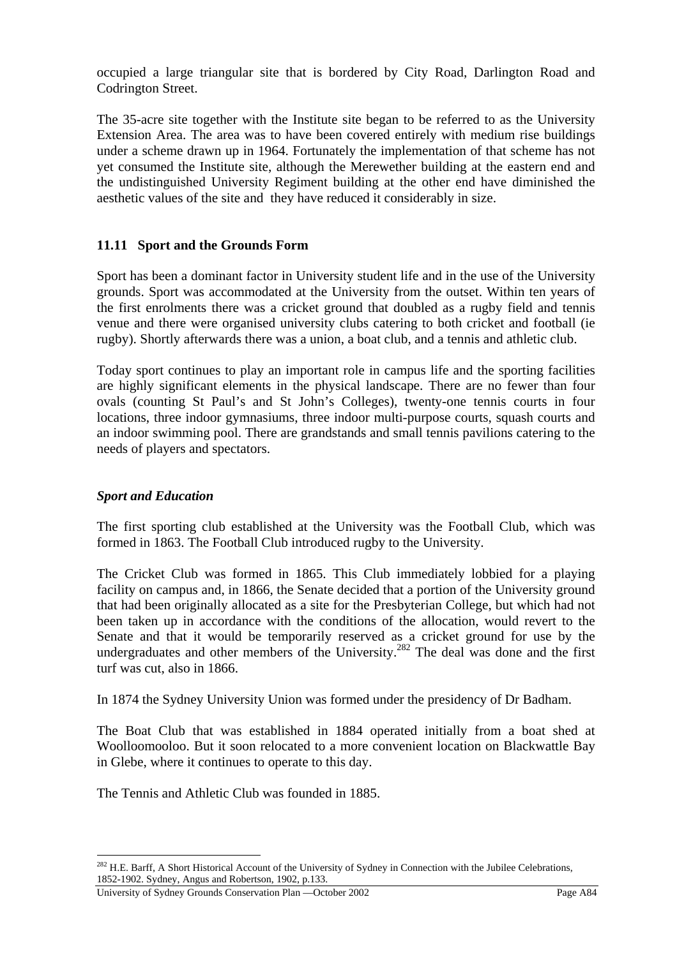occupied a large triangular site that is bordered by City Road, Darlington Road and Codrington Street.

The 35-acre site together with the Institute site began to be referred to as the University Extension Area. The area was to have been covered entirely with medium rise buildings under a scheme drawn up in 1964. Fortunately the implementation of that scheme has not yet consumed the Institute site, although the Merewether building at the eastern end and the undistinguished University Regiment building at the other end have diminished the aesthetic values of the site and they have reduced it considerably in size.

## **11.11 Sport and the Grounds Form**

Sport has been a dominant factor in University student life and in the use of the University grounds. Sport was accommodated at the University from the outset. Within ten years of the first enrolments there was a cricket ground that doubled as a rugby field and tennis venue and there were organised university clubs catering to both cricket and football (ie rugby). Shortly afterwards there was a union, a boat club, and a tennis and athletic club.

Today sport continues to play an important role in campus life and the sporting facilities are highly significant elements in the physical landscape. There are no fewer than four ovals (counting St Paul's and St John's Colleges), twenty-one tennis courts in four locations, three indoor gymnasiums, three indoor multi-purpose courts, squash courts and an indoor swimming pool. There are grandstands and small tennis pavilions catering to the needs of players and spectators.

## *Sport and Education*

 $\overline{a}$ 

The first sporting club established at the University was the Football Club, which was formed in 1863. The Football Club introduced rugby to the University.

The Cricket Club was formed in 1865. This Club immediately lobbied for a playing facility on campus and, in 1866, the Senate decided that a portion of the University ground that had been originally allocated as a site for the Presbyterian College, but which had not been taken up in accordance with the conditions of the allocation, would revert to the Senate and that it would be temporarily reserved as a cricket ground for use by the undergraduates and other members of the University.<sup>282</sup> The deal was done and the first turf was cut, also in 1866.

In 1874 the Sydney University Union was formed under the presidency of Dr Badham.

The Boat Club that was established in 1884 operated initially from a boat shed at Woolloomooloo. But it soon relocated to a more convenient location on Blackwattle Bay in Glebe, where it continues to operate to this day.

The Tennis and Athletic Club was founded in 1885.

<sup>&</sup>lt;sup>282</sup> H.E. Barff, A Short Historical Account of the University of Sydney in Connection with the Jubilee Celebrations, 1852-1902. Sydney, Angus and Robertson, 1902, p.133.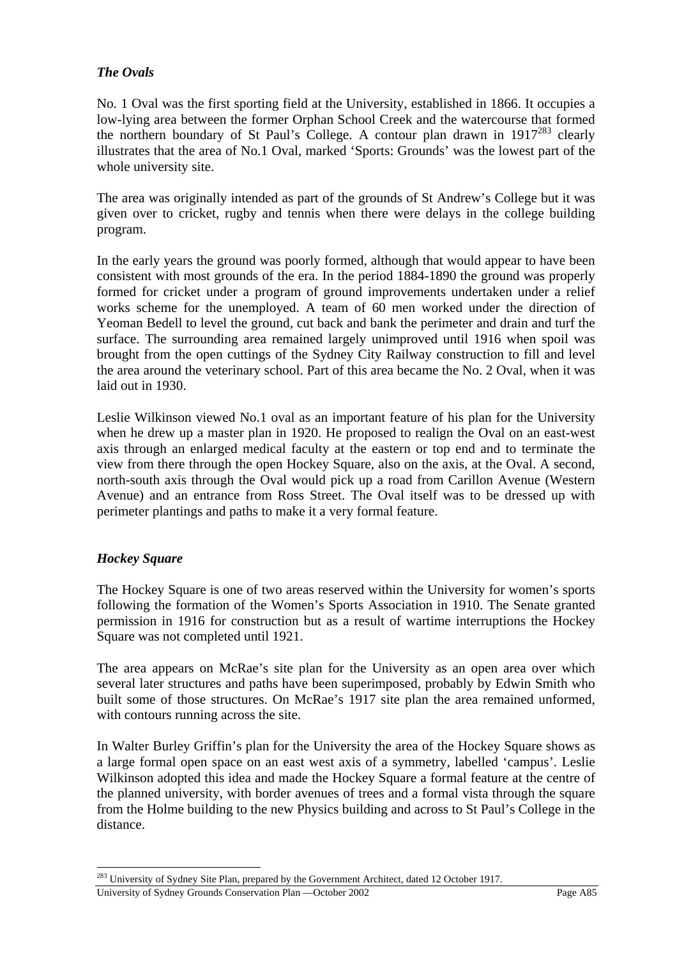## *The Ovals*

No. 1 Oval was the first sporting field at the University, established in 1866. It occupies a low-lying area between the former Orphan School Creek and the watercourse that formed the northern boundary of St Paul's College. A contour plan drawn in  $1917^{283}$  clearly illustrates that the area of No.1 Oval, marked 'Sports: Grounds' was the lowest part of the whole university site.

The area was originally intended as part of the grounds of St Andrew's College but it was given over to cricket, rugby and tennis when there were delays in the college building program.

In the early years the ground was poorly formed, although that would appear to have been consistent with most grounds of the era. In the period 1884-1890 the ground was properly formed for cricket under a program of ground improvements undertaken under a relief works scheme for the unemployed. A team of 60 men worked under the direction of Yeoman Bedell to level the ground, cut back and bank the perimeter and drain and turf the surface. The surrounding area remained largely unimproved until 1916 when spoil was brought from the open cuttings of the Sydney City Railway construction to fill and level the area around the veterinary school. Part of this area became the No. 2 Oval, when it was laid out in 1930.

Leslie Wilkinson viewed No.1 oval as an important feature of his plan for the University when he drew up a master plan in 1920. He proposed to realign the Oval on an east-west axis through an enlarged medical faculty at the eastern or top end and to terminate the view from there through the open Hockey Square, also on the axis, at the Oval. A second, north-south axis through the Oval would pick up a road from Carillon Avenue (Western Avenue) and an entrance from Ross Street. The Oval itself was to be dressed up with perimeter plantings and paths to make it a very formal feature.

## *Hockey Square*

 $\overline{a}$ 

The Hockey Square is one of two areas reserved within the University for women's sports following the formation of the Women's Sports Association in 1910. The Senate granted permission in 1916 for construction but as a result of wartime interruptions the Hockey Square was not completed until 1921.

The area appears on McRae's site plan for the University as an open area over which several later structures and paths have been superimposed, probably by Edwin Smith who built some of those structures. On McRae's 1917 site plan the area remained unformed, with contours running across the site.

In Walter Burley Griffin's plan for the University the area of the Hockey Square shows as a large formal open space on an east west axis of a symmetry, labelled 'campus'. Leslie Wilkinson adopted this idea and made the Hockey Square a formal feature at the centre of the planned university, with border avenues of trees and a formal vista through the square from the Holme building to the new Physics building and across to St Paul's College in the distance.

<sup>&</sup>lt;sup>283</sup> University of Sydney Site Plan, prepared by the Government Architect, dated 12 October 1917.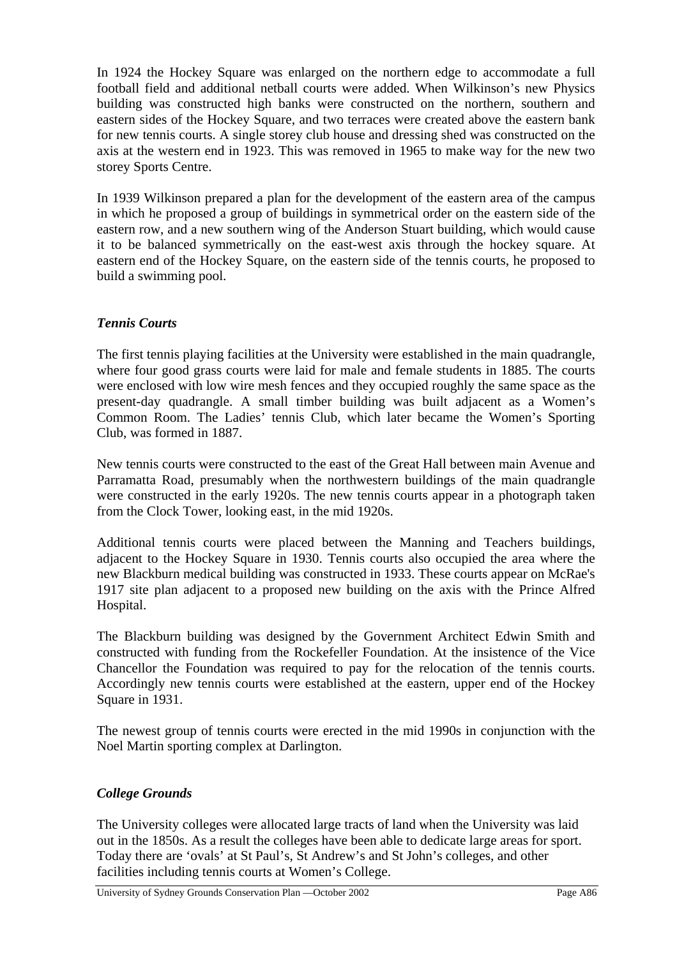In 1924 the Hockey Square was enlarged on the northern edge to accommodate a full football field and additional netball courts were added. When Wilkinson's new Physics building was constructed high banks were constructed on the northern, southern and eastern sides of the Hockey Square, and two terraces were created above the eastern bank for new tennis courts. A single storey club house and dressing shed was constructed on the axis at the western end in 1923. This was removed in 1965 to make way for the new two storey Sports Centre.

In 1939 Wilkinson prepared a plan for the development of the eastern area of the campus in which he proposed a group of buildings in symmetrical order on the eastern side of the eastern row, and a new southern wing of the Anderson Stuart building, which would cause it to be balanced symmetrically on the east-west axis through the hockey square. At eastern end of the Hockey Square, on the eastern side of the tennis courts, he proposed to build a swimming pool.

## *Tennis Courts*

The first tennis playing facilities at the University were established in the main quadrangle, where four good grass courts were laid for male and female students in 1885. The courts were enclosed with low wire mesh fences and they occupied roughly the same space as the present-day quadrangle. A small timber building was built adjacent as a Women's Common Room. The Ladies' tennis Club, which later became the Women's Sporting Club, was formed in 1887.

New tennis courts were constructed to the east of the Great Hall between main Avenue and Parramatta Road, presumably when the northwestern buildings of the main quadrangle were constructed in the early 1920s. The new tennis courts appear in a photograph taken from the Clock Tower, looking east, in the mid 1920s.

Additional tennis courts were placed between the Manning and Teachers buildings, adjacent to the Hockey Square in 1930. Tennis courts also occupied the area where the new Blackburn medical building was constructed in 1933. These courts appear on McRae's 1917 site plan adjacent to a proposed new building on the axis with the Prince Alfred Hospital.

The Blackburn building was designed by the Government Architect Edwin Smith and constructed with funding from the Rockefeller Foundation. At the insistence of the Vice Chancellor the Foundation was required to pay for the relocation of the tennis courts. Accordingly new tennis courts were established at the eastern, upper end of the Hockey Square in 1931.

The newest group of tennis courts were erected in the mid 1990s in conjunction with the Noel Martin sporting complex at Darlington.

## *College Grounds*

The University colleges were allocated large tracts of land when the University was laid out in the 1850s. As a result the colleges have been able to dedicate large areas for sport. Today there are 'ovals' at St Paul's, St Andrew's and St John's colleges, and other facilities including tennis courts at Women's College.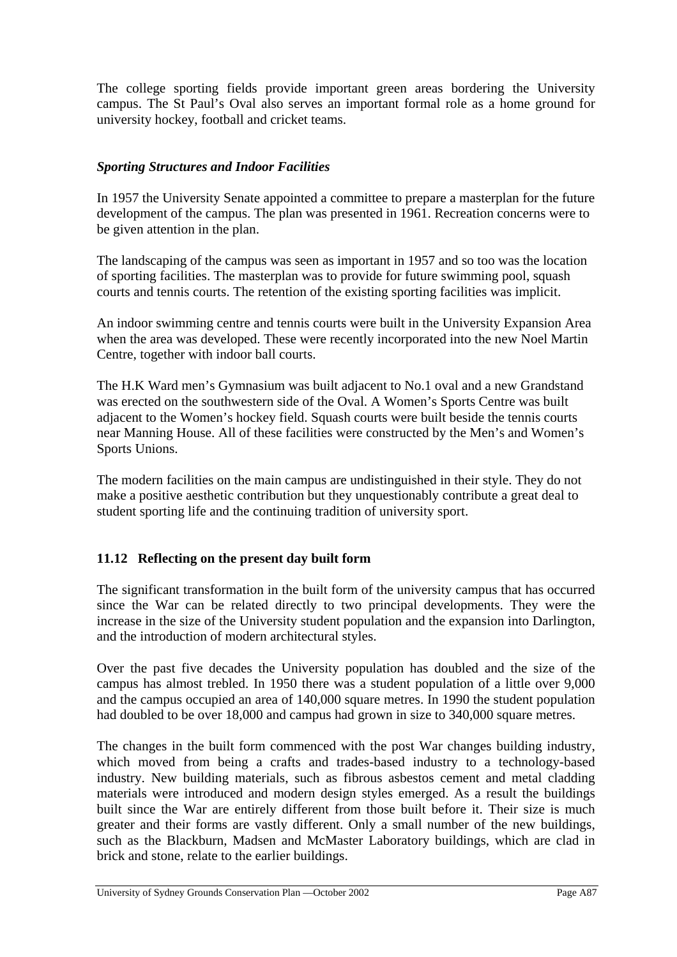The college sporting fields provide important green areas bordering the University campus. The St Paul's Oval also serves an important formal role as a home ground for university hockey, football and cricket teams.

## *Sporting Structures and Indoor Facilities*

In 1957 the University Senate appointed a committee to prepare a masterplan for the future development of the campus. The plan was presented in 1961. Recreation concerns were to be given attention in the plan.

The landscaping of the campus was seen as important in 1957 and so too was the location of sporting facilities. The masterplan was to provide for future swimming pool, squash courts and tennis courts. The retention of the existing sporting facilities was implicit.

An indoor swimming centre and tennis courts were built in the University Expansion Area when the area was developed. These were recently incorporated into the new Noel Martin Centre, together with indoor ball courts.

The H.K Ward men's Gymnasium was built adjacent to No.1 oval and a new Grandstand was erected on the southwestern side of the Oval. A Women's Sports Centre was built adjacent to the Women's hockey field. Squash courts were built beside the tennis courts near Manning House. All of these facilities were constructed by the Men's and Women's Sports Unions.

The modern facilities on the main campus are undistinguished in their style. They do not make a positive aesthetic contribution but they unquestionably contribute a great deal to student sporting life and the continuing tradition of university sport.

## **11.12 Reflecting on the present day built form**

The significant transformation in the built form of the university campus that has occurred since the War can be related directly to two principal developments. They were the increase in the size of the University student population and the expansion into Darlington, and the introduction of modern architectural styles.

Over the past five decades the University population has doubled and the size of the campus has almost trebled. In 1950 there was a student population of a little over 9,000 and the campus occupied an area of 140,000 square metres. In 1990 the student population had doubled to be over 18,000 and campus had grown in size to 340,000 square metres.

The changes in the built form commenced with the post War changes building industry, which moved from being a crafts and trades-based industry to a technology-based industry. New building materials, such as fibrous asbestos cement and metal cladding materials were introduced and modern design styles emerged. As a result the buildings built since the War are entirely different from those built before it. Their size is much greater and their forms are vastly different. Only a small number of the new buildings, such as the Blackburn, Madsen and McMaster Laboratory buildings, which are clad in brick and stone, relate to the earlier buildings.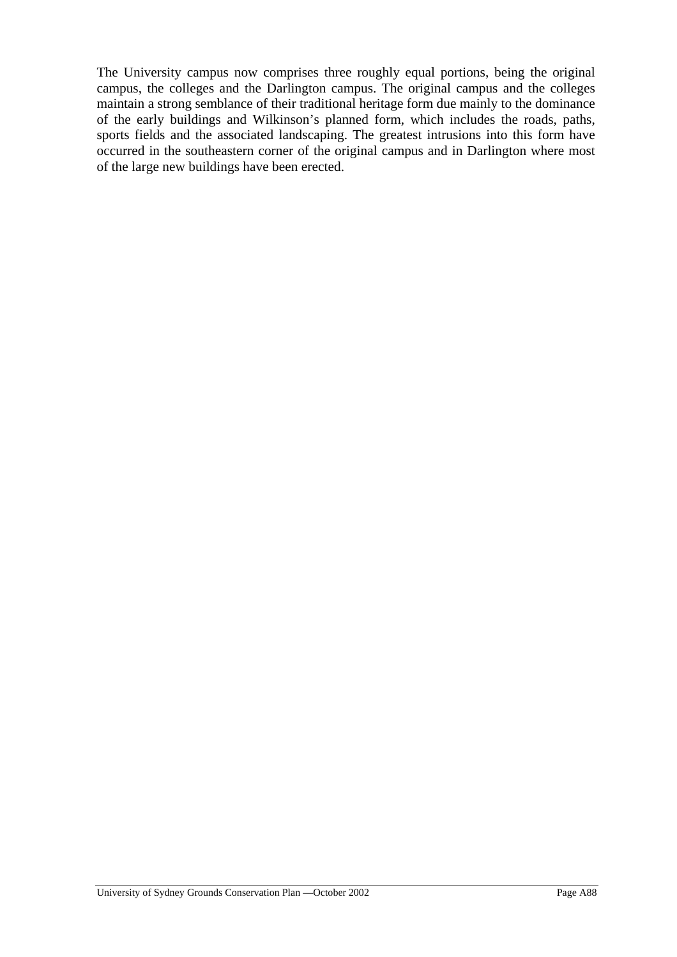The University campus now comprises three roughly equal portions, being the original campus, the colleges and the Darlington campus. The original campus and the colleges maintain a strong semblance of their traditional heritage form due mainly to the dominance of the early buildings and Wilkinson's planned form, which includes the roads, paths, sports fields and the associated landscaping. The greatest intrusions into this form have occurred in the southeastern corner of the original campus and in Darlington where most of the large new buildings have been erected.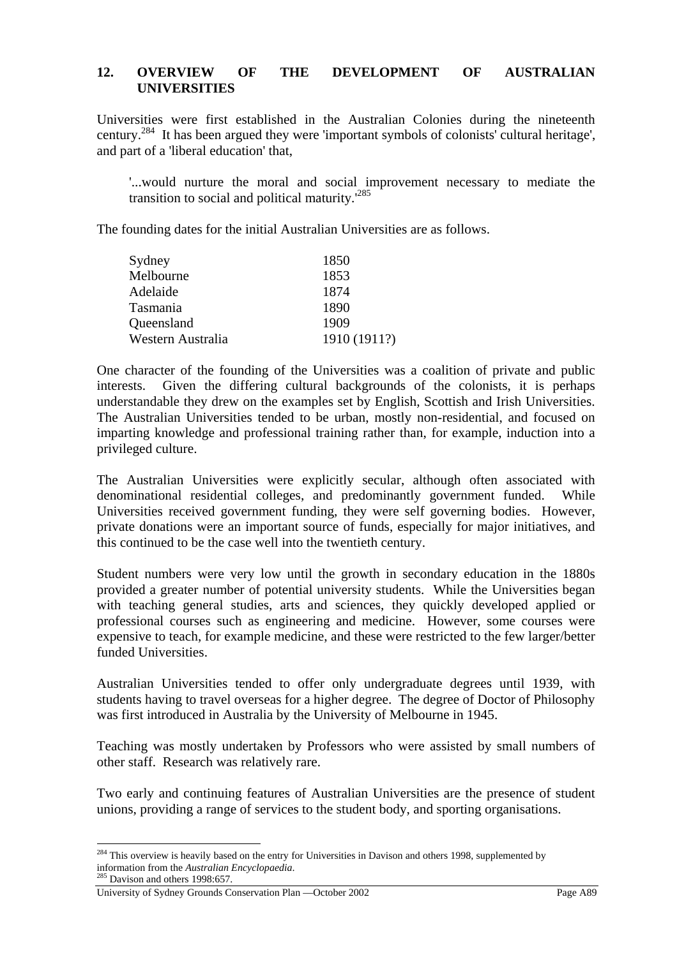#### **12. OVERVIEW OF THE DEVELOPMENT OF AUSTRALIAN UNIVERSITIES**

Universities were first established in the Australian Colonies during the nineteenth century.284 It has been argued they were 'important symbols of colonists' cultural heritage', and part of a 'liberal education' that,

'...would nurture the moral and social improvement necessary to mediate the transition to social and political maturity.'<sup>285</sup>

The founding dates for the initial Australian Universities are as follows.

| Sydney            | 1850         |
|-------------------|--------------|
| Melbourne         | 1853         |
| Adelaide          | 1874         |
| Tasmania          | 1890         |
| Queensland        | 1909         |
| Western Australia | 1910 (1911?) |

One character of the founding of the Universities was a coalition of private and public interests. Given the differing cultural backgrounds of the colonists, it is perhaps understandable they drew on the examples set by English, Scottish and Irish Universities. The Australian Universities tended to be urban, mostly non-residential, and focused on imparting knowledge and professional training rather than, for example, induction into a privileged culture.

The Australian Universities were explicitly secular, although often associated with denominational residential colleges, and predominantly government funded. While Universities received government funding, they were self governing bodies. However, private donations were an important source of funds, especially for major initiatives, and this continued to be the case well into the twentieth century.

Student numbers were very low until the growth in secondary education in the 1880s provided a greater number of potential university students. While the Universities began with teaching general studies, arts and sciences, they quickly developed applied or professional courses such as engineering and medicine. However, some courses were expensive to teach, for example medicine, and these were restricted to the few larger/better funded Universities.

Australian Universities tended to offer only undergraduate degrees until 1939, with students having to travel overseas for a higher degree. The degree of Doctor of Philosophy was first introduced in Australia by the University of Melbourne in 1945.

Teaching was mostly undertaken by Professors who were assisted by small numbers of other staff. Research was relatively rare.

Two early and continuing features of Australian Universities are the presence of student unions, providing a range of services to the student body, and sporting organisations.

 $284$  This overview is heavily based on the entry for Universities in Davison and others 1998, supplemented by information from the *Australian Encyclopaedia*. 285 Davison and others 1998:657.

University of Sydney Grounds Conservation Plan —October 2002 Page A89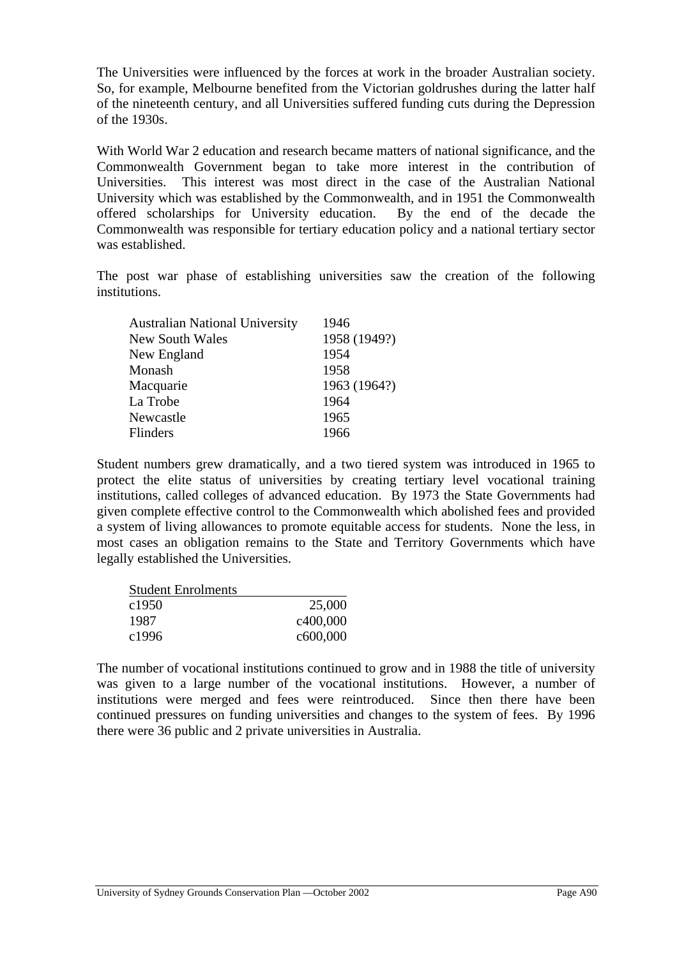The Universities were influenced by the forces at work in the broader Australian society. So, for example, Melbourne benefited from the Victorian goldrushes during the latter half of the nineteenth century, and all Universities suffered funding cuts during the Depression of the 1930s.

With World War 2 education and research became matters of national significance, and the Commonwealth Government began to take more interest in the contribution of Universities. This interest was most direct in the case of the Australian National University which was established by the Commonwealth, and in 1951 the Commonwealth offered scholarships for University education. By the end of the decade the Commonwealth was responsible for tertiary education policy and a national tertiary sector was established.

The post war phase of establishing universities saw the creation of the following institutions.

| <b>Australian National University</b><br>1946 |              |
|-----------------------------------------------|--------------|
| <b>New South Wales</b>                        | 1958 (1949?) |
| 1954<br>New England                           |              |
| 1958<br>Monash                                |              |
| Macquarie                                     | 1963 (1964?) |
| La Trobe<br>1964                              |              |
| 1965<br>Newcastle                             |              |
| 1966<br><b>Flinders</b>                       |              |

Student numbers grew dramatically, and a two tiered system was introduced in 1965 to protect the elite status of universities by creating tertiary level vocational training institutions, called colleges of advanced education. By 1973 the State Governments had given complete effective control to the Commonwealth which abolished fees and provided a system of living allowances to promote equitable access for students. None the less, in most cases an obligation remains to the State and Territory Governments which have legally established the Universities.

| <b>Student Enrolments</b> |                       |
|---------------------------|-----------------------|
| c <sub>1950</sub>         | 25,000                |
| 1987                      | c400,000              |
| c1996                     | c <sub>600</sub> ,000 |

The number of vocational institutions continued to grow and in 1988 the title of university was given to a large number of the vocational institutions. However, a number of institutions were merged and fees were reintroduced. Since then there have been continued pressures on funding universities and changes to the system of fees. By 1996 there were 36 public and 2 private universities in Australia.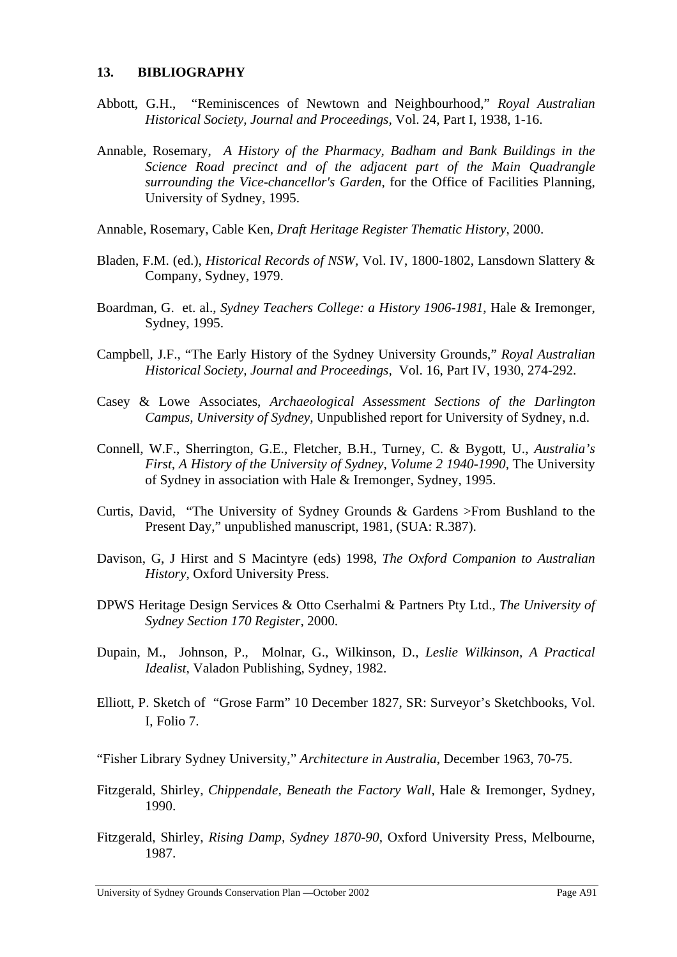#### **13. BIBLIOGRAPHY**

- Abbott, G.H., "Reminiscences of Newtown and Neighbourhood," *Royal Australian Historical Society, Journal and Proceedings,* Vol. 24, Part I, 1938, 1-16.
- Annable, Rosemary, *A History of the Pharmacy, Badham and Bank Buildings in the Science Road precinct and of the adjacent part of the Main Quadrangle surrounding the Vice-chancellor's Garden*, for the Office of Facilities Planning, University of Sydney, 1995.
- Annable, Rosemary, Cable Ken, *Draft Heritage Register Thematic History*, 2000.
- Bladen, F.M. (ed.), *Historical Records of NSW,* Vol. IV, 1800-1802, Lansdown Slattery & Company, Sydney, 1979.
- Boardman, G. et. al., *Sydney Teachers College: a History 1906-1981*, Hale & Iremonger, Sydney, 1995.
- Campbell, J.F., "The Early History of the Sydney University Grounds," *Royal Australian Historical Society, Journal and Proceedings,* Vol. 16, Part IV, 1930, 274-292.
- Casey & Lowe Associates, *Archaeological Assessment Sections of the Darlington Campus, University of Sydney,* Unpublished report for University of Sydney, n.d.
- Connell, W.F., Sherrington, G.E., Fletcher, B.H., Turney, C. & Bygott, U., *Australia's First, A History of the University of Sydney, Volume 2 1940-1990, The University* of Sydney in association with Hale & Iremonger, Sydney, 1995.
- Curtis, David, "The University of Sydney Grounds & Gardens >From Bushland to the Present Day," unpublished manuscript, 1981, (SUA: R.387).
- Davison, G, J Hirst and S Macintyre (eds) 1998, *The Oxford Companion to Australian History*, Oxford University Press.
- DPWS Heritage Design Services & Otto Cserhalmi & Partners Pty Ltd., *The University of Sydney Section 170 Register*, 2000.
- Dupain, M., Johnson, P., Molnar, G., Wilkinson, D., *Leslie Wilkinson, A Practical Idealist*, Valadon Publishing, Sydney, 1982.
- Elliott, P. Sketch of "Grose Farm" 10 December 1827, SR: Surveyor's Sketchbooks, Vol. I, Folio 7.
- "Fisher Library Sydney University," *Architecture in Australia*, December 1963, 70-75.
- Fitzgerald, Shirley, *Chippendale, Beneath the Factory Wall,* Hale & Iremonger, Sydney, 1990.
- Fitzgerald, Shirley, *Rising Damp, Sydney 1870-90,* Oxford University Press, Melbourne, 1987.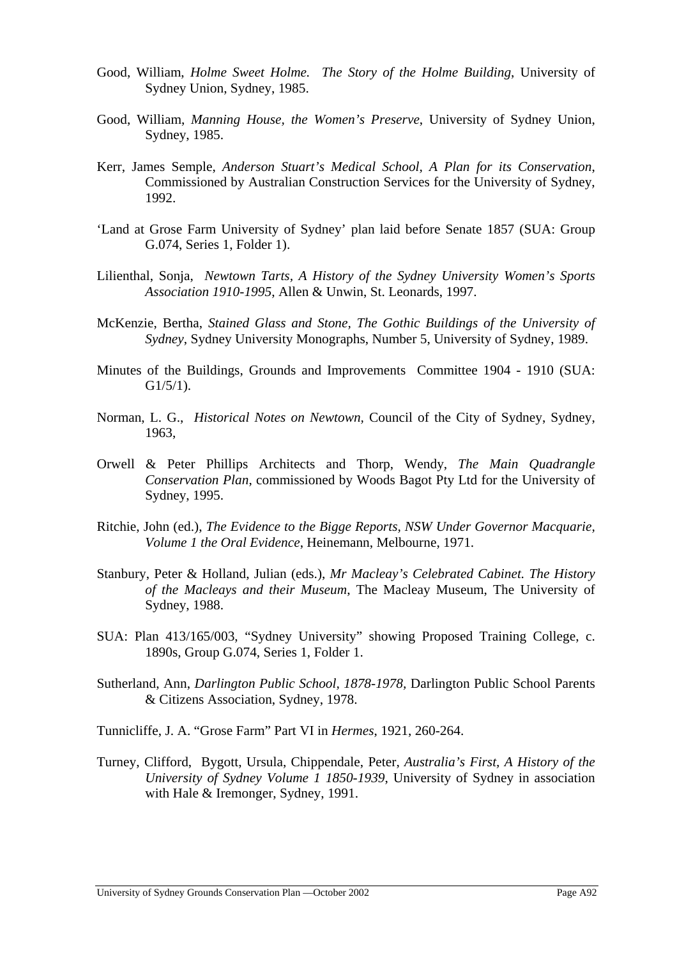- Good, William, *Holme Sweet Holme. The Story of the Holme Building*, University of Sydney Union, Sydney, 1985.
- Good, William, *Manning House, the Women's Preserve*, University of Sydney Union, Sydney, 1985.
- Kerr, James Semple, *Anderson Stuart's Medical School, A Plan for its Conservation*, Commissioned by Australian Construction Services for the University of Sydney, 1992.
- 'Land at Grose Farm University of Sydney' plan laid before Senate 1857 (SUA: Group G.074, Series 1, Folder 1).
- Lilienthal, Sonja, *Newtown Tarts, A History of the Sydney University Women's Sports Association 1910-1995*, Allen & Unwin, St. Leonards, 1997.
- McKenzie, Bertha, *Stained Glass and Stone, The Gothic Buildings of the University of Sydney*, Sydney University Monographs, Number 5, University of Sydney, 1989.
- Minutes of the Buildings, Grounds and Improvements Committee 1904 1910 (SUA: G1/5/1).
- Norman, L. G., *Historical Notes on Newtown,* Council of the City of Sydney, Sydney, 1963,
- Orwell & Peter Phillips Architects and Thorp, Wendy, *The Main Quadrangle Conservation Plan*, commissioned by Woods Bagot Pty Ltd for the University of Sydney, 1995.
- Ritchie, John (ed.), *The Evidence to the Bigge Reports, NSW Under Governor Macquarie, Volume 1 the Oral Evidence*, Heinemann, Melbourne, 1971.
- Stanbury, Peter & Holland, Julian (eds.), *Mr Macleay's Celebrated Cabinet. The History of the Macleays and their Museum*, The Macleay Museum, The University of Sydney, 1988.
- SUA: Plan 413/165/003, "Sydney University" showing Proposed Training College, c. 1890s, Group G.074, Series 1, Folder 1.
- Sutherland, Ann, *Darlington Public School, 1878-1978,* Darlington Public School Parents & Citizens Association, Sydney, 1978.
- Tunnicliffe, J. A. "Grose Farm" Part VI in *Hermes*, 1921, 260-264.
- Turney, Clifford, Bygott, Ursula, Chippendale, Peter, *Australia's First, A History of the University of Sydney Volume 1 1850-1939*, University of Sydney in association with Hale & Iremonger, Sydney, 1991.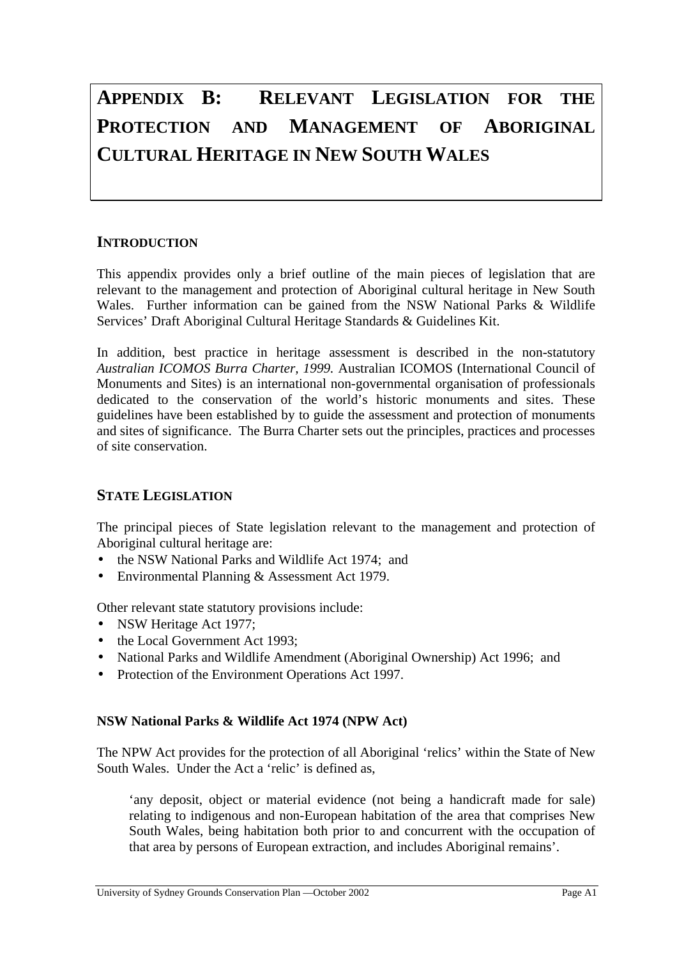# **APPENDIX B: RELEVANT LEGISLATION FOR THE PROTECTION AND MANAGEMENT OF ABORIGINAL CULTURAL HERITAGE IN NEW SOUTH WALES**

# **INTRODUCTION**

This appendix provides only a brief outline of the main pieces of legislation that are relevant to the management and protection of Aboriginal cultural heritage in New South Wales. Further information can be gained from the NSW National Parks & Wildlife Services' Draft Aboriginal Cultural Heritage Standards & Guidelines Kit.

In addition, best practice in heritage assessment is described in the non-statutory *Australian ICOMOS Burra Charter, 1999.* Australian ICOMOS (International Council of Monuments and Sites) is an international non-governmental organisation of professionals dedicated to the conservation of the world's historic monuments and sites. These guidelines have been established by to guide the assessment and protection of monuments and sites of significance. The Burra Charter sets out the principles, practices and processes of site conservation.

# **STATE LEGISLATION**

The principal pieces of State legislation relevant to the management and protection of Aboriginal cultural heritage are:

- the NSW National Parks and Wildlife Act 1974; and
- Environmental Planning & Assessment Act 1979.

Other relevant state statutory provisions include:

- NSW Heritage Act 1977;
- the Local Government Act 1993:
- National Parks and Wildlife Amendment (Aboriginal Ownership) Act 1996; and
- Protection of the Environment Operations Act 1997.

## **NSW National Parks & Wildlife Act 1974 (NPW Act)**

The NPW Act provides for the protection of all Aboriginal 'relics' within the State of New South Wales. Under the Act a 'relic' is defined as,

'any deposit, object or material evidence (not being a handicraft made for sale) relating to indigenous and non-European habitation of the area that comprises New South Wales, being habitation both prior to and concurrent with the occupation of that area by persons of European extraction, and includes Aboriginal remains'.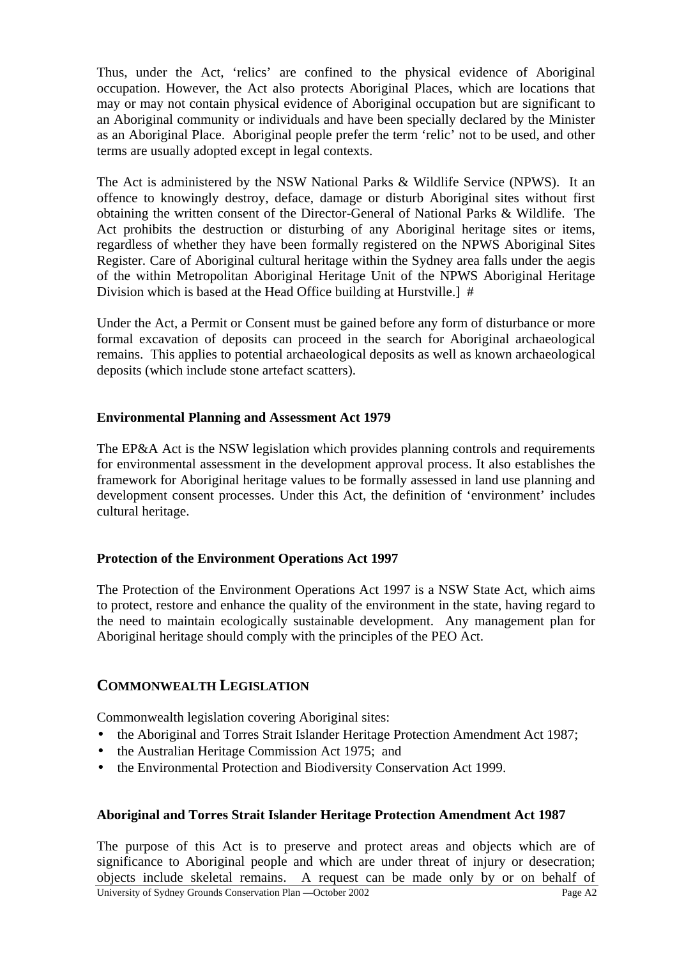Thus, under the Act, 'relics' are confined to the physical evidence of Aboriginal occupation. However, the Act also protects Aboriginal Places, which are locations that may or may not contain physical evidence of Aboriginal occupation but are significant to an Aboriginal community or individuals and have been specially declared by the Minister as an Aboriginal Place. Aboriginal people prefer the term 'relic' not to be used, and other terms are usually adopted except in legal contexts.

The Act is administered by the NSW National Parks & Wildlife Service (NPWS). It an offence to knowingly destroy, deface, damage or disturb Aboriginal sites without first obtaining the written consent of the Director-General of National Parks & Wildlife. The Act prohibits the destruction or disturbing of any Aboriginal heritage sites or items, regardless of whether they have been formally registered on the NPWS Aboriginal Sites Register. Care of Aboriginal cultural heritage within the Sydney area falls under the aegis of the within Metropolitan Aboriginal Heritage Unit of the NPWS Aboriginal Heritage Division which is based at the Head Office building at Hurstville.] #

Under the Act, a Permit or Consent must be gained before any form of disturbance or more formal excavation of deposits can proceed in the search for Aboriginal archaeological remains. This applies to potential archaeological deposits as well as known archaeological deposits (which include stone artefact scatters).

## **Environmental Planning and Assessment Act 1979**

The EP&A Act is the NSW legislation which provides planning controls and requirements for environmental assessment in the development approval process. It also establishes the framework for Aboriginal heritage values to be formally assessed in land use planning and development consent processes. Under this Act, the definition of 'environment' includes cultural heritage.

## **Protection of the Environment Operations Act 1997**

The Protection of the Environment Operations Act 1997 is a NSW State Act, which aims to protect, restore and enhance the quality of the environment in the state, having regard to the need to maintain ecologically sustainable development. Any management plan for Aboriginal heritage should comply with the principles of the PEO Act.

## **COMMONWEALTH LEGISLATION**

Commonwealth legislation covering Aboriginal sites:

- the Aboriginal and Torres Strait Islander Heritage Protection Amendment Act 1987;
- the Australian Heritage Commission Act 1975; and
- the Environmental Protection and Biodiversity Conservation Act 1999.

## **Aboriginal and Torres Strait Islander Heritage Protection Amendment Act 1987**

University of Sydney Grounds Conservation Plan —October 2002 Page A2 The purpose of this Act is to preserve and protect areas and objects which are of significance to Aboriginal people and which are under threat of injury or desecration; objects include skeletal remains. A request can be made only by or on behalf of